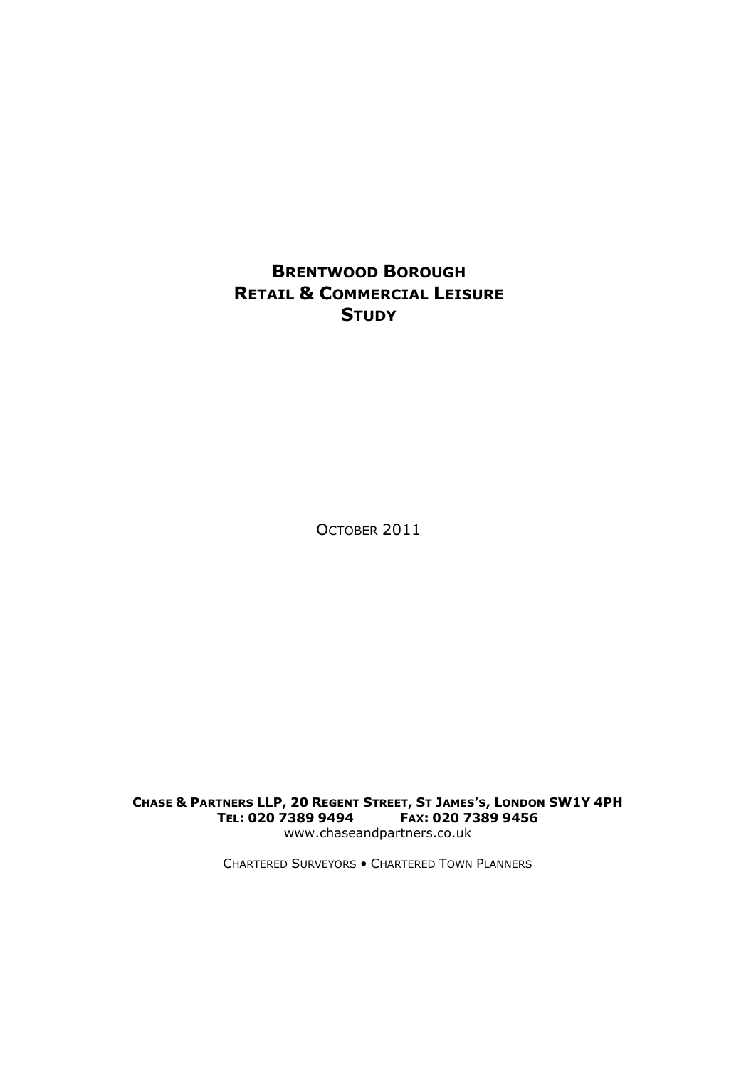### **BRENTWOOD BOROUGH RETAIL & COMMERCIAL LEISURE STUDY**

OCTOBER 2011

CHASE & PARTNERS LLP, 20 REGENT STREET, ST JAMES'S, LONDON SW1Y 4PH **TEL: 020 7389 9494 FAX: 020 7389 9456** www.chaseandpartners.co.uk

CHARTERED SURVEYORS • CHARTERED TOWN PLANNERS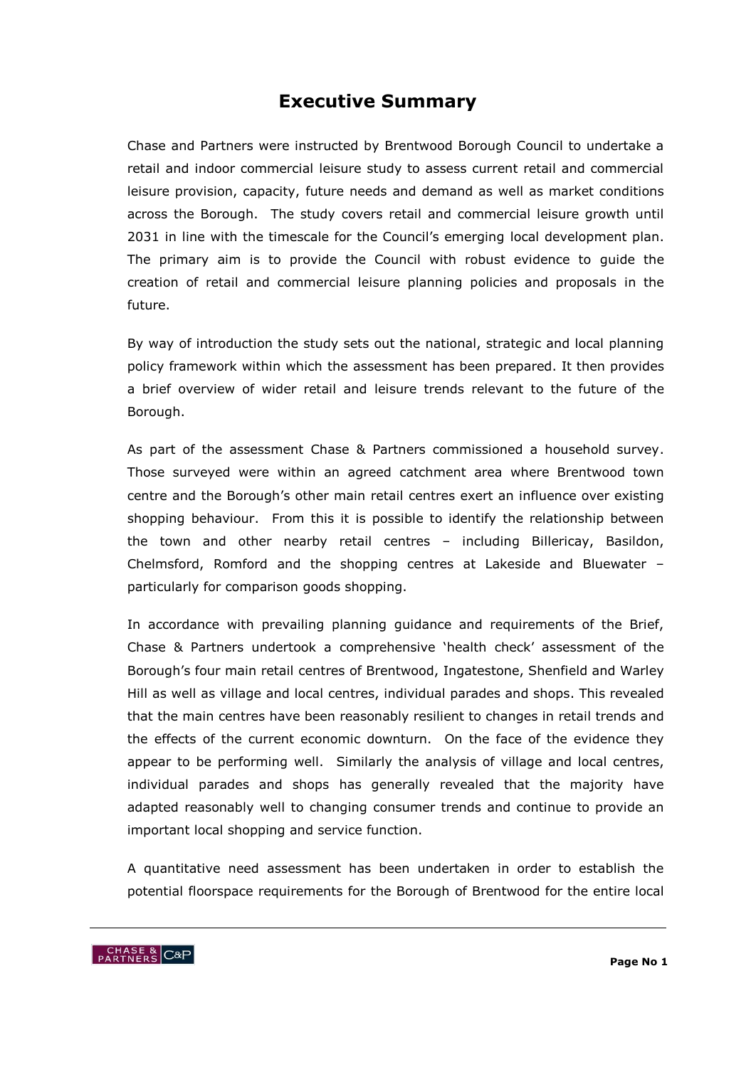### **Executive Summary**

Chase and Partners were instructed by Brentwood Borough Council to undertake a retail and indoor commercial leisure study to assess current retail and commercial leisure provision, capacity, future needs and demand as well as market conditions across the Borough. The study covers retail and commercial leisure growth until 2031 in line with the timescale for the Council's emerging local development plan. The primary aim is to provide the Council with robust evidence to guide the creation of retail and commercial leisure planning policies and proposals in the future.

By way of introduction the study sets out the national, strategic and local planning policy framework within which the assessment has been prepared. It then provides a brief overview of wider retail and leisure trends relevant to the future of the Borough.

As part of the assessment Chase & Partners commissioned a household survey. Those surveyed were within an agreed catchment area where Brentwood town centre and the Borough"s other main retail centres exert an influence over existing shopping behaviour. From this it is possible to identify the relationship between the town and other nearby retail centres – including Billericay, Basildon, Chelmsford, Romford and the shopping centres at Lakeside and Bluewater – particularly for comparison goods shopping.

In accordance with prevailing planning guidance and requirements of the Brief, Chase & Partners undertook a comprehensive "health check" assessment of the Borough"s four main retail centres of Brentwood, Ingatestone, Shenfield and Warley Hill as well as village and local centres, individual parades and shops. This revealed that the main centres have been reasonably resilient to changes in retail trends and the effects of the current economic downturn. On the face of the evidence they appear to be performing well. Similarly the analysis of village and local centres, individual parades and shops has generally revealed that the majority have adapted reasonably well to changing consumer trends and continue to provide an important local shopping and service function.

A quantitative need assessment has been undertaken in order to establish the potential floorspace requirements for the Borough of Brentwood for the entire local

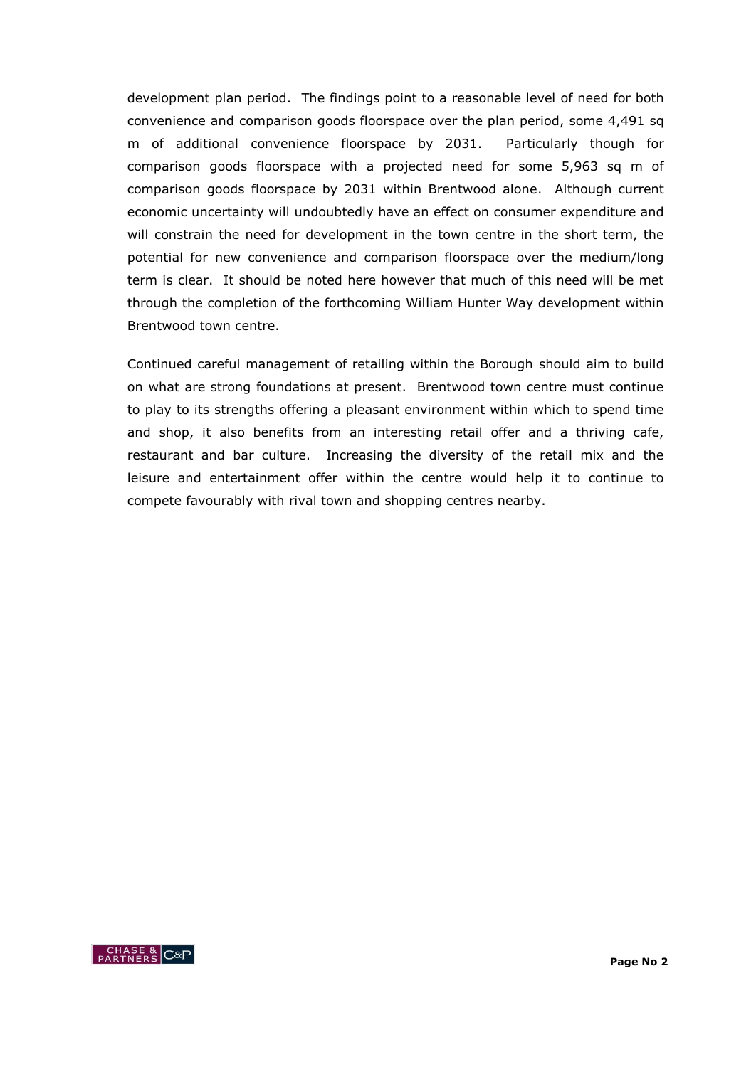development plan period. The findings point to a reasonable level of need for both convenience and comparison goods floorspace over the plan period, some 4,491 sq m of additional convenience floorspace by 2031. Particularly though for comparison goods floorspace with a projected need for some 5,963 sq m of comparison goods floorspace by 2031 within Brentwood alone. Although current economic uncertainty will undoubtedly have an effect on consumer expenditure and will constrain the need for development in the town centre in the short term, the potential for new convenience and comparison floorspace over the medium/long term is clear. It should be noted here however that much of this need will be met through the completion of the forthcoming William Hunter Way development within Brentwood town centre.

Continued careful management of retailing within the Borough should aim to build on what are strong foundations at present. Brentwood town centre must continue to play to its strengths offering a pleasant environment within which to spend time and shop, it also benefits from an interesting retail offer and a thriving cafe, restaurant and bar culture. Increasing the diversity of the retail mix and the leisure and entertainment offer within the centre would help it to continue to compete favourably with rival town and shopping centres nearby.

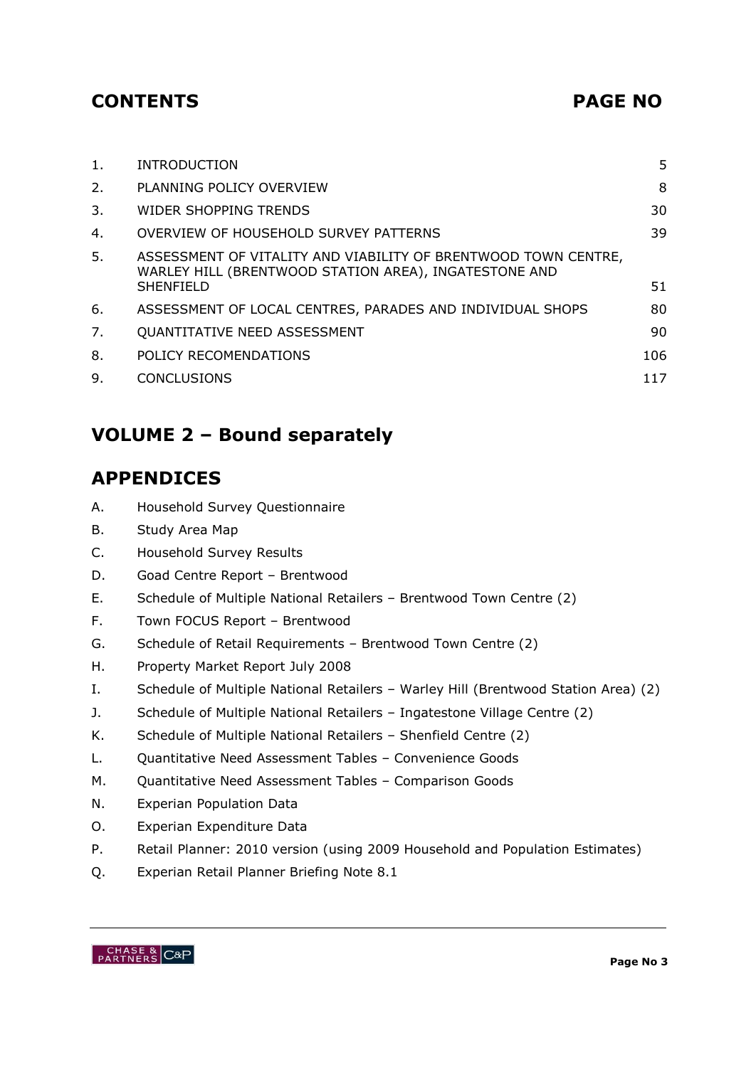# **CONTENTS PAGE NO**

| 1. | <b>INTRODUCTION</b>                                                                                                                         | 5   |
|----|---------------------------------------------------------------------------------------------------------------------------------------------|-----|
| 2. | PLANNING POLICY OVERVIEW                                                                                                                    | 8   |
| 3. | WIDER SHOPPING TRENDS                                                                                                                       | 30  |
| 4. | OVERVIEW OF HOUSEHOLD SURVEY PATTERNS                                                                                                       | 39  |
| 5. | ASSESSMENT OF VITALITY AND VIABILITY OF BRENTWOOD TOWN CENTRE,<br>WARLEY HILL (BRENTWOOD STATION AREA), INGATESTONE AND<br><b>SHENFIELD</b> | 51  |
| 6. | ASSESSMENT OF LOCAL CENTRES, PARADES AND INDIVIDUAL SHOPS                                                                                   | 80  |
| 7. | QUANTITATIVE NEED ASSESSMENT                                                                                                                | 90  |
| 8. | POLICY RECOMENDATIONS                                                                                                                       | 106 |
| 9. | <b>CONCLUSIONS</b>                                                                                                                          | 117 |
|    |                                                                                                                                             |     |

# **VOLUME 2 – Bound separately**

# **APPENDICES**

- A. Household Survey Questionnaire
- B. Study Area Map
- C. Household Survey Results
- D. Goad Centre Report Brentwood
- E. Schedule of Multiple National Retailers Brentwood Town Centre (2)
- F. Town FOCUS Report Brentwood
- G. Schedule of Retail Requirements Brentwood Town Centre (2)
- H. Property Market Report July 2008
- I. Schedule of Multiple National Retailers Warley Hill (Brentwood Station Area) (2)
- J. Schedule of Multiple National Retailers Ingatestone Village Centre (2)
- K. Schedule of Multiple National Retailers Shenfield Centre (2)
- L. Quantitative Need Assessment Tables Convenience Goods
- M. Quantitative Need Assessment Tables Comparison Goods
- N. Experian Population Data
- O. Experian Expenditure Data
- P. Retail Planner: 2010 version (using 2009 Household and Population Estimates)
- Q. Experian Retail Planner Briefing Note 8.1

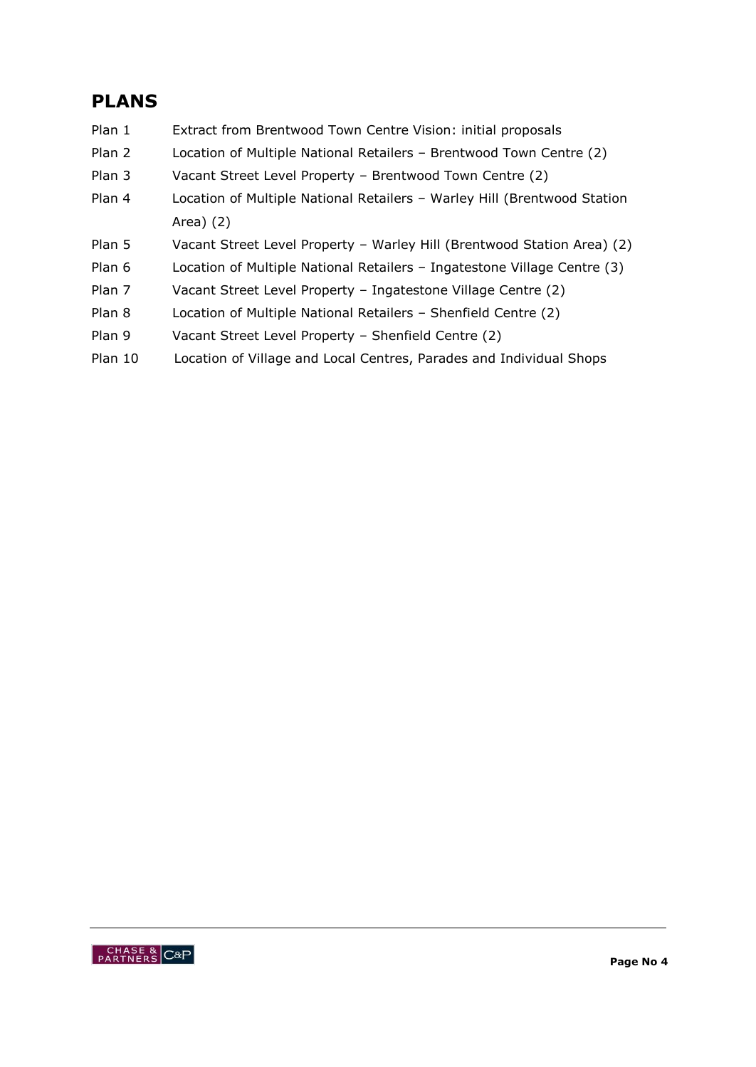# **PLANS**

- Plan 1 Extract from Brentwood Town Centre Vision: initial proposals
- Plan 2 Location of Multiple National Retailers Brentwood Town Centre (2)
- Plan 3 Vacant Street Level Property Brentwood Town Centre (2)
- Plan 4 Location of Multiple National Retailers Warley Hill (Brentwood Station Area) (2)
- Plan 5 Vacant Street Level Property Warley Hill (Brentwood Station Area) (2)
- Plan 6 Location of Multiple National Retailers Ingatestone Village Centre (3)
- Plan 7 Vacant Street Level Property Ingatestone Village Centre (2)
- Plan 8 Location of Multiple National Retailers Shenfield Centre (2)
- Plan 9 Vacant Street Level Property Shenfield Centre (2)
- Plan 10 Location of Village and Local Centres, Parades and Individual Shops

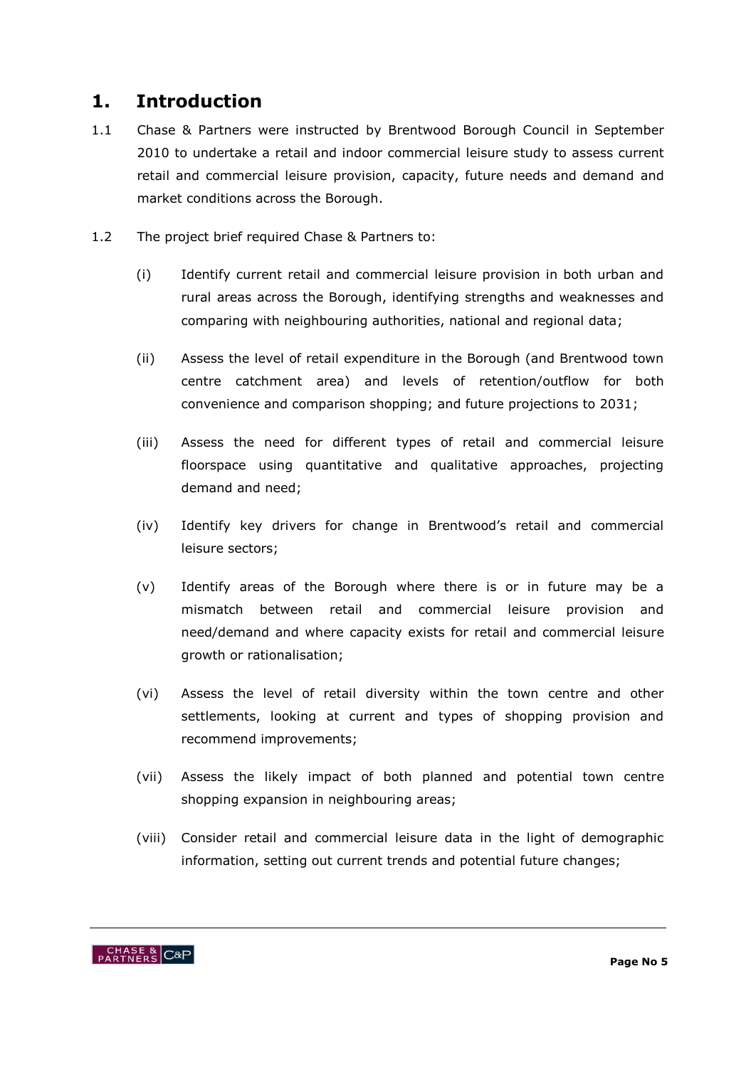### **1. Introduction**

- 1.1 Chase & Partners were instructed by Brentwood Borough Council in September 2010 to undertake a retail and indoor commercial leisure study to assess current retail and commercial leisure provision, capacity, future needs and demand and market conditions across the Borough.
- 1.2 The project brief required Chase & Partners to:
	- (i) Identify current retail and commercial leisure provision in both urban and rural areas across the Borough, identifying strengths and weaknesses and comparing with neighbouring authorities, national and regional data;
	- (ii) Assess the level of retail expenditure in the Borough (and Brentwood town centre catchment area) and levels of retention/outflow for both convenience and comparison shopping; and future projections to 2031;
	- (iii) Assess the need for different types of retail and commercial leisure floorspace using quantitative and qualitative approaches, projecting demand and need;
	- (iv) Identify key drivers for change in Brentwood"s retail and commercial leisure sectors;
	- (v) Identify areas of the Borough where there is or in future may be a mismatch between retail and commercial leisure provision and need/demand and where capacity exists for retail and commercial leisure growth or rationalisation;
	- (vi) Assess the level of retail diversity within the town centre and other settlements, looking at current and types of shopping provision and recommend improvements;
	- (vii) Assess the likely impact of both planned and potential town centre shopping expansion in neighbouring areas;
	- (viii) Consider retail and commercial leisure data in the light of demographic information, setting out current trends and potential future changes;

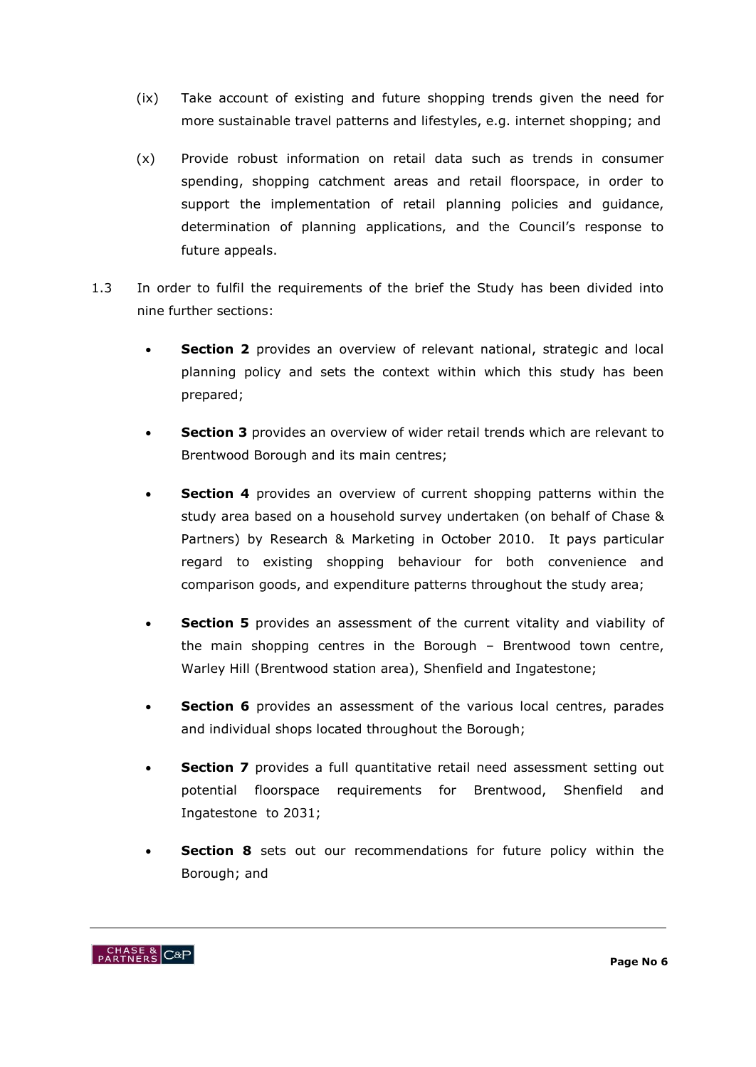- (ix) Take account of existing and future shopping trends given the need for more sustainable travel patterns and lifestyles, e.g. internet shopping; and
- (x) Provide robust information on retail data such as trends in consumer spending, shopping catchment areas and retail floorspace, in order to support the implementation of retail planning policies and guidance, determination of planning applications, and the Council's response to future appeals.
- 1.3 In order to fulfil the requirements of the brief the Study has been divided into nine further sections:
	- **Section 2** provides an overview of relevant national, strategic and local planning policy and sets the context within which this study has been prepared;
	- **Section 3** provides an overview of wider retail trends which are relevant to Brentwood Borough and its main centres;
	- **Section 4** provides an overview of current shopping patterns within the study area based on a household survey undertaken (on behalf of Chase & Partners) by Research & Marketing in October 2010. It pays particular regard to existing shopping behaviour for both convenience and comparison goods, and expenditure patterns throughout the study area;
	- **Section 5** provides an assessment of the current vitality and viability of the main shopping centres in the Borough – Brentwood town centre, Warley Hill (Brentwood station area), Shenfield and Ingatestone;
	- **Section 6** provides an assessment of the various local centres, parades and individual shops located throughout the Borough;
	- **Section 7** provides a full quantitative retail need assessment setting out potential floorspace requirements for Brentwood, Shenfield and Ingatestone to 2031;
	- **Section 8** sets out our recommendations for future policy within the Borough; and

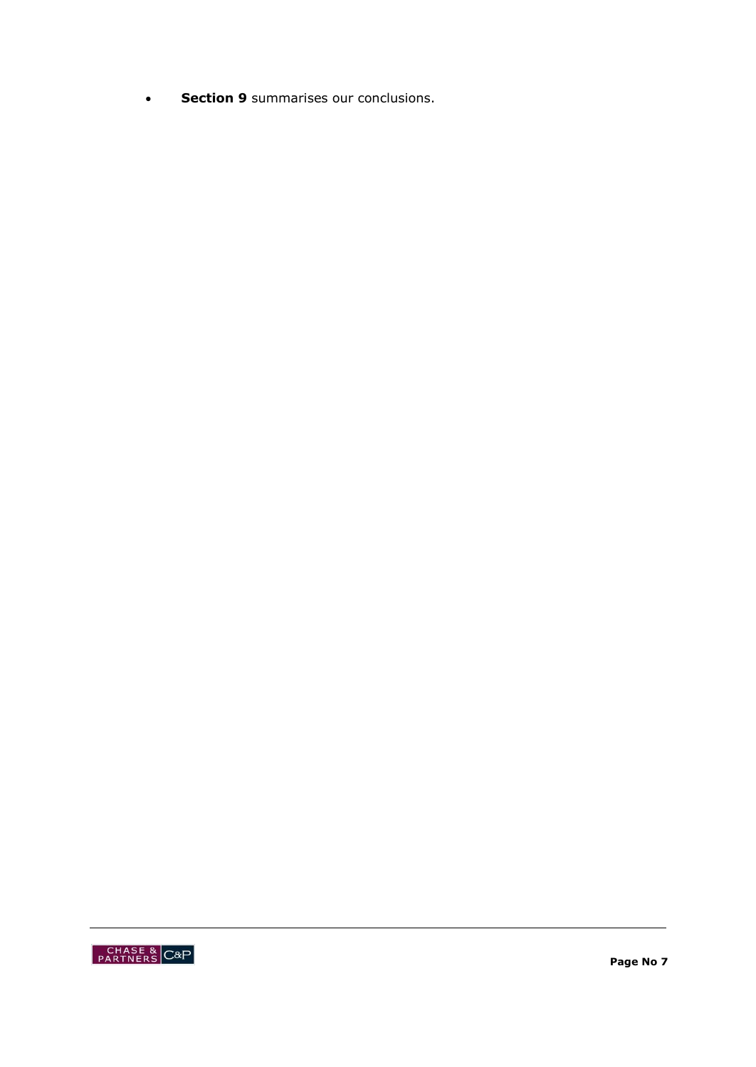**Section 9** summarises our conclusions.

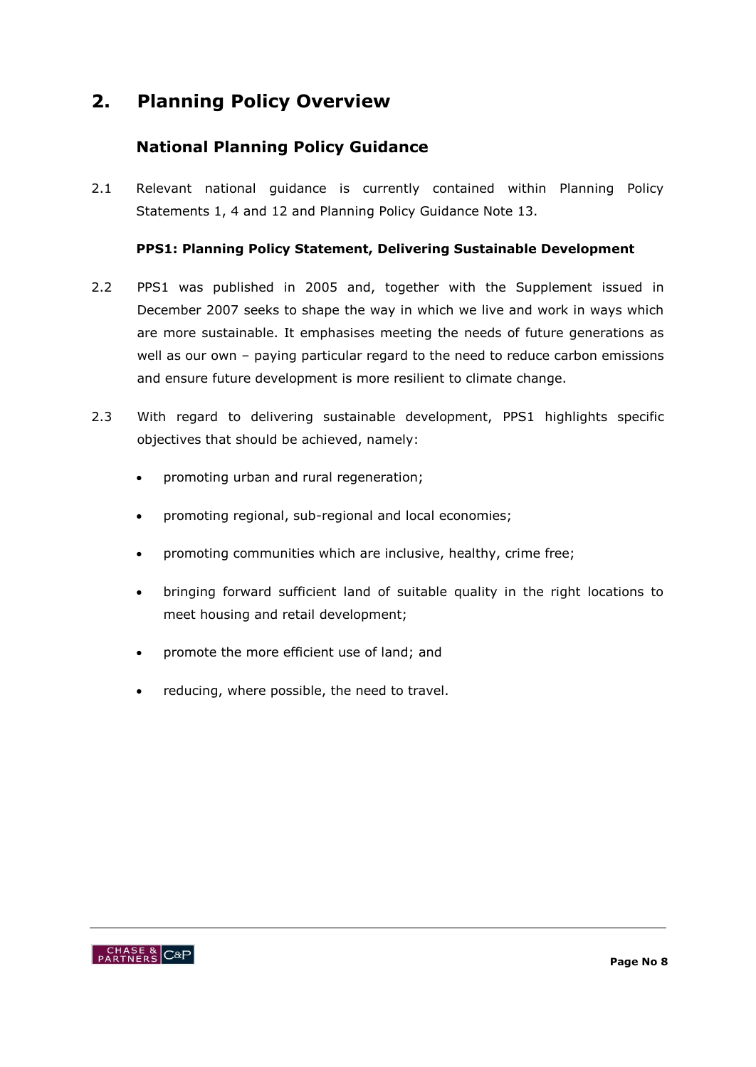# **2. Planning Policy Overview**

### **National Planning Policy Guidance**

2.1 Relevant national guidance is currently contained within Planning Policy Statements 1, 4 and 12 and Planning Policy Guidance Note 13.

### **PPS1: Planning Policy Statement, Delivering Sustainable Development**

- 2.2 PPS1 was published in 2005 and, together with the Supplement issued in December 2007 seeks to shape the way in which we live and work in ways which are more sustainable. It emphasises meeting the needs of future generations as well as our own – paying particular regard to the need to reduce carbon emissions and ensure future development is more resilient to climate change.
- 2.3 With regard to delivering sustainable development, PPS1 highlights specific objectives that should be achieved, namely:
	- promoting urban and rural regeneration;
	- promoting regional, sub-regional and local economies;
	- promoting communities which are inclusive, healthy, crime free;
	- bringing forward sufficient land of suitable quality in the right locations to meet housing and retail development;
	- promote the more efficient use of land; and
	- reducing, where possible, the need to travel.

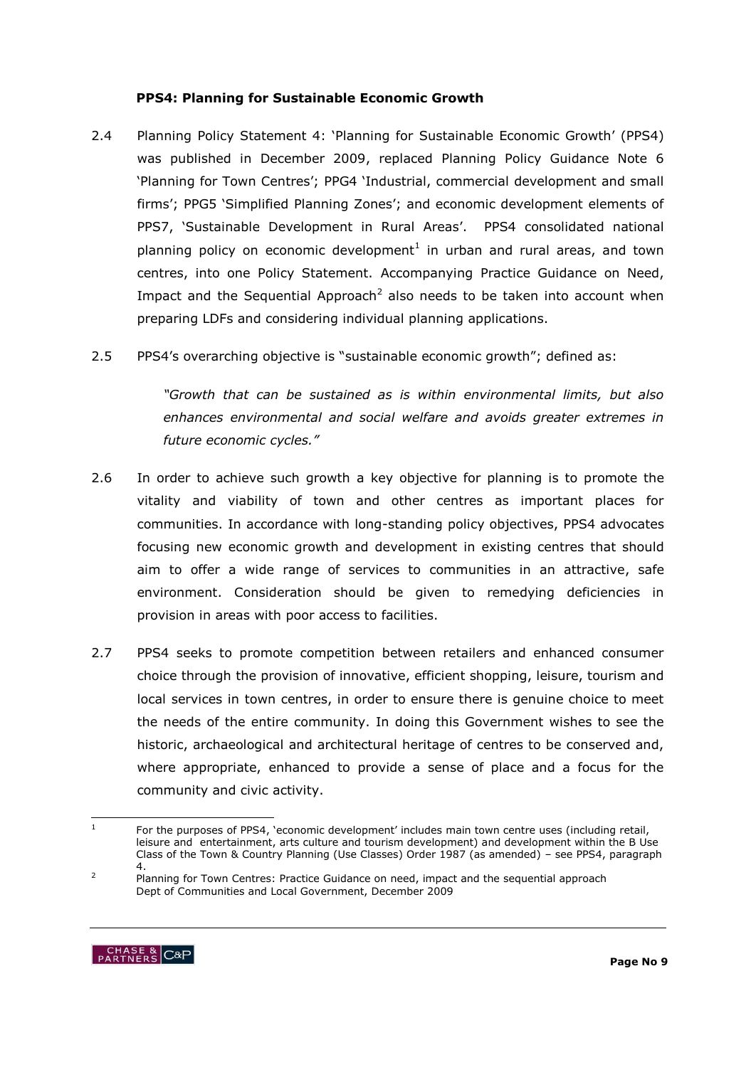#### **PPS4: Planning for Sustainable Economic Growth**

- 2.4 Planning Policy Statement 4: "Planning for Sustainable Economic Growth" (PPS4) was published in December 2009, replaced Planning Policy Guidance Note 6 "Planning for Town Centres"; PPG4 "Industrial, commercial development and small firms"; PPG5 "Simplified Planning Zones"; and economic development elements of PPS7, 'Sustainable Development in Rural Areas'. PPS4 consolidated national planning policy on economic development<sup>1</sup> in urban and rural areas, and town centres, into one Policy Statement. Accompanying Practice Guidance on Need, Impact and the Sequential Approach<sup>2</sup> also needs to be taken into account when preparing LDFs and considering individual planning applications.
- 2.5 PPS4"s overarching objective is "sustainable economic growth"; defined as:

*"Growth that can be sustained as is within environmental limits, but also enhances environmental and social welfare and avoids greater extremes in future economic cycles."*

- 2.6 In order to achieve such growth a key objective for planning is to promote the vitality and viability of town and other centres as important places for communities. In accordance with long-standing policy objectives, PPS4 advocates focusing new economic growth and development in existing centres that should aim to offer a wide range of services to communities in an attractive, safe environment. Consideration should be given to remedying deficiencies in provision in areas with poor access to facilities.
- 2.7 PPS4 seeks to promote competition between retailers and enhanced consumer choice through the provision of innovative, efficient shopping, leisure, tourism and local services in town centres, in order to ensure there is genuine choice to meet the needs of the entire community. In doing this Government wishes to see the historic, archaeological and architectural heritage of centres to be conserved and, where appropriate, enhanced to provide a sense of place and a focus for the community and civic activity.

<sup>&</sup>lt;sup>2</sup> Planning for Town Centres: Practice Guidance on need, impact and the sequential approach Dept of Communities and Local Government, December 2009



 $\frac{1}{1}$ For the purposes of PPS4, 'economic development' includes main town centre uses (including retail, leisure and entertainment, arts culture and tourism development) and development within the B Use Class of the Town & Country Planning (Use Classes) Order 1987 (as amended) – see PPS4, paragraph 4.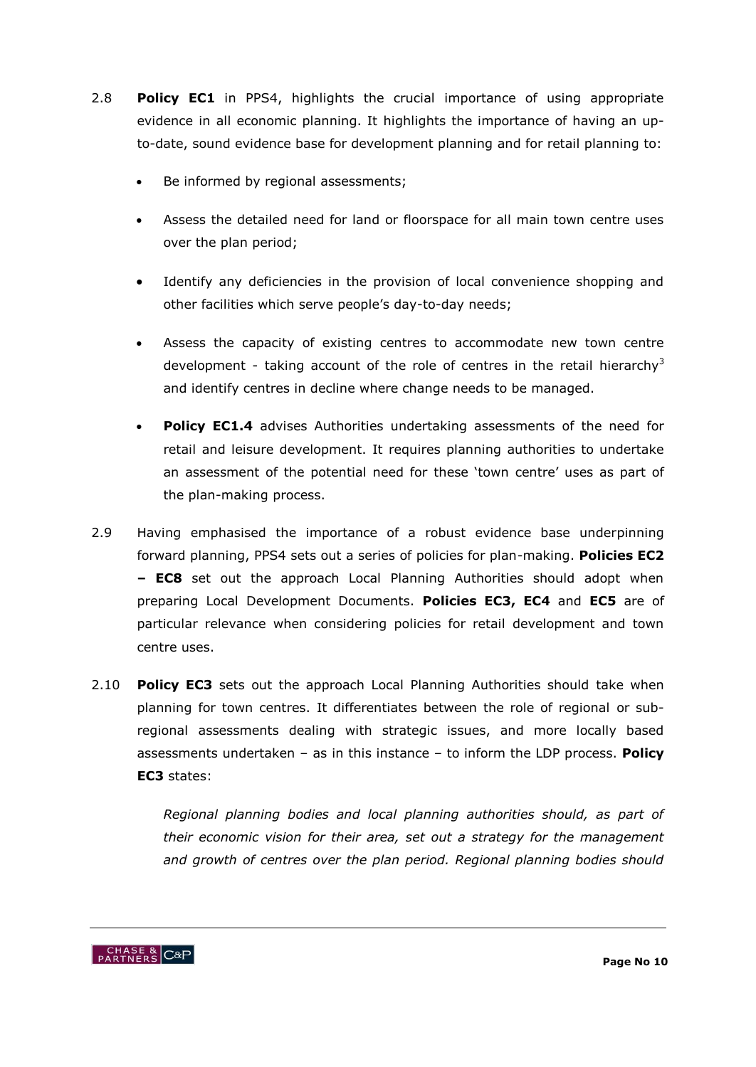- 2.8 **Policy EC1** in PPS4, highlights the crucial importance of using appropriate evidence in all economic planning. It highlights the importance of having an upto-date, sound evidence base for development planning and for retail planning to:
	- Be informed by regional assessments;
	- Assess the detailed need for land or floorspace for all main town centre uses over the plan period;
	- Identify any deficiencies in the provision of local convenience shopping and other facilities which serve people"s day-to-day needs;
	- Assess the capacity of existing centres to accommodate new town centre development - taking account of the role of centres in the retail hierarchy<sup>3</sup> and identify centres in decline where change needs to be managed.
	- **Policy EC1.4** advises Authorities undertaking assessments of the need for retail and leisure development. It requires planning authorities to undertake an assessment of the potential need for these "town centre" uses as part of the plan-making process.
- 2.9 Having emphasised the importance of a robust evidence base underpinning forward planning, PPS4 sets out a series of policies for plan-making. **Policies EC2 – EC8** set out the approach Local Planning Authorities should adopt when preparing Local Development Documents. **Policies EC3, EC4** and **EC5** are of particular relevance when considering policies for retail development and town centre uses.
- 2.10 **Policy EC3** sets out the approach Local Planning Authorities should take when planning for town centres. It differentiates between the role of regional or subregional assessments dealing with strategic issues, and more locally based assessments undertaken – as in this instance – to inform the LDP process. **Policy EC3** states:

*Regional planning bodies and local planning authorities should, as part of their economic vision for their area, set out a strategy for the management and growth of centres over the plan period. Regional planning bodies should* 

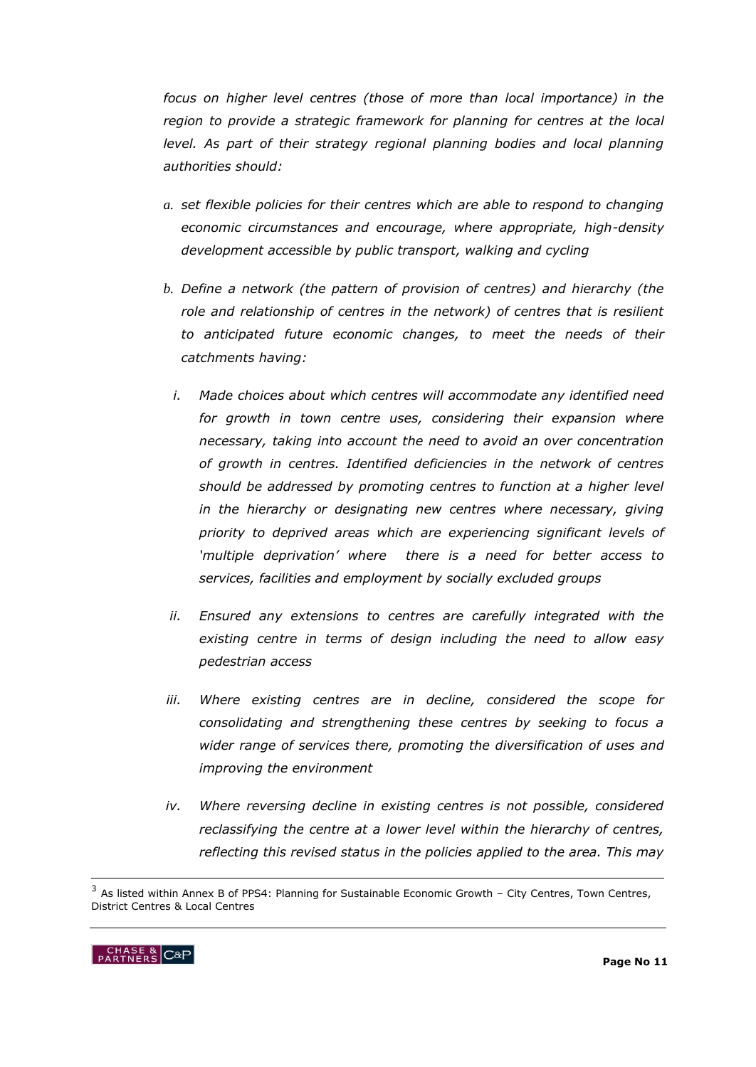*focus on higher level centres (those of more than local importance) in the region to provide a strategic framework for planning for centres at the local level. As part of their strategy regional planning bodies and local planning authorities should:* 

- *a. set flexible policies for their centres which are able to respond to changing economic circumstances and encourage, where appropriate, high-density development accessible by public transport, walking and cycling*
- *b. Define a network (the pattern of provision of centres) and hierarchy (the*  role and relationship of centres in the network) of centres that is resilient *to anticipated future economic changes, to meet the needs of their catchments having:* 
	- *i. Made choices about which centres will accommodate any identified need*  for growth in town centre uses, considering their expansion where *necessary, taking into account the need to avoid an over concentration of growth in centres. Identified deficiencies in the network of centres should be addressed by promoting centres to function at a higher level*  in the hierarchy or designating new centres where necessary, giving *priority to deprived areas which are experiencing significant levels of "multiple deprivation" where there is a need for better access to services, facilities and employment by socially excluded groups*
- *ii. Ensured any extensions to centres are carefully integrated with the existing centre in terms of design including the need to allow easy pedestrian access*
- *iii. Where existing centres are in decline, considered the scope for consolidating and strengthening these centres by seeking to focus a wider range of services there, promoting the diversification of uses and improving the environment*
- *iv. Where reversing decline in existing centres is not possible, considered reclassifying the centre at a lower level within the hierarchy of centres, reflecting this revised status in the policies applied to the area. This may*

<sup>&</sup>lt;sup>3</sup> As listed within Annex B of PPS4: Planning for Sustainable Economic Growth - City Centres, Town Centres, District Centres & Local Centres



-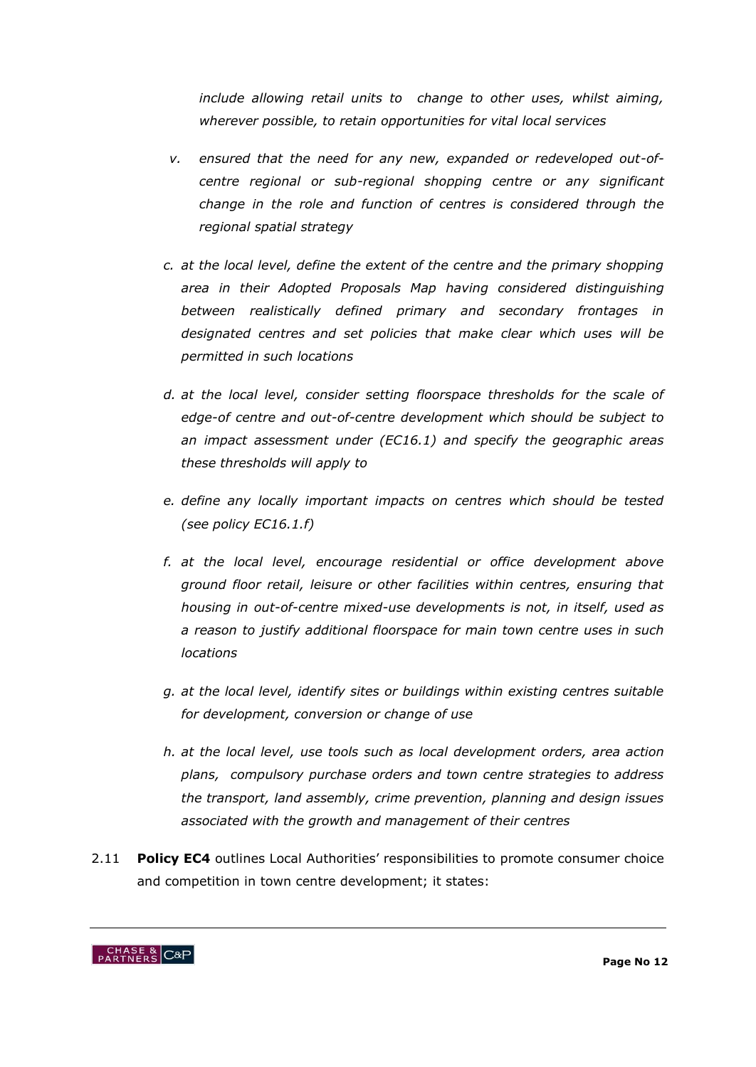*include allowing retail units to change to other uses, whilst aiming, wherever possible, to retain opportunities for vital local services*

- *v. ensured that the need for any new, expanded or redeveloped out-ofcentre regional or sub-regional shopping centre or any significant change in the role and function of centres is considered through the regional spatial strategy*
- *c. at the local level, define the extent of the centre and the primary shopping area in their Adopted Proposals Map having considered distinguishing between realistically defined primary and secondary frontages in designated centres and set policies that make clear which uses will be permitted in such locations*
- *d. at the local level, consider setting floorspace thresholds for the scale of edge-of centre and out-of-centre development which should be subject to an impact assessment under (EC16.1) and specify the geographic areas these thresholds will apply to*
- *e. define any locally important impacts on centres which should be tested (see policy EC16.1.f)*
- *f. at the local level, encourage residential or office development above ground floor retail, leisure or other facilities within centres, ensuring that housing in out-of-centre mixed-use developments is not, in itself, used as a reason to justify additional floorspace for main town centre uses in such locations*
- *g. at the local level, identify sites or buildings within existing centres suitable for development, conversion or change of use*
- *h. at the local level, use tools such as local development orders, area action plans, compulsory purchase orders and town centre strategies to address the transport, land assembly, crime prevention, planning and design issues associated with the growth and management of their centres*
- 2.11 **Policy EC4** outlines Local Authorities" responsibilities to promote consumer choice and competition in town centre development; it states:

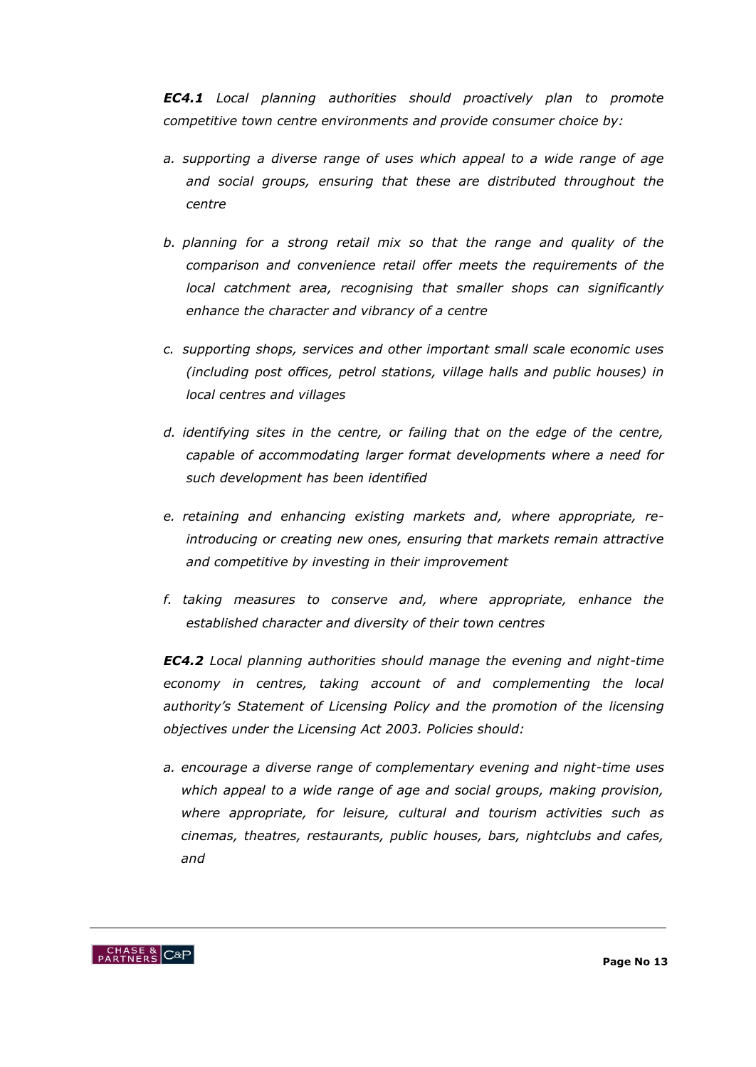*EC4.1 Local planning authorities should proactively plan to promote competitive town centre environments and provide consumer choice by:*

- *a. supporting a diverse range of uses which appeal to a wide range of age and social groups, ensuring that these are distributed throughout the centre*
- *b. planning for a strong retail mix so that the range and quality of the comparison and convenience retail offer meets the requirements of the local catchment area, recognising that smaller shops can significantly enhance the character and vibrancy of a centre*
- *c. supporting shops, services and other important small scale economic uses (including post offices, petrol stations, village halls and public houses) in local centres and villages*
- *d. identifying sites in the centre, or failing that on the edge of the centre, capable of accommodating larger format developments where a need for such development has been identified*
- *e. retaining and enhancing existing markets and, where appropriate, reintroducing or creating new ones, ensuring that markets remain attractive and competitive by investing in their improvement*
- *f. taking measures to conserve and, where appropriate, enhance the established character and diversity of their town centres*

*EC4.2 Local planning authorities should manage the evening and night-time economy in centres, taking account of and complementing the local authority"s Statement of Licensing Policy and the promotion of the licensing objectives under the Licensing Act 2003. Policies should:*

*a. encourage a diverse range of complementary evening and night-time uses which appeal to a wide range of age and social groups, making provision, where appropriate, for leisure, cultural and tourism activities such as cinemas, theatres, restaurants, public houses, bars, nightclubs and cafes, and* 

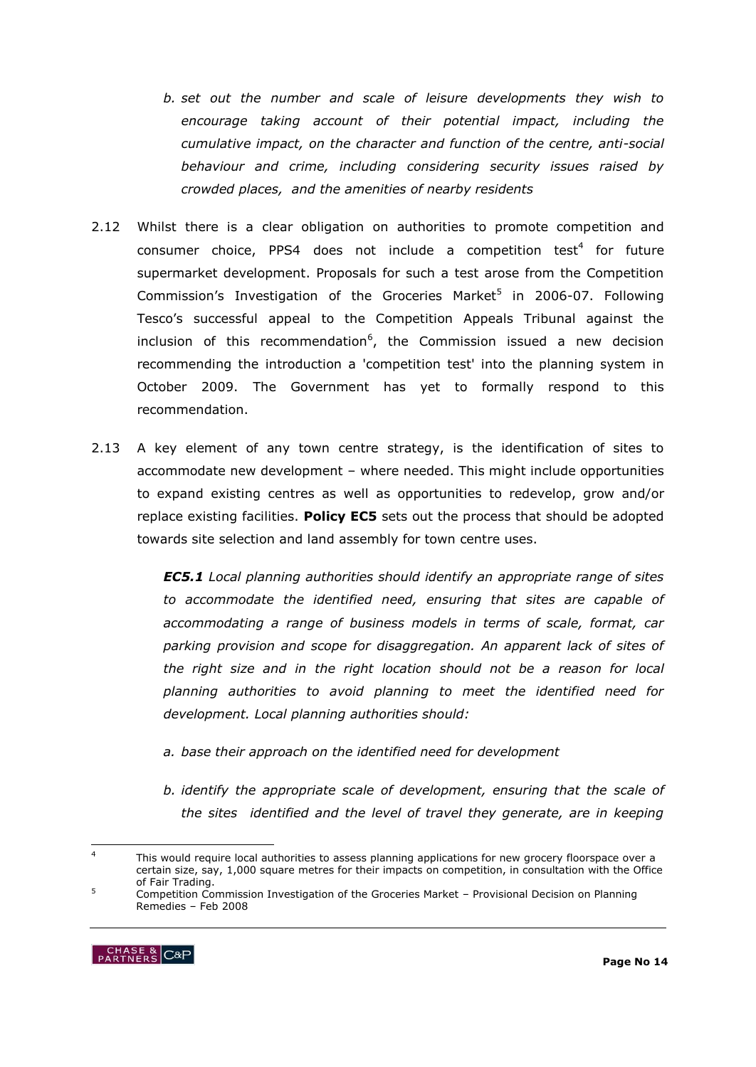- *b. set out the number and scale of leisure developments they wish to encourage taking account of their potential impact, including the cumulative impact, on the character and function of the centre, anti-social behaviour and crime, including considering security issues raised by crowded places, and the amenities of nearby residents*
- 2.12 Whilst there is a clear obligation on authorities to promote competition and consumer choice, PPS4 does not include a competition test<sup>4</sup> for future supermarket development. Proposals for such a test arose from the Competition Commission's Investigation of the Groceries Market<sup>5</sup> in 2006-07. Following Tesco"s successful appeal to the Competition Appeals Tribunal against the inclusion of this recommendation<sup>6</sup>, the Commission issued a new decision recommending the introduction a 'competition test' into the planning system in October 2009. The Government has yet to formally respond to this recommendation.
- 2.13 A key element of any town centre strategy, is the identification of sites to accommodate new development – where needed. This might include opportunities to expand existing centres as well as opportunities to redevelop, grow and/or replace existing facilities. **Policy EC5** sets out the process that should be adopted towards site selection and land assembly for town centre uses.

*EC5.1 Local planning authorities should identify an appropriate range of sites to accommodate the identified need, ensuring that sites are capable of accommodating a range of business models in terms of scale, format, car parking provision and scope for disaggregation. An apparent lack of sites of the right size and in the right location should not be a reason for local planning authorities to avoid planning to meet the identified need for development. Local planning authorities should:*

- *a. base their approach on the identified need for development*
- *b. identify the appropriate scale of development, ensuring that the scale of the sites identified and the level of travel they generate, are in keeping*

<sup>5</sup> Competition Commission Investigation of the Groceries Market – Provisional Decision on Planning Remedies – Feb 2008



 $\overline{4}$ This would require local authorities to assess planning applications for new grocery floorspace over a certain size, say, 1,000 square metres for their impacts on competition, in consultation with the Office of Fair Trading.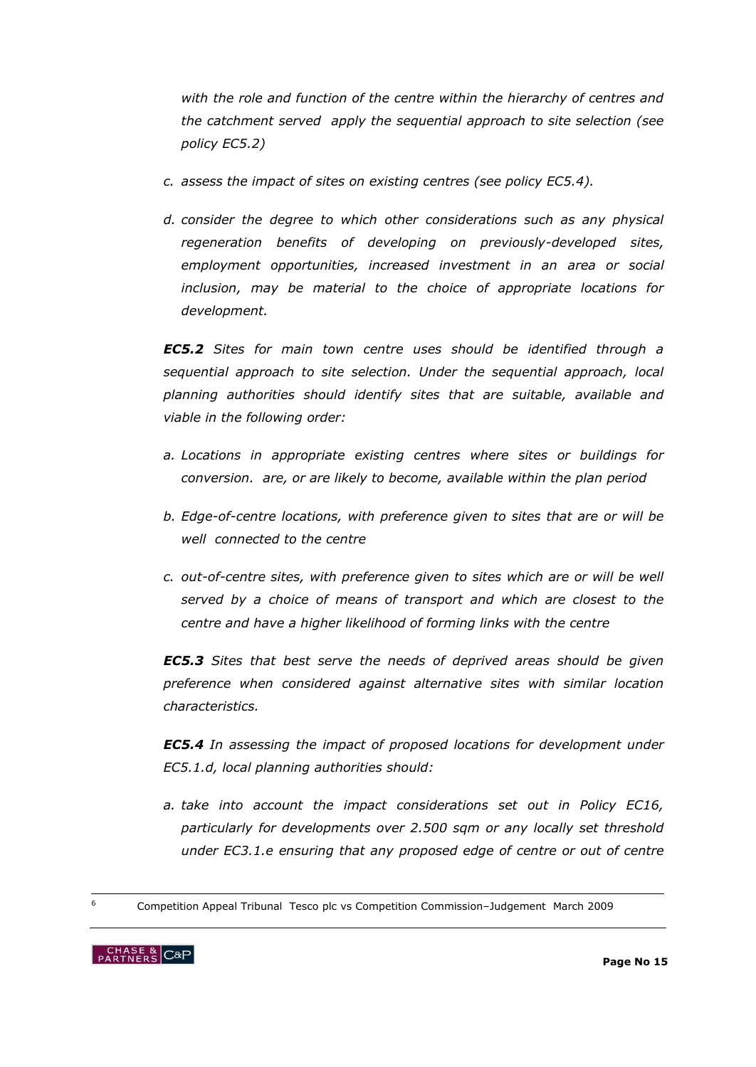*with the role and function of the centre within the hierarchy of centres and the catchment served apply the sequential approach to site selection (see policy EC5.2)* 

- *c. assess the impact of sites on existing centres (see policy EC5.4).*
- *d. consider the degree to which other considerations such as any physical regeneration benefits of developing on previously-developed sites, employment opportunities, increased investment in an area or social inclusion, may be material to the choice of appropriate locations for development.*

*EC5.2 Sites for main town centre uses should be identified through a sequential approach to site selection. Under the sequential approach, local planning authorities should identify sites that are suitable, available and viable in the following order:* 

- *a. Locations in appropriate existing centres where sites or buildings for conversion. are, or are likely to become, available within the plan period*
- *b. Edge-of-centre locations, with preference given to sites that are or will be well connected to the centre*
- *c. out-of-centre sites, with preference given to sites which are or will be well served by a choice of means of transport and which are closest to the centre and have a higher likelihood of forming links with the centre*

*EC5.3 Sites that best serve the needs of deprived areas should be given preference when considered against alternative sites with similar location characteristics.*

*EC5.4 In assessing the impact of proposed locations for development under EC5.1.d, local planning authorities should:*

- *a. take into account the impact considerations set out in Policy EC16, particularly for developments over 2.500 sqm or any locally set threshold under EC3.1.e ensuring that any proposed edge of centre or out of centre*
- <sup>6</sup> Competition Appeal Tribunal Tesco plc vs Competition Commission–Judgement March 2009



-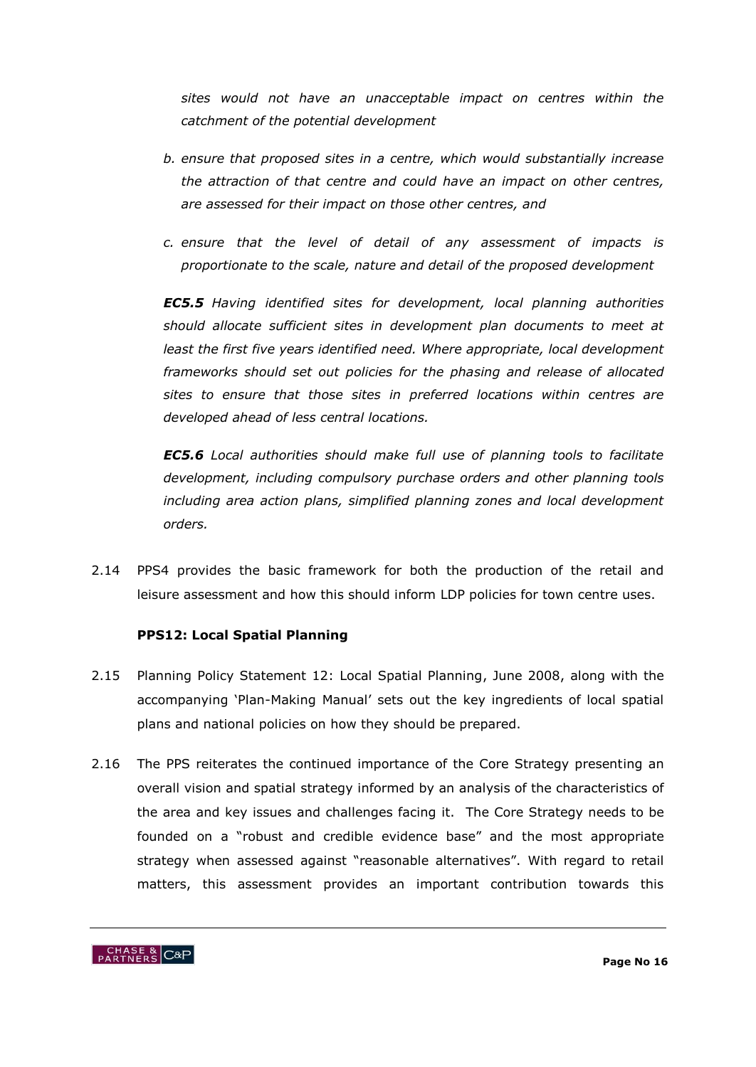*sites would not have an unacceptable impact on centres within the catchment of the potential development* 

- *b. ensure that proposed sites in a centre, which would substantially increase the attraction of that centre and could have an impact on other centres, are assessed for their impact on those other centres, and*
- *c. ensure that the level of detail of any assessment of impacts is proportionate to the scale, nature and detail of the proposed development*

*EC5.5 Having identified sites for development, local planning authorities should allocate sufficient sites in development plan documents to meet at least the first five years identified need. Where appropriate, local development frameworks should set out policies for the phasing and release of allocated sites to ensure that those sites in preferred locations within centres are developed ahead of less central locations.* 

*EC5.6 Local authorities should make full use of planning tools to facilitate development, including compulsory purchase orders and other planning tools including area action plans, simplified planning zones and local development orders.*

2.14 PPS4 provides the basic framework for both the production of the retail and leisure assessment and how this should inform LDP policies for town centre uses.

#### **PPS12: Local Spatial Planning**

- 2.15 Planning Policy Statement 12: Local Spatial Planning, June 2008, along with the accompanying "Plan-Making Manual" sets out the key ingredients of local spatial plans and national policies on how they should be prepared.
- 2.16 The PPS reiterates the continued importance of the Core Strategy presenting an overall vision and spatial strategy informed by an analysis of the characteristics of the area and key issues and challenges facing it. The Core Strategy needs to be founded on a "robust and credible evidence base" and the most appropriate strategy when assessed against "reasonable alternatives". With regard to retail matters, this assessment provides an important contribution towards this

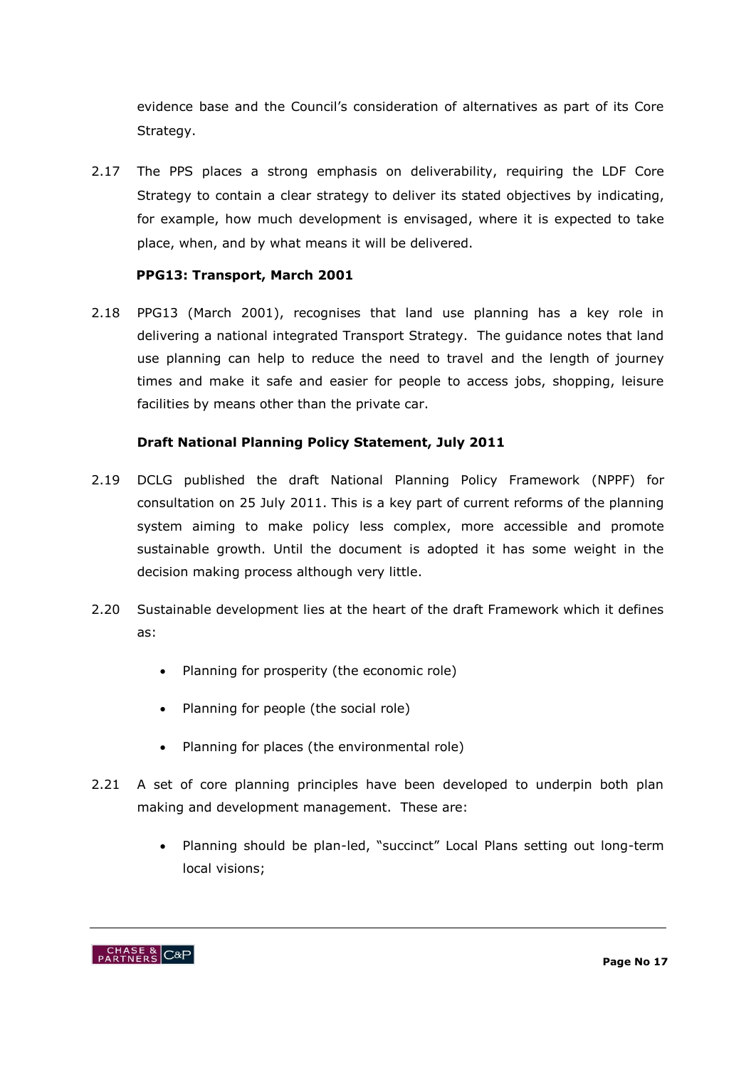evidence base and the Council"s consideration of alternatives as part of its Core Strategy.

2.17 The PPS places a strong emphasis on deliverability, requiring the LDF Core Strategy to contain a clear strategy to deliver its stated objectives by indicating, for example, how much development is envisaged, where it is expected to take place, when, and by what means it will be delivered.

#### **PPG13: Transport, March 2001**

2.18 PPG13 (March 2001), recognises that land use planning has a key role in delivering a national integrated Transport Strategy. The guidance notes that land use planning can help to reduce the need to travel and the length of journey times and make it safe and easier for people to access jobs, shopping, leisure facilities by means other than the private car.

#### **Draft National Planning Policy Statement, July 2011**

- 2.19 DCLG published the draft National Planning Policy Framework (NPPF) for consultation on 25 July 2011. This is a key part of current reforms of the planning system aiming to make policy less complex, more accessible and promote sustainable growth. Until the document is adopted it has some weight in the decision making process although very little.
- 2.20 Sustainable development lies at the heart of the draft Framework which it defines as:
	- Planning for prosperity (the economic role)
	- Planning for people (the social role)
	- Planning for places (the environmental role)
- 2.21 A set of core planning principles have been developed to underpin both plan making and development management. These are:
	- Planning should be plan-led, "succinct" Local Plans setting out long-term local visions;

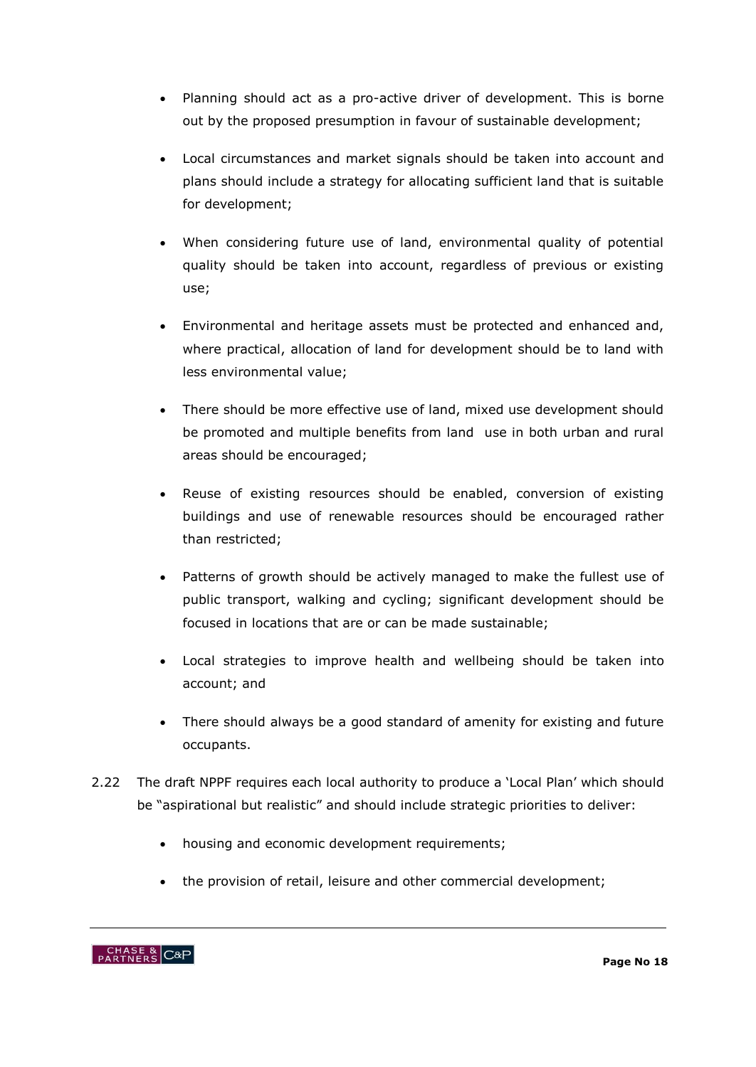- Planning should act as a pro-active driver of development. This is borne out by the proposed presumption in favour of sustainable development;
- Local circumstances and market signals should be taken into account and plans should include a strategy for allocating sufficient land that is suitable for development;
- When considering future use of land, environmental quality of potential quality should be taken into account, regardless of previous or existing use;
- Environmental and heritage assets must be protected and enhanced and, where practical, allocation of land for development should be to land with less environmental value;
- There should be more effective use of land, mixed use development should be promoted and multiple benefits from land use in both urban and rural areas should be encouraged;
- Reuse of existing resources should be enabled, conversion of existing buildings and use of renewable resources should be encouraged rather than restricted;
- Patterns of growth should be actively managed to make the fullest use of public transport, walking and cycling; significant development should be focused in locations that are or can be made sustainable;
- Local strategies to improve health and wellbeing should be taken into account; and
- There should always be a good standard of amenity for existing and future occupants.
- 2.22 The draft NPPF requires each local authority to produce a "Local Plan" which should be "aspirational but realistic" and should include strategic priorities to deliver:
	- housing and economic development requirements;
	- the provision of retail, leisure and other commercial development;

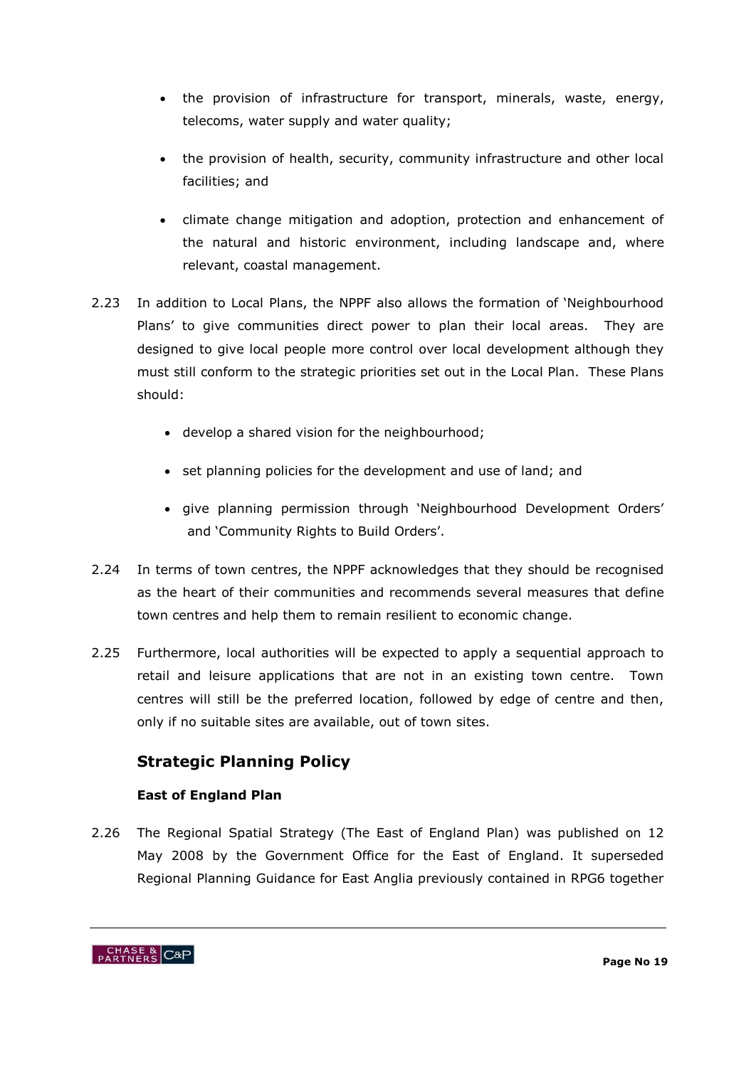- the provision of infrastructure for transport, minerals, waste, energy, telecoms, water supply and water quality;
- the provision of health, security, community infrastructure and other local facilities; and
- climate change mitigation and adoption, protection and enhancement of the natural and historic environment, including landscape and, where relevant, coastal management.
- 2.23 In addition to Local Plans, the NPPF also allows the formation of "Neighbourhood Plans' to give communities direct power to plan their local areas. They are designed to give local people more control over local development although they must still conform to the strategic priorities set out in the Local Plan. These Plans should:
	- develop a shared vision for the neighbourhood;
	- set planning policies for the development and use of land; and
	- give planning permission through "Neighbourhood Development Orders" and 'Community Rights to Build Orders'.
- 2.24 In terms of town centres, the NPPF acknowledges that they should be recognised as the heart of their communities and recommends several measures that define town centres and help them to remain resilient to economic change.
- 2.25 Furthermore, local authorities will be expected to apply a sequential approach to retail and leisure applications that are not in an existing town centre. Town centres will still be the preferred location, followed by edge of centre and then, only if no suitable sites are available, out of town sites.

### **Strategic Planning Policy**

### **East of England Plan**

2.26 The Regional Spatial Strategy (The East of England Plan) was published on 12 May 2008 by the Government Office for the East of England. It superseded Regional Planning Guidance for East Anglia previously contained in RPG6 together

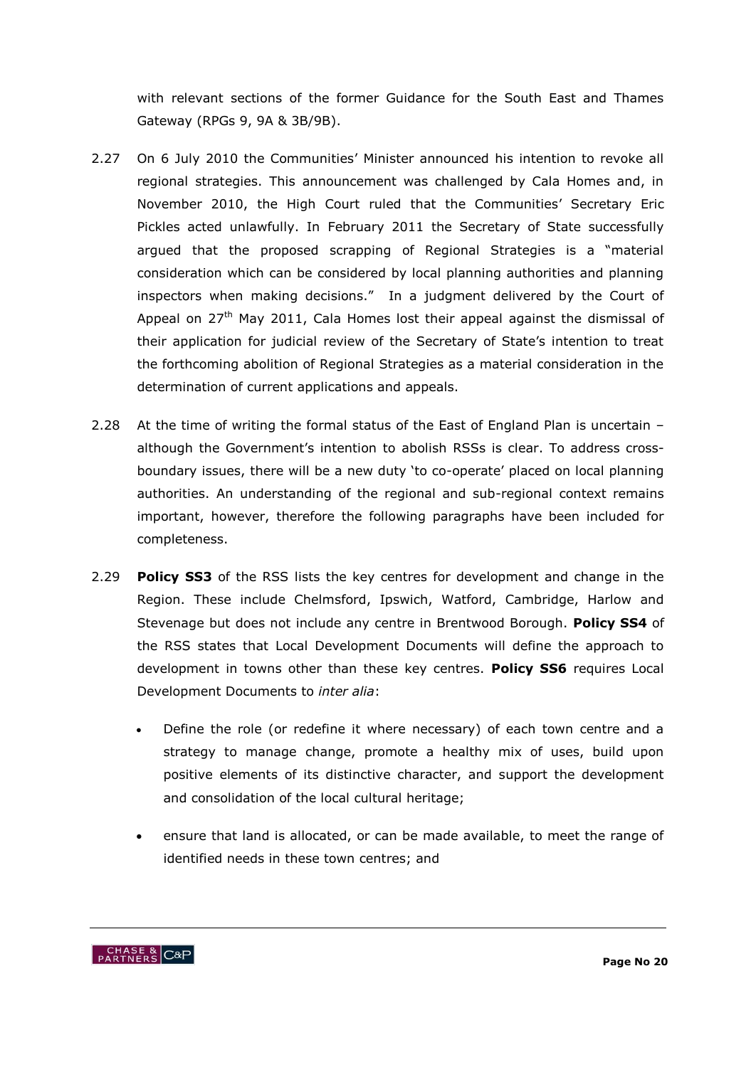with relevant sections of the former Guidance for the South East and Thames Gateway (RPGs 9, 9A & 3B/9B).

- 2.27 On 6 July 2010 the Communities' Minister announced his intention to revoke all regional strategies. This announcement was challenged by Cala Homes and, in November 2010, the High Court ruled that the Communities" Secretary Eric Pickles acted unlawfully. In February 2011 the Secretary of State successfully argued that the proposed scrapping of Regional Strategies is a "material consideration which can be considered by local planning authorities and planning inspectors when making decisions." In a judgment delivered by the Court of Appeal on  $27<sup>th</sup>$  May 2011, Cala Homes lost their appeal against the dismissal of their application for judicial review of the Secretary of State"s intention to treat the forthcoming abolition of Regional Strategies as a material consideration in the determination of current applications and appeals.
- 2.28 At the time of writing the formal status of the East of England Plan is uncertain although the Government's intention to abolish RSSs is clear. To address crossboundary issues, there will be a new duty "to co-operate" placed on local planning authorities. An understanding of the regional and sub-regional context remains important, however, therefore the following paragraphs have been included for completeness.
- 2.29 **Policy SS3** of the RSS lists the key centres for development and change in the Region. These include Chelmsford, Ipswich, Watford, Cambridge, Harlow and Stevenage but does not include any centre in Brentwood Borough. **Policy SS4** of the RSS states that Local Development Documents will define the approach to development in towns other than these key centres. **Policy SS6** requires Local Development Documents to *inter alia*:
	- Define the role (or redefine it where necessary) of each town centre and a strategy to manage change, promote a healthy mix of uses, build upon positive elements of its distinctive character, and support the development and consolidation of the local cultural heritage;
	- ensure that land is allocated, or can be made available, to meet the range of identified needs in these town centres; and

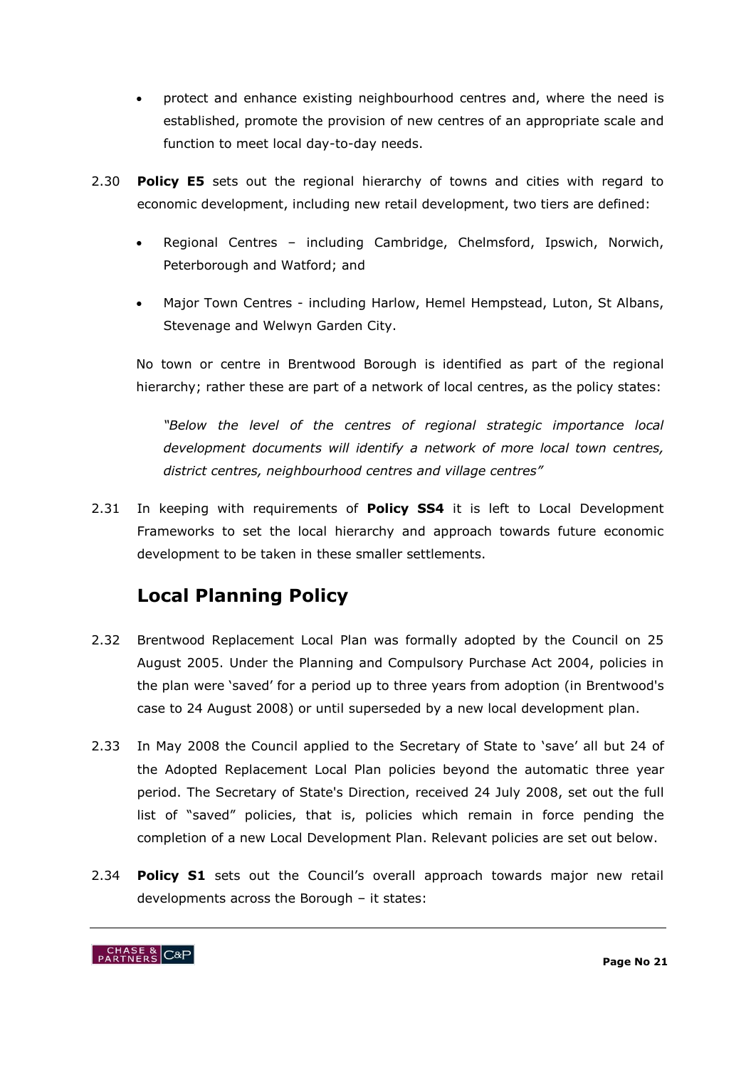- protect and enhance existing neighbourhood centres and, where the need is established, promote the provision of new centres of an appropriate scale and function to meet local day-to-day needs.
- 2.30 **Policy E5** sets out the regional hierarchy of towns and cities with regard to economic development, including new retail development, two tiers are defined:
	- Regional Centres including Cambridge, Chelmsford, Ipswich, Norwich, Peterborough and Watford; and
	- Major Town Centres including Harlow, Hemel Hempstead, Luton, St Albans, Stevenage and Welwyn Garden City.

No town or centre in Brentwood Borough is identified as part of the regional hierarchy; rather these are part of a network of local centres, as the policy states:

*"Below the level of the centres of regional strategic importance local development documents will identify a network of more local town centres, district centres, neighbourhood centres and village centres"*

2.31 In keeping with requirements of **Policy SS4** it is left to Local Development Frameworks to set the local hierarchy and approach towards future economic development to be taken in these smaller settlements.

# **Local Planning Policy**

- 2.32 Brentwood Replacement Local Plan was formally adopted by the Council on 25 August 2005. Under the Planning and Compulsory Purchase Act 2004, policies in the plan were "saved" for a period up to three years from adoption (in Brentwood's case to 24 August 2008) or until superseded by a new local development plan.
- 2.33 In May 2008 the Council applied to the Secretary of State to 'save' all but 24 of the Adopted Replacement Local Plan policies beyond the automatic three year period. The Secretary of State's Direction, received 24 July 2008, set out the full list of "saved" policies, that is, policies which remain in force pending the completion of a new Local Development Plan. Relevant policies are set out below.
- 2.34 **Policy S1** sets out the Council's overall approach towards major new retail developments across the Borough – it states:

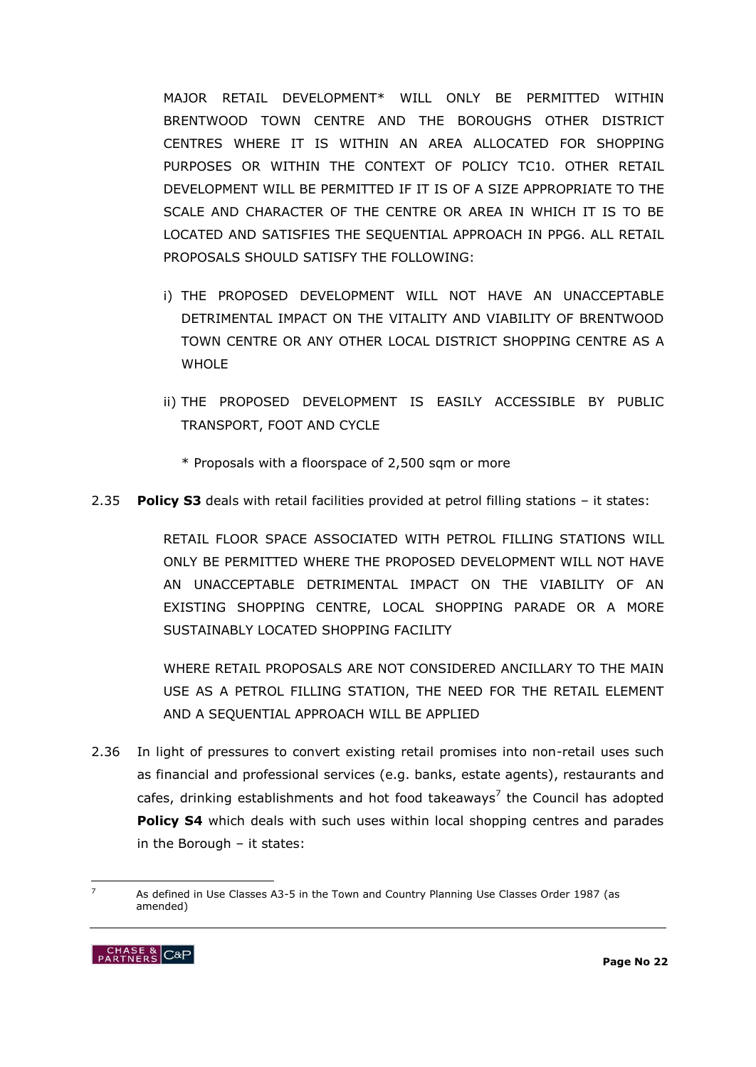MAJOR RETAIL DEVELOPMENT\* WILL ONLY BE PERMITTED WITHIN BRENTWOOD TOWN CENTRE AND THE BOROUGHS OTHER DISTRICT CENTRES WHERE IT IS WITHIN AN AREA ALLOCATED FOR SHOPPING PURPOSES OR WITHIN THE CONTEXT OF POLICY TC10. OTHER RETAIL DEVELOPMENT WILL BE PERMITTED IF IT IS OF A SIZE APPROPRIATE TO THE SCALE AND CHARACTER OF THE CENTRE OR AREA IN WHICH IT IS TO BE LOCATED AND SATISFIES THE SEQUENTIAL APPROACH IN PPG6. ALL RETAIL PROPOSALS SHOULD SATISFY THE FOLLOWING:

- i) THE PROPOSED DEVELOPMENT WILL NOT HAVE AN UNACCEPTABLE DETRIMENTAL IMPACT ON THE VITALITY AND VIABILITY OF BRENTWOOD TOWN CENTRE OR ANY OTHER LOCAL DISTRICT SHOPPING CENTRE AS A WHOL F
- ii) THE PROPOSED DEVELOPMENT IS EASILY ACCESSIBLE BY PUBLIC TRANSPORT, FOOT AND CYCLE
	- \* Proposals with a floorspace of 2,500 sqm or more
- 2.35 **Policy S3** deals with retail facilities provided at petrol filling stations it states:

RETAIL FLOOR SPACE ASSOCIATED WITH PETROL FILLING STATIONS WILL ONLY BE PERMITTED WHERE THE PROPOSED DEVELOPMENT WILL NOT HAVE AN UNACCEPTABLE DETRIMENTAL IMPACT ON THE VIABILITY OF AN EXISTING SHOPPING CENTRE, LOCAL SHOPPING PARADE OR A MORE SUSTAINABLY LOCATED SHOPPING FACILITY

WHERE RETAIL PROPOSALS ARE NOT CONSIDERED ANCILLARY TO THE MAIN USE AS A PETROL FILLING STATION, THE NEED FOR THE RETAIL ELEMENT AND A SEQUENTIAL APPROACH WILL BE APPLIED

2.36 In light of pressures to convert existing retail promises into non-retail uses such as financial and professional services (e.g. banks, estate agents), restaurants and cafes, drinking establishments and hot food takeaways<sup>7</sup> the Council has adopted **Policy S4** which deals with such uses within local shopping centres and parades in the Borough – it states:

<sup>-</sup><sup>7</sup> As defined in Use Classes A3-5 in the Town and Country Planning Use Classes Order 1987 (as amended)

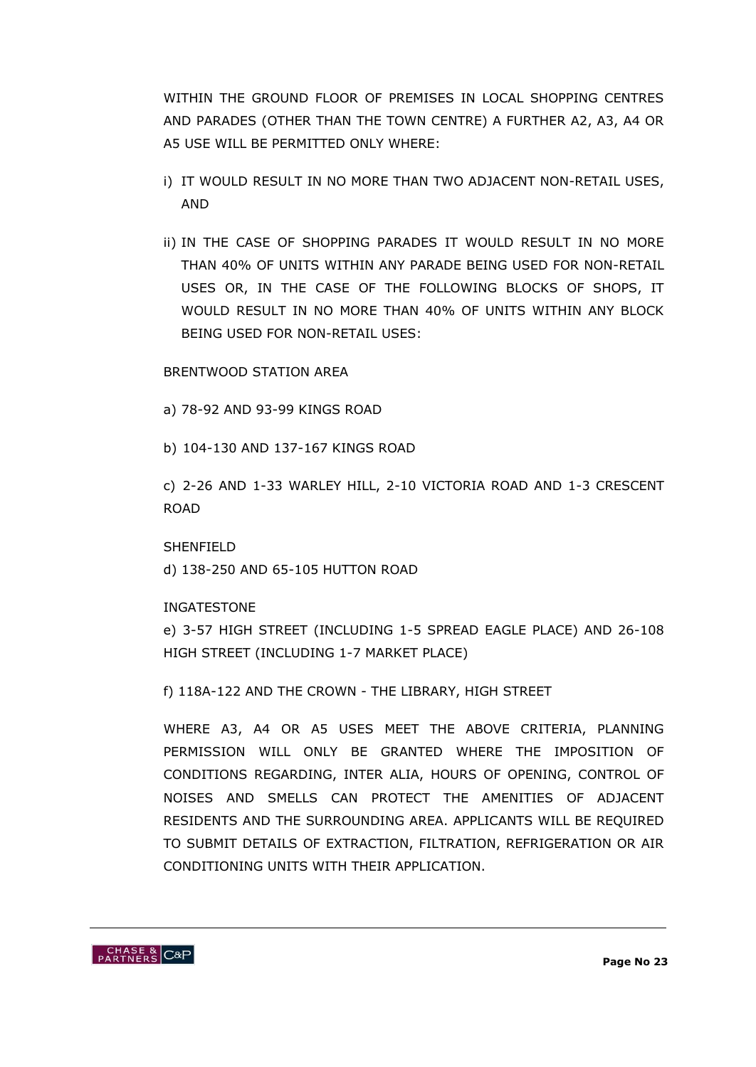WITHIN THE GROUND FLOOR OF PREMISES IN LOCAL SHOPPING CENTRES AND PARADES (OTHER THAN THE TOWN CENTRE) A FURTHER A2, A3, A4 OR A5 USE WILL BE PERMITTED ONLY WHERE:

- i) IT WOULD RESULT IN NO MORE THAN TWO ADJACENT NON-RETAIL USES, AND
- ii) IN THE CASE OF SHOPPING PARADES IT WOULD RESULT IN NO MORE THAN 40% OF UNITS WITHIN ANY PARADE BEING USED FOR NON-RETAIL USES OR, IN THE CASE OF THE FOLLOWING BLOCKS OF SHOPS, IT WOULD RESULT IN NO MORE THAN 40% OF UNITS WITHIN ANY BLOCK BEING USED FOR NON-RETAIL USES:

BRENTWOOD STATION AREA

a) 78-92 AND 93-99 KINGS ROAD

b) 104-130 AND 137-167 KINGS ROAD

c) 2-26 AND 1-33 WARLEY HILL, 2-10 VICTORIA ROAD AND 1-3 CRESCENT ROAD

SHENFIELD d) 138-250 AND 65-105 HUTTON ROAD

INGATESTONE

e) 3-57 HIGH STREET (INCLUDING 1-5 SPREAD EAGLE PLACE) AND 26-108 HIGH STREET (INCLUDING 1-7 MARKET PLACE)

f) 118A-122 AND THE CROWN - THE LIBRARY, HIGH STREET

WHERE A3, A4 OR A5 USES MEET THE ABOVE CRITERIA, PLANNING PERMISSION WILL ONLY BE GRANTED WHERE THE IMPOSITION OF CONDITIONS REGARDING, INTER ALIA, HOURS OF OPENING, CONTROL OF NOISES AND SMELLS CAN PROTECT THE AMENITIES OF ADJACENT RESIDENTS AND THE SURROUNDING AREA. APPLICANTS WILL BE REQUIRED TO SUBMIT DETAILS OF EXTRACTION, FILTRATION, REFRIGERATION OR AIR CONDITIONING UNITS WITH THEIR APPLICATION.

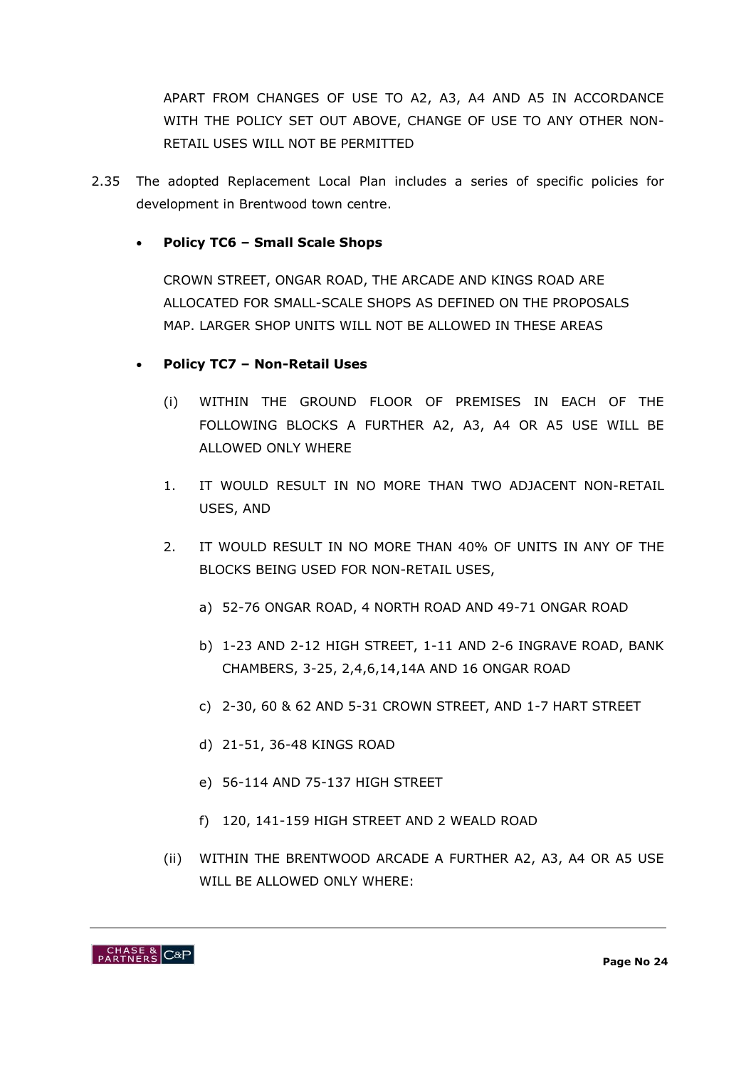APART FROM CHANGES OF USE TO A2, A3, A4 AND A5 IN ACCORDANCE WITH THE POLICY SET OUT ABOVE, CHANGE OF USE TO ANY OTHER NON-RETAIL USES WILL NOT BE PERMITTED

2.35 The adopted Replacement Local Plan includes a series of specific policies for development in Brentwood town centre.

### **Policy TC6 – Small Scale Shops**

CROWN STREET, ONGAR ROAD, THE ARCADE AND KINGS ROAD ARE ALLOCATED FOR SMALL-SCALE SHOPS AS DEFINED ON THE PROPOSALS MAP. LARGER SHOP UNITS WILL NOT BE ALLOWED IN THESE AREAS

#### **Policy TC7 – Non-Retail Uses**

- (i) WITHIN THE GROUND FLOOR OF PREMISES IN EACH OF THE FOLLOWING BLOCKS A FURTHER A2, A3, A4 OR A5 USE WILL BE ALLOWED ONLY WHERE
- 1. IT WOULD RESULT IN NO MORE THAN TWO ADJACENT NON-RETAIL USES, AND
- 2. IT WOULD RESULT IN NO MORE THAN 40% OF UNITS IN ANY OF THE BLOCKS BEING USED FOR NON-RETAIL USES,
	- a) 52-76 ONGAR ROAD, 4 NORTH ROAD AND 49-71 ONGAR ROAD
	- b) 1-23 AND 2-12 HIGH STREET, 1-11 AND 2-6 INGRAVE ROAD, BANK CHAMBERS, 3-25, 2,4,6,14,14A AND 16 ONGAR ROAD
	- c) 2-30, 60 & 62 AND 5-31 CROWN STREET, AND 1-7 HART STREET
	- d) 21-51, 36-48 KINGS ROAD
	- e) 56-114 AND 75-137 HIGH STREET
	- f) 120, 141-159 HIGH STREET AND 2 WEALD ROAD
- (ii) WITHIN THE BRENTWOOD ARCADE A FURTHER A2, A3, A4 OR A5 USE WILL BE ALLOWED ONLY WHERE:

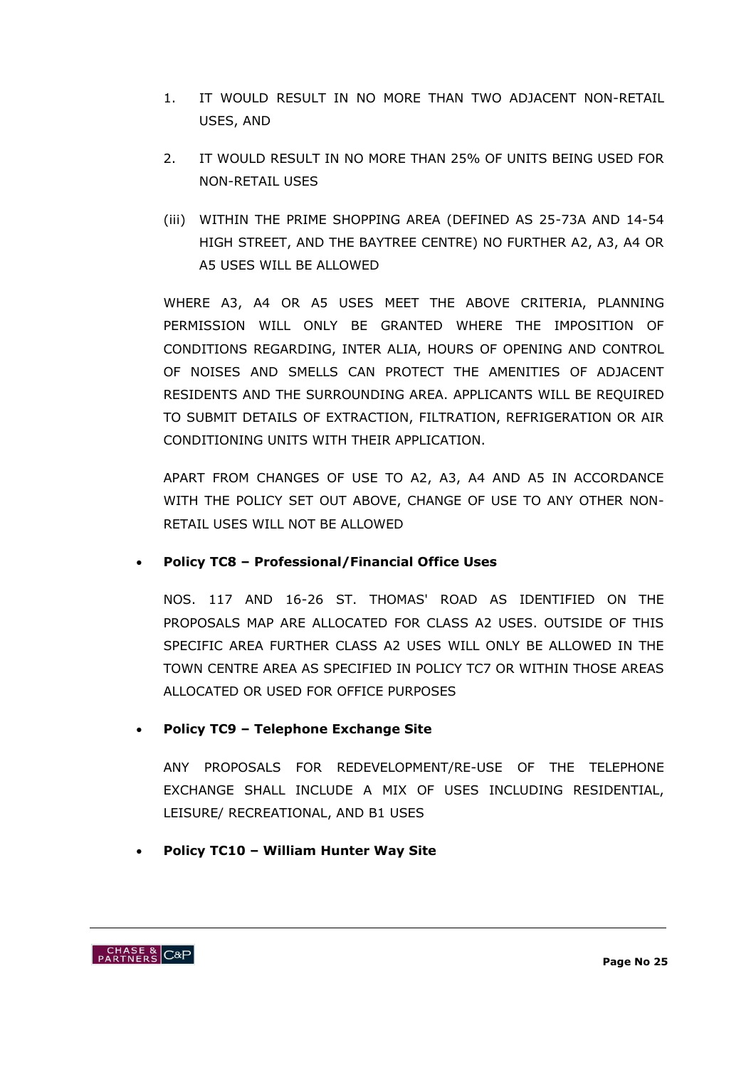- 1. IT WOULD RESULT IN NO MORE THAN TWO ADJACENT NON-RETAIL USES, AND
- 2. IT WOULD RESULT IN NO MORE THAN 25% OF UNITS BEING USED FOR NON-RETAIL USES
- (iii) WITHIN THE PRIME SHOPPING AREA (DEFINED AS 25-73A AND 14-54 HIGH STREET, AND THE BAYTREE CENTRE) NO FURTHER A2, A3, A4 OR A5 USES WILL BE ALLOWED

WHERE A3, A4 OR A5 USES MEET THE ABOVE CRITERIA, PLANNING PERMISSION WILL ONLY BE GRANTED WHERE THE IMPOSITION OF CONDITIONS REGARDING, INTER ALIA, HOURS OF OPENING AND CONTROL OF NOISES AND SMELLS CAN PROTECT THE AMENITIES OF ADJACENT RESIDENTS AND THE SURROUNDING AREA. APPLICANTS WILL BE REQUIRED TO SUBMIT DETAILS OF EXTRACTION, FILTRATION, REFRIGERATION OR AIR CONDITIONING UNITS WITH THEIR APPLICATION.

APART FROM CHANGES OF USE TO A2, A3, A4 AND A5 IN ACCORDANCE WITH THE POLICY SET OUT ABOVE, CHANGE OF USE TO ANY OTHER NON-RETAIL USES WILL NOT BE ALLOWED

**Policy TC8 – Professional/Financial Office Uses**

NOS. 117 AND 16-26 ST. THOMAS' ROAD AS IDENTIFIED ON THE PROPOSALS MAP ARE ALLOCATED FOR CLASS A2 USES. OUTSIDE OF THIS SPECIFIC AREA FURTHER CLASS A2 USES WILL ONLY BE ALLOWED IN THE TOWN CENTRE AREA AS SPECIFIED IN [POLICY TC7](http://www.brentwood-council.gov.uk/brentwood_local_plan/chapter12.html#TC7) OR WITHIN THOSE AREAS ALLOCATED OR USED FOR OFFICE PURPOSES

### **Policy TC9 – Telephone Exchange Site**

ANY PROPOSALS FOR REDEVELOPMENT/RE-USE OF [THE TELEPHONE](http://www.brentwood-council.gov.uk/brentwood_local_plan/inset2/mapfr009.html)  [EXCHANGE](http://www.brentwood-council.gov.uk/brentwood_local_plan/inset2/mapfr009.html) SHALL INCLUDE A MIX OF USES INCLUDING RESIDENTIAL, LEISURE/ RECREATIONAL, AND B1 USES

**Policy TC10 – William Hunter Way Site** 

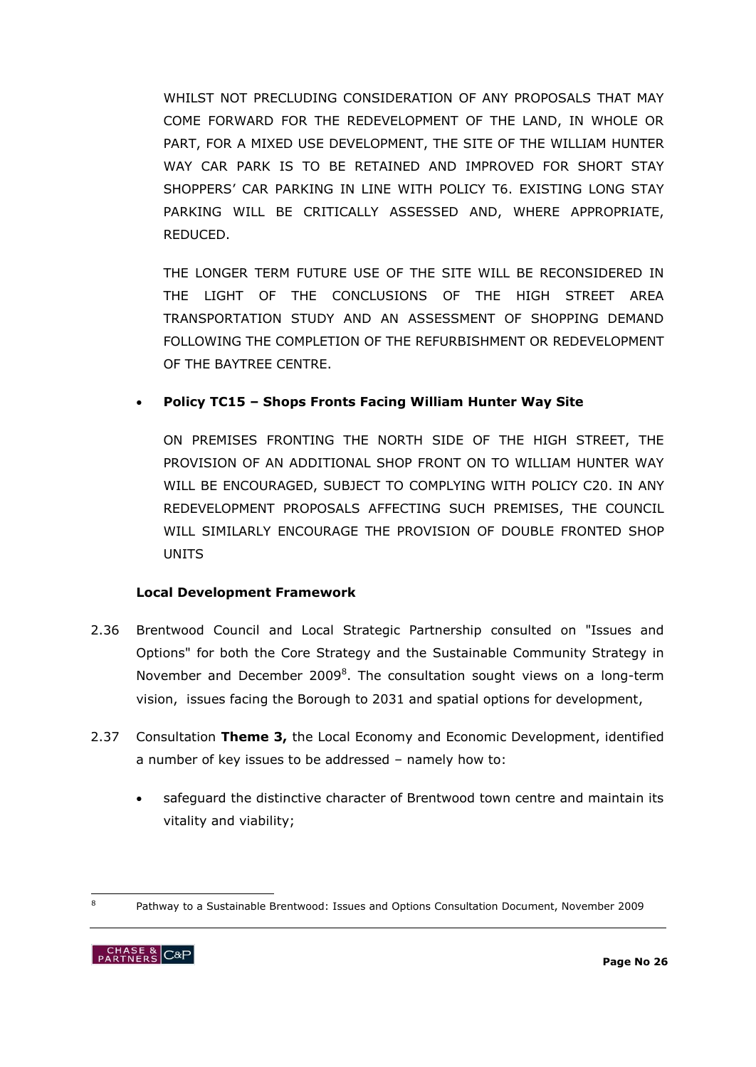WHILST NOT PRECLUDING CONSIDERATION OF ANY PROPOSALS THAT MAY COME FORWARD FOR THE REDEVELOPMENT OF THE LAND, IN WHOLE OR PART, FOR A MIXED USE DEVELOPMENT, THE SITE OF THE [WILLIAM HUNTER](http://www.brentwood-council.gov.uk/brentwood_local_plan/inset2/mapfr012.html)  [WAY CAR PARK](http://www.brentwood-council.gov.uk/brentwood_local_plan/inset2/mapfr012.html) IS TO BE RETAINED AND IMPROVED FOR SHORT STAY SHOPPERS" CAR PARKING IN LINE WITH [POLICY T6.](http://www.brentwood-council.gov.uk/brentwood_local_plan/chapter6.html#T6) EXISTING LONG STAY PARKING WILL BE CRITICALLY ASSESSED AND, WHERE APPROPRIATE, REDUCED.

THE LONGER TERM FUTURE USE OF THE SITE WILL BE RECONSIDERED IN THE LIGHT OF THE CONCLUSIONS OF THE HIGH STREET AREA TRANSPORTATION STUDY AND AN ASSESSMENT OF SHOPPING DEMAND FOLLOWING THE COMPLETION OF THE REFURBISHMENT OR REDEVELOPMENT OF THE BAYTREE CENTRE.

### **Policy TC15 – Shops Fronts Facing William Hunter Way Site**

ON PREMISES FRONTING THE NORTH SIDE OF THE HIGH STREET, THE PROVISION OF AN ADDITIONAL SHOP FRONT ON TO WILLIAM HUNTER WAY WILL BE ENCOURAGED, SUBJECT TO COMPLYING WITH [POLICY C20.](http://www.brentwood-council.gov.uk/brentwood_local_plan/chapter9.html#C20) IN ANY REDEVELOPMENT PROPOSALS AFFECTING SUCH PREMISES, THE COUNCIL WILL SIMILARLY ENCOURAGE THE PROVISION OF DOUBLE FRONTED SHOP UNITS

#### **Local Development Framework**

- 2.36 Brentwood Council and Local Strategic Partnership consulted on "Issues and Options" for both the Core Strategy and the Sustainable Community Strategy in November and December 2009<sup>8</sup>. The consultation sought views on a long-term vision, issues facing the Borough to 2031 and spatial options for development,
- 2.37 Consultation **Theme 3,** the Local Economy and Economic Development, identified a number of key issues to be addressed – namely how to:
	- safeguard the distinctive character of Brentwood town centre and maintain its vitality and viability;

<sup>-</sup><sup>8</sup> Pathway to a Sustainable Brentwood: Issues and Options Consultation Document, November 2009

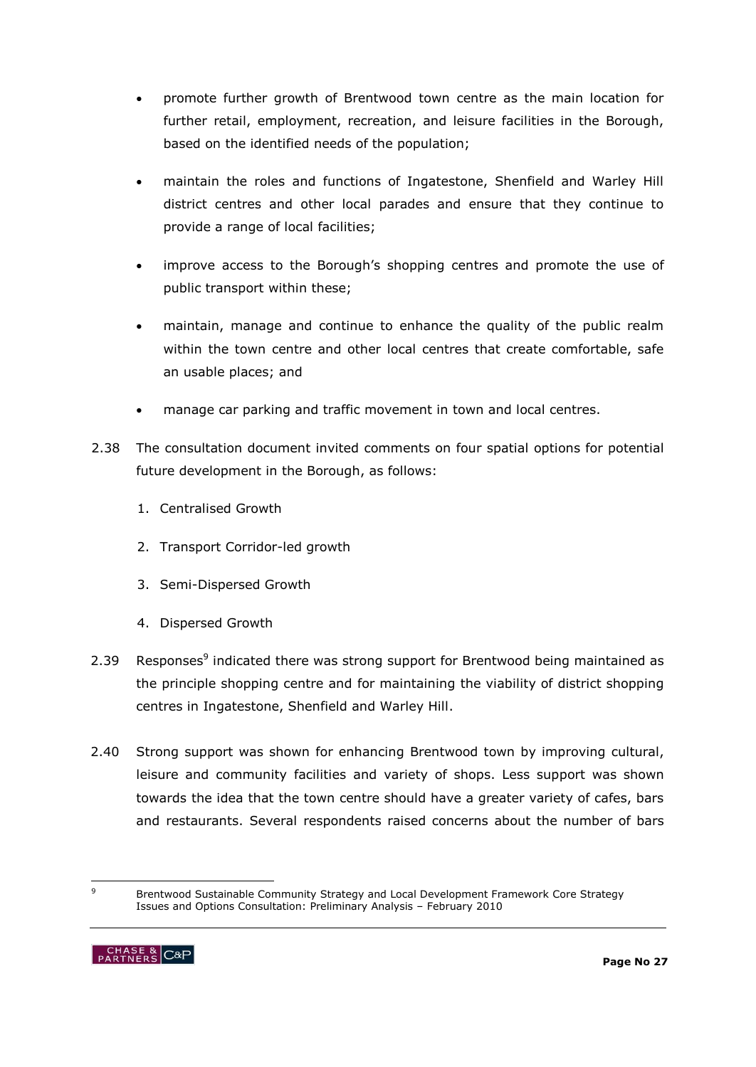- promote further growth of Brentwood town centre as the main location for further retail, employment, recreation, and leisure facilities in the Borough, based on the identified needs of the population;
- maintain the roles and functions of Ingatestone, Shenfield and Warley Hill district centres and other local parades and ensure that they continue to provide a range of local facilities;
- improve access to the Borough"s shopping centres and promote the use of public transport within these;
- maintain, manage and continue to enhance the quality of the public realm within the town centre and other local centres that create comfortable, safe an usable places; and
- manage car parking and traffic movement in town and local centres.
- 2.38 The consultation document invited comments on four spatial options for potential future development in the Borough, as follows:
	- 1. Centralised Growth
	- 2. Transport Corridor-led growth
	- 3. Semi-Dispersed Growth
	- 4. Dispersed Growth
- 2.39 Responses<sup>9</sup> indicated there was strong support for Brentwood being maintained as the principle shopping centre and for maintaining the viability of district shopping centres in Ingatestone, Shenfield and Warley Hill.
- 2.40 Strong support was shown for enhancing Brentwood town by improving cultural, leisure and community facilities and variety of shops. Less support was shown towards the idea that the town centre should have a greater variety of cafes, bars and restaurants. Several respondents raised concerns about the number of bars

 $\circ$ <sup>9</sup> Brentwood Sustainable Community Strategy and Local Development Framework Core Strategy Issues and Options Consultation: Preliminary Analysis – February 2010

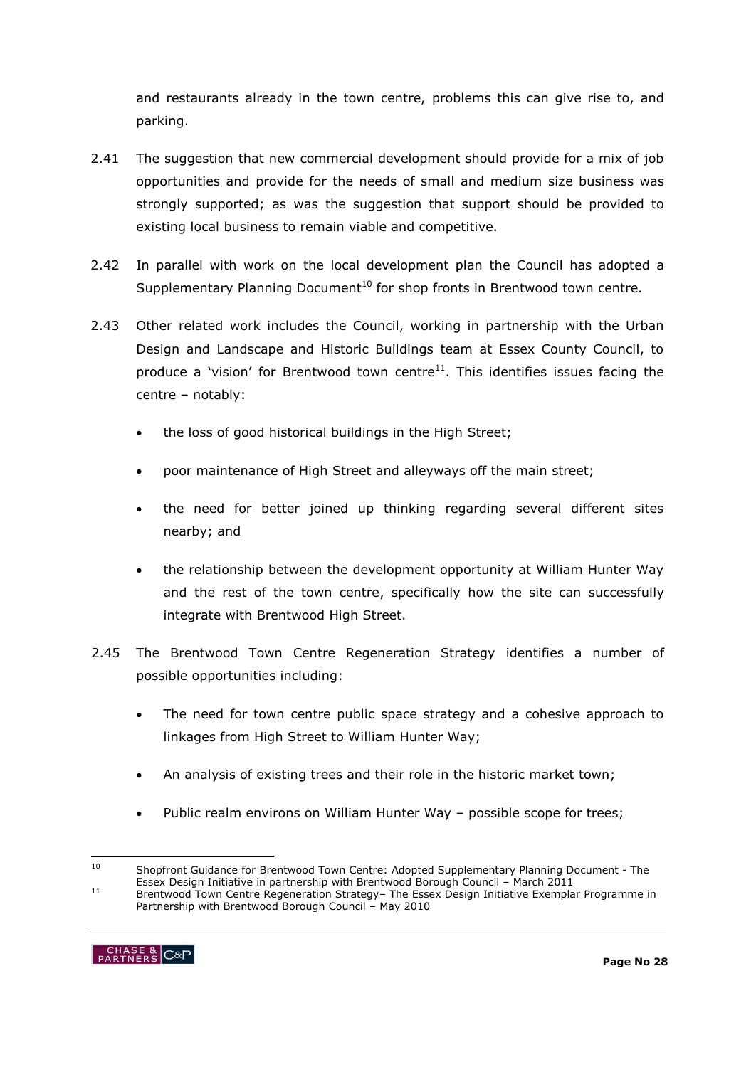and restaurants already in the town centre, problems this can give rise to, and parking.

- 2.41 The suggestion that new commercial development should provide for a mix of job opportunities and provide for the needs of small and medium size business was strongly supported; as was the suggestion that support should be provided to existing local business to remain viable and competitive.
- 2.42 In parallel with work on the local development plan the Council has adopted a Supplementary Planning Document<sup>10</sup> for shop fronts in Brentwood town centre.
- 2.43 Other related work includes the Council, working in partnership with the Urban Design and Landscape and Historic Buildings team at Essex County Council, to produce a 'vision' for Brentwood town centre $11$ . This identifies issues facing the centre – notably:
	- the loss of good historical buildings in the High Street;
	- poor maintenance of High Street and alleyways off the main street;
	- the need for better joined up thinking regarding several different sites nearby; and
	- the relationship between the development opportunity at William Hunter Way and the rest of the town centre, specifically how the site can successfully integrate with Brentwood High Street.
- 2.45 The Brentwood Town Centre Regeneration Strategy identifies a number of possible opportunities including:
	- The need for town centre public space strategy and a cohesive approach to linkages from High Street to William Hunter Way;
	- An analysis of existing trees and their role in the historic market town;
	- Public realm environs on William Hunter Way possible scope for trees;

Partnership with Brentwood Borough Council – May 2010



 $10$ <sup>10</sup> Shopfront Guidance for Brentwood Town Centre: Adopted Supplementary Planning Document - The Essex Design Initiative in partnership with Brentwood Borough Council – March 2011 <sup>11</sup> Brentwood Town Centre Regeneration Strategy– The Essex Design Initiative Exemplar Programme in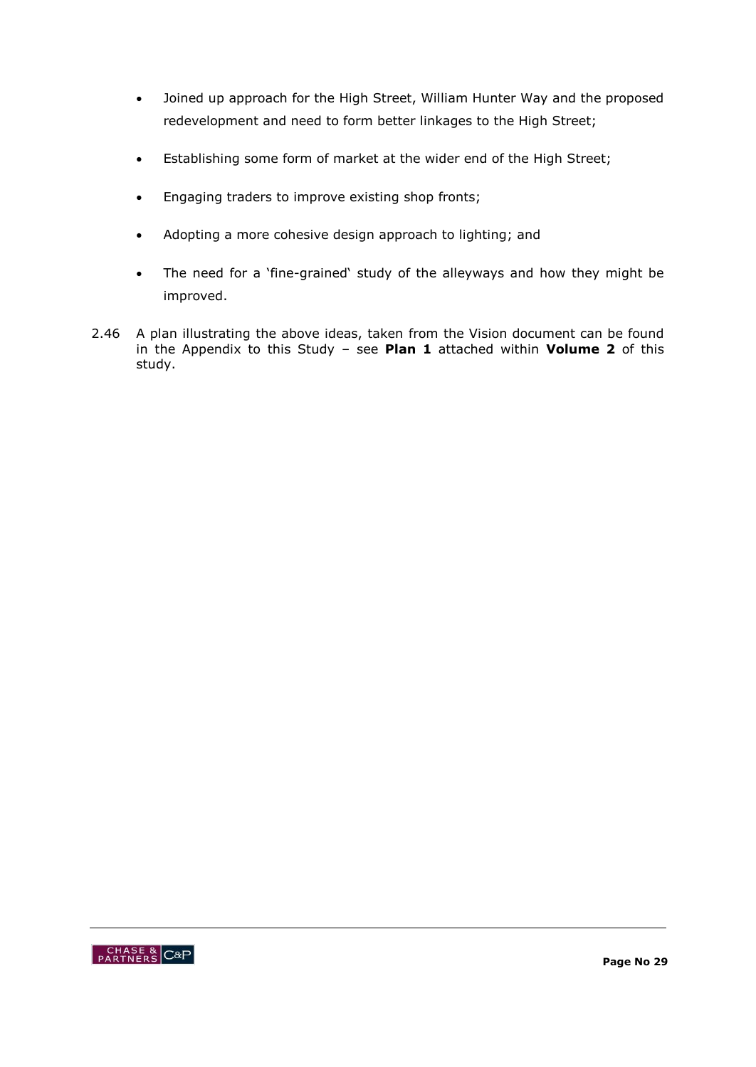- Joined up approach for the High Street, William Hunter Way and the proposed redevelopment and need to form better linkages to the High Street;
- Establishing some form of market at the wider end of the High Street;
- **Engaging traders to improve existing shop fronts;**
- Adopting a more cohesive design approach to lighting; and
- The need for a "fine-grained" study of the alleyways and how they might be improved.
- 2.46 A plan illustrating the above ideas, taken from the Vision document can be found in the Appendix to this Study – see **Plan 1** attached within **Volume 2** of this study.

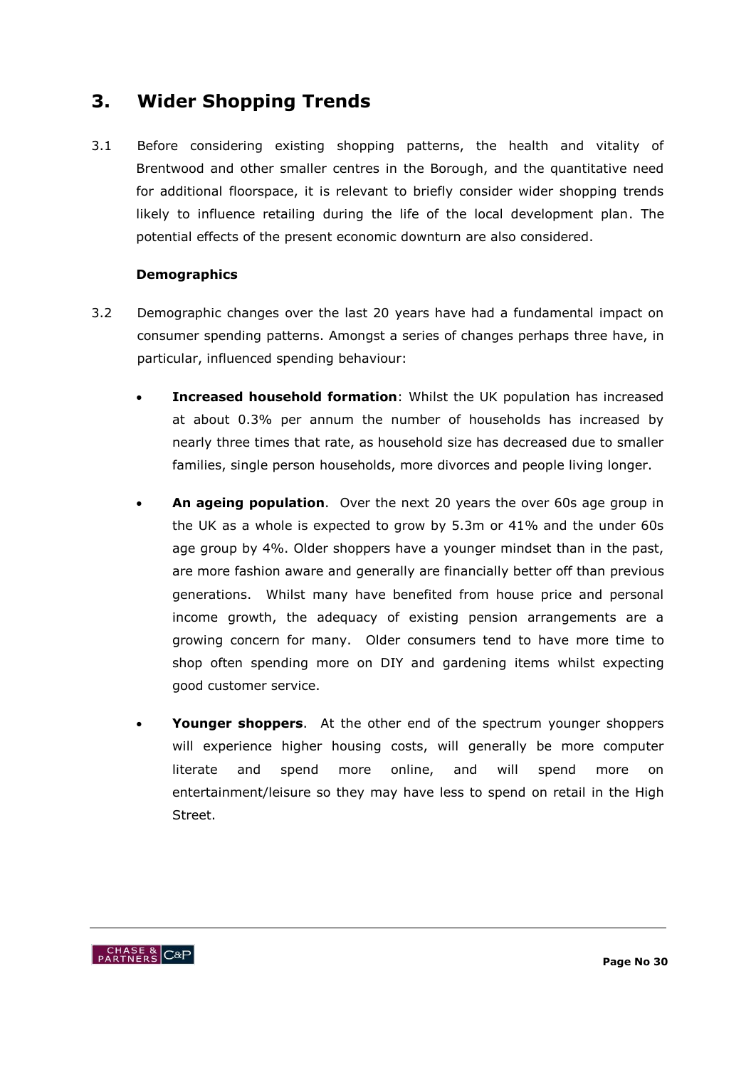# **3. Wider Shopping Trends**

3.1 Before considering existing shopping patterns, the health and vitality of Brentwood and other smaller centres in the Borough, and the quantitative need for additional floorspace, it is relevant to briefly consider wider shopping trends likely to influence retailing during the life of the local development plan. The potential effects of the present economic downturn are also considered.

#### **Demographics**

- 3.2 Demographic changes over the last 20 years have had a fundamental impact on consumer spending patterns. Amongst a series of changes perhaps three have, in particular, influenced spending behaviour:
	- **Increased household formation**: Whilst the UK population has increased at about 0.3% per annum the number of households has increased by nearly three times that rate, as household size has decreased due to smaller families, single person households, more divorces and people living longer.
	- **An ageing population**. Over the next 20 years the over 60s age group in the UK as a whole is expected to grow by 5.3m or 41% and the under 60s age group by 4%. Older shoppers have a younger mindset than in the past, are more fashion aware and generally are financially better off than previous generations. Whilst many have benefited from house price and personal income growth, the adequacy of existing pension arrangements are a growing concern for many. Older consumers tend to have more time to shop often spending more on DIY and gardening items whilst expecting good customer service.
	- **Younger shoppers**. At the other end of the spectrum younger shoppers will experience higher housing costs, will generally be more computer literate and spend more online, and will spend more on entertainment/leisure so they may have less to spend on retail in the High Street.

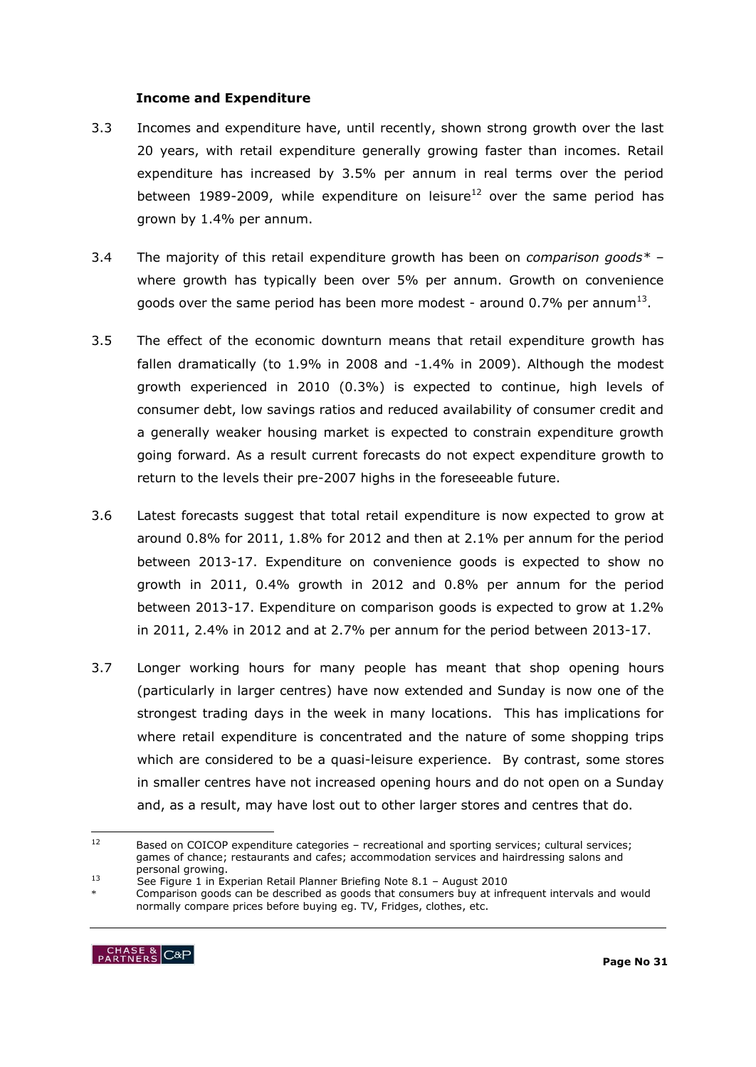#### **Income and Expenditure**

- 3.3 Incomes and expenditure have, until recently, shown strong growth over the last 20 years, with retail expenditure generally growing faster than incomes. Retail expenditure has increased by 3.5% per annum in real terms over the period between 1989-2009, while expenditure on leisure<sup>12</sup> over the same period has grown by 1.4% per annum.
- 3.4 The majority of this retail expenditure growth has been on *comparison goods\** where growth has typically been over 5% per annum. Growth on convenience goods over the same period has been more modest - around 0.7% per annum $^{13}$ .
- 3.5 The effect of the economic downturn means that retail expenditure growth has fallen dramatically (to 1.9% in 2008 and -1.4% in 2009). Although the modest growth experienced in 2010 (0.3%) is expected to continue, high levels of consumer debt, low savings ratios and reduced availability of consumer credit and a generally weaker housing market is expected to constrain expenditure growth going forward. As a result current forecasts do not expect expenditure growth to return to the levels their pre-2007 highs in the foreseeable future.
- 3.6 Latest forecasts suggest that total retail expenditure is now expected to grow at around 0.8% for 2011, 1.8% for 2012 and then at 2.1% per annum for the period between 2013-17. Expenditure on convenience goods is expected to show no growth in 2011, 0.4% growth in 2012 and 0.8% per annum for the period between 2013-17. Expenditure on comparison goods is expected to grow at 1.2% in 2011, 2.4% in 2012 and at 2.7% per annum for the period between 2013-17.
- 3.7 Longer working hours for many people has meant that shop opening hours (particularly in larger centres) have now extended and Sunday is now one of the strongest trading days in the week in many locations. This has implications for where retail expenditure is concentrated and the nature of some shopping trips which are considered to be a quasi-leisure experience. By contrast, some stores in smaller centres have not increased opening hours and do not open on a Sunday and, as a result, may have lost out to other larger stores and centres that do.

Comparison goods can be described as goods that consumers buy at infrequent intervals and would normally compare prices before buying eg. TV, Fridges, clothes, etc.



 $12$ Based on COICOP expenditure categories – recreational and sporting services; cultural services; games of chance; restaurants and cafes; accommodation services and hairdressing salons and personal growing.

<sup>13</sup> See Figure 1 in Experian Retail Planner Briefing Note 8.1 – August 2010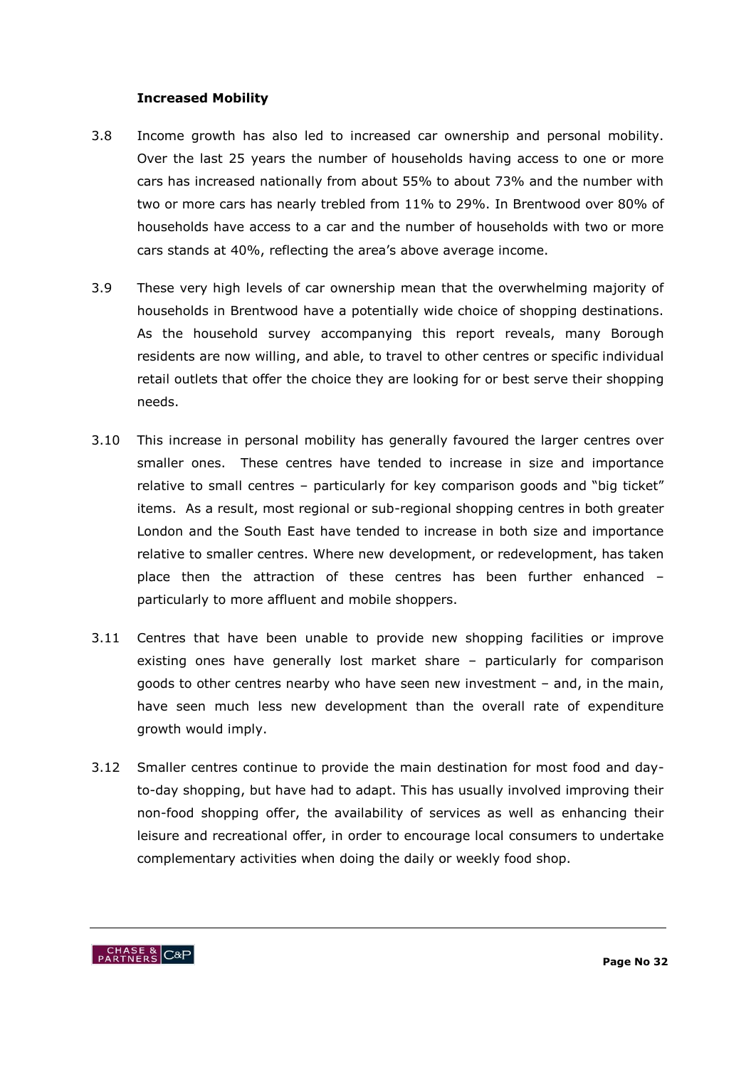#### **Increased Mobility**

- 3.8 Income growth has also led to increased car ownership and personal mobility. Over the last 25 years the number of households having access to one or more cars has increased nationally from about 55% to about 73% and the number with two or more cars has nearly trebled from 11% to 29%. In Brentwood over 80% of households have access to a car and the number of households with two or more cars stands at 40%, reflecting the area's above average income.
- 3.9 These very high levels of car ownership mean that the overwhelming majority of households in Brentwood have a potentially wide choice of shopping destinations. As the household survey accompanying this report reveals, many Borough residents are now willing, and able, to travel to other centres or specific individual retail outlets that offer the choice they are looking for or best serve their shopping needs.
- 3.10 This increase in personal mobility has generally favoured the larger centres over smaller ones. These centres have tended to increase in size and importance relative to small centres – particularly for key comparison goods and "big ticket" items. As a result, most regional or sub-regional shopping centres in both greater London and the South East have tended to increase in both size and importance relative to smaller centres. Where new development, or redevelopment, has taken place then the attraction of these centres has been further enhanced – particularly to more affluent and mobile shoppers.
- 3.11 Centres that have been unable to provide new shopping facilities or improve existing ones have generally lost market share – particularly for comparison goods to other centres nearby who have seen new investment – and, in the main, have seen much less new development than the overall rate of expenditure growth would imply.
- 3.12 Smaller centres continue to provide the main destination for most food and dayto-day shopping, but have had to adapt. This has usually involved improving their non-food shopping offer, the availability of services as well as enhancing their leisure and recreational offer, in order to encourage local consumers to undertake complementary activities when doing the daily or weekly food shop.

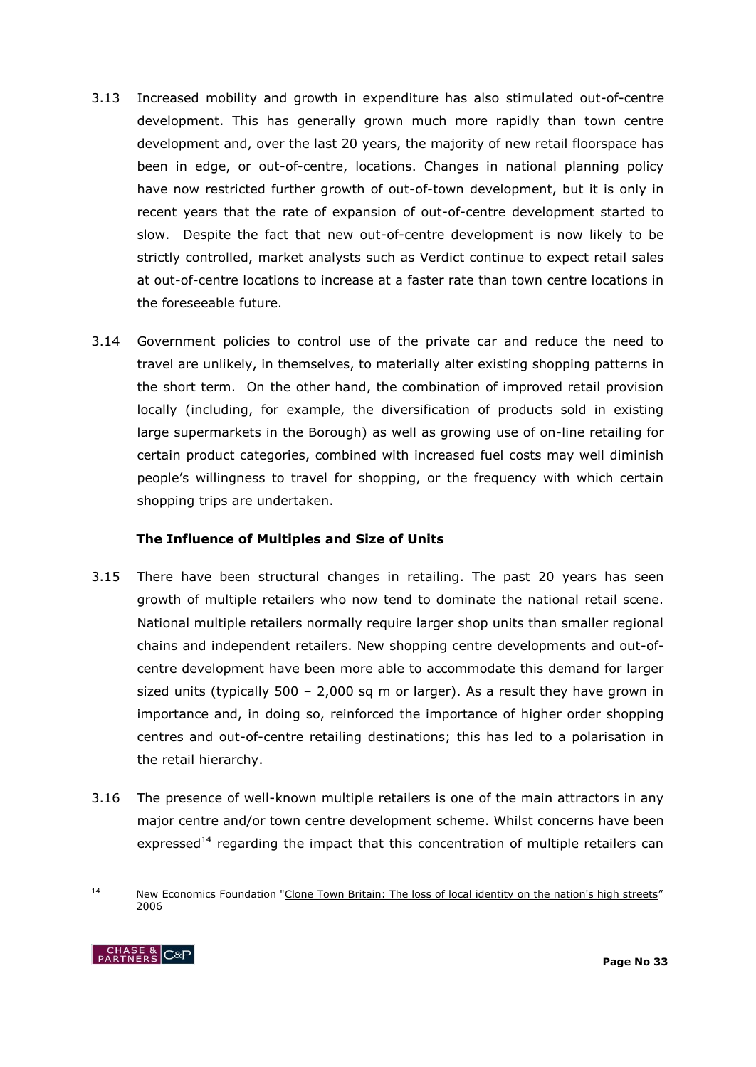- 3.13 Increased mobility and growth in expenditure has also stimulated out-of-centre development. This has generally grown much more rapidly than town centre development and, over the last 20 years, the majority of new retail floorspace has been in edge, or out-of-centre, locations. Changes in national planning policy have now restricted further growth of out-of-town development, but it is only in recent years that the rate of expansion of out-of-centre development started to slow. Despite the fact that new out-of-centre development is now likely to be strictly controlled, market analysts such as Verdict continue to expect retail sales at out-of-centre locations to increase at a faster rate than town centre locations in the foreseeable future.
- 3.14 Government policies to control use of the private car and reduce the need to travel are unlikely, in themselves, to materially alter existing shopping patterns in the short term. On the other hand, the combination of improved retail provision locally (including, for example, the diversification of products sold in existing large supermarkets in the Borough) as well as growing use of on-line retailing for certain product categories, combined with increased fuel costs may well diminish people's willingness to travel for shopping, or the frequency with which certain shopping trips are undertaken.

### **The Influence of Multiples and Size of Units**

- 3.15 There have been structural changes in retailing. The past 20 years has seen growth of multiple retailers who now tend to dominate the national retail scene. National multiple retailers normally require larger shop units than smaller regional chains and independent retailers. New shopping centre developments and out-ofcentre development have been more able to accommodate this demand for larger sized units (typically 500 – 2,000 sq m or larger). As a result they have grown in importance and, in doing so, reinforced the importance of higher order shopping centres and out-of-centre retailing destinations; this has led to a polarisation in the retail hierarchy.
- 3.16 The presence of well-known multiple retailers is one of the main attractors in any major centre and/or town centre development scheme. Whilst concerns have been expressed<sup>14</sup> regarding the impact that this concentration of multiple retailers can

 $14$ New Economics Foundation ["Clone Town Britain: The loss of local identity on the nation's high streets](http://www.neweconomics.org/gen/uploads/mrrefr55lroqjwrefpvg525528082004130712.pdf)" 2006

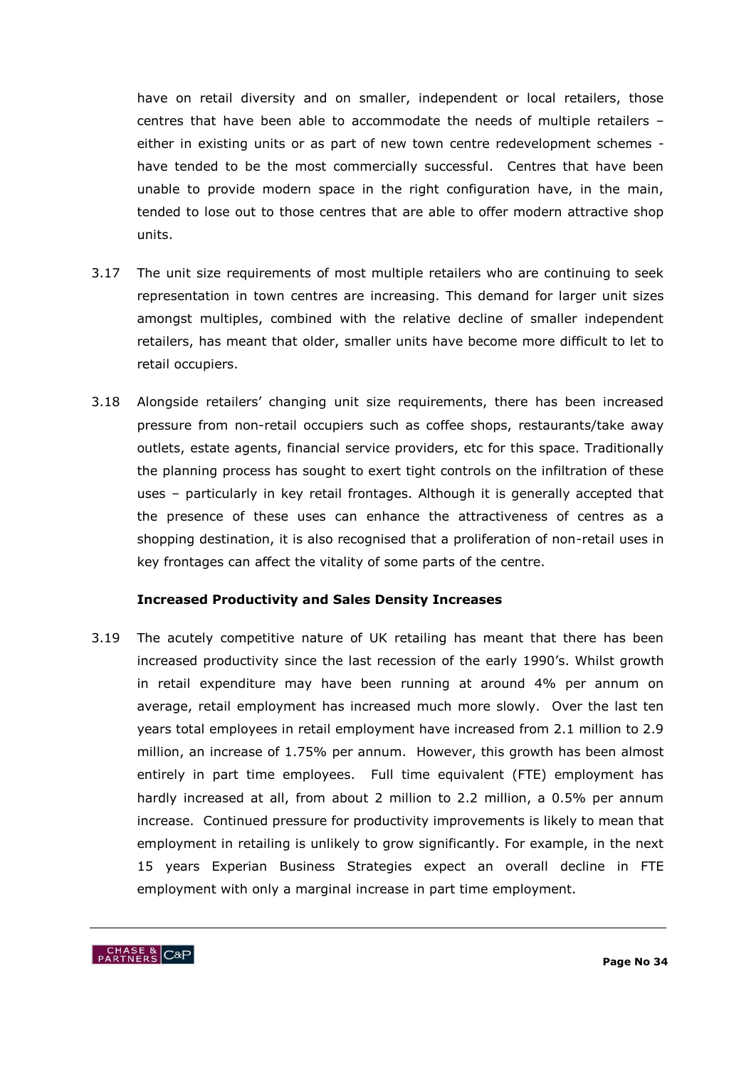have on retail diversity and on smaller, independent or local retailers, those centres that have been able to accommodate the needs of multiple retailers – either in existing units or as part of new town centre redevelopment schemes have tended to be the most commercially successful. Centres that have been unable to provide modern space in the right configuration have, in the main, tended to lose out to those centres that are able to offer modern attractive shop units.

- 3.17 The unit size requirements of most multiple retailers who are continuing to seek representation in town centres are increasing. This demand for larger unit sizes amongst multiples, combined with the relative decline of smaller independent retailers, has meant that older, smaller units have become more difficult to let to retail occupiers.
- 3.18 Alongside retailers" changing unit size requirements, there has been increased pressure from non-retail occupiers such as coffee shops, restaurants/take away outlets, estate agents, financial service providers, etc for this space. Traditionally the planning process has sought to exert tight controls on the infiltration of these uses – particularly in key retail frontages. Although it is generally accepted that the presence of these uses can enhance the attractiveness of centres as a shopping destination, it is also recognised that a proliferation of non-retail uses in key frontages can affect the vitality of some parts of the centre.

#### **Increased Productivity and Sales Density Increases**

3.19 The acutely competitive nature of UK retailing has meant that there has been increased productivity since the last recession of the early 1990"s. Whilst growth in retail expenditure may have been running at around 4% per annum on average, retail employment has increased much more slowly. Over the last ten years total employees in retail employment have increased from 2.1 million to 2.9 million, an increase of 1.75% per annum. However, this growth has been almost entirely in part time employees. Full time equivalent (FTE) employment has hardly increased at all, from about 2 million to 2.2 million, a 0.5% per annum increase. Continued pressure for productivity improvements is likely to mean that employment in retailing is unlikely to grow significantly. For example, in the next 15 years Experian Business Strategies expect an overall decline in FTE employment with only a marginal increase in part time employment.

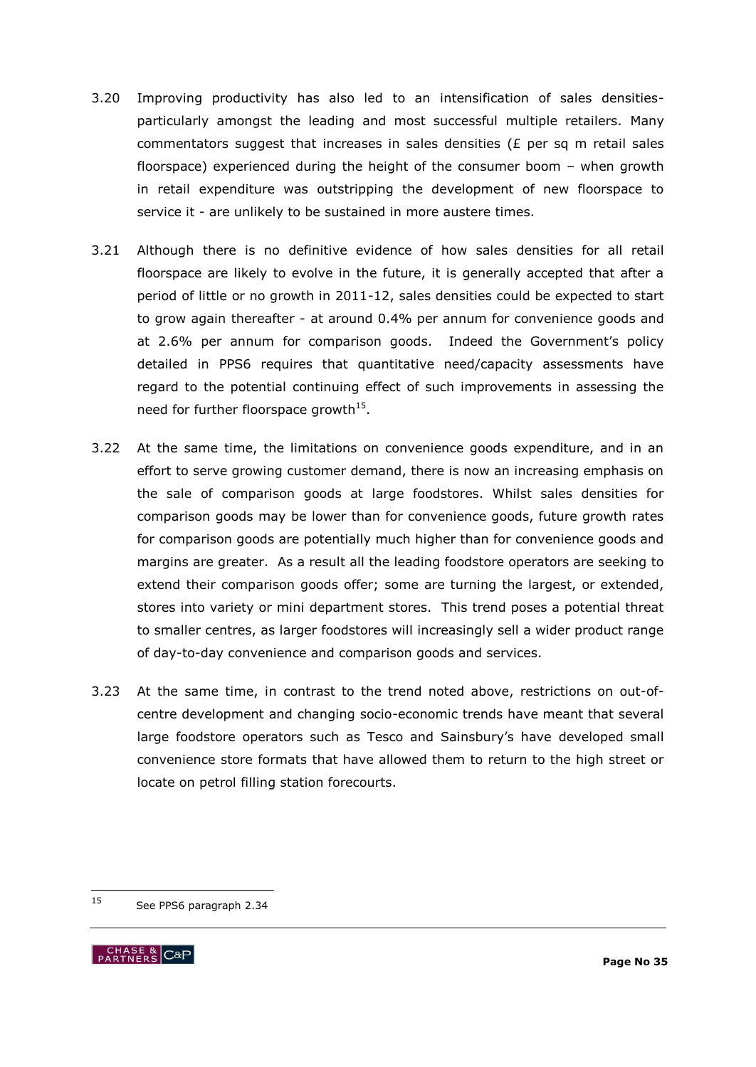- 3.20 Improving productivity has also led to an intensification of sales densitiesparticularly amongst the leading and most successful multiple retailers. Many commentators suggest that increases in sales densities ( $E$  per sq m retail sales floorspace) experienced during the height of the consumer boom – when growth in retail expenditure was outstripping the development of new floorspace to service it - are unlikely to be sustained in more austere times.
- 3.21 Although there is no definitive evidence of how sales densities for all retail floorspace are likely to evolve in the future, it is generally accepted that after a period of little or no growth in 2011-12, sales densities could be expected to start to grow again thereafter - at around 0.4% per annum for convenience goods and at 2.6% per annum for comparison goods. Indeed the Government's policy detailed in PPS6 requires that quantitative need/capacity assessments have regard to the potential continuing effect of such improvements in assessing the need for further floorspace growth<sup>15</sup>.
- 3.22 At the same time, the limitations on convenience goods expenditure, and in an effort to serve growing customer demand, there is now an increasing emphasis on the sale of comparison goods at large foodstores. Whilst sales densities for comparison goods may be lower than for convenience goods, future growth rates for comparison goods are potentially much higher than for convenience goods and margins are greater. As a result all the leading foodstore operators are seeking to extend their comparison goods offer; some are turning the largest, or extended, stores into variety or mini department stores. This trend poses a potential threat to smaller centres, as larger foodstores will increasingly sell a wider product range of day-to-day convenience and comparison goods and services.
- 3.23 At the same time, in contrast to the trend noted above, restrictions on out-ofcentre development and changing socio-economic trends have meant that several large foodstore operators such as Tesco and Sainsbury's have developed small convenience store formats that have allowed them to return to the high street or locate on petrol filling station forecourts.

<sup>15</sup> See PPS6 paragraph 2.34

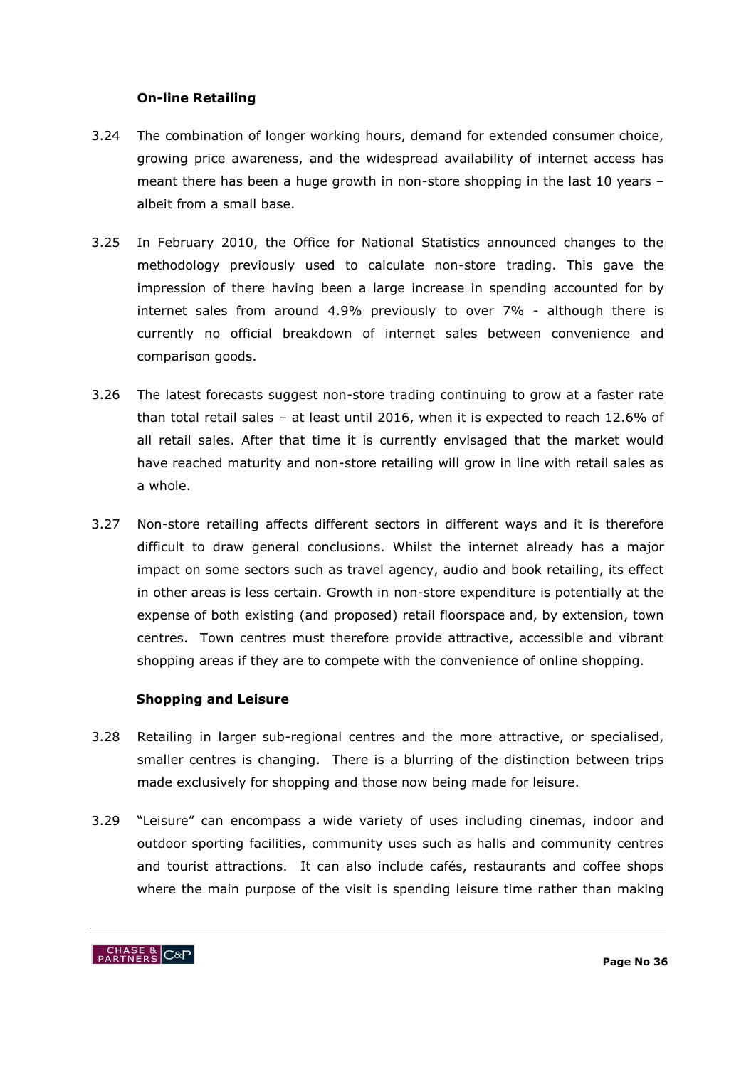### **On-line Retailing**

- 3.24 The combination of longer working hours, demand for extended consumer choice, growing price awareness, and the widespread availability of internet access has meant there has been a huge growth in non-store shopping in the last 10 years – albeit from a small base.
- 3.25 In February 2010, the Office for National Statistics announced changes to the methodology previously used to calculate non-store trading. This gave the impression of there having been a large increase in spending accounted for by internet sales from around 4.9% previously to over 7% - although there is currently no official breakdown of internet sales between convenience and comparison goods.
- 3.26 The latest forecasts suggest non-store trading continuing to grow at a faster rate than total retail sales – at least until 2016, when it is expected to reach 12.6% of all retail sales. After that time it is currently envisaged that the market would have reached maturity and non-store retailing will grow in line with retail sales as a whole.
- 3.27 Non-store retailing affects different sectors in different ways and it is therefore difficult to draw general conclusions. Whilst the internet already has a major impact on some sectors such as travel agency, audio and book retailing, its effect in other areas is less certain. Growth in non-store expenditure is potentially at the expense of both existing (and proposed) retail floorspace and, by extension, town centres. Town centres must therefore provide attractive, accessible and vibrant shopping areas if they are to compete with the convenience of online shopping.

# **Shopping and Leisure**

- 3.28 Retailing in larger sub-regional centres and the more attractive, or specialised, smaller centres is changing. There is a blurring of the distinction between trips made exclusively for shopping and those now being made for leisure.
- 3.29 "Leisure" can encompass a wide variety of uses including cinemas, indoor and outdoor sporting facilities, community uses such as halls and community centres and tourist attractions. It can also include cafés, restaurants and coffee shops where the main purpose of the visit is spending leisure time rather than making

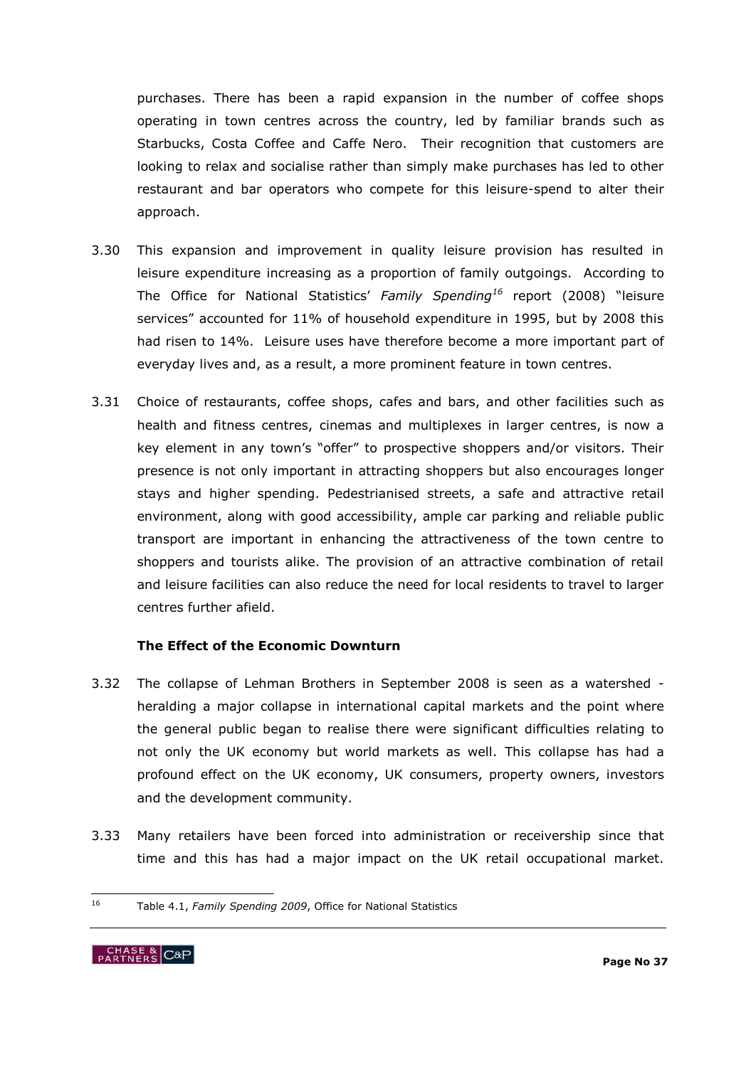purchases. There has been a rapid expansion in the number of coffee shops operating in town centres across the country, led by familiar brands such as Starbucks, Costa Coffee and Caffe Nero. Their recognition that customers are looking to relax and socialise rather than simply make purchases has led to other restaurant and bar operators who compete for this leisure-spend to alter their approach.

- 3.30 This expansion and improvement in quality leisure provision has resulted in leisure expenditure increasing as a proportion of family outgoings. According to The Office for National Statistics" *Family Spending<sup>16</sup>* report (2008) "leisure services" accounted for 11% of household expenditure in 1995, but by 2008 this had risen to 14%. Leisure uses have therefore become a more important part of everyday lives and, as a result, a more prominent feature in town centres.
- 3.31 Choice of restaurants, coffee shops, cafes and bars, and other facilities such as health and fitness centres, cinemas and multiplexes in larger centres, is now a key element in any town"s "offer" to prospective shoppers and/or visitors. Their presence is not only important in attracting shoppers but also encourages longer stays and higher spending. Pedestrianised streets, a safe and attractive retail environment, along with good accessibility, ample car parking and reliable public transport are important in enhancing the attractiveness of the town centre to shoppers and tourists alike. The provision of an attractive combination of retail and leisure facilities can also reduce the need for local residents to travel to larger centres further afield.

# **The Effect of the Economic Downturn**

- 3.32 The collapse of Lehman Brothers in September 2008 is seen as a watershed heralding a major collapse in international capital markets and the point where the general public began to realise there were significant difficulties relating to not only the UK economy but world markets as well. This collapse has had a profound effect on the UK economy, UK consumers, property owners, investors and the development community.
- 3.33 Many retailers have been forced into administration or receivership since that time and this has had a major impact on the UK retail occupational market.

<sup>16</sup> <sup>16</sup> Table 4.1, *Family Spending 2009*, Office for National Statistics

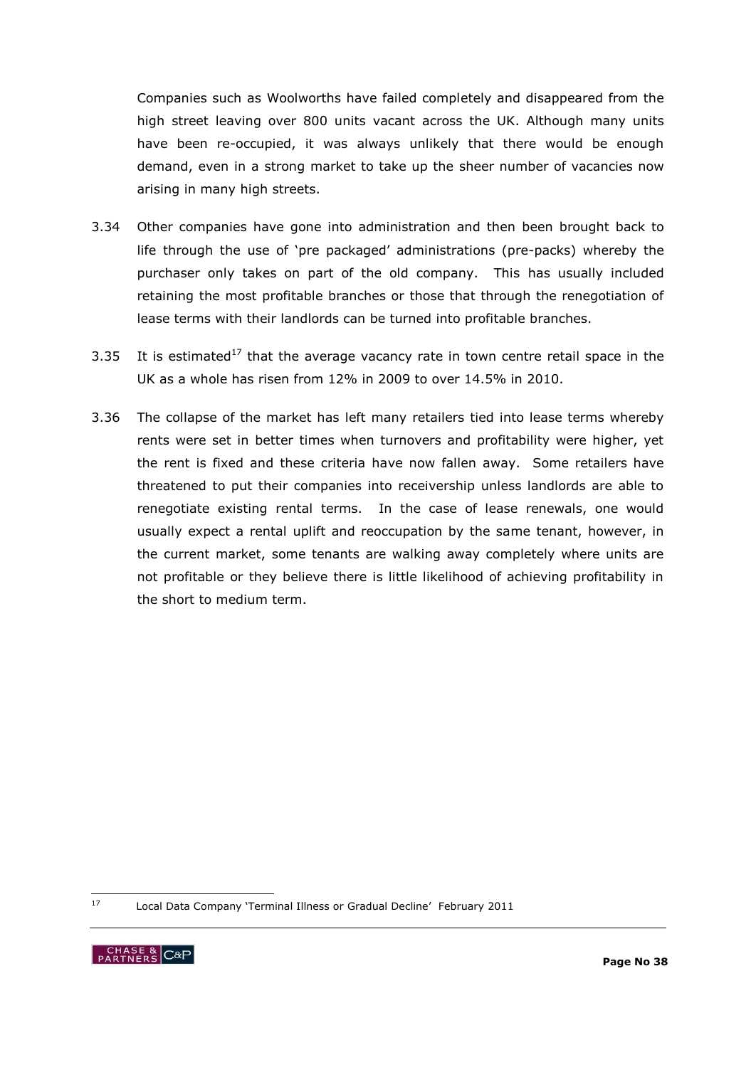Companies such as Woolworths have failed completely and disappeared from the high street leaving over 800 units vacant across the UK. Although many units have been re-occupied, it was always unlikely that there would be enough demand, even in a strong market to take up the sheer number of vacancies now arising in many high streets.

- 3.34 Other companies have gone into administration and then been brought back to life through the use of "pre packaged" administrations (pre-packs) whereby the purchaser only takes on part of the old company. This has usually included retaining the most profitable branches or those that through the renegotiation of lease terms with their landlords can be turned into profitable branches.
- 3.35 It is estimated<sup>17</sup> that the average vacancy rate in town centre retail space in the UK as a whole has risen from 12% in 2009 to over 14.5% in 2010.
- 3.36 The collapse of the market has left many retailers tied into lease terms whereby rents were set in better times when turnovers and profitability were higher, yet the rent is fixed and these criteria have now fallen away. Some retailers have threatened to put their companies into receivership unless landlords are able to renegotiate existing rental terms. In the case of lease renewals, one would usually expect a rental uplift and reoccupation by the same tenant, however, in the current market, some tenants are walking away completely where units are not profitable or they believe there is little likelihood of achieving profitability in the short to medium term.

17 Local Data Company 'Terminal Illness or Gradual Decline' February 2011

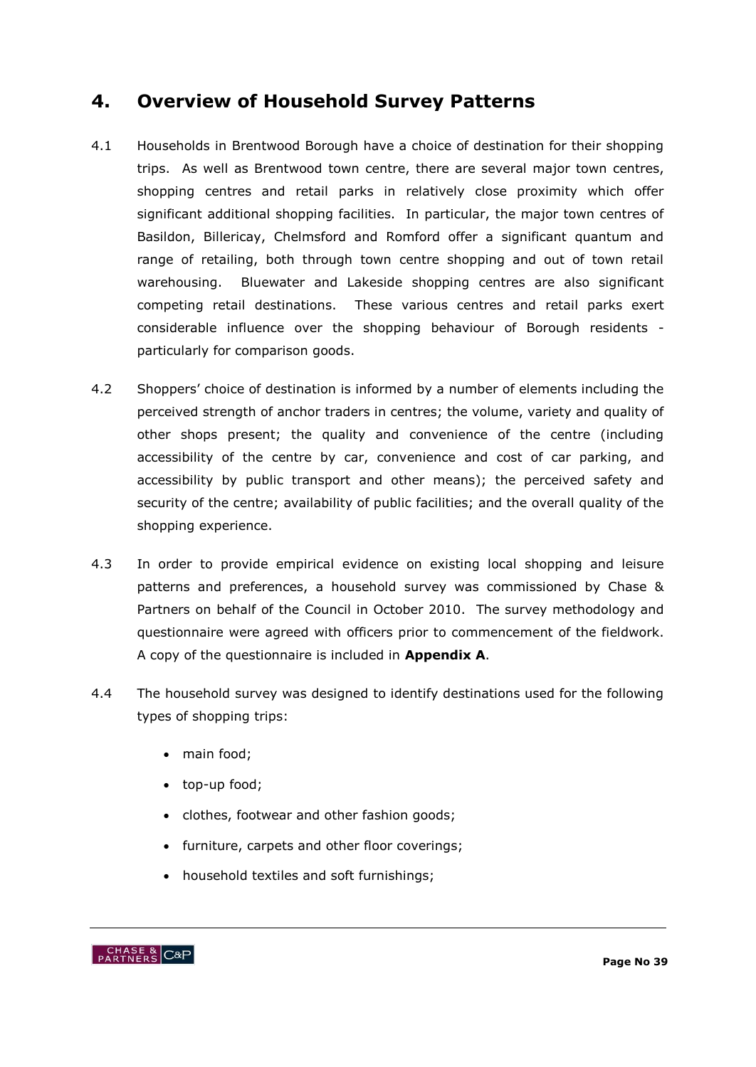# **4. Overview of Household Survey Patterns**

- 4.1 Households in Brentwood Borough have a choice of destination for their shopping trips. As well as Brentwood town centre, there are several major town centres, shopping centres and retail parks in relatively close proximity which offer significant additional shopping facilities. In particular, the major town centres of Basildon, Billericay, Chelmsford and Romford offer a significant quantum and range of retailing, both through town centre shopping and out of town retail warehousing. Bluewater and Lakeside shopping centres are also significant competing retail destinations. These various centres and retail parks exert considerable influence over the shopping behaviour of Borough residents particularly for comparison goods.
- 4.2 Shoppers' choice of destination is informed by a number of elements including the perceived strength of anchor traders in centres; the volume, variety and quality of other shops present; the quality and convenience of the centre (including accessibility of the centre by car, convenience and cost of car parking, and accessibility by public transport and other means); the perceived safety and security of the centre; availability of public facilities; and the overall quality of the shopping experience.
- 4.3 In order to provide empirical evidence on existing local shopping and leisure patterns and preferences, a household survey was commissioned by Chase & Partners on behalf of the Council in October 2010. The survey methodology and questionnaire were agreed with officers prior to commencement of the fieldwork. A copy of the questionnaire is included in **Appendix A**.
- 4.4 The household survey was designed to identify destinations used for the following types of shopping trips:
	- main food;
	- top-up food;
	- clothes, footwear and other fashion goods;
	- furniture, carpets and other floor coverings;
	- household textiles and soft furnishings;

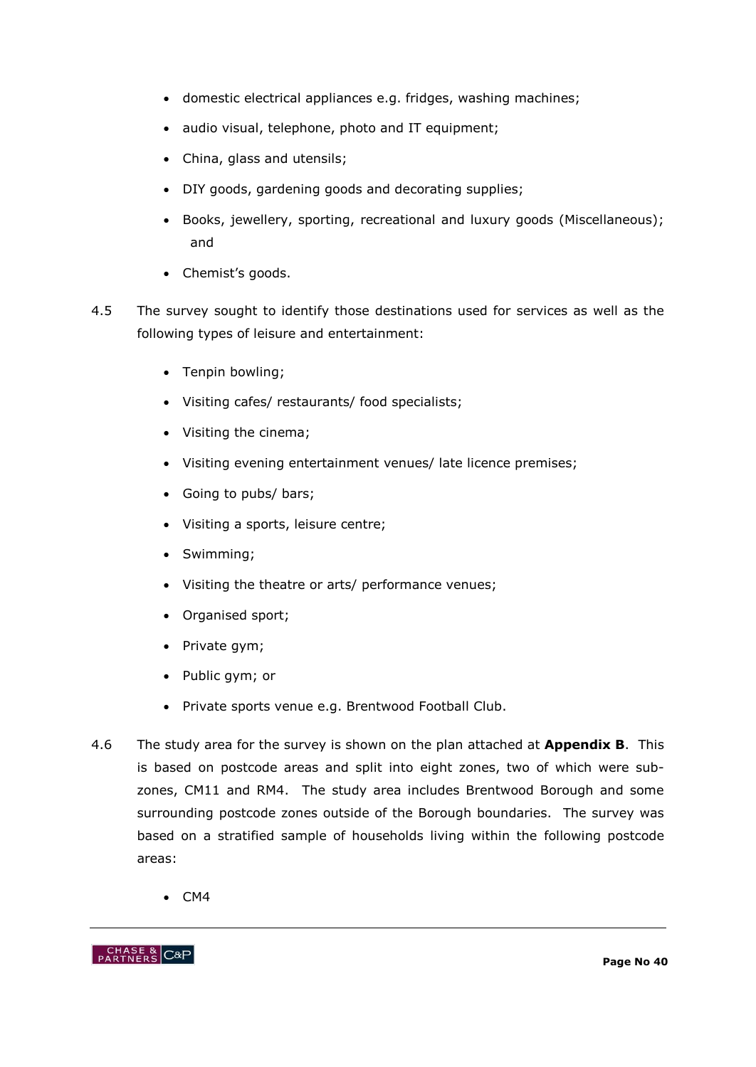- domestic electrical appliances e.g. fridges, washing machines;
- audio visual, telephone, photo and IT equipment;
- China, glass and utensils;
- DIY goods, gardening goods and decorating supplies;
- Books, jewellery, sporting, recreational and luxury goods (Miscellaneous); and
- Chemist's goods.
- 4.5 The survey sought to identify those destinations used for services as well as the following types of leisure and entertainment:
	- Tenpin bowling;
	- Visiting cafes/ restaurants/ food specialists;
	- Visiting the cinema;
	- Visiting evening entertainment venues/ late licence premises;
	- Going to pubs/ bars;
	- Visiting a sports, leisure centre;
	- Swimming;
	- Visiting the theatre or arts/ performance venues;
	- Organised sport;
	- Private gym;
	- Public gym; or
	- Private sports venue e.g. Brentwood Football Club.
- 4.6 The study area for the survey is shown on the plan attached at **Appendix B**. This is based on postcode areas and split into eight zones, two of which were subzones, CM11 and RM4. The study area includes Brentwood Borough and some surrounding postcode zones outside of the Borough boundaries. The survey was based on a stratified sample of households living within the following postcode areas:
	- $\bullet$  CM4

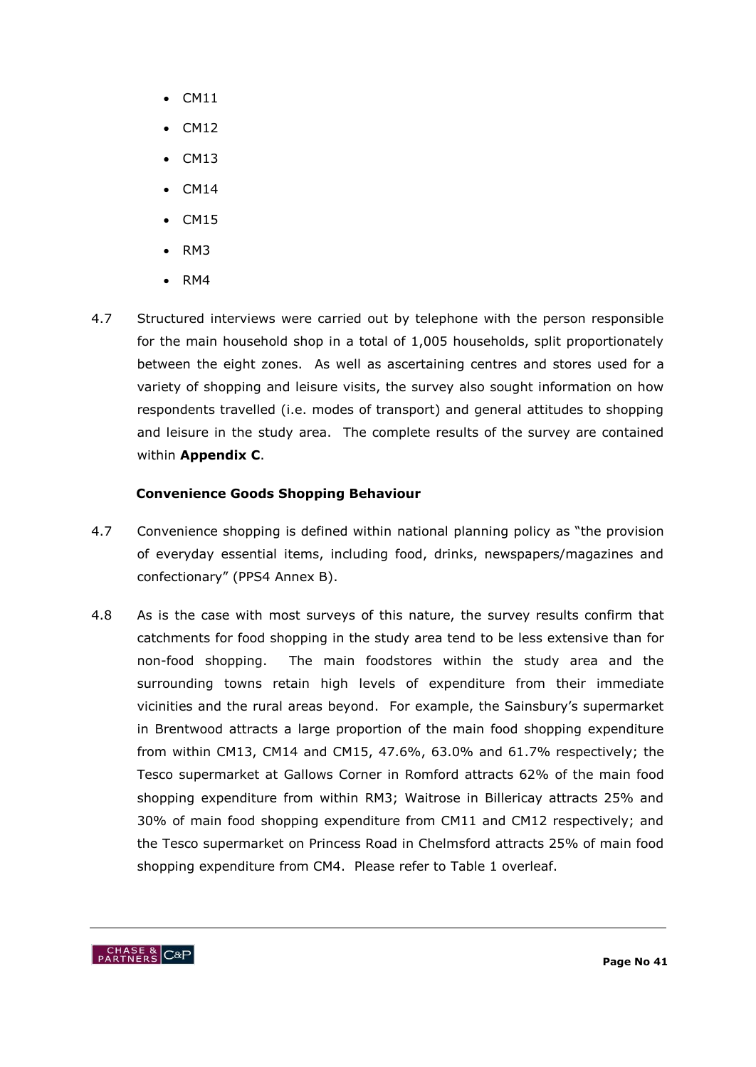- $\bullet$  CM11
- $\bullet$  CM12
- $\bullet$  CM13
- CM14
- $\bullet$  CM15
- $\bullet$  RM3
- $\bullet$  RM4
- 4.7 Structured interviews were carried out by telephone with the person responsible for the main household shop in a total of 1,005 households, split proportionately between the eight zones. As well as ascertaining centres and stores used for a variety of shopping and leisure visits, the survey also sought information on how respondents travelled (i.e. modes of transport) and general attitudes to shopping and leisure in the study area. The complete results of the survey are contained within **Appendix C**.

# **Convenience Goods Shopping Behaviour**

- 4.7 Convenience shopping is defined within national planning policy as "the provision of everyday essential items, including food, drinks, newspapers/magazines and confectionary" (PPS4 Annex B).
- 4.8 As is the case with most surveys of this nature, the survey results confirm that catchments for food shopping in the study area tend to be less extensive than for non-food shopping. The main foodstores within the study area and the surrounding towns retain high levels of expenditure from their immediate vicinities and the rural areas beyond. For example, the Sainsbury"s supermarket in Brentwood attracts a large proportion of the main food shopping expenditure from within CM13, CM14 and CM15, 47.6%, 63.0% and 61.7% respectively; the Tesco supermarket at Gallows Corner in Romford attracts 62% of the main food shopping expenditure from within RM3; Waitrose in Billericay attracts 25% and 30% of main food shopping expenditure from CM11 and CM12 respectively; and the Tesco supermarket on Princess Road in Chelmsford attracts 25% of main food shopping expenditure from CM4. Please refer to Table 1 overleaf.

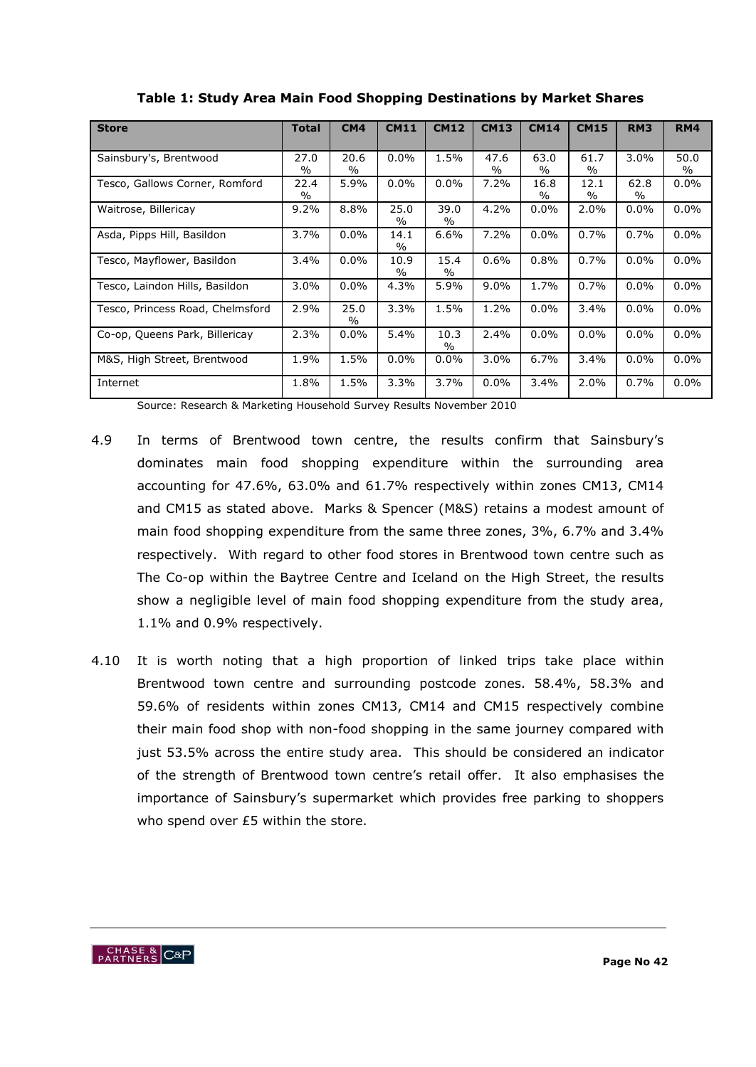| <b>Store</b>                     | <b>Total</b>  | CM4           | <b>CM11</b>   | <b>CM12</b> | <b>CM13</b> | <b>CM14</b>   | <b>CM15</b>   | RM <sub>3</sub> | <b>RM4</b> |
|----------------------------------|---------------|---------------|---------------|-------------|-------------|---------------|---------------|-----------------|------------|
|                                  |               |               |               |             |             |               |               |                 |            |
|                                  |               |               |               |             |             |               |               |                 |            |
| Sainsbury's, Brentwood           | 27.0          | 20.6          | $0.0\%$       | 1.5%        | 47.6        | 63.0          | 61.7          | 3.0%            | 50.0       |
|                                  | $\frac{0}{0}$ | $\frac{0}{0}$ |               |             | $\%$        | $\frac{0}{0}$ | $\frac{0}{0}$ |                 | $\%$       |
| Tesco, Gallows Corner, Romford   | 22.4          | 5.9%          | $0.0\%$       | $0.0\%$     | 7.2%        | 16.8          | 12.1          | 62.8            | $0.0\%$    |
|                                  | $\%$          |               |               |             |             | $\%$          | $\%$          | %               |            |
| Waitrose, Billericay             | 9.2%          | 8.8%          | 25.0          | 39.0        | 4.2%        | $0.0\%$       | 2.0%          | $0.0\%$         | $0.0\%$    |
|                                  |               |               | $\frac{0}{0}$ | $\%$        |             |               |               |                 |            |
| Asda, Pipps Hill, Basildon       | 3.7%          | $0.0\%$       | 14.1          | 6.6%        | 7.2%        | $0.0\%$       | 0.7%          | 0.7%            | $0.0\%$    |
|                                  |               |               | $\frac{0}{0}$ |             |             |               |               |                 |            |
| Tesco, Mayflower, Basildon       | 3.4%          | $0.0\%$       | 10.9          | 15.4        | 0.6%        | 0.8%          | 0.7%          | $0.0\%$         | $0.0\%$    |
|                                  |               |               | $\%$          | $\%$        |             |               |               |                 |            |
| Tesco, Laindon Hills, Basildon   | 3.0%          | $0.0\%$       | 4.3%          | 5.9%        | 9.0%        | 1.7%          | 0.7%          | 0.0%            | 0.0%       |
|                                  |               |               |               |             |             |               |               |                 |            |
| Tesco, Princess Road, Chelmsford | 2.9%          | 25.0          | 3.3%          | 1.5%        | 1.2%        | $0.0\%$       | 3.4%          | 0.0%            | $0.0\%$    |
|                                  |               | $\frac{0}{0}$ |               |             |             |               |               |                 |            |
| Co-op, Queens Park, Billericay   | 2.3%          | $0.0\%$       | 5.4%          | 10.3        | 2.4%        | $0.0\%$       | 0.0%          | 0.0%            | $0.0\%$    |
|                                  |               |               |               | $\%$        |             |               |               |                 |            |
| M&S, High Street, Brentwood      | 1.9%          | 1.5%          | $0.0\%$       | $0.0\%$     | $3.0\%$     | 6.7%          | 3.4%          | $0.0\%$         | $0.0\%$    |
|                                  |               |               |               |             |             |               |               |                 |            |
| Internet                         | 1.8%          | 1.5%          | 3.3%          | 3.7%        | $0.0\%$     | 3.4%          | 2.0%          | 0.7%            | $0.0\%$    |
|                                  |               |               |               |             |             |               |               |                 |            |

**Table 1: Study Area Main Food Shopping Destinations by Market Shares** 

Source: Research & Marketing Household Survey Results November 2010

- 4.9 In terms of Brentwood town centre, the results confirm that Sainsbury"s dominates main food shopping expenditure within the surrounding area accounting for 47.6%, 63.0% and 61.7% respectively within zones CM13, CM14 and CM15 as stated above. Marks & Spencer (M&S) retains a modest amount of main food shopping expenditure from the same three zones, 3%, 6.7% and 3.4% respectively. With regard to other food stores in Brentwood town centre such as The Co-op within the Baytree Centre and Iceland on the High Street, the results show a negligible level of main food shopping expenditure from the study area, 1.1% and 0.9% respectively.
- 4.10 It is worth noting that a high proportion of linked trips take place within Brentwood town centre and surrounding postcode zones. 58.4%, 58.3% and 59.6% of residents within zones CM13, CM14 and CM15 respectively combine their main food shop with non-food shopping in the same journey compared with just 53.5% across the entire study area. This should be considered an indicator of the strength of Brentwood town centre"s retail offer. It also emphasises the importance of Sainsbury"s supermarket which provides free parking to shoppers who spend over £5 within the store.

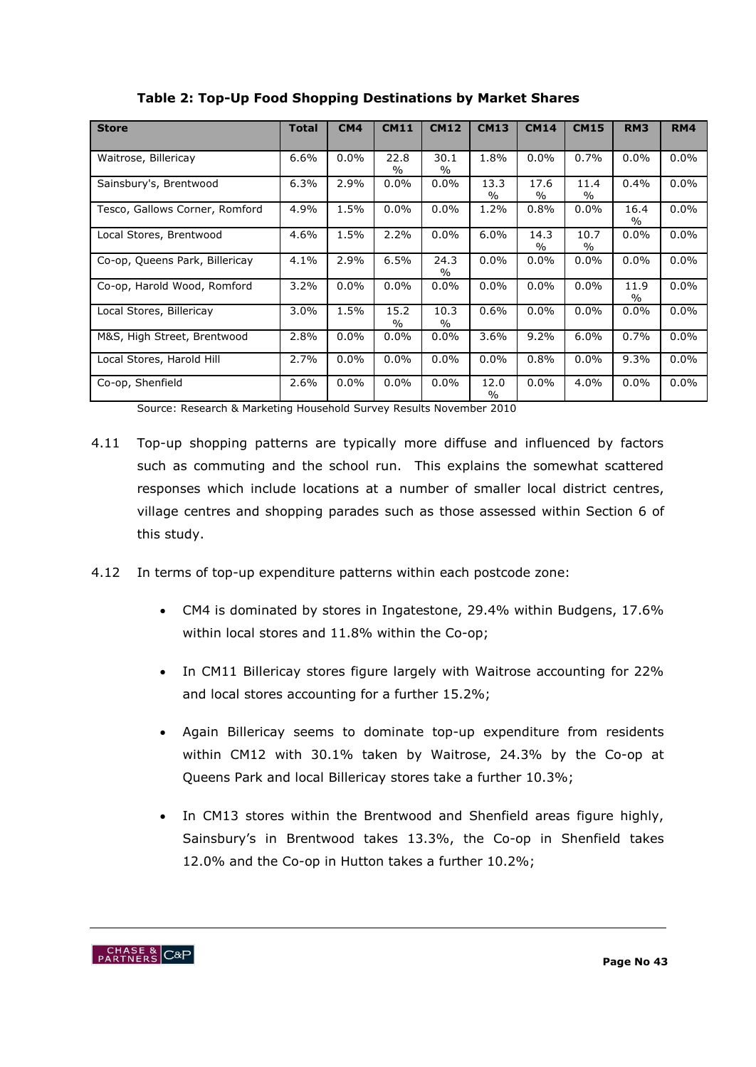| <b>Store</b>                   | <b>Total</b> | CM4     | <b>CM11</b>           | <b>CM12</b>  | <b>CM13</b>           | <b>CM14</b>           | <b>CM15</b>  | RM <sub>3</sub>       | <b>RM4</b> |
|--------------------------------|--------------|---------|-----------------------|--------------|-----------------------|-----------------------|--------------|-----------------------|------------|
|                                |              |         |                       |              |                       |                       |              |                       |            |
| Waitrose, Billericay           | 6.6%         | $0.0\%$ | 22.8<br>$\frac{0}{0}$ | 30.1<br>$\%$ | 1.8%                  | $0.0\%$               | 0.7%         | $0.0\%$               | $0.0\%$    |
| Sainsbury's, Brentwood         | 6.3%         | 2.9%    | $0.0\%$               | $0.0\%$      | 13.3<br>$\frac{0}{0}$ | 17.6<br>$\frac{0}{0}$ | 11.4<br>$\%$ | 0.4%                  | $0.0\%$    |
| Tesco, Gallows Corner, Romford | 4.9%         | 1.5%    | $0.0\%$               | $0.0\%$      | 1.2%                  | 0.8%                  | $0.0\%$      | 16.4<br>$\frac{0}{0}$ | $0.0\%$    |
| Local Stores, Brentwood        | 4.6%         | 1.5%    | 2.2%                  | $0.0\%$      | 6.0%                  | 14.3<br>$\%$          | 10.7<br>$\%$ | $0.0\%$               | $0.0\%$    |
| Co-op, Queens Park, Billericay | $4.1\%$      | 2.9%    | 6.5%                  | 24.3<br>$\%$ | $0.0\%$               | $0.0\%$               | $0.0\%$      | $0.0\%$               | $0.0\%$    |
| Co-op, Harold Wood, Romford    | 3.2%         | $0.0\%$ | $0.0\%$               | $0.0\%$      | $0.0\%$               | $0.0\%$               | 0.0%         | 11.9<br>$\%$          | $0.0\%$    |
| Local Stores, Billericay       | 3.0%         | 1.5%    | 15.2<br>$\%$          | 10.3<br>$\%$ | 0.6%                  | $0.0\%$               | $0.0\%$      | $0.0\%$               | $0.0\%$    |
| M&S, High Street, Brentwood    | 2.8%         | $0.0\%$ | $0.0\%$               | $0.0\%$      | $3.6\%$               | 9.2%                  | 6.0%         | 0.7%                  | $0.0\%$    |
| Local Stores, Harold Hill      | 2.7%         | $0.0\%$ | 0.0%                  | $0.0\%$      | 0.0%                  | 0.8%                  | $0.0\%$      | 9.3%                  | $0.0\%$    |
| Co-op, Shenfield               | 2.6%         | $0.0\%$ | $0.0\%$               | $0.0\%$      | 12.0<br>$\%$          | $0.0\%$               | 4.0%         | $0.0\%$               | $0.0\%$    |

**Table 2: Top-Up Food Shopping Destinations by Market Shares**

Source: Research & Marketing Household Survey Results November 2010

- 4.11 Top-up shopping patterns are typically more diffuse and influenced by factors such as commuting and the school run. This explains the somewhat scattered responses which include locations at a number of smaller local district centres, village centres and shopping parades such as those assessed within Section 6 of this study.
- 4.12 In terms of top-up expenditure patterns within each postcode zone:
	- CM4 is dominated by stores in Ingatestone, 29.4% within Budgens, 17.6% within local stores and 11.8% within the Co-op;
	- In CM11 Billericay stores figure largely with Waitrose accounting for 22% and local stores accounting for a further 15.2%;
	- Again Billericay seems to dominate top-up expenditure from residents within CM12 with 30.1% taken by Waitrose, 24.3% by the Co-op at Queens Park and local Billericay stores take a further 10.3%;
	- In CM13 stores within the Brentwood and Shenfield areas figure highly, Sainsbury"s in Brentwood takes 13.3%, the Co-op in Shenfield takes 12.0% and the Co-op in Hutton takes a further 10.2%;

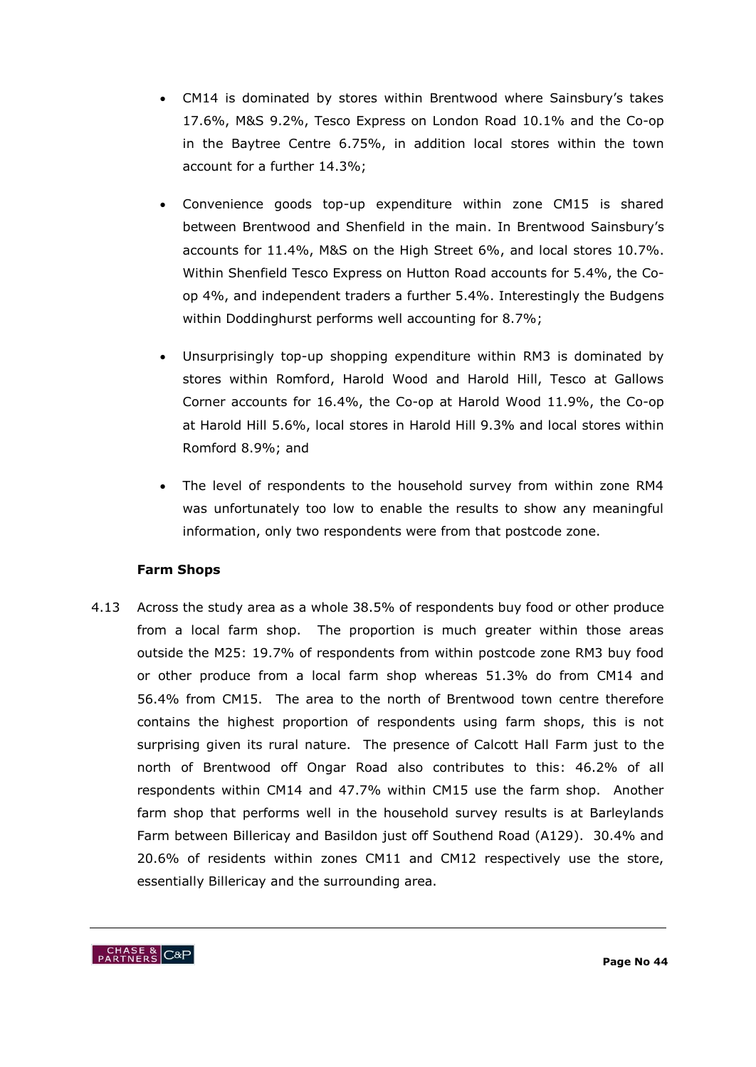- CM14 is dominated by stores within Brentwood where Sainsbury"s takes 17.6%, M&S 9.2%, Tesco Express on London Road 10.1% and the Co-op in the Baytree Centre 6.75%, in addition local stores within the town account for a further 14.3%;
- Convenience goods top-up expenditure within zone CM15 is shared between Brentwood and Shenfield in the main. In Brentwood Sainsbury"s accounts for 11.4%, M&S on the High Street 6%, and local stores 10.7%. Within Shenfield Tesco Express on Hutton Road accounts for 5.4%, the Coop 4%, and independent traders a further 5.4%. Interestingly the Budgens within Doddinghurst performs well accounting for 8.7%;
- Unsurprisingly top-up shopping expenditure within RM3 is dominated by stores within Romford, Harold Wood and Harold Hill, Tesco at Gallows Corner accounts for 16.4%, the Co-op at Harold Wood 11.9%, the Co-op at Harold Hill 5.6%, local stores in Harold Hill 9.3% and local stores within Romford 8.9%; and
- The level of respondents to the household survey from within zone RM4 was unfortunately too low to enable the results to show any meaningful information, only two respondents were from that postcode zone.

# **Farm Shops**

4.13 Across the study area as a whole 38.5% of respondents buy food or other produce from a local farm shop. The proportion is much greater within those areas outside the M25: 19.7% of respondents from within postcode zone RM3 buy food or other produce from a local farm shop whereas 51.3% do from CM14 and 56.4% from CM15. The area to the north of Brentwood town centre therefore contains the highest proportion of respondents using farm shops, this is not surprising given its rural nature. The presence of Calcott Hall Farm just to the north of Brentwood off Ongar Road also contributes to this: 46.2% of all respondents within CM14 and 47.7% within CM15 use the farm shop. Another farm shop that performs well in the household survey results is at Barleylands Farm between Billericay and Basildon just off Southend Road (A129). 30.4% and 20.6% of residents within zones CM11 and CM12 respectively use the store, essentially Billericay and the surrounding area.

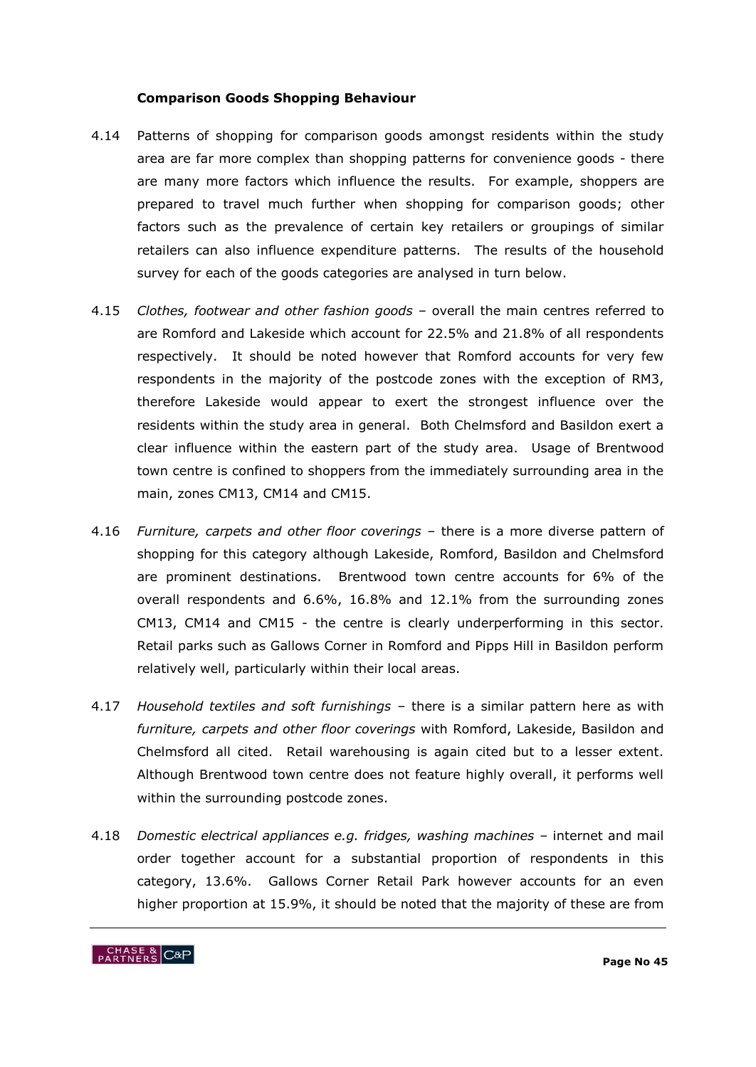#### **Comparison Goods Shopping Behaviour**

- 4.14 Patterns of shopping for comparison goods amongst residents within the study area are far more complex than shopping patterns for convenience goods - there are many more factors which influence the results. For example, shoppers are prepared to travel much further when shopping for comparison goods; other factors such as the prevalence of certain key retailers or groupings of similar retailers can also influence expenditure patterns. The results of the household survey for each of the goods categories are analysed in turn below.
- 4.15 *Clothes, footwear and other fashion goods* overall the main centres referred to are Romford and Lakeside which account for 22.5% and 21.8% of all respondents respectively. It should be noted however that Romford accounts for very few respondents in the majority of the postcode zones with the exception of RM3, therefore Lakeside would appear to exert the strongest influence over the residents within the study area in general. Both Chelmsford and Basildon exert a clear influence within the eastern part of the study area. Usage of Brentwood town centre is confined to shoppers from the immediately surrounding area in the main, zones CM13, CM14 and CM15.
- 4.16 *Furniture, carpets and other floor coverings* there is a more diverse pattern of shopping for this category although Lakeside, Romford, Basildon and Chelmsford are prominent destinations. Brentwood town centre accounts for 6% of the overall respondents and 6.6%, 16.8% and 12.1% from the surrounding zones CM13, CM14 and CM15 - the centre is clearly underperforming in this sector. Retail parks such as Gallows Corner in Romford and Pipps Hill in Basildon perform relatively well, particularly within their local areas.
- 4.17 *Household textiles and soft furnishings* there is a similar pattern here as with *furniture, carpets and other floor coverings* with Romford, Lakeside, Basildon and Chelmsford all cited. Retail warehousing is again cited but to a lesser extent. Although Brentwood town centre does not feature highly overall, it performs well within the surrounding postcode zones.
- 4.18 *Domestic electrical appliances e.g. fridges, washing machines –* internet and mail order together account for a substantial proportion of respondents in this category, 13.6%. Gallows Corner Retail Park however accounts for an even higher proportion at 15.9%, it should be noted that the majority of these are from

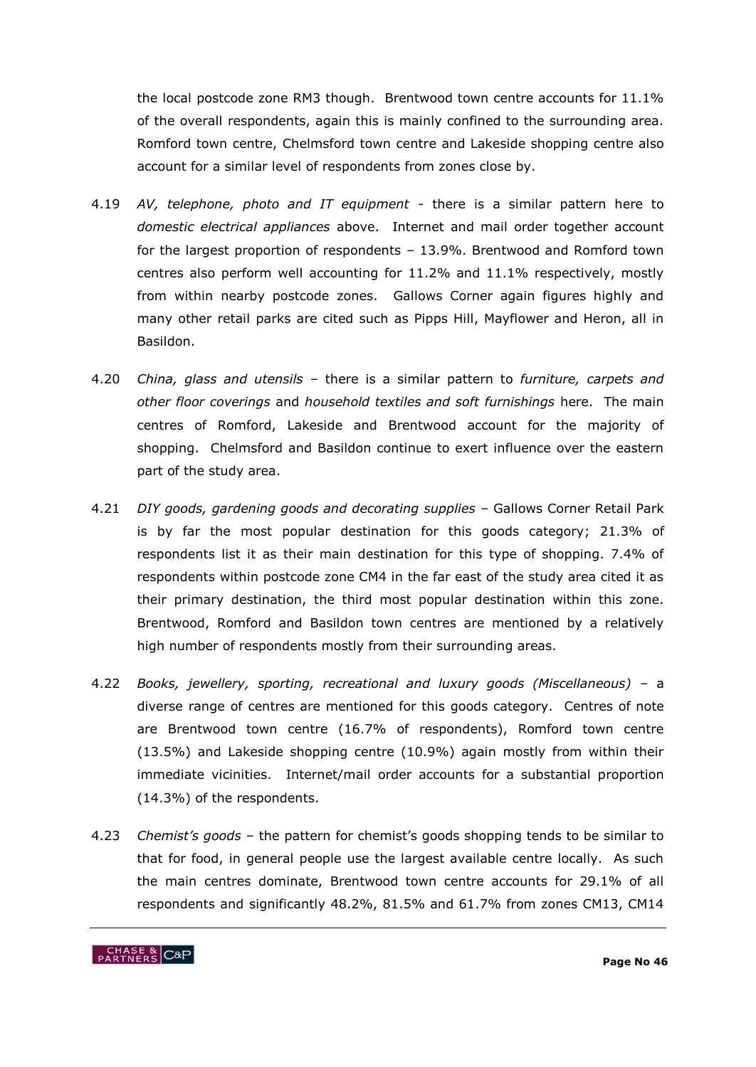the local postcode zone RM3 though. Brentwood town centre accounts for 11.1% of the overall respondents, again this is mainly confined to the surrounding area. Romford town centre, Chelmsford town centre and Lakeside shopping centre also account for a similar level of respondents from zones close by.

- 4.19 *AV, telephone, photo and IT equipment -* there is a similar pattern here to *domestic electrical appliances* above. Internet and mail order together account for the largest proportion of respondents – 13.9%. Brentwood and Romford town centres also perform well accounting for 11.2% and 11.1% respectively, mostly from within nearby postcode zones. Gallows Corner again figures highly and many other retail parks are cited such as Pipps Hill, Mayflower and Heron, all in Basildon.
- 4.20 *China, glass and utensils –* there is a similar pattern to *furniture, carpets and other floor coverings* and *household textiles and soft furnishings* here. The main centres of Romford, Lakeside and Brentwood account for the majority of shopping. Chelmsford and Basildon continue to exert influence over the eastern part of the study area.
- 4.21 *DIY goods, gardening goods and decorating supplies –* Gallows Corner Retail Park is by far the most popular destination for this goods category; 21.3% of respondents list it as their main destination for this type of shopping. 7.4% of respondents within postcode zone CM4 in the far east of the study area cited it as their primary destination, the third most popular destination within this zone. Brentwood, Romford and Basildon town centres are mentioned by a relatively high number of respondents mostly from their surrounding areas.
- 4.22 *Books, jewellery, sporting, recreational and luxury goods (Miscellaneous) –* a diverse range of centres are mentioned for this goods category. Centres of note are Brentwood town centre (16.7% of respondents), Romford town centre (13.5%) and Lakeside shopping centre (10.9%) again mostly from within their immediate vicinities. Internet/mail order accounts for a substantial proportion (14.3%) of the respondents.
- 4.23 *Chemist"s goods –* the pattern for chemist"s goods shopping tends to be similar to that for food, in general people use the largest available centre locally. As such the main centres dominate, Brentwood town centre accounts for 29.1% of all respondents and significantly 48.2%, 81.5% and 61.7% from zones CM13, CM14

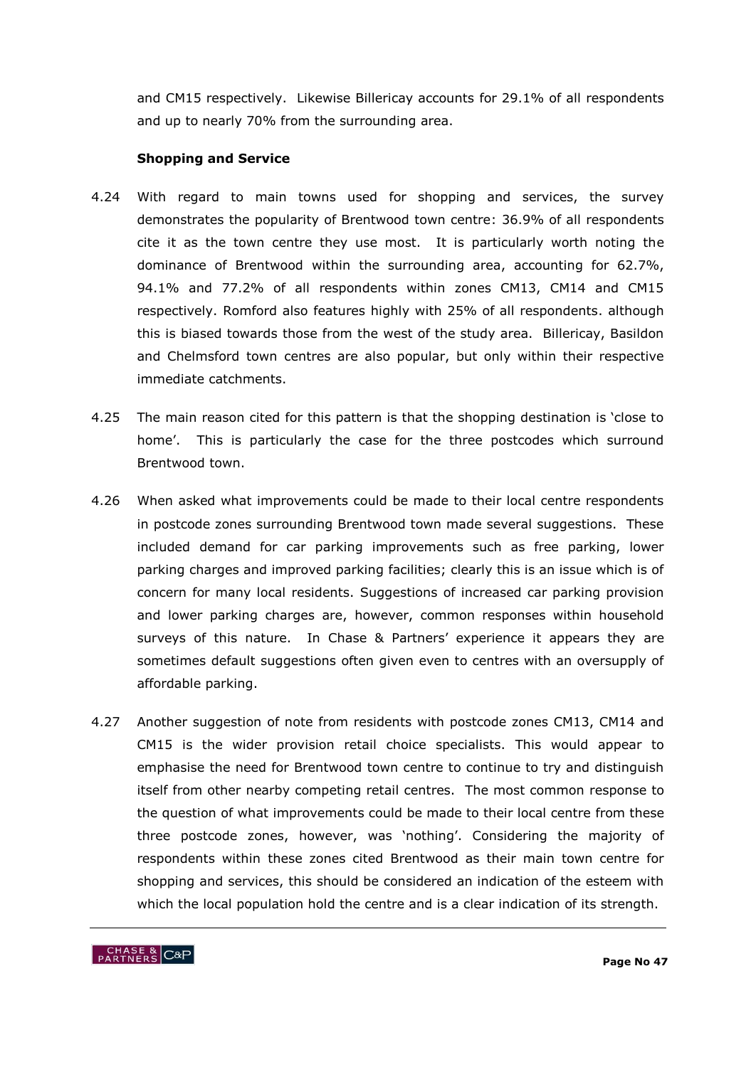and CM15 respectively. Likewise Billericay accounts for 29.1% of all respondents and up to nearly 70% from the surrounding area.

## **Shopping and Service**

- 4.24 With regard to main towns used for shopping and services, the survey demonstrates the popularity of Brentwood town centre: 36.9% of all respondents cite it as the town centre they use most. It is particularly worth noting the dominance of Brentwood within the surrounding area, accounting for 62.7%, 94.1% and 77.2% of all respondents within zones CM13, CM14 and CM15 respectively. Romford also features highly with 25% of all respondents. although this is biased towards those from the west of the study area. Billericay, Basildon and Chelmsford town centres are also popular, but only within their respective immediate catchments.
- 4.25 The main reason cited for this pattern is that the shopping destination is "close to home". This is particularly the case for the three postcodes which surround Brentwood town.
- 4.26 When asked what improvements could be made to their local centre respondents in postcode zones surrounding Brentwood town made several suggestions. These included demand for car parking improvements such as free parking, lower parking charges and improved parking facilities; clearly this is an issue which is of concern for many local residents. Suggestions of increased car parking provision and lower parking charges are, however, common responses within household surveys of this nature. In Chase & Partners' experience it appears they are sometimes default suggestions often given even to centres with an oversupply of affordable parking.
- 4.27 Another suggestion of note from residents with postcode zones CM13, CM14 and CM15 is the wider provision retail choice specialists. This would appear to emphasise the need for Brentwood town centre to continue to try and distinguish itself from other nearby competing retail centres. The most common response to the question of what improvements could be made to their local centre from these three postcode zones, however, was "nothing". Considering the majority of respondents within these zones cited Brentwood as their main town centre for shopping and services, this should be considered an indication of the esteem with which the local population hold the centre and is a clear indication of its strength.

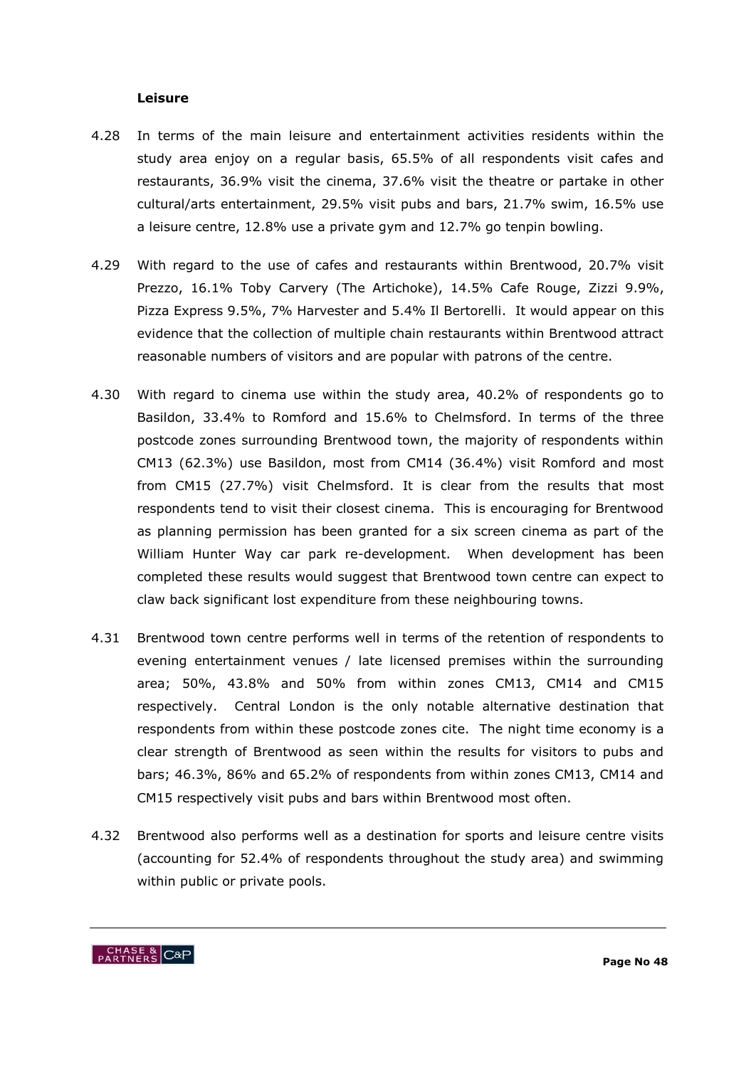#### **Leisure**

- 4.28 In terms of the main leisure and entertainment activities residents within the study area enjoy on a regular basis, 65.5% of all respondents visit cafes and restaurants, 36.9% visit the cinema, 37.6% visit the theatre or partake in other cultural/arts entertainment, 29.5% visit pubs and bars, 21.7% swim, 16.5% use a leisure centre, 12.8% use a private gym and 12.7% go tenpin bowling.
- 4.29 With regard to the use of cafes and restaurants within Brentwood, 20.7% visit Prezzo, 16.1% Toby Carvery (The Artichoke), 14.5% Cafe Rouge, Zizzi 9.9%, Pizza Express 9.5%, 7% Harvester and 5.4% Il Bertorelli. It would appear on this evidence that the collection of multiple chain restaurants within Brentwood attract reasonable numbers of visitors and are popular with patrons of the centre.
- 4.30 With regard to cinema use within the study area, 40.2% of respondents go to Basildon, 33.4% to Romford and 15.6% to Chelmsford. In terms of the three postcode zones surrounding Brentwood town, the majority of respondents within CM13 (62.3%) use Basildon, most from CM14 (36.4%) visit Romford and most from CM15 (27.7%) visit Chelmsford. It is clear from the results that most respondents tend to visit their closest cinema. This is encouraging for Brentwood as planning permission has been granted for a six screen cinema as part of the William Hunter Way car park re-development. When development has been completed these results would suggest that Brentwood town centre can expect to claw back significant lost expenditure from these neighbouring towns.
- 4.31 Brentwood town centre performs well in terms of the retention of respondents to evening entertainment venues / late licensed premises within the surrounding area; 50%, 43.8% and 50% from within zones CM13, CM14 and CM15 respectively. Central London is the only notable alternative destination that respondents from within these postcode zones cite. The night time economy is a clear strength of Brentwood as seen within the results for visitors to pubs and bars; 46.3%, 86% and 65.2% of respondents from within zones CM13, CM14 and CM15 respectively visit pubs and bars within Brentwood most often.
- 4.32 Brentwood also performs well as a destination for sports and leisure centre visits (accounting for 52.4% of respondents throughout the study area) and swimming within public or private pools.

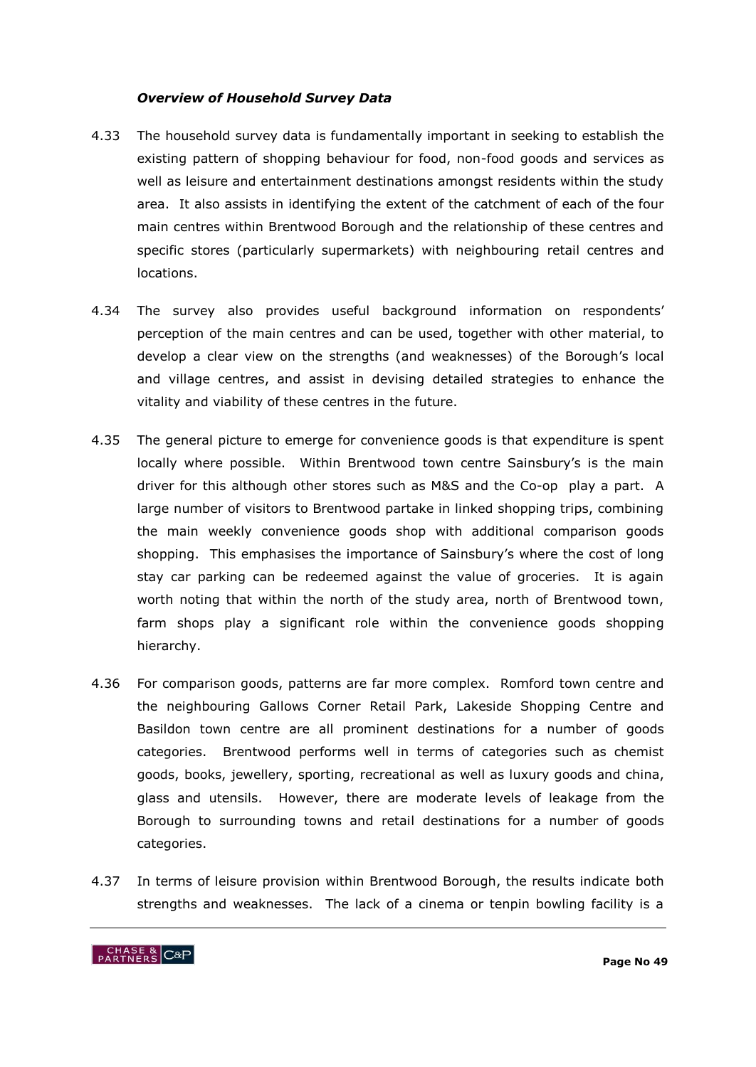#### *Overview of Household Survey Data*

- 4.33 The household survey data is fundamentally important in seeking to establish the existing pattern of shopping behaviour for food, non-food goods and services as well as leisure and entertainment destinations amongst residents within the study area. It also assists in identifying the extent of the catchment of each of the four main centres within Brentwood Borough and the relationship of these centres and specific stores (particularly supermarkets) with neighbouring retail centres and locations.
- 4.34 The survey also provides useful background information on respondents' perception of the main centres and can be used, together with other material, to develop a clear view on the strengths (and weaknesses) of the Borough's local and village centres, and assist in devising detailed strategies to enhance the vitality and viability of these centres in the future.
- 4.35 The general picture to emerge for convenience goods is that expenditure is spent locally where possible. Within Brentwood town centre Sainsbury's is the main driver for this although other stores such as M&S and the Co-op play a part. A large number of visitors to Brentwood partake in linked shopping trips, combining the main weekly convenience goods shop with additional comparison goods shopping. This emphasises the importance of Sainsbury"s where the cost of long stay car parking can be redeemed against the value of groceries. It is again worth noting that within the north of the study area, north of Brentwood town, farm shops play a significant role within the convenience goods shopping hierarchy.
- 4.36 For comparison goods, patterns are far more complex. Romford town centre and the neighbouring Gallows Corner Retail Park, Lakeside Shopping Centre and Basildon town centre are all prominent destinations for a number of goods categories. Brentwood performs well in terms of categories such as chemist goods, books, jewellery, sporting, recreational as well as luxury goods and china, glass and utensils. However, there are moderate levels of leakage from the Borough to surrounding towns and retail destinations for a number of goods categories.
- 4.37 In terms of leisure provision within Brentwood Borough, the results indicate both strengths and weaknesses. The lack of a cinema or tenpin bowling facility is a

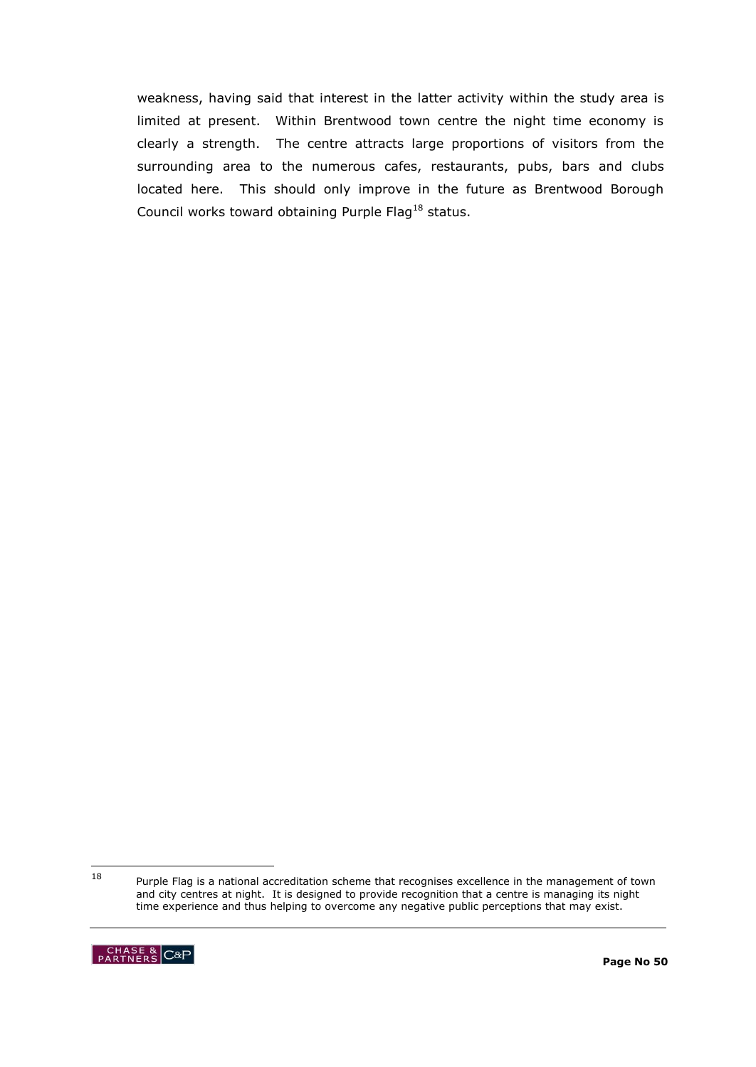weakness, having said that interest in the latter activity within the study area is limited at present. Within Brentwood town centre the night time economy is clearly a strength. The centre attracts large proportions of visitors from the surrounding area to the numerous cafes, restaurants, pubs, bars and clubs located here. This should only improve in the future as Brentwood Borough Council works toward obtaining Purple Flag<sup>18</sup> status.

<sup>18</sup> Purple Flag is a national accreditation scheme that recognises excellence in the management of town and city centres at night. It is designed to provide recognition that a centre is managing its night time experience and thus helping to overcome any negative public perceptions that may exist.

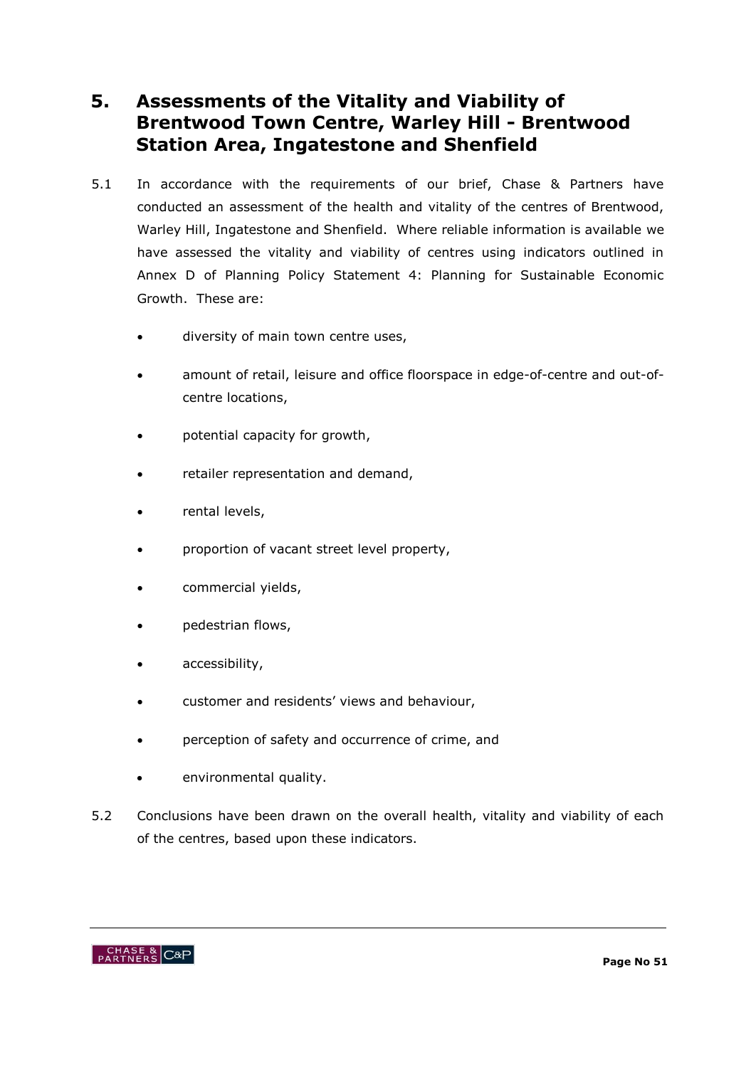# **5. Assessments of the Vitality and Viability of Brentwood Town Centre, Warley Hill - Brentwood Station Area, Ingatestone and Shenfield**

- 5.1 In accordance with the requirements of our brief, Chase & Partners have conducted an assessment of the health and vitality of the centres of Brentwood, Warley Hill, Ingatestone and Shenfield. Where reliable information is available we have assessed the vitality and viability of centres using indicators outlined in Annex D of Planning Policy Statement 4: Planning for Sustainable Economic Growth. These are:
	- diversity of main town centre uses,
	- amount of retail, leisure and office floorspace in edge-of-centre and out-ofcentre locations,
	- potential capacity for growth,
	- retailer representation and demand,
	- rental levels,
	- proportion of vacant street level property,
	- commercial yields,
	- pedestrian flows,
	- accessibility,
	- customer and residents' views and behaviour,
	- perception of safety and occurrence of crime, and
	- environmental quality.
- 5.2 Conclusions have been drawn on the overall health, vitality and viability of each of the centres, based upon these indicators.

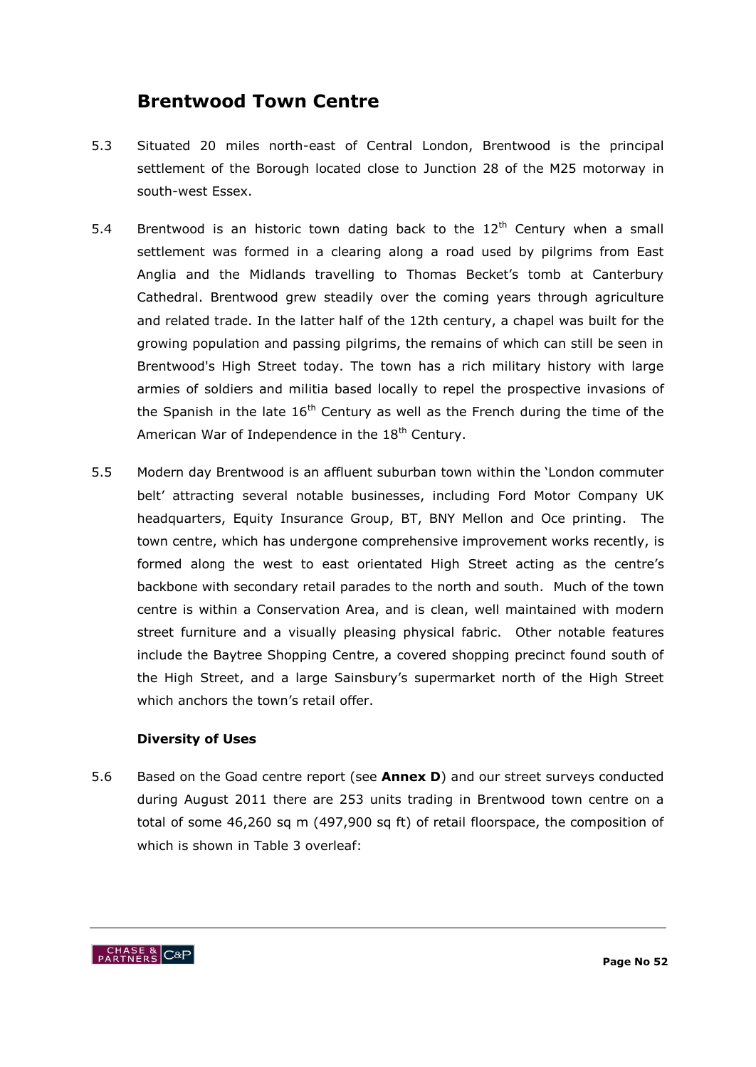# **Brentwood Town Centre**

- 5.3 Situated 20 miles north-east of Central London, Brentwood is the principal settlement of the Borough located close to Junction 28 of the M25 motorway in south-west Essex.
- 5.4 Brentwood is an historic town dating back to the  $12<sup>th</sup>$  Century when a small settlement was formed in a clearing along a road used by pilgrims from East Anglia and the Midlands travelling to Thomas Becket"s tomb at Canterbury Cathedral. Brentwood grew steadily over the coming years through agriculture and related trade. In the latter half of the 12th century, a chapel was built for the growing population and passing pilgrims, the remains of which can still be seen in Brentwood's High Street today. The town has a rich military history with large armies of soldiers and militia based locally to repel the prospective invasions of the Spanish in the late  $16<sup>th</sup>$  Century as well as the French during the time of the American War of Independence in the  $18<sup>th</sup>$  Century.
- 5.5 Modern day Brentwood is an affluent suburban town within the "London commuter belt" attracting several notable businesses, including Ford Motor Company UK headquarters, Equity Insurance Group, BT, BNY Mellon and Oce printing. The town centre, which has undergone comprehensive improvement works recently, is formed along the west to east orientated High Street acting as the centre's backbone with secondary retail parades to the north and south. Much of the town centre is within a Conservation Area, and is clean, well maintained with modern street furniture and a visually pleasing physical fabric. Other notable features include the Baytree Shopping Centre, a covered shopping precinct found south of the High Street, and a large Sainsbury"s supermarket north of the High Street which anchors the town's retail offer.

# **Diversity of Uses**

5.6 Based on the Goad centre report (see **Annex D**) and our street surveys conducted during August 2011 there are 253 units trading in Brentwood town centre on a total of some 46,260 sq m (497,900 sq ft) of retail floorspace, the composition of which is shown in Table 3 overleaf:

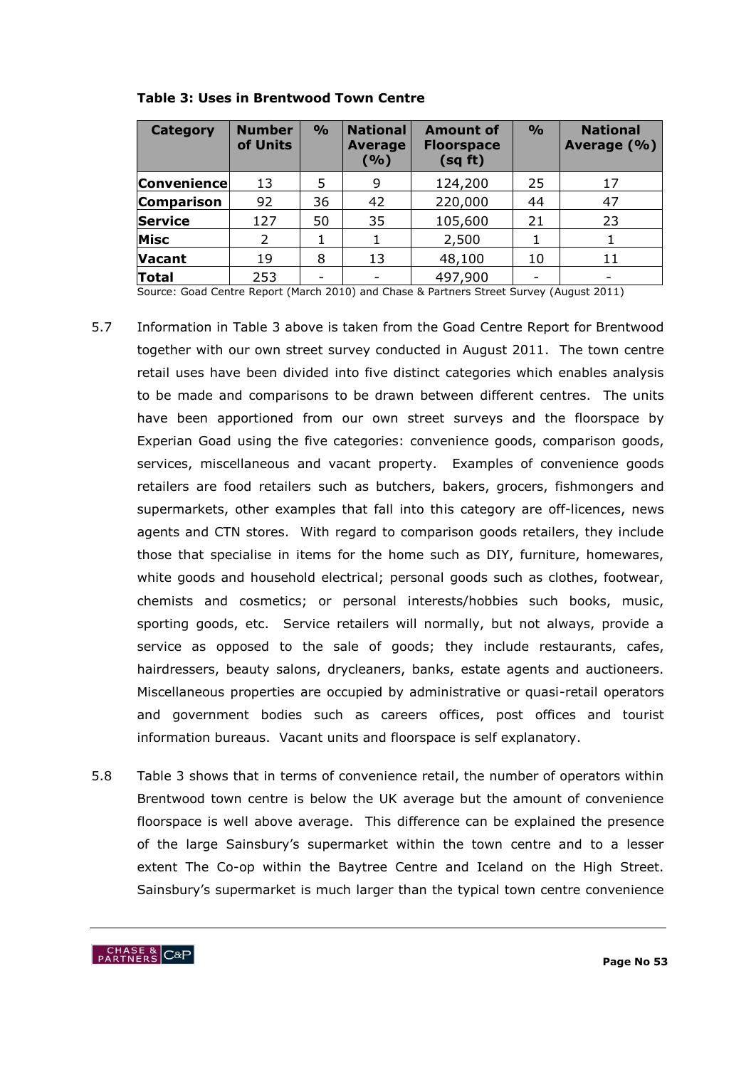| Category           | <b>Number</b><br>of Units | $\frac{0}{0}$ | <b>National</b><br><b>Average</b><br>( %) | <b>Amount of</b><br><b>Floorspace</b><br>(sq ft) | $\frac{6}{6}$ | <b>National</b><br>Average (%) |
|--------------------|---------------------------|---------------|-------------------------------------------|--------------------------------------------------|---------------|--------------------------------|
| <b>Convenience</b> | 13                        | 5             | 9                                         | 124,200                                          | 25            | 17                             |
| <b>Comparison</b>  | 92                        | 36            | 42                                        | 220,000                                          | 44            | 47                             |
| <b>Service</b>     | 127                       | 50            | 35                                        | 105,600                                          | 21            | 23                             |
| <b>Misc</b>        | 2                         |               |                                           | 2,500                                            |               |                                |
| <b>Vacant</b>      | 19                        | 8             | 13                                        | 48,100                                           | 10            | 11                             |
| Total              | 253                       |               |                                           | 497,900                                          |               |                                |

**Table 3: Uses in Brentwood Town Centre**

Source: Goad Centre Report (March 2010) and Chase & Partners Street Survey (August 2011)

- 5.7 Information in Table 3 above is taken from the Goad Centre Report for Brentwood together with our own street survey conducted in August 2011. The town centre retail uses have been divided into five distinct categories which enables analysis to be made and comparisons to be drawn between different centres. The units have been apportioned from our own street surveys and the floorspace by Experian Goad using the five categories: convenience goods, comparison goods, services, miscellaneous and vacant property. Examples of convenience goods retailers are food retailers such as butchers, bakers, grocers, fishmongers and supermarkets, other examples that fall into this category are off-licences, news agents and CTN stores. With regard to comparison goods retailers, they include those that specialise in items for the home such as DIY, furniture, homewares, white goods and household electrical; personal goods such as clothes, footwear, chemists and cosmetics; or personal interests/hobbies such books, music, sporting goods, etc. Service retailers will normally, but not always, provide a service as opposed to the sale of goods; they include restaurants, cafes, hairdressers, beauty salons, drycleaners, banks, estate agents and auctioneers. Miscellaneous properties are occupied by administrative or quasi-retail operators and government bodies such as careers offices, post offices and tourist information bureaus. Vacant units and floorspace is self explanatory.
- 5.8 Table 3 shows that in terms of convenience retail, the number of operators within Brentwood town centre is below the UK average but the amount of convenience floorspace is well above average. This difference can be explained the presence of the large Sainsbury"s supermarket within the town centre and to a lesser extent The Co-op within the Baytree Centre and Iceland on the High Street. Sainsbury"s supermarket is much larger than the typical town centre convenience

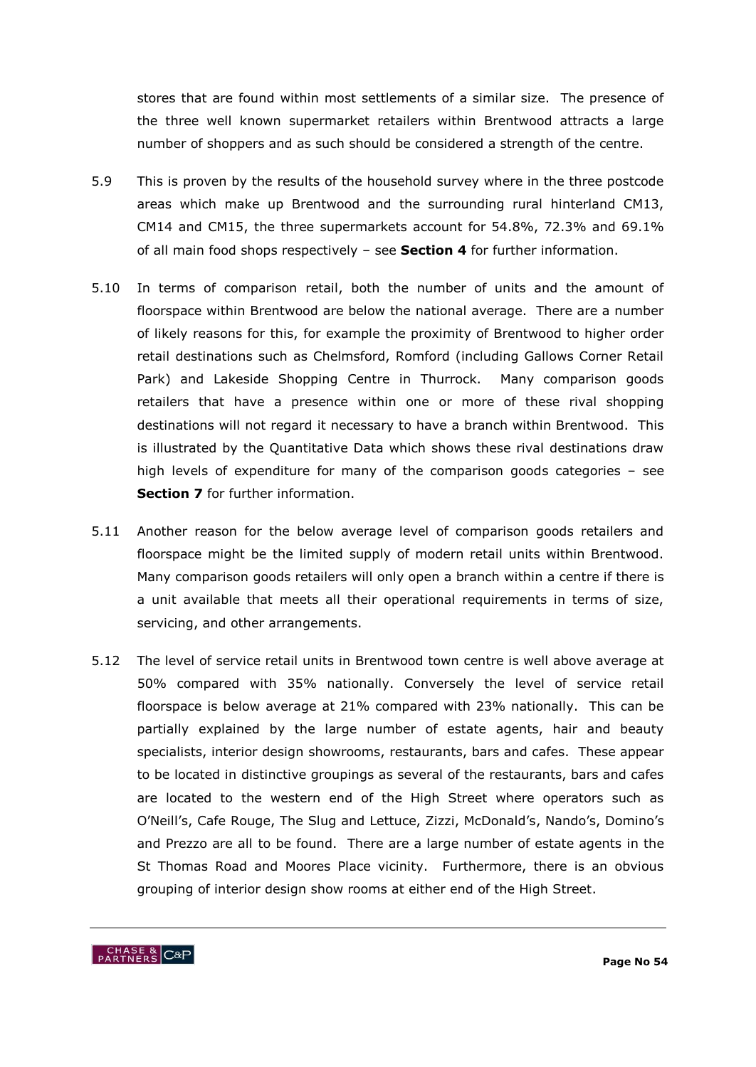stores that are found within most settlements of a similar size. The presence of the three well known supermarket retailers within Brentwood attracts a large number of shoppers and as such should be considered a strength of the centre.

- 5.9 This is proven by the results of the household survey where in the three postcode areas which make up Brentwood and the surrounding rural hinterland CM13, CM14 and CM15, the three supermarkets account for 54.8%, 72.3% and 69.1% of all main food shops respectively – see **Section 4** for further information.
- 5.10 In terms of comparison retail, both the number of units and the amount of floorspace within Brentwood are below the national average. There are a number of likely reasons for this, for example the proximity of Brentwood to higher order retail destinations such as Chelmsford, Romford (including Gallows Corner Retail Park) and Lakeside Shopping Centre in Thurrock. Many comparison goods retailers that have a presence within one or more of these rival shopping destinations will not regard it necessary to have a branch within Brentwood. This is illustrated by the Quantitative Data which shows these rival destinations draw high levels of expenditure for many of the comparison goods categories – see **Section 7** for further information.
- 5.11 Another reason for the below average level of comparison goods retailers and floorspace might be the limited supply of modern retail units within Brentwood. Many comparison goods retailers will only open a branch within a centre if there is a unit available that meets all their operational requirements in terms of size, servicing, and other arrangements.
- 5.12 The level of service retail units in Brentwood town centre is well above average at 50% compared with 35% nationally. Conversely the level of service retail floorspace is below average at 21% compared with 23% nationally. This can be partially explained by the large number of estate agents, hair and beauty specialists, interior design showrooms, restaurants, bars and cafes. These appear to be located in distinctive groupings as several of the restaurants, bars and cafes are located to the western end of the High Street where operators such as O"Neill"s, Cafe Rouge, The Slug and Lettuce, Zizzi, McDonald"s, Nando"s, Domino"s and Prezzo are all to be found. There are a large number of estate agents in the St Thomas Road and Moores Place vicinity. Furthermore, there is an obvious grouping of interior design show rooms at either end of the High Street.

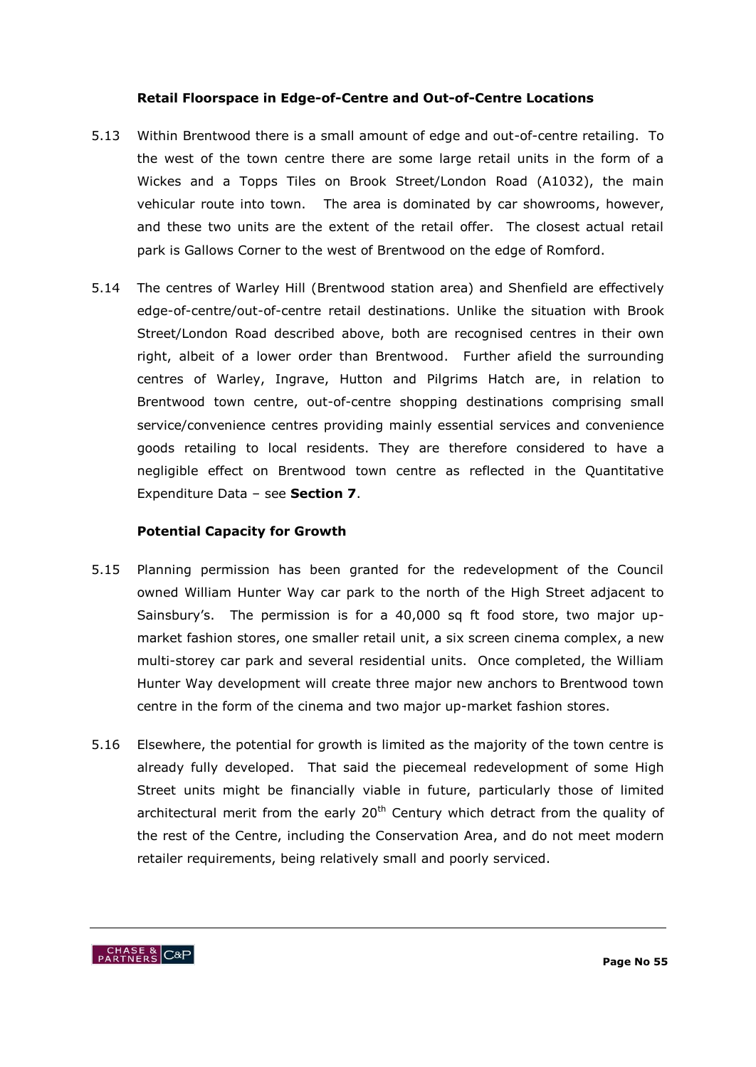## **Retail Floorspace in Edge-of-Centre and Out-of-Centre Locations**

- 5.13 Within Brentwood there is a small amount of edge and out-of-centre retailing. To the west of the town centre there are some large retail units in the form of a Wickes and a Topps Tiles on Brook Street/London Road (A1032), the main vehicular route into town. The area is dominated by car showrooms, however, and these two units are the extent of the retail offer. The closest actual retail park is Gallows Corner to the west of Brentwood on the edge of Romford.
- 5.14 The centres of Warley Hill (Brentwood station area) and Shenfield are effectively edge-of-centre/out-of-centre retail destinations. Unlike the situation with Brook Street/London Road described above, both are recognised centres in their own right, albeit of a lower order than Brentwood. Further afield the surrounding centres of Warley, Ingrave, Hutton and Pilgrims Hatch are, in relation to Brentwood town centre, out-of-centre shopping destinations comprising small service/convenience centres providing mainly essential services and convenience goods retailing to local residents. They are therefore considered to have a negligible effect on Brentwood town centre as reflected in the Quantitative Expenditure Data – see **Section 7**.

## **Potential Capacity for Growth**

- 5.15 Planning permission has been granted for the redevelopment of the Council owned William Hunter Way car park to the north of the High Street adjacent to Sainsbury's. The permission is for a 40,000 sq ft food store, two major upmarket fashion stores, one smaller retail unit, a six screen cinema complex, a new multi-storey car park and several residential units. Once completed, the William Hunter Way development will create three major new anchors to Brentwood town centre in the form of the cinema and two major up-market fashion stores.
- 5.16 Elsewhere, the potential for growth is limited as the majority of the town centre is already fully developed. That said the piecemeal redevelopment of some High Street units might be financially viable in future, particularly those of limited architectural merit from the early  $20<sup>th</sup>$  Century which detract from the quality of the rest of the Centre, including the Conservation Area, and do not meet modern retailer requirements, being relatively small and poorly serviced.

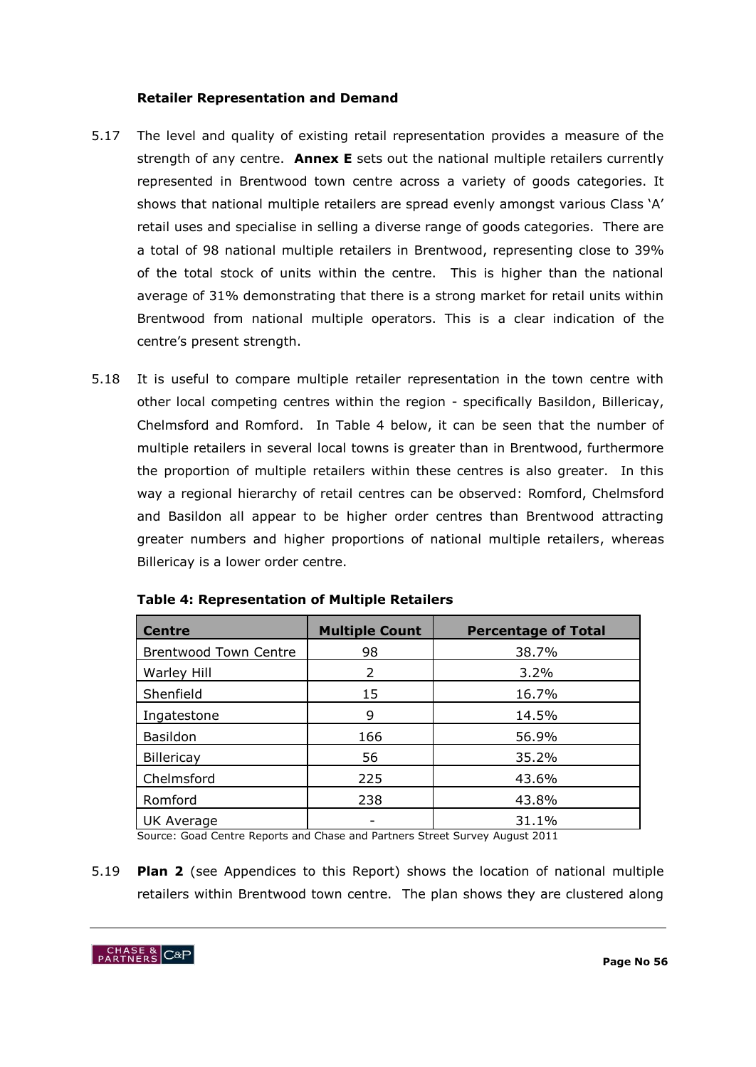## **Retailer Representation and Demand**

- 5.17 The level and quality of existing retail representation provides a measure of the strength of any centre. **Annex E** sets out the national multiple retailers currently represented in Brentwood town centre across a variety of goods categories. It shows that national multiple retailers are spread evenly amongst various Class 'A' retail uses and specialise in selling a diverse range of goods categories. There are a total of 98 national multiple retailers in Brentwood, representing close to 39% of the total stock of units within the centre. This is higher than the national average of 31% demonstrating that there is a strong market for retail units within Brentwood from national multiple operators. This is a clear indication of the centre"s present strength.
- 5.18 It is useful to compare multiple retailer representation in the town centre with other local competing centres within the region - specifically Basildon, Billericay, Chelmsford and Romford. In Table 4 below, it can be seen that the number of multiple retailers in several local towns is greater than in Brentwood, furthermore the proportion of multiple retailers within these centres is also greater. In this way a regional hierarchy of retail centres can be observed: Romford, Chelmsford and Basildon all appear to be higher order centres than Brentwood attracting greater numbers and higher proportions of national multiple retailers, whereas Billericay is a lower order centre.

| <b>Centre</b>                | <b>Multiple Count</b> | <b>Percentage of Total</b> |
|------------------------------|-----------------------|----------------------------|
| <b>Brentwood Town Centre</b> | 98                    | 38.7%                      |
| <b>Warley Hill</b>           | $\mathcal{P}$         | $3.2\%$                    |
| Shenfield                    | 15                    | 16.7%                      |
| Ingatestone                  | 9                     | 14.5%                      |
| Basildon                     | 166                   | 56.9%                      |
| <b>Billericay</b>            | 56                    | 35.2%                      |
| Chelmsford                   | 225                   | 43.6%                      |
| Romford                      | 238                   | 43.8%                      |
| <b>UK Average</b>            |                       | 31.1%                      |

| <b>Table 4: Representation of Multiple Retailers</b> |  |
|------------------------------------------------------|--|
|------------------------------------------------------|--|

Source: Goad Centre Reports and Chase and Partners Street Survey August 2011

5.19 **Plan 2** (see Appendices to this Report) shows the location of national multiple retailers within Brentwood town centre. The plan shows they are clustered along

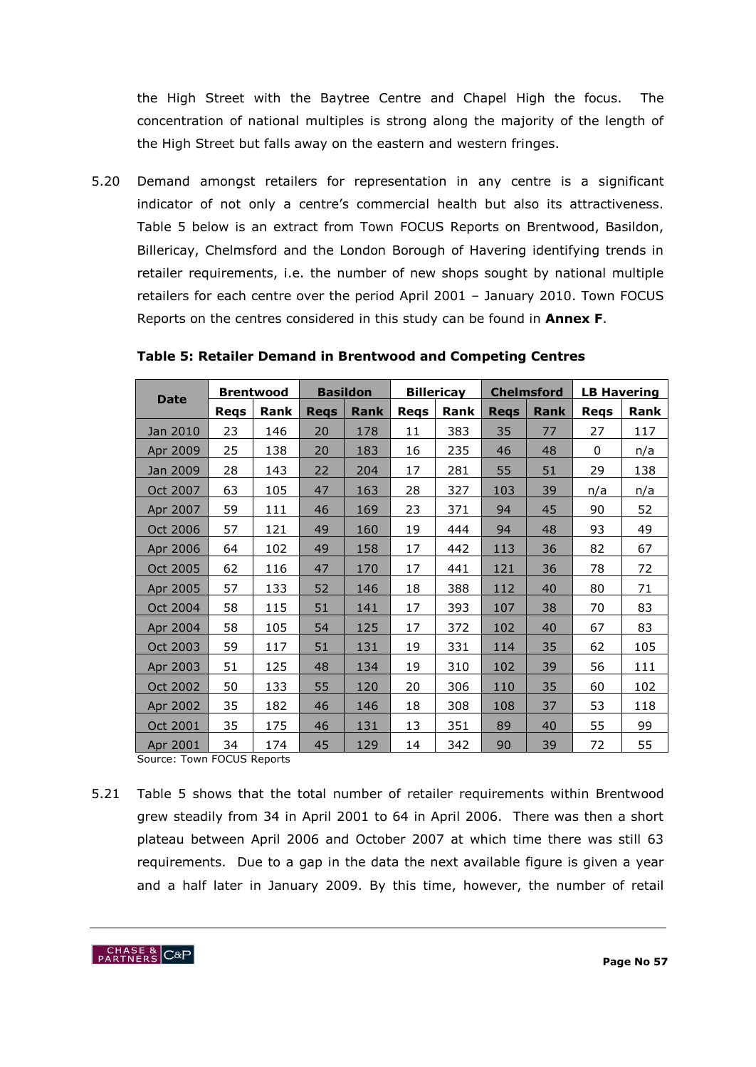the High Street with the Baytree Centre and Chapel High the focus. The concentration of national multiples is strong along the majority of the length of the High Street but falls away on the eastern and western fringes.

5.20 Demand amongst retailers for representation in any centre is a significant indicator of not only a centre's commercial health but also its attractiveness. Table 5 below is an extract from Town FOCUS Reports on Brentwood, Basildon, Billericay, Chelmsford and the London Borough of Havering identifying trends in retailer requirements, i.e. the number of new shops sought by national multiple retailers for each centre over the period April 2001 – January 2010. Town FOCUS Reports on the centres considered in this study can be found in **Annex F**.

|          | <b>Brentwood</b><br><b>Date</b> |      | <b>Basildon</b> |      | <b>Billericay</b> |      | <b>Chelmsford</b> |      | <b>LB Havering</b> |      |
|----------|---------------------------------|------|-----------------|------|-------------------|------|-------------------|------|--------------------|------|
|          | Reqs                            | Rank | <b>Reqs</b>     | Rank | <b>Reqs</b>       | Rank | <b>Reqs</b>       | Rank | <b>Reqs</b>        | Rank |
| Jan 2010 | 23                              | 146  | 20              | 178  | 11                | 383  | 35                | 77   | 27                 | 117  |
| Apr 2009 | 25                              | 138  | 20              | 183  | 16                | 235  | 46                | 48   | 0                  | n/a  |
| Jan 2009 | 28                              | 143  | 22              | 204  | 17                | 281  | 55                | 51   | 29                 | 138  |
| Oct 2007 | 63                              | 105  | 47              | 163  | 28                | 327  | 103               | 39   | n/a                | n/a  |
| Apr 2007 | 59                              | 111  | 46              | 169  | 23                | 371  | 94                | 45   | 90                 | 52   |
| Oct 2006 | 57                              | 121  | 49              | 160  | 19                | 444  | 94                | 48   | 93                 | 49   |
| Apr 2006 | 64                              | 102  | 49              | 158  | 17                | 442  | 113               | 36   | 82                 | 67   |
| Oct 2005 | 62                              | 116  | 47              | 170  | 17                | 441  | 121               | 36   | 78                 | 72   |
| Apr 2005 | 57                              | 133  | 52              | 146  | 18                | 388  | 112               | 40   | 80                 | 71   |
| Oct 2004 | 58                              | 115  | 51              | 141  | 17                | 393  | 107               | 38   | 70                 | 83   |
| Apr 2004 | 58                              | 105  | 54              | 125  | 17                | 372  | 102               | 40   | 67                 | 83   |
| Oct 2003 | 59                              | 117  | 51              | 131  | 19                | 331  | 114               | 35   | 62                 | 105  |
| Apr 2003 | 51                              | 125  | 48              | 134  | 19                | 310  | 102               | 39   | 56                 | 111  |
| Oct 2002 | 50                              | 133  | 55              | 120  | 20                | 306  | 110               | 35   | 60                 | 102  |
| Apr 2002 | 35                              | 182  | 46              | 146  | 18                | 308  | 108               | 37   | 53                 | 118  |
| Oct 2001 | 35                              | 175  | 46              | 131  | 13                | 351  | 89                | 40   | 55                 | 99   |
| Apr 2001 | 34                              | 174  | 45              | 129  | 14                | 342  | 90                | 39   | 72                 | 55   |

**Table 5: Retailer Demand in Brentwood and Competing Centres**

Source: Town FOCUS Reports

5.21 Table 5 shows that the total number of retailer requirements within Brentwood grew steadily from 34 in April 2001 to 64 in April 2006. There was then a short plateau between April 2006 and October 2007 at which time there was still 63 requirements. Due to a gap in the data the next available figure is given a year and a half later in January 2009. By this time, however, the number of retail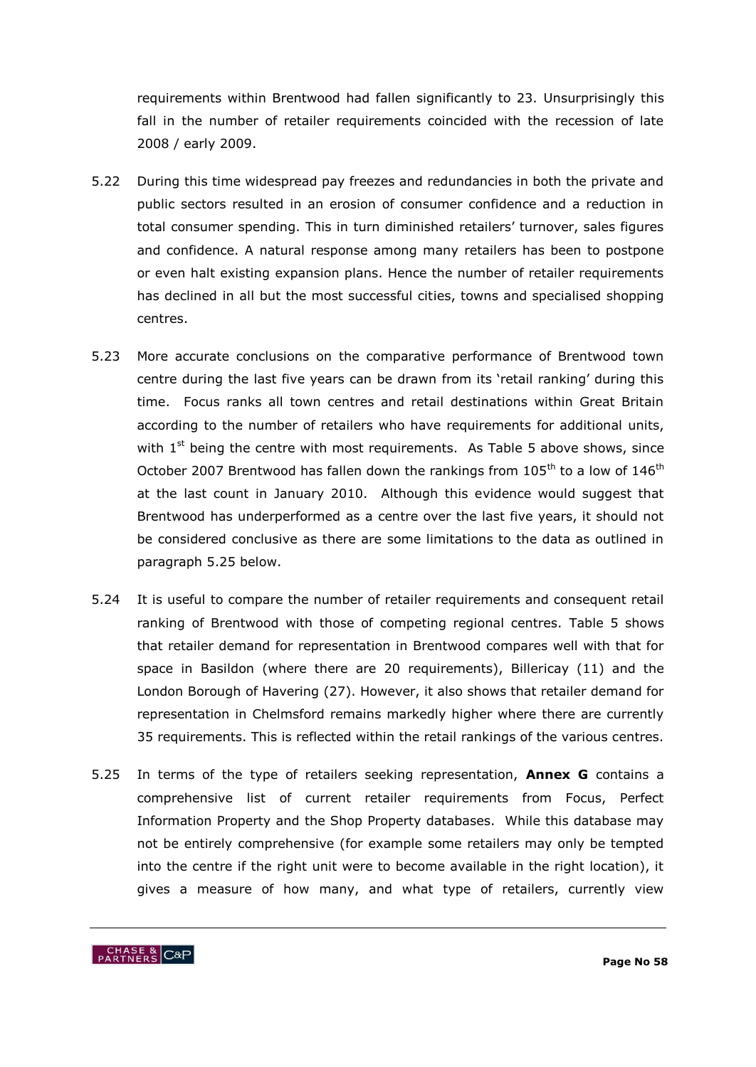requirements within Brentwood had fallen significantly to 23. Unsurprisingly this fall in the number of retailer requirements coincided with the recession of late 2008 / early 2009.

- 5.22 During this time widespread pay freezes and redundancies in both the private and public sectors resulted in an erosion of consumer confidence and a reduction in total consumer spending. This in turn diminished retailers' turnover, sales figures and confidence. A natural response among many retailers has been to postpone or even halt existing expansion plans. Hence the number of retailer requirements has declined in all but the most successful cities, towns and specialised shopping centres.
- 5.23 More accurate conclusions on the comparative performance of Brentwood town centre during the last five years can be drawn from its "retail ranking" during this time. Focus ranks all town centres and retail destinations within Great Britain according to the number of retailers who have requirements for additional units, with  $1<sup>st</sup>$  being the centre with most requirements. As Table 5 above shows, since October 2007 Brentwood has fallen down the rankings from  $105<sup>th</sup>$  to a low of  $146<sup>th</sup>$ at the last count in January 2010. Although this evidence would suggest that Brentwood has underperformed as a centre over the last five years, it should not be considered conclusive as there are some limitations to the data as outlined in paragraph 5.25 below.
- 5.24 It is useful to compare the number of retailer requirements and consequent retail ranking of Brentwood with those of competing regional centres. Table 5 shows that retailer demand for representation in Brentwood compares well with that for space in Basildon (where there are 20 requirements), Billericay (11) and the London Borough of Havering (27). However, it also shows that retailer demand for representation in Chelmsford remains markedly higher where there are currently 35 requirements. This is reflected within the retail rankings of the various centres.
- 5.25 In terms of the type of retailers seeking representation, **Annex G** contains a comprehensive list of current retailer requirements from Focus, Perfect Information Property and the Shop Property databases. While this database may not be entirely comprehensive (for example some retailers may only be tempted into the centre if the right unit were to become available in the right location), it gives a measure of how many, and what type of retailers, currently view

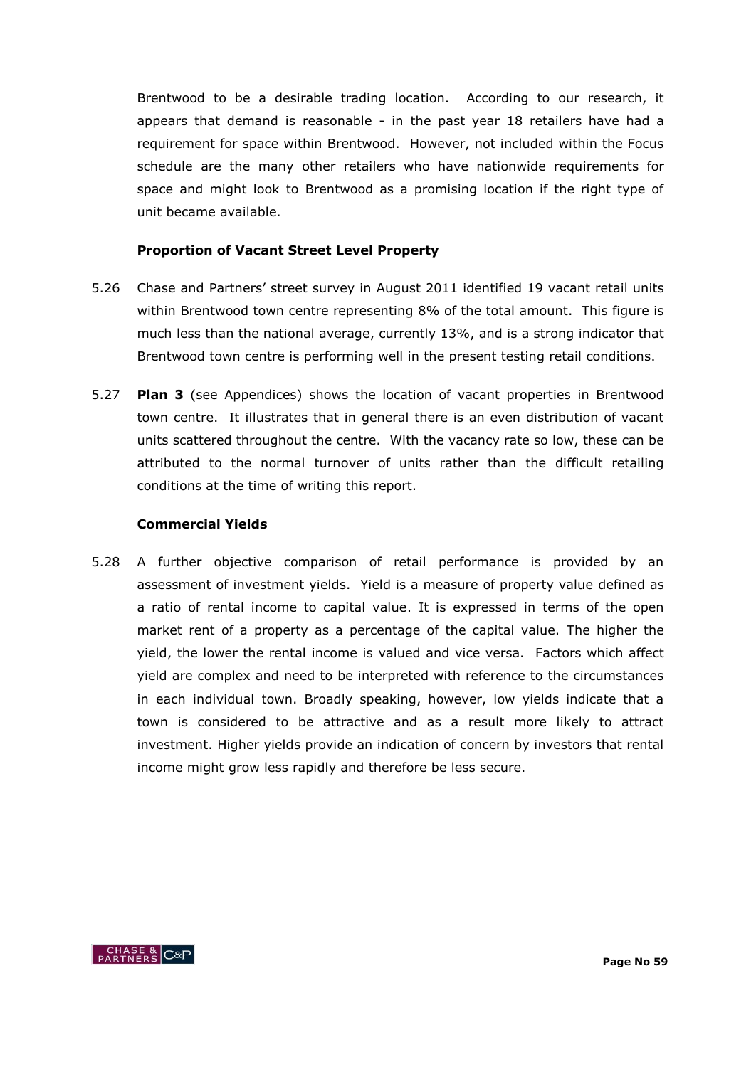Brentwood to be a desirable trading location. According to our research, it appears that demand is reasonable - in the past year 18 retailers have had a requirement for space within Brentwood. However, not included within the Focus schedule are the many other retailers who have nationwide requirements for space and might look to Brentwood as a promising location if the right type of unit became available.

## **Proportion of Vacant Street Level Property**

- 5.26 Chase and Partners" street survey in August 2011 identified 19 vacant retail units within Brentwood town centre representing 8% of the total amount. This figure is much less than the national average, currently 13%, and is a strong indicator that Brentwood town centre is performing well in the present testing retail conditions.
- 5.27 **Plan 3** (see Appendices) shows the location of vacant properties in Brentwood town centre. It illustrates that in general there is an even distribution of vacant units scattered throughout the centre. With the vacancy rate so low, these can be attributed to the normal turnover of units rather than the difficult retailing conditions at the time of writing this report.

## **Commercial Yields**

5.28 A further objective comparison of retail performance is provided by an assessment of investment yields. Yield is a measure of property value defined as a ratio of rental income to capital value. It is expressed in terms of the open market rent of a property as a percentage of the capital value. The higher the yield, the lower the rental income is valued and vice versa. Factors which affect yield are complex and need to be interpreted with reference to the circumstances in each individual town. Broadly speaking, however, low yields indicate that a town is considered to be attractive and as a result more likely to attract investment. Higher yields provide an indication of concern by investors that rental income might grow less rapidly and therefore be less secure.

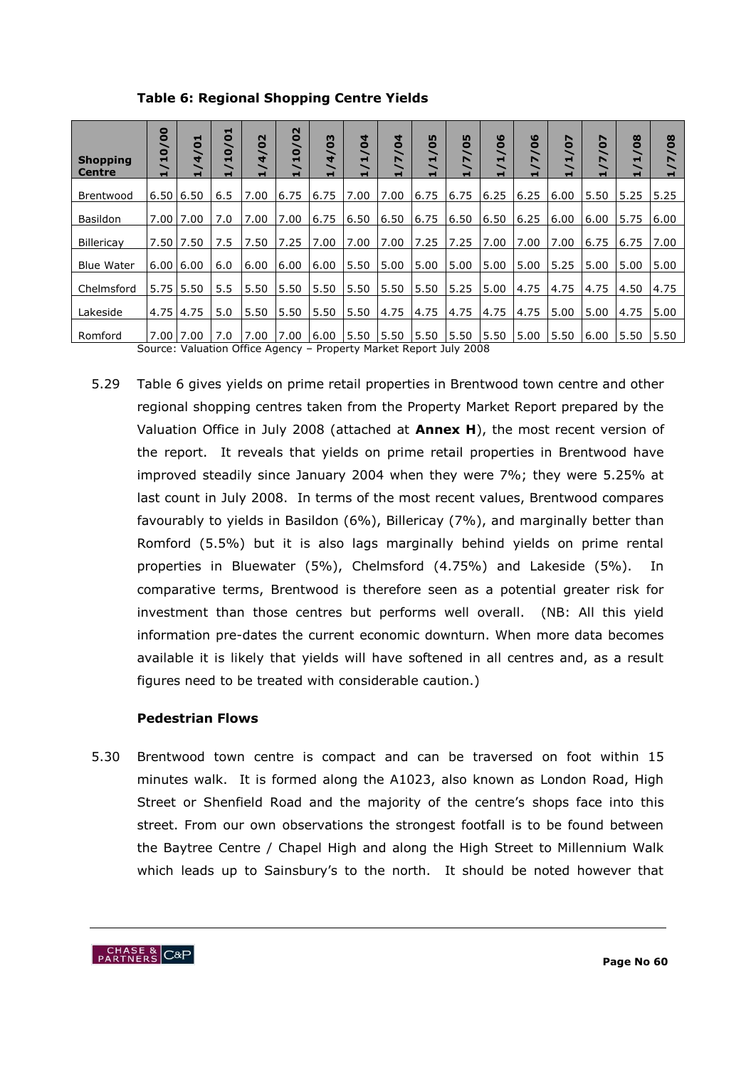**Table 6: Regional Shopping Centre Yields**

| <b>Shopping</b><br>Centre | $\bullet$<br>$\bullet$<br>∽<br>$\mathbf{a}$<br>H.                  | ▬<br>$\bullet$<br>$\overline{\phantom{0}}$<br>4 | н<br>0<br>o | N<br>$\bullet$<br>4 | $\mathbf{\Omega}$<br>$\bullet$<br>╰<br>$\mathbf{a}$ | m<br>$\bullet$<br>╰<br>4 | 4<br>Ó<br>ᆸ | 4<br>$\bullet$<br>╰<br>N<br>н | <b>LO</b><br>$\bullet$<br>╰<br>ᆋ<br>╮<br>H | m<br>$\bullet$<br>$\overline{\phantom{0}}$<br>$\blacktriangleright$<br>╰<br>$\blacksquare$ | $\boldsymbol{\omega}$<br>$\bullet$<br>$\overline{\phantom{0}}$<br>ᆋ<br>$\overline{\phantom{0}}$<br>$\blacksquare$ | ဖ<br>Ō<br>$\overline{\phantom{0}}$<br>N<br>╰<br>$\blacksquare$ | N<br>$\ddot{\bullet}$<br>$\overline{\phantom{0}}$<br>ᆋ<br>ᆸ | N<br>$\overline{\bullet}$<br>$\overline{\phantom{0}}$<br>N<br>ᆸ | $\bf{8}$<br>∼<br>ᆸ | $\infty$<br>$\bullet$<br>╰<br>N<br>ᆸ |
|---------------------------|--------------------------------------------------------------------|-------------------------------------------------|-------------|---------------------|-----------------------------------------------------|--------------------------|-------------|-------------------------------|--------------------------------------------|--------------------------------------------------------------------------------------------|-------------------------------------------------------------------------------------------------------------------|----------------------------------------------------------------|-------------------------------------------------------------|-----------------------------------------------------------------|--------------------|--------------------------------------|
| Brentwood                 |                                                                    | 6.50 6.50                                       | 6.5         | 7.00                | 6.75                                                | 6.75                     | 7.00        | 7.00                          | 6.75                                       | 6.75                                                                                       | 6.25                                                                                                              | 6.25                                                           | 6.00                                                        | 5.50                                                            | 5.25               | 5.25                                 |
| Basildon                  | 7.00                                                               | 7.00                                            | 7.0         | 7.00                | 7.00                                                | 6.75                     | 6.50        | 6.50                          | 6.75                                       | 6.50                                                                                       | 6.50                                                                                                              | 6.25                                                           | 6.00                                                        | 6.00                                                            | 5.75               | 6.00                                 |
| Billericav                | 7.50                                                               | 7.50                                            | 7.5         | 7.50                | 7.25                                                | 7.00                     | 7.00        | 7.00                          | 7.25                                       | 7.25                                                                                       | 7.00                                                                                                              | 7.00                                                           | 7.00                                                        | 6.75                                                            | 6.75               | 7.00                                 |
| <b>Blue Water</b>         |                                                                    | 6.0016.00                                       | 6.0         | 6.00                | 6.00                                                | 6.00                     | 5.50        | 5.00                          | 5.00                                       | 5.00                                                                                       | 5.00                                                                                                              | 5.00                                                           | 5.25                                                        | 5.00                                                            | 5.00               | 5.00                                 |
| Chelmsford                | 5.75                                                               | 5.50                                            | 5.5         | 5.50                | 5.50                                                | 5.50                     | 5.50        | 5.50                          | 5.50                                       | 5.25                                                                                       | 5.00                                                                                                              | 4.75                                                           | 4.75                                                        | 4.75                                                            | 4.50               | 4.75                                 |
| Lakeside                  |                                                                    | 4.75 4.75                                       | 5.0         | 5.50                | 5.50                                                | 5.50                     | 5.50        | 4.75                          | 4.75                                       | 4.75                                                                                       | 4.75                                                                                                              | 4.75                                                           | 5.00                                                        | 5.00                                                            | 4.75               | 5.00                                 |
| Romford                   |                                                                    | 7.00 7.00                                       | 7.0         | 7.00                | 7.00                                                | 6.00                     | 5.50        | 5.50                          | 5.50                                       | 5.50                                                                                       | 5.50                                                                                                              | 5.00                                                           | 5.50                                                        | 6.00                                                            | 5.50               | 5.50                                 |
|                           | Source: Valuation Office Agency – Property Market Report July 2008 |                                                 |             |                     |                                                     |                          |             |                               |                                            |                                                                                            |                                                                                                                   |                                                                |                                                             |                                                                 |                    |                                      |

5.29 Table 6 gives yields on prime retail properties in Brentwood town centre and other regional shopping centres taken from the Property Market Report prepared by the Valuation Office in July 2008 (attached at **Annex H**), the most recent version of the report. It reveals that yields on prime retail properties in Brentwood have improved steadily since January 2004 when they were 7%; they were 5.25% at last count in July 2008. In terms of the most recent values, Brentwood compares favourably to yields in Basildon (6%), Billericay (7%), and marginally better than Romford (5.5%) but it is also lags marginally behind yields on prime rental properties in Bluewater (5%), Chelmsford (4.75%) and Lakeside (5%). In comparative terms, Brentwood is therefore seen as a potential greater risk for investment than those centres but performs well overall. (NB: All this yield information pre-dates the current economic downturn. When more data becomes available it is likely that yields will have softened in all centres and, as a result figures need to be treated with considerable caution.)

# **Pedestrian Flows**

5.30 Brentwood town centre is compact and can be traversed on foot within 15 minutes walk. It is formed along the A1023, also known as London Road, High Street or Shenfield Road and the majority of the centre's shops face into this street. From our own observations the strongest footfall is to be found between the Baytree Centre / Chapel High and along the High Street to Millennium Walk which leads up to Sainsbury's to the north. It should be noted however that

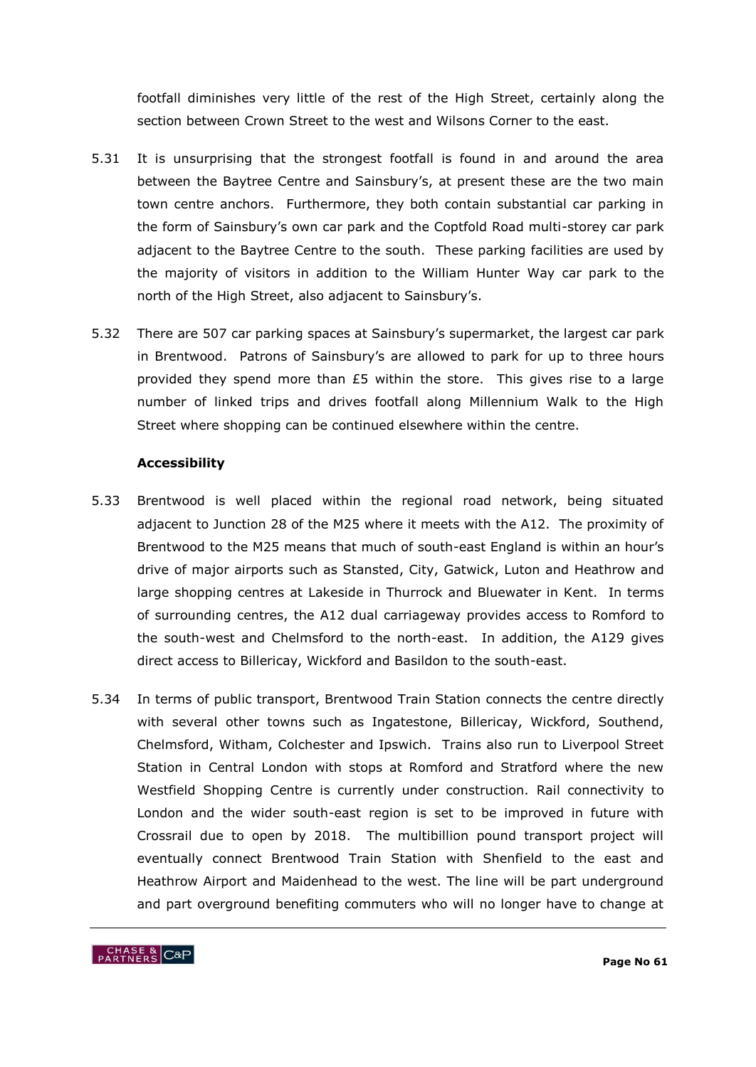footfall diminishes very little of the rest of the High Street, certainly along the section between Crown Street to the west and Wilsons Corner to the east.

- 5.31 It is unsurprising that the strongest footfall is found in and around the area between the Baytree Centre and Sainsbury's, at present these are the two main town centre anchors. Furthermore, they both contain substantial car parking in the form of Sainsbury"s own car park and the Coptfold Road multi-storey car park adjacent to the Baytree Centre to the south. These parking facilities are used by the majority of visitors in addition to the William Hunter Way car park to the north of the High Street, also adjacent to Sainsbury"s.
- 5.32 There are 507 car parking spaces at Sainsbury"s supermarket, the largest car park in Brentwood. Patrons of Sainsbury's are allowed to park for up to three hours provided they spend more than £5 within the store. This gives rise to a large number of linked trips and drives footfall along Millennium Walk to the High Street where shopping can be continued elsewhere within the centre.

## **Accessibility**

- 5.33 Brentwood is well placed within the regional road network, being situated adjacent to Junction 28 of the M25 where it meets with the A12. The proximity of Brentwood to the M25 means that much of south-east England is within an hour"s drive of major airports such as Stansted, City, Gatwick, Luton and Heathrow and large shopping centres at Lakeside in Thurrock and Bluewater in Kent. In terms of surrounding centres, the A12 dual carriageway provides access to Romford to the south-west and Chelmsford to the north-east. In addition, the A129 gives direct access to Billericay, Wickford and Basildon to the south-east.
- 5.34 In terms of public transport, Brentwood Train Station connects the centre directly with several other towns such as Ingatestone, Billericay, Wickford, Southend, Chelmsford, Witham, Colchester and Ipswich. Trains also run to Liverpool Street Station in Central London with stops at Romford and Stratford where the new Westfield Shopping Centre is currently under construction. Rail connectivity to London and the wider south-east region is set to be improved in future with Crossrail due to open by 2018. The multibillion pound transport project will eventually connect Brentwood Train Station with Shenfield to the east and Heathrow Airport and Maidenhead to the west. The line will be part underground and part overground benefiting commuters who will no longer have to change at

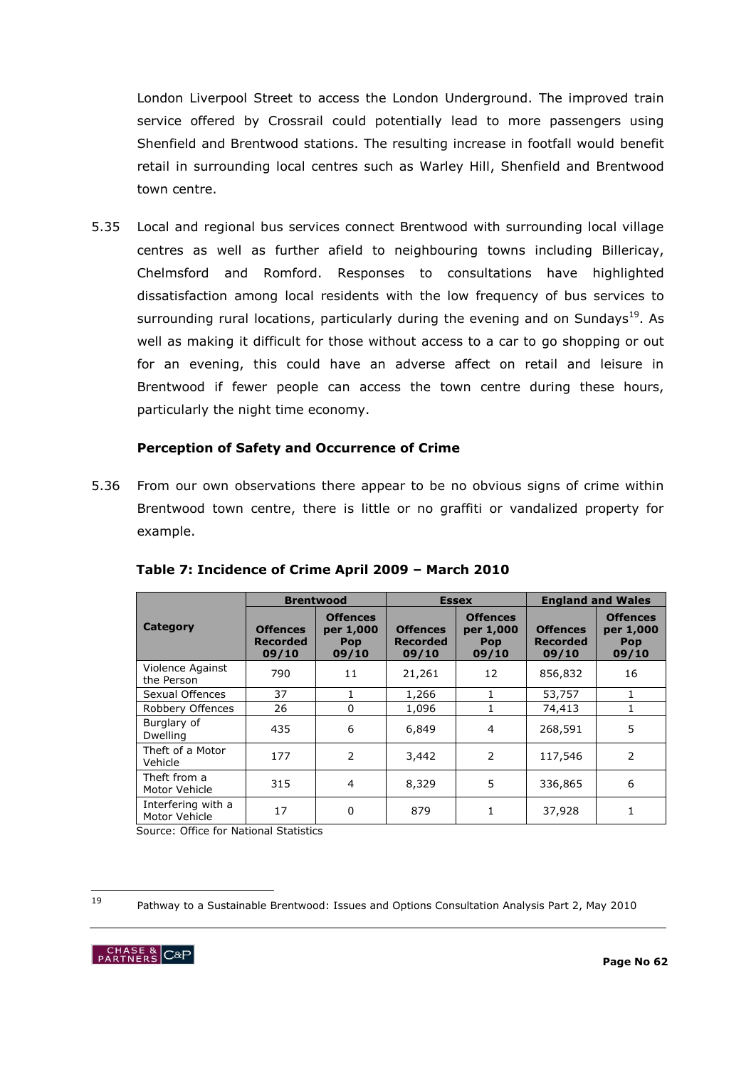London Liverpool Street to access the London Underground. The improved train service offered by Crossrail could potentially lead to more passengers using Shenfield and Brentwood stations. The resulting increase in footfall would benefit retail in surrounding local centres such as Warley Hill, Shenfield and Brentwood town centre.

5.35 Local and regional bus services connect Brentwood with surrounding local village centres as well as further afield to neighbouring towns including Billericay, Chelmsford and Romford. Responses to consultations have highlighted dissatisfaction among local residents with the low frequency of bus services to surrounding rural locations, particularly during the evening and on Sundays<sup>19</sup>. As well as making it difficult for those without access to a car to go shopping or out for an evening, this could have an adverse affect on retail and leisure in Brentwood if fewer people can access the town centre during these hours, particularly the night time economy.

#### **Perception of Safety and Occurrence of Crime**

5.36 From our own observations there appear to be no obvious signs of crime within Brentwood town centre, there is little or no graffiti or vandalized property for example.

|                                     |                                      | <b>Brentwood</b>                                    |                                             | <b>Essex</b>                                        | <b>England and Wales</b>                    |                                                     |  |
|-------------------------------------|--------------------------------------|-----------------------------------------------------|---------------------------------------------|-----------------------------------------------------|---------------------------------------------|-----------------------------------------------------|--|
| Category                            | <b>Offences</b><br>Recorded<br>09/10 | <b>Offences</b><br>per 1,000<br><b>Pop</b><br>09/10 | <b>Offences</b><br><b>Recorded</b><br>09/10 | <b>Offences</b><br>per 1,000<br><b>Pop</b><br>09/10 | <b>Offences</b><br><b>Recorded</b><br>09/10 | <b>Offences</b><br>per 1,000<br><b>Pop</b><br>09/10 |  |
| Violence Against<br>the Person      | 790                                  | 11                                                  | 21,261                                      | 12                                                  | 856,832                                     | 16                                                  |  |
| Sexual Offences                     | 37                                   | 1                                                   | 1,266                                       |                                                     | 53,757                                      | 1                                                   |  |
| Robbery Offences                    | 26                                   | $\Omega$                                            | 1,096                                       |                                                     | 74,413                                      | 1                                                   |  |
| Burglary of<br><b>Dwelling</b>      | 435                                  | 6                                                   | 6,849                                       | 4                                                   | 268,591                                     | 5                                                   |  |
| Theft of a Motor<br>Vehicle         | 177                                  | $\overline{2}$                                      | 3,442                                       | 2                                                   | 117,546                                     | 2                                                   |  |
| Theft from a<br>Motor Vehicle       | 315                                  | $\overline{4}$                                      | 8,329                                       | 5                                                   | 336,865                                     | 6                                                   |  |
| Interfering with a<br>Motor Vehicle | 17                                   | 0                                                   | 879                                         |                                                     | 37,928                                      | 1                                                   |  |

# **Table 7: Incidence of Crime April 2009 – March 2010**

Source: Office for National Statistics

 $19$ 

<sup>19</sup> Pathway to a Sustainable Brentwood: Issues and Options Consultation Analysis Part 2, May 2010

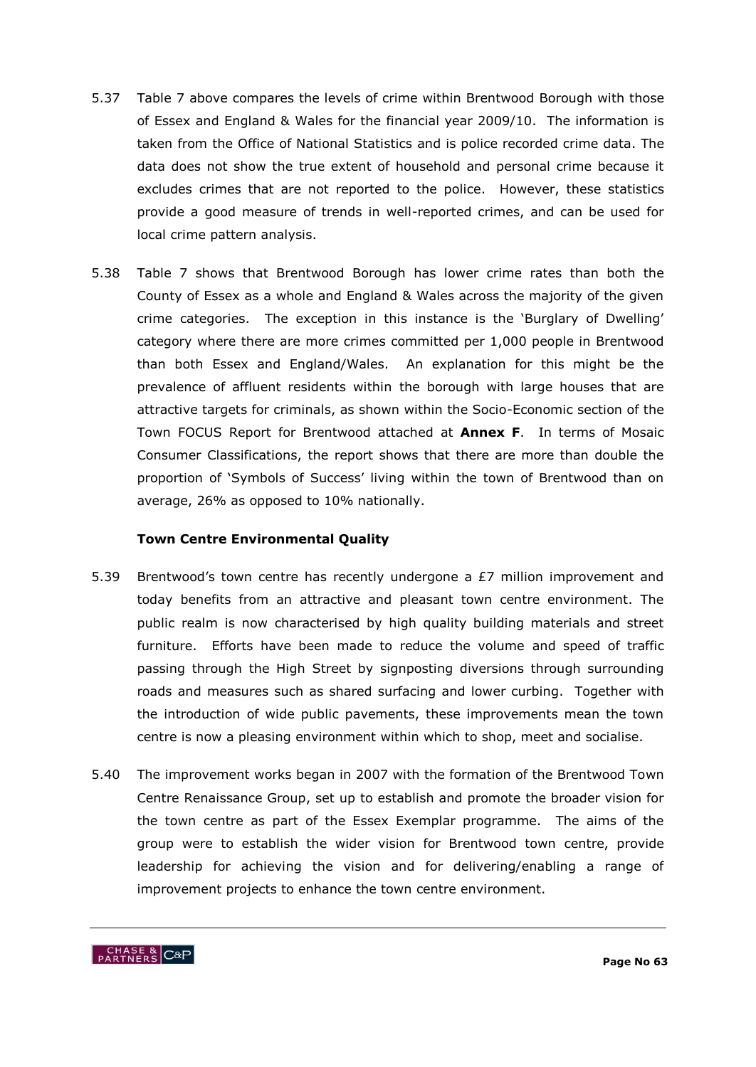- 5.37 Table 7 above compares the levels of crime within Brentwood Borough with those of Essex and England & Wales for the financial year 2009/10. The information is taken from the Office of National Statistics and is police recorded crime data. The data does not show the true extent of household and personal crime because it excludes crimes that are not reported to the police. However, these statistics provide a good measure of trends in well-reported crimes, and can be used for local crime pattern analysis.
- 5.38 Table 7 shows that Brentwood Borough has lower crime rates than both the County of Essex as a whole and England & Wales across the majority of the given crime categories. The exception in this instance is the "Burglary of Dwelling" category where there are more crimes committed per 1,000 people in Brentwood than both Essex and England/Wales. An explanation for this might be the prevalence of affluent residents within the borough with large houses that are attractive targets for criminals, as shown within the Socio-Economic section of the Town FOCUS Report for Brentwood attached at **Annex F**. In terms of Mosaic Consumer Classifications, the report shows that there are more than double the proportion of 'Symbols of Success' living within the town of Brentwood than on average, 26% as opposed to 10% nationally.

### **Town Centre Environmental Quality**

- 5.39 Brentwood's town centre has recently undergone a  $E7$  million improvement and today benefits from an attractive and pleasant town centre environment. The public realm is now characterised by high quality building materials and street furniture. Efforts have been made to reduce the volume and speed of traffic passing through the High Street by signposting diversions through surrounding roads and measures such as shared surfacing and lower curbing. Together with the introduction of wide public pavements, these improvements mean the town centre is now a pleasing environment within which to shop, meet and socialise.
- 5.40 The improvement works began in 2007 with the formation of the Brentwood Town Centre Renaissance Group, set up to establish and promote the broader vision for the town centre as part of the Essex Exemplar programme. The aims of the group were to establish the wider vision for Brentwood town centre, provide leadership for achieving the vision and for delivering/enabling a range of improvement projects to enhance the town centre environment.

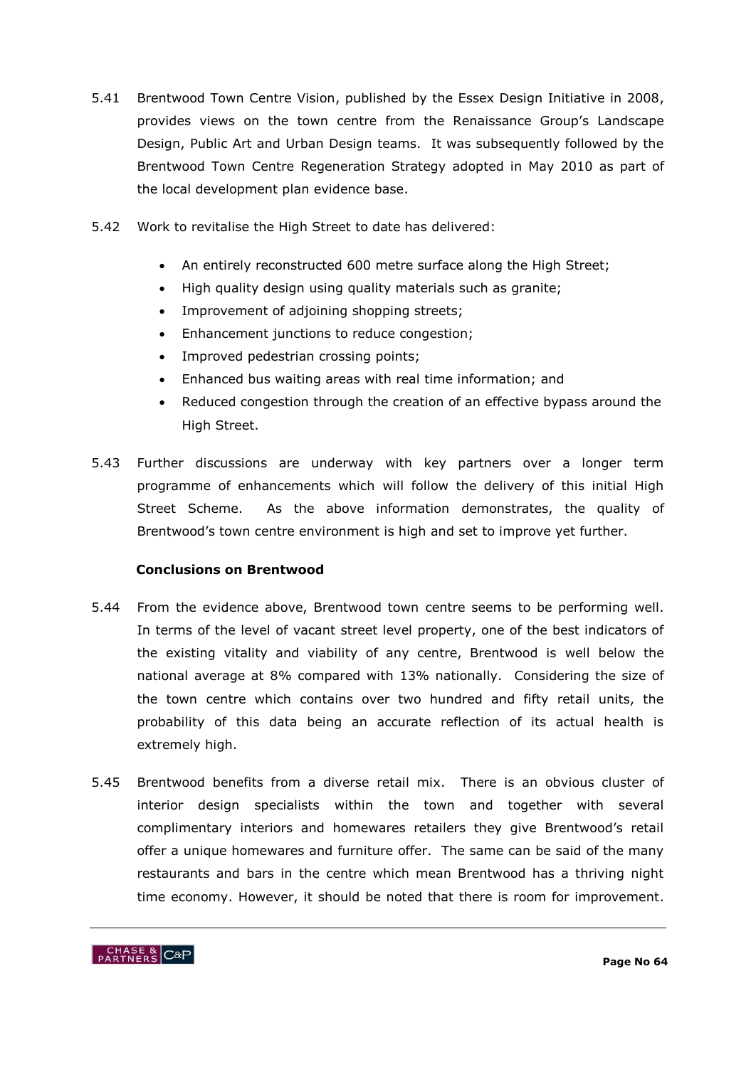- 5.41 Brentwood Town Centre Vision, published by the Essex Design Initiative in 2008, provides views on the town centre from the Renaissance Group"s Landscape Design, Public Art and Urban Design teams. It was subsequently followed by the Brentwood Town Centre Regeneration Strategy adopted in May 2010 as part of the local development plan evidence base.
- 5.42 Work to revitalise the High Street to date has delivered:
	- An entirely reconstructed 600 metre surface along the High Street;
	- High quality design using quality materials such as granite;
	- Improvement of adjoining shopping streets;
	- Enhancement junctions to reduce congestion;
	- Improved pedestrian crossing points;
	- Enhanced bus waiting areas with real time information; and
	- Reduced congestion through the creation of an effective bypass around the High Street.
- 5.43 Further discussions are underway with key partners over a longer term programme of enhancements which will follow the delivery of this initial High Street Scheme. As the above information demonstrates, the quality of Brentwood's town centre environment is high and set to improve yet further.

# **Conclusions on Brentwood**

- 5.44 From the evidence above, Brentwood town centre seems to be performing well. In terms of the level of vacant street level property, one of the best indicators of the existing vitality and viability of any centre, Brentwood is well below the national average at 8% compared with 13% nationally. Considering the size of the town centre which contains over two hundred and fifty retail units, the probability of this data being an accurate reflection of its actual health is extremely high.
- 5.45 Brentwood benefits from a diverse retail mix. There is an obvious cluster of interior design specialists within the town and together with several complimentary interiors and homewares retailers they give Brentwood"s retail offer a unique homewares and furniture offer. The same can be said of the many restaurants and bars in the centre which mean Brentwood has a thriving night time economy. However, it should be noted that there is room for improvement.

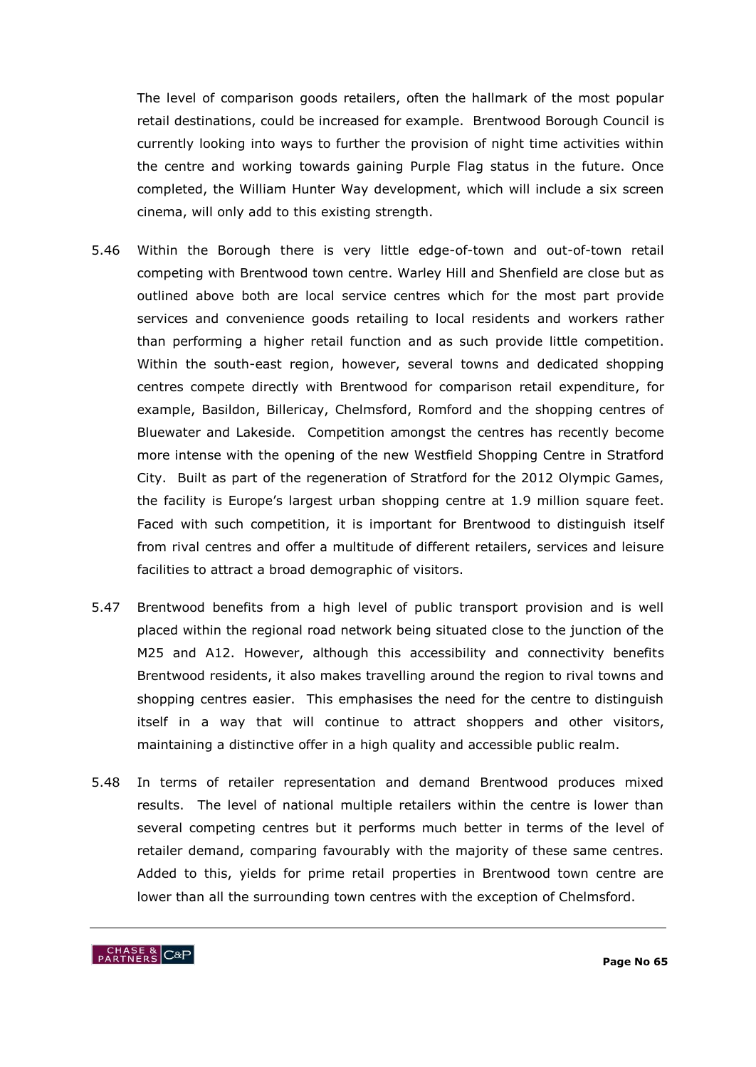The level of comparison goods retailers, often the hallmark of the most popular retail destinations, could be increased for example. Brentwood Borough Council is currently looking into ways to further the provision of night time activities within the centre and working towards gaining Purple Flag status in the future. Once completed, the William Hunter Way development, which will include a six screen cinema, will only add to this existing strength.

- 5.46 Within the Borough there is very little edge-of-town and out-of-town retail competing with Brentwood town centre. Warley Hill and Shenfield are close but as outlined above both are local service centres which for the most part provide services and convenience goods retailing to local residents and workers rather than performing a higher retail function and as such provide little competition. Within the south-east region, however, several towns and dedicated shopping centres compete directly with Brentwood for comparison retail expenditure, for example, Basildon, Billericay, Chelmsford, Romford and the shopping centres of Bluewater and Lakeside. Competition amongst the centres has recently become more intense with the opening of the new Westfield Shopping Centre in Stratford City. Built as part of the regeneration of Stratford for the 2012 Olympic Games, the facility is Europe's largest urban shopping centre at 1.9 million square feet. Faced with such competition, it is important for Brentwood to distinguish itself from rival centres and offer a multitude of different retailers, services and leisure facilities to attract a broad demographic of visitors.
- 5.47 Brentwood benefits from a high level of public transport provision and is well placed within the regional road network being situated close to the junction of the M25 and A12. However, although this accessibility and connectivity benefits Brentwood residents, it also makes travelling around the region to rival towns and shopping centres easier. This emphasises the need for the centre to distinguish itself in a way that will continue to attract shoppers and other visitors, maintaining a distinctive offer in a high quality and accessible public realm.
- 5.48 In terms of retailer representation and demand Brentwood produces mixed results. The level of national multiple retailers within the centre is lower than several competing centres but it performs much better in terms of the level of retailer demand, comparing favourably with the majority of these same centres. Added to this, yields for prime retail properties in Brentwood town centre are lower than all the surrounding town centres with the exception of Chelmsford.

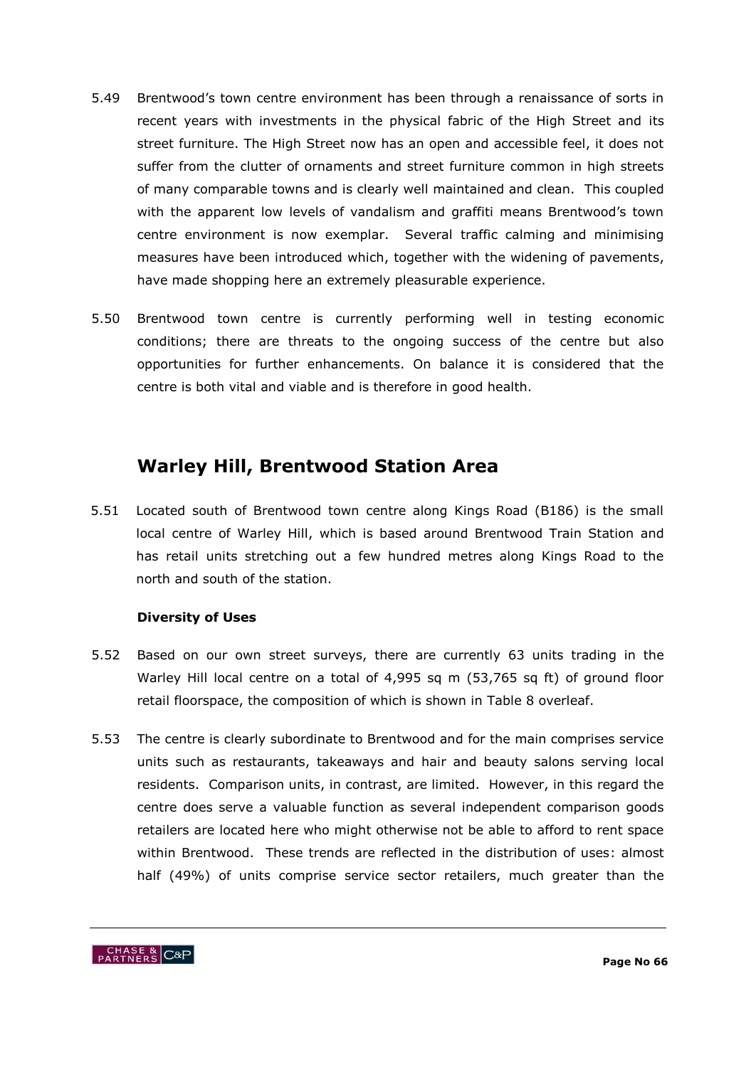- 5.49 Brentwood"s town centre environment has been through a renaissance of sorts in recent years with investments in the physical fabric of the High Street and its street furniture. The High Street now has an open and accessible feel, it does not suffer from the clutter of ornaments and street furniture common in high streets of many comparable towns and is clearly well maintained and clean. This coupled with the apparent low levels of vandalism and graffiti means Brentwood's town centre environment is now exemplar. Several traffic calming and minimising measures have been introduced which, together with the widening of pavements, have made shopping here an extremely pleasurable experience.
- 5.50 Brentwood town centre is currently performing well in testing economic conditions; there are threats to the ongoing success of the centre but also opportunities for further enhancements. On balance it is considered that the centre is both vital and viable and is therefore in good health.

# **Warley Hill, Brentwood Station Area**

5.51 Located south of Brentwood town centre along Kings Road (B186) is the small local centre of Warley Hill, which is based around Brentwood Train Station and has retail units stretching out a few hundred metres along Kings Road to the north and south of the station.

# **Diversity of Uses**

- 5.52 Based on our own street surveys, there are currently 63 units trading in the Warley Hill local centre on a total of 4,995 sq m (53,765 sq ft) of ground floor retail floorspace, the composition of which is shown in Table 8 overleaf.
- 5.53 The centre is clearly subordinate to Brentwood and for the main comprises service units such as restaurants, takeaways and hair and beauty salons serving local residents. Comparison units, in contrast, are limited. However, in this regard the centre does serve a valuable function as several independent comparison goods retailers are located here who might otherwise not be able to afford to rent space within Brentwood. These trends are reflected in the distribution of uses: almost half (49%) of units comprise service sector retailers, much greater than the

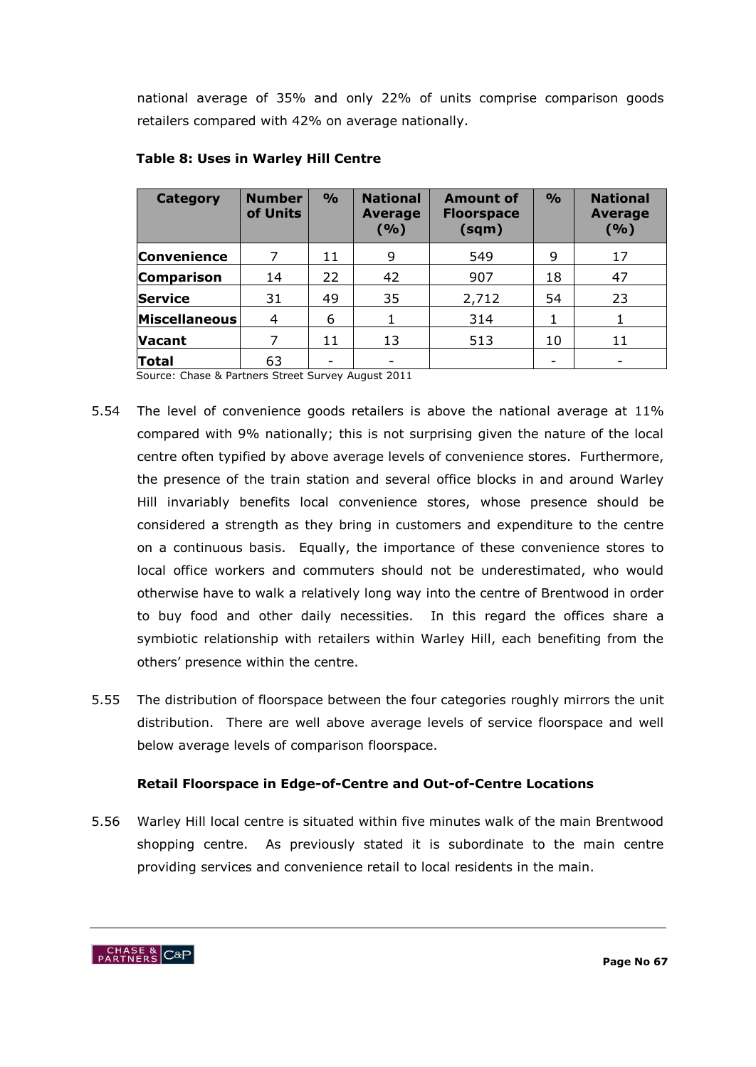national average of 35% and only 22% of units comprise comparison goods retailers compared with 42% on average nationally.

| <b>Category</b>      | <b>Number</b><br>of Units | $\frac{9}{0}$ | <b>National</b><br><b>Average</b><br>( %) | <b>Amount of</b><br><b>Floorspace</b><br>(sqm) | $\frac{6}{6}$ | <b>National</b><br><b>Average</b><br>( %) |
|----------------------|---------------------------|---------------|-------------------------------------------|------------------------------------------------|---------------|-------------------------------------------|
| <b>Convenience</b>   |                           | 11            | 9                                         | 549                                            | 9             | 17                                        |
| <b>Comparison</b>    | 14                        | 22            | 42                                        | 907                                            | 18            | 47                                        |
| <b>Service</b>       | 31                        | 49            | 35                                        | 2,712                                          | 54            | 23                                        |
| <b>Miscellaneous</b> | 4                         | 6             | 1                                         | 314                                            |               |                                           |
| <b>Vacant</b>        |                           | 11            | 13                                        | 513                                            | 10            | 11                                        |
| Total                | 63                        | -             |                                           |                                                |               |                                           |

# **Table 8: Uses in Warley Hill Centre**

Source: Chase & Partners Street Survey August 2011

- 5.54 The level of convenience goods retailers is above the national average at 11% compared with 9% nationally; this is not surprising given the nature of the local centre often typified by above average levels of convenience stores. Furthermore, the presence of the train station and several office blocks in and around Warley Hill invariably benefits local convenience stores, whose presence should be considered a strength as they bring in customers and expenditure to the centre on a continuous basis. Equally, the importance of these convenience stores to local office workers and commuters should not be underestimated, who would otherwise have to walk a relatively long way into the centre of Brentwood in order to buy food and other daily necessities. In this regard the offices share a symbiotic relationship with retailers within Warley Hill, each benefiting from the others" presence within the centre.
- 5.55 The distribution of floorspace between the four categories roughly mirrors the unit distribution. There are well above average levels of service floorspace and well below average levels of comparison floorspace.

# **Retail Floorspace in Edge-of-Centre and Out-of-Centre Locations**

5.56 Warley Hill local centre is situated within five minutes walk of the main Brentwood shopping centre. As previously stated it is subordinate to the main centre providing services and convenience retail to local residents in the main.

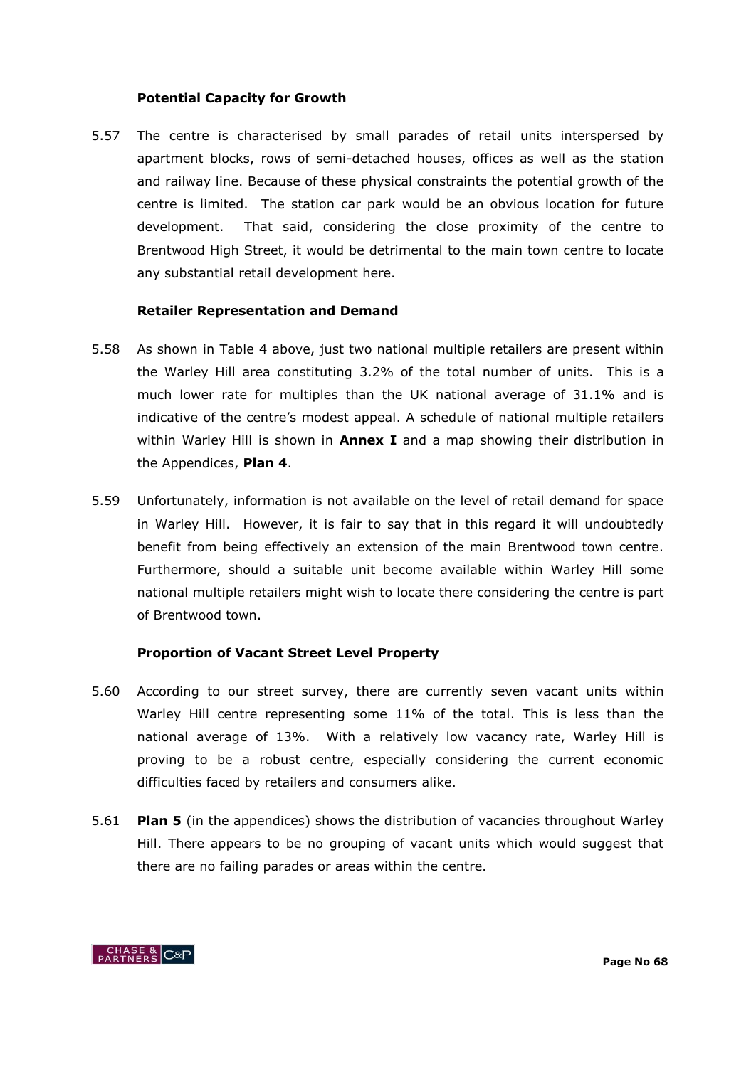### **Potential Capacity for Growth**

5.57 The centre is characterised by small parades of retail units interspersed by apartment blocks, rows of semi-detached houses, offices as well as the station and railway line. Because of these physical constraints the potential growth of the centre is limited. The station car park would be an obvious location for future development. That said, considering the close proximity of the centre to Brentwood High Street, it would be detrimental to the main town centre to locate any substantial retail development here.

#### **Retailer Representation and Demand**

- 5.58 As shown in Table 4 above, just two national multiple retailers are present within the Warley Hill area constituting 3.2% of the total number of units. This is a much lower rate for multiples than the UK national average of 31.1% and is indicative of the centre's modest appeal. A schedule of national multiple retailers within Warley Hill is shown in **Annex I** and a map showing their distribution in the Appendices, **Plan 4**.
- 5.59 Unfortunately, information is not available on the level of retail demand for space in Warley Hill. However, it is fair to say that in this regard it will undoubtedly benefit from being effectively an extension of the main Brentwood town centre. Furthermore, should a suitable unit become available within Warley Hill some national multiple retailers might wish to locate there considering the centre is part of Brentwood town.

# **Proportion of Vacant Street Level Property**

- 5.60 According to our street survey, there are currently seven vacant units within Warley Hill centre representing some 11% of the total. This is less than the national average of 13%. With a relatively low vacancy rate, Warley Hill is proving to be a robust centre, especially considering the current economic difficulties faced by retailers and consumers alike.
- 5.61 **Plan 5** (in the appendices) shows the distribution of vacancies throughout Warley Hill. There appears to be no grouping of vacant units which would suggest that there are no failing parades or areas within the centre.

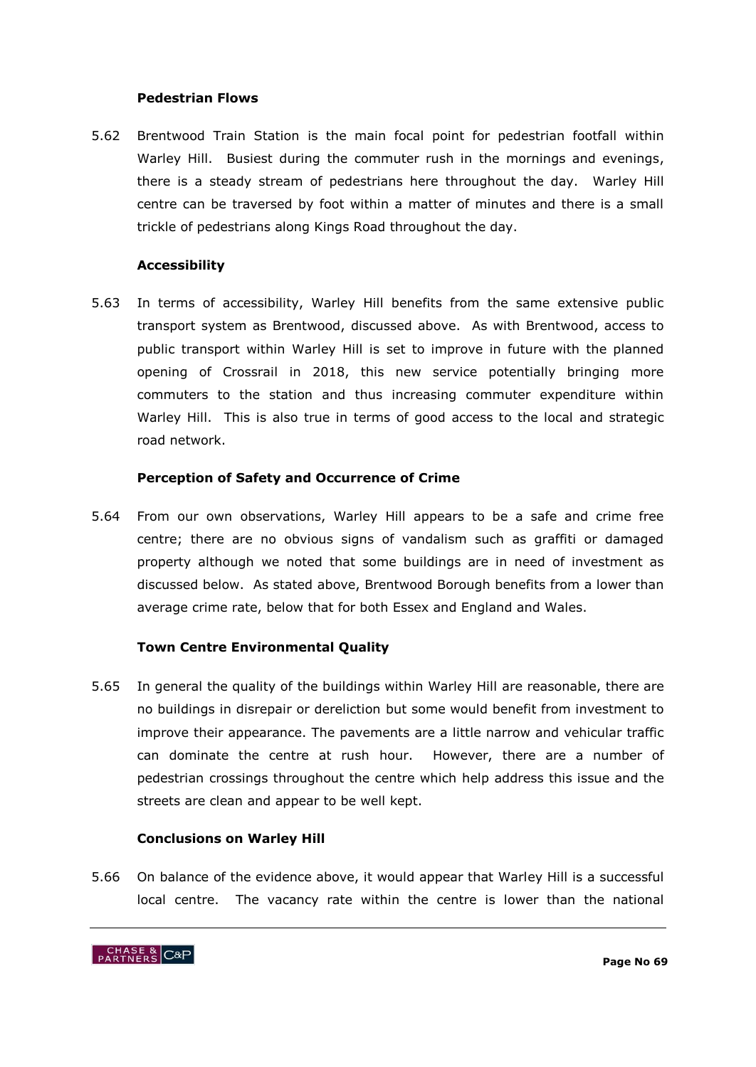#### **Pedestrian Flows**

5.62 Brentwood Train Station is the main focal point for pedestrian footfall within Warley Hill. Busiest during the commuter rush in the mornings and evenings, there is a steady stream of pedestrians here throughout the day. Warley Hill centre can be traversed by foot within a matter of minutes and there is a small trickle of pedestrians along Kings Road throughout the day.

#### **Accessibility**

5.63 In terms of accessibility, Warley Hill benefits from the same extensive public transport system as Brentwood, discussed above. As with Brentwood, access to public transport within Warley Hill is set to improve in future with the planned opening of Crossrail in 2018, this new service potentially bringing more commuters to the station and thus increasing commuter expenditure within Warley Hill. This is also true in terms of good access to the local and strategic road network.

#### **Perception of Safety and Occurrence of Crime**

5.64 From our own observations, Warley Hill appears to be a safe and crime free centre; there are no obvious signs of vandalism such as graffiti or damaged property although we noted that some buildings are in need of investment as discussed below. As stated above, Brentwood Borough benefits from a lower than average crime rate, below that for both Essex and England and Wales.

#### **Town Centre Environmental Quality**

5.65 In general the quality of the buildings within Warley Hill are reasonable, there are no buildings in disrepair or dereliction but some would benefit from investment to improve their appearance. The pavements are a little narrow and vehicular traffic can dominate the centre at rush hour. However, there are a number of pedestrian crossings throughout the centre which help address this issue and the streets are clean and appear to be well kept.

#### **Conclusions on Warley Hill**

5.66 On balance of the evidence above, it would appear that Warley Hill is a successful local centre. The vacancy rate within the centre is lower than the national

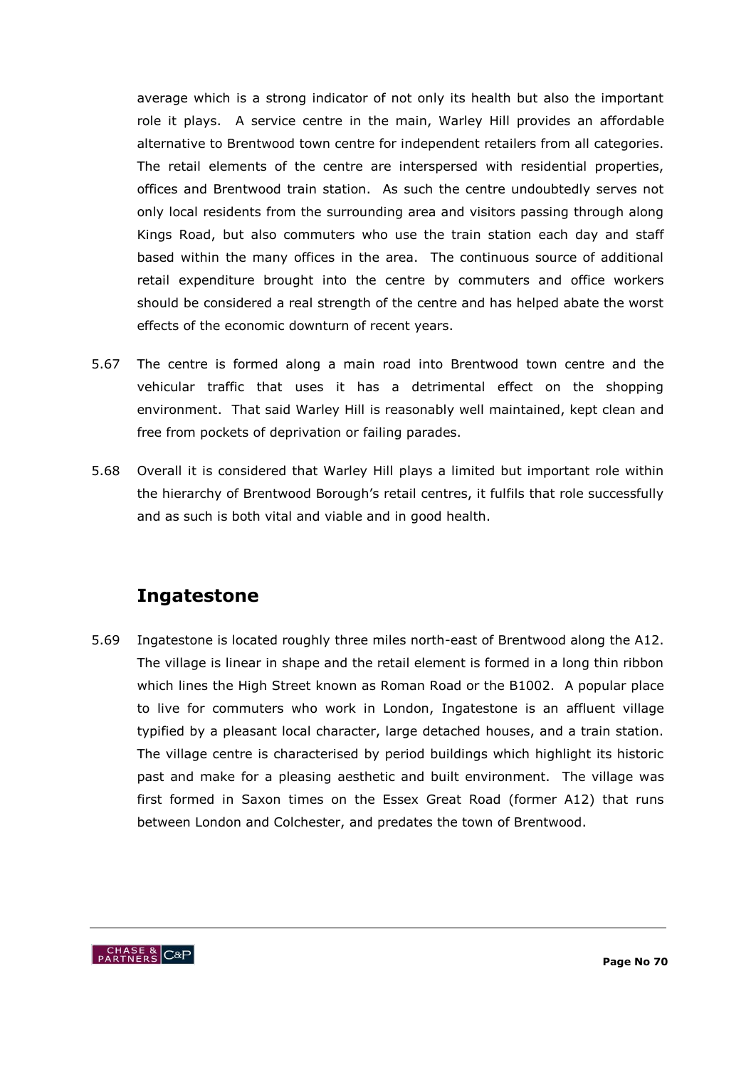average which is a strong indicator of not only its health but also the important role it plays. A service centre in the main, Warley Hill provides an affordable alternative to Brentwood town centre for independent retailers from all categories. The retail elements of the centre are interspersed with residential properties, offices and Brentwood train station. As such the centre undoubtedly serves not only local residents from the surrounding area and visitors passing through along Kings Road, but also commuters who use the train station each day and staff based within the many offices in the area. The continuous source of additional retail expenditure brought into the centre by commuters and office workers should be considered a real strength of the centre and has helped abate the worst effects of the economic downturn of recent years.

- 5.67 The centre is formed along a main road into Brentwood town centre and the vehicular traffic that uses it has a detrimental effect on the shopping environment. That said Warley Hill is reasonably well maintained, kept clean and free from pockets of deprivation or failing parades.
- 5.68 Overall it is considered that Warley Hill plays a limited but important role within the hierarchy of Brentwood Borough"s retail centres, it fulfils that role successfully and as such is both vital and viable and in good health.

# **Ingatestone**

5.69 Ingatestone is located roughly three miles north-east of Brentwood along the A12. The village is linear in shape and the retail element is formed in a long thin ribbon which lines the High Street known as Roman Road or the B1002. A popular place to live for commuters who work in London, Ingatestone is an affluent village typified by a pleasant local character, large detached houses, and a train station. The village centre is characterised by period buildings which highlight its historic past and make for a pleasing aesthetic and built environment. The village was first formed in Saxon times on the Essex Great Road (former A12) that runs between London and Colchester, and predates the town of Brentwood.

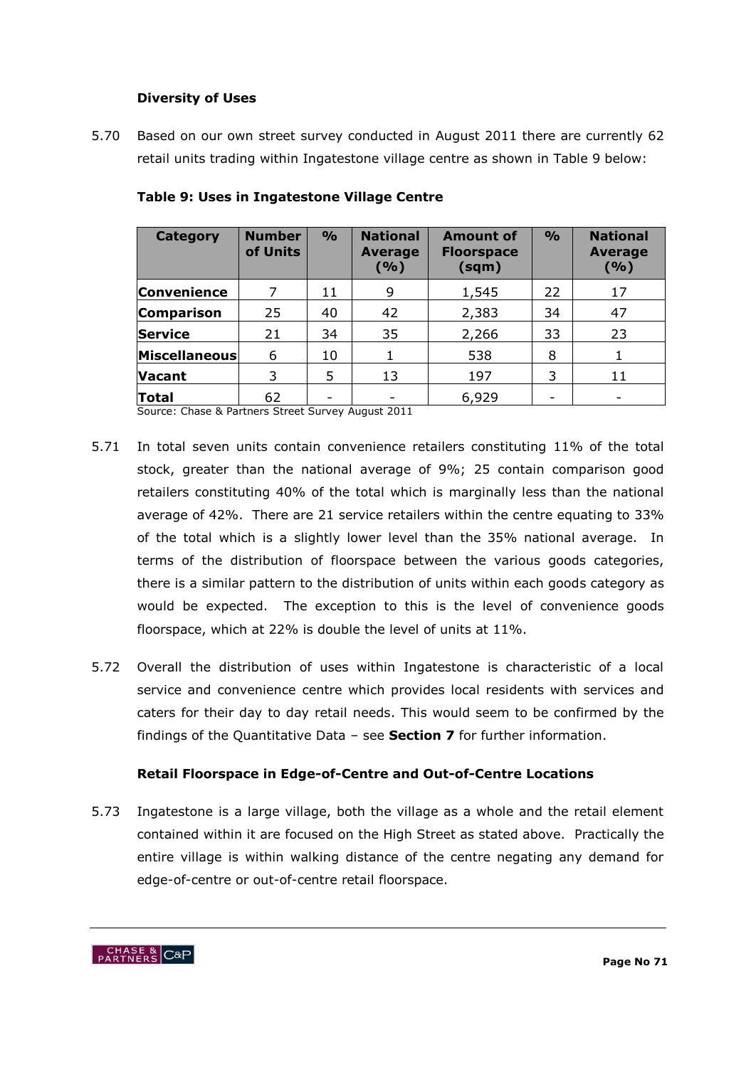## **Diversity of Uses**

5.70 Based on our own street survey conducted in August 2011 there are currently 62 retail units trading within Ingatestone village centre as shown in Table 9 below:

| <b>Category</b>   | <b>Number</b><br>of Units | $\frac{9}{0}$ | <b>National</b><br><b>Average</b><br>( %) | <b>Amount of</b><br><b>Floorspace</b><br>(sqm) | $\frac{0}{0}$ | <b>National</b><br><b>Average</b><br>( %) |
|-------------------|---------------------------|---------------|-------------------------------------------|------------------------------------------------|---------------|-------------------------------------------|
| Convenience       |                           | 11            | 9                                         | 1,545                                          | 22            | 17                                        |
| <b>Comparison</b> | 25                        | 40            | 42                                        | 2,383                                          | 34            | 47                                        |
| Service           | 21                        | 34            | 35                                        | 2,266                                          | 33            | 23                                        |
| Miscellaneous     | 6                         | 10            |                                           | 538                                            | 8             |                                           |
| <b>Vacant</b>     | 3                         | 5             | 13                                        | 197                                            | 3             | 11                                        |
| <b>Total</b>      | 62                        |               |                                           | 6,929                                          | -             |                                           |

### **Table 9: Uses in Ingatestone Village Centre**

Source: Chase & Partners Street Survey August 2011

- 5.71 In total seven units contain convenience retailers constituting 11% of the total stock, greater than the national average of 9%; 25 contain comparison good retailers constituting 40% of the total which is marginally less than the national average of 42%. There are 21 service retailers within the centre equating to 33% of the total which is a slightly lower level than the 35% national average. In terms of the distribution of floorspace between the various goods categories, there is a similar pattern to the distribution of units within each goods category as would be expected. The exception to this is the level of convenience goods floorspace, which at 22% is double the level of units at 11%.
- 5.72 Overall the distribution of uses within Ingatestone is characteristic of a local service and convenience centre which provides local residents with services and caters for their day to day retail needs. This would seem to be confirmed by the findings of the Quantitative Data – see **Section 7** for further information.

# **Retail Floorspace in Edge-of-Centre and Out-of-Centre Locations**

5.73 Ingatestone is a large village, both the village as a whole and the retail element contained within it are focused on the High Street as stated above. Practically the entire village is within walking distance of the centre negating any demand for edge-of-centre or out-of-centre retail floorspace.

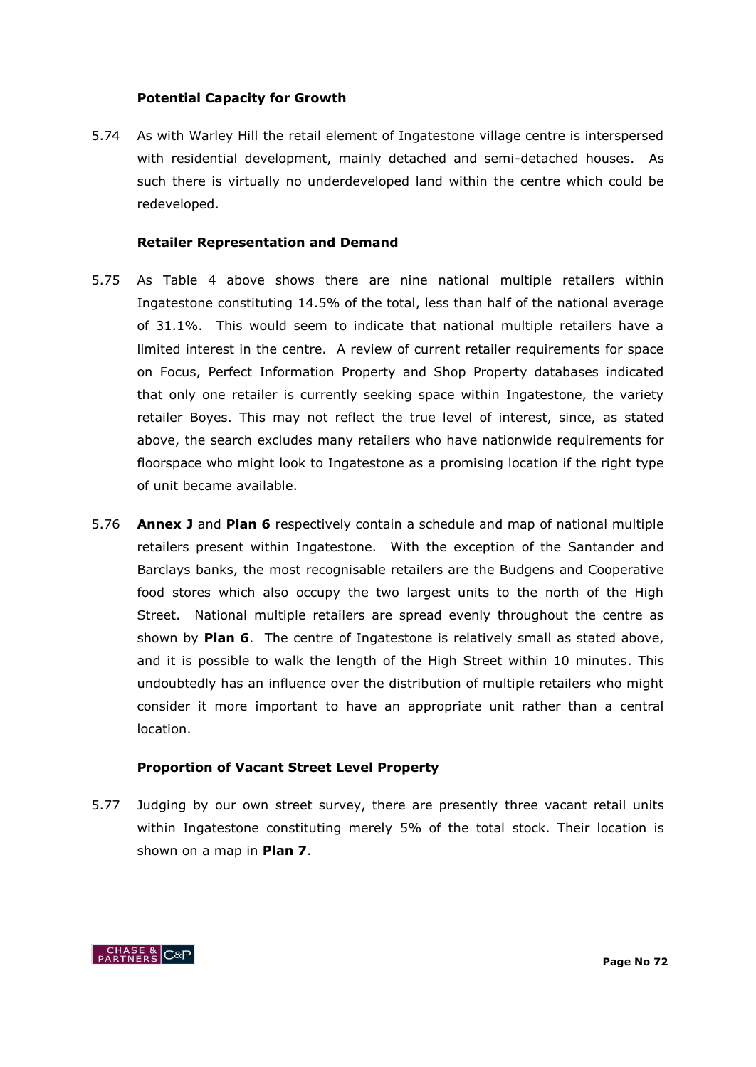#### **Potential Capacity for Growth**

5.74 As with Warley Hill the retail element of Ingatestone village centre is interspersed with residential development, mainly detached and semi-detached houses. As such there is virtually no underdeveloped land within the centre which could be redeveloped.

#### **Retailer Representation and Demand**

- 5.75 As Table 4 above shows there are nine national multiple retailers within Ingatestone constituting 14.5% of the total, less than half of the national average of 31.1%. This would seem to indicate that national multiple retailers have a limited interest in the centre. A review of current retailer requirements for space on Focus, Perfect Information Property and Shop Property databases indicated that only one retailer is currently seeking space within Ingatestone, the variety retailer Boyes. This may not reflect the true level of interest, since, as stated above, the search excludes many retailers who have nationwide requirements for floorspace who might look to Ingatestone as a promising location if the right type of unit became available.
- 5.76 **Annex J** and **Plan 6** respectively contain a schedule and map of national multiple retailers present within Ingatestone. With the exception of the Santander and Barclays banks, the most recognisable retailers are the Budgens and Cooperative food stores which also occupy the two largest units to the north of the High Street. National multiple retailers are spread evenly throughout the centre as shown by **Plan 6**. The centre of Ingatestone is relatively small as stated above, and it is possible to walk the length of the High Street within 10 minutes. This undoubtedly has an influence over the distribution of multiple retailers who might consider it more important to have an appropriate unit rather than a central location.

# **Proportion of Vacant Street Level Property**

5.77 Judging by our own street survey, there are presently three vacant retail units within Ingatestone constituting merely 5% of the total stock. Their location is shown on a map in **Plan 7**.

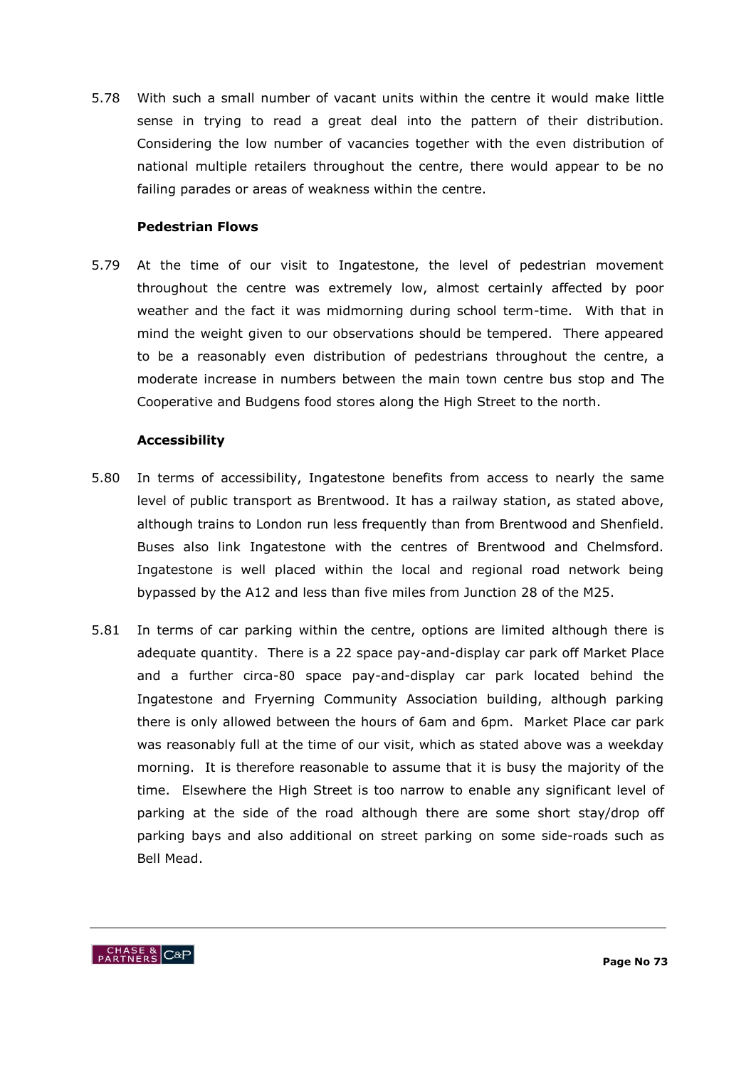5.78 With such a small number of vacant units within the centre it would make little sense in trying to read a great deal into the pattern of their distribution. Considering the low number of vacancies together with the even distribution of national multiple retailers throughout the centre, there would appear to be no failing parades or areas of weakness within the centre.

#### **Pedestrian Flows**

5.79 At the time of our visit to Ingatestone, the level of pedestrian movement throughout the centre was extremely low, almost certainly affected by poor weather and the fact it was midmorning during school term-time. With that in mind the weight given to our observations should be tempered. There appeared to be a reasonably even distribution of pedestrians throughout the centre, a moderate increase in numbers between the main town centre bus stop and The Cooperative and Budgens food stores along the High Street to the north.

#### **Accessibility**

- 5.80 In terms of accessibility, Ingatestone benefits from access to nearly the same level of public transport as Brentwood. It has a railway station, as stated above, although trains to London run less frequently than from Brentwood and Shenfield. Buses also link Ingatestone with the centres of Brentwood and Chelmsford. Ingatestone is well placed within the local and regional road network being bypassed by the A12 and less than five miles from Junction 28 of the M25.
- 5.81 In terms of car parking within the centre, options are limited although there is adequate quantity. There is a 22 space pay-and-display car park off Market Place and a further circa-80 space pay-and-display car park located behind the Ingatestone and Fryerning Community Association building, although parking there is only allowed between the hours of 6am and 6pm. Market Place car park was reasonably full at the time of our visit, which as stated above was a weekday morning. It is therefore reasonable to assume that it is busy the majority of the time. Elsewhere the High Street is too narrow to enable any significant level of parking at the side of the road although there are some short stay/drop off parking bays and also additional on street parking on some side-roads such as Bell Mead.

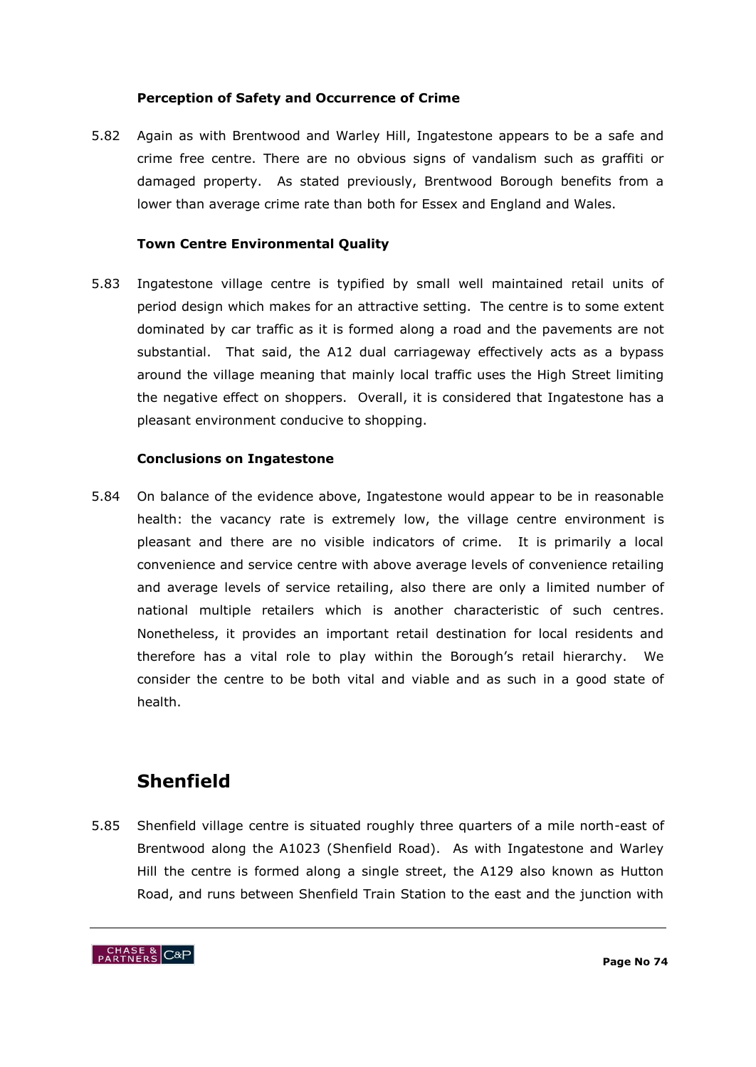#### **Perception of Safety and Occurrence of Crime**

5.82 Again as with Brentwood and Warley Hill, Ingatestone appears to be a safe and crime free centre. There are no obvious signs of vandalism such as graffiti or damaged property. As stated previously, Brentwood Borough benefits from a lower than average crime rate than both for Essex and England and Wales.

# **Town Centre Environmental Quality**

5.83 Ingatestone village centre is typified by small well maintained retail units of period design which makes for an attractive setting. The centre is to some extent dominated by car traffic as it is formed along a road and the pavements are not substantial. That said, the A12 dual carriageway effectively acts as a bypass around the village meaning that mainly local traffic uses the High Street limiting the negative effect on shoppers. Overall, it is considered that Ingatestone has a pleasant environment conducive to shopping.

#### **Conclusions on Ingatestone**

5.84 On balance of the evidence above, Ingatestone would appear to be in reasonable health: the vacancy rate is extremely low, the village centre environment is pleasant and there are no visible indicators of crime. It is primarily a local convenience and service centre with above average levels of convenience retailing and average levels of service retailing, also there are only a limited number of national multiple retailers which is another characteristic of such centres. Nonetheless, it provides an important retail destination for local residents and therefore has a vital role to play within the Borough"s retail hierarchy. We consider the centre to be both vital and viable and as such in a good state of health.

# **Shenfield**

5.85 Shenfield village centre is situated roughly three quarters of a mile north-east of Brentwood along the A1023 (Shenfield Road). As with Ingatestone and Warley Hill the centre is formed along a single street, the A129 also known as Hutton Road, and runs between Shenfield Train Station to the east and the junction with

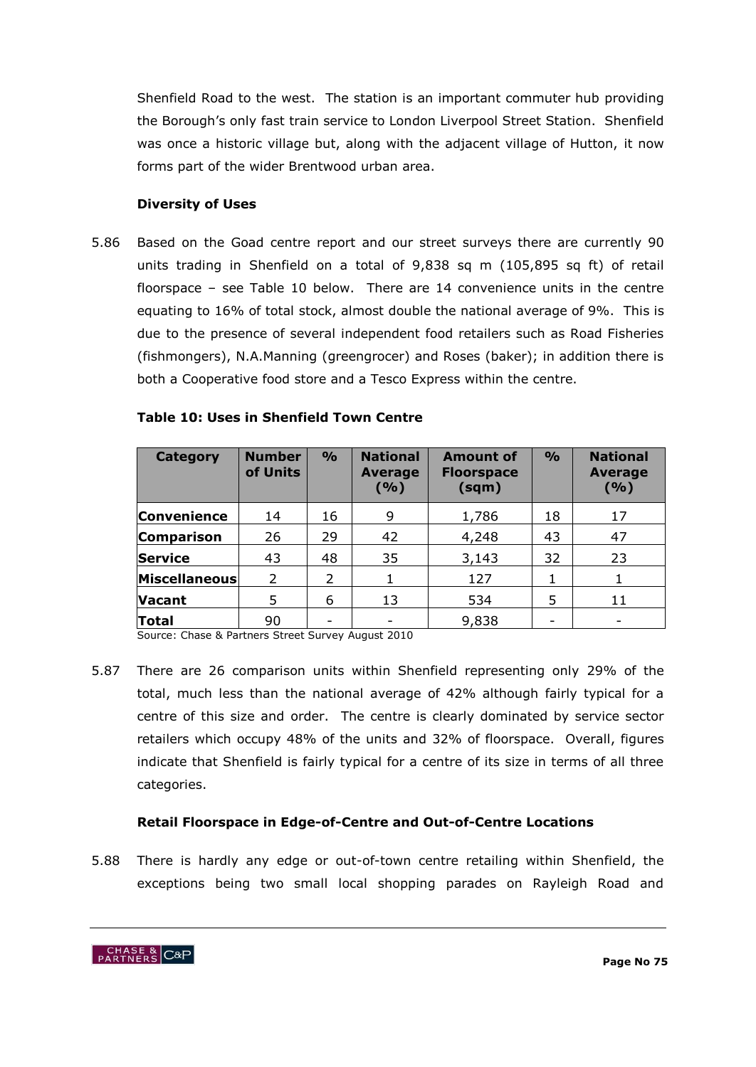Shenfield Road to the west. The station is an important commuter hub providing the Borough"s only fast train service to London Liverpool Street Station. Shenfield was once a historic village but, along with the adjacent village of Hutton, it now forms part of the wider Brentwood urban area.

#### **Diversity of Uses**

5.86 Based on the Goad centre report and our street surveys there are currently 90 units trading in Shenfield on a total of 9,838 sq m (105,895 sq ft) of retail floorspace – see Table 10 below. There are 14 convenience units in the centre equating to 16% of total stock, almost double the national average of 9%. This is due to the presence of several independent food retailers such as Road Fisheries (fishmongers), N.A.Manning (greengrocer) and Roses (baker); in addition there is both a Cooperative food store and a Tesco Express within the centre.

| <b>Category</b>    | <b>Number</b><br>of Units | $\frac{9}{0}$            | <b>National</b><br><b>Average</b><br>(9/0) | <b>Amount of</b><br><b>Floorspace</b><br>(sqm) | $\frac{0}{0}$ | <b>National</b><br><b>Average</b><br>( %) |
|--------------------|---------------------------|--------------------------|--------------------------------------------|------------------------------------------------|---------------|-------------------------------------------|
| <b>Convenience</b> | 14                        | 16                       | 9                                          | 1,786                                          | 18            | 17                                        |
| <b>Comparison</b>  | 26                        | 29                       | 42                                         | 4,248                                          | 43            | 47                                        |
| <b>Service</b>     | 43                        | 48                       | 35                                         | 3,143                                          | 32            | 23                                        |
| Miscellaneous      | $\mathcal{P}$             | $\overline{\phantom{a}}$ |                                            | 127                                            |               |                                           |
| <b>Vacant</b>      | 5                         | 6                        | 13                                         | 534                                            | 5             | 11                                        |
| <b>Total</b>       | 90                        | -                        |                                            | 9,838                                          |               |                                           |

#### **Table 10: Uses in Shenfield Town Centre**

Source: Chase & Partners Street Survey August 2010

5.87 There are 26 comparison units within Shenfield representing only 29% of the total, much less than the national average of 42% although fairly typical for a centre of this size and order. The centre is clearly dominated by service sector retailers which occupy 48% of the units and 32% of floorspace. Overall, figures indicate that Shenfield is fairly typical for a centre of its size in terms of all three categories.

# **Retail Floorspace in Edge-of-Centre and Out-of-Centre Locations**

5.88 There is hardly any edge or out-of-town centre retailing within Shenfield, the exceptions being two small local shopping parades on Rayleigh Road and

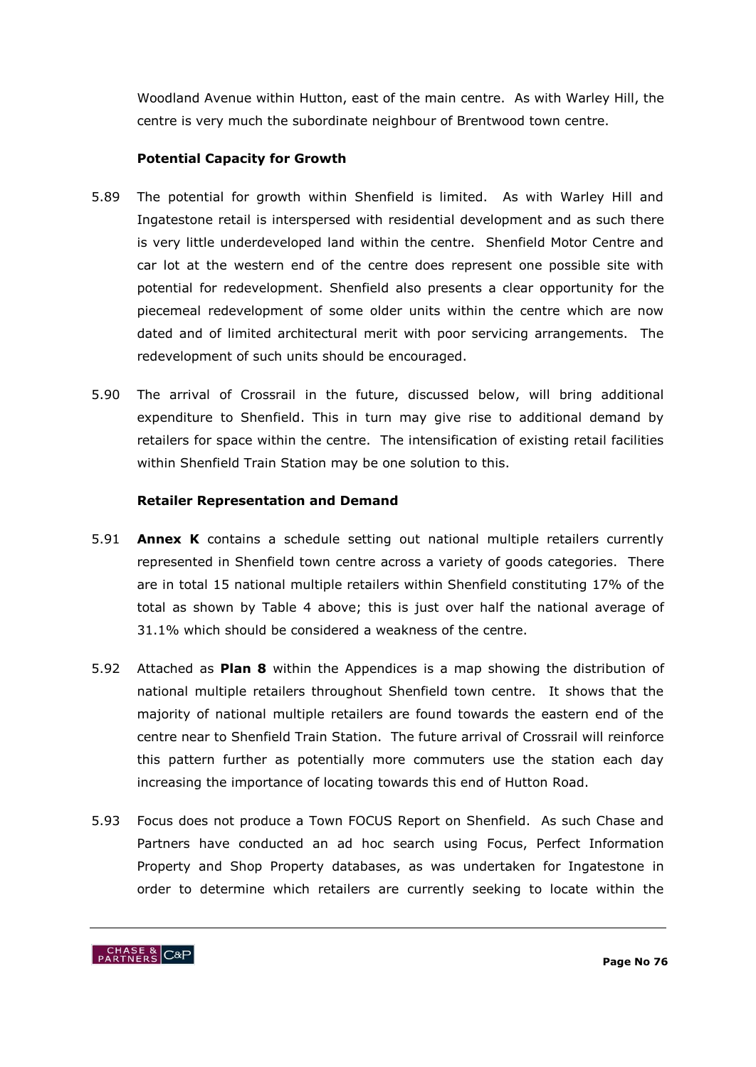Woodland Avenue within Hutton, east of the main centre. As with Warley Hill, the centre is very much the subordinate neighbour of Brentwood town centre.

# **Potential Capacity for Growth**

- 5.89 The potential for growth within Shenfield is limited. As with Warley Hill and Ingatestone retail is interspersed with residential development and as such there is very little underdeveloped land within the centre. Shenfield Motor Centre and car lot at the western end of the centre does represent one possible site with potential for redevelopment. Shenfield also presents a clear opportunity for the piecemeal redevelopment of some older units within the centre which are now dated and of limited architectural merit with poor servicing arrangements. The redevelopment of such units should be encouraged.
- 5.90 The arrival of Crossrail in the future, discussed below, will bring additional expenditure to Shenfield. This in turn may give rise to additional demand by retailers for space within the centre. The intensification of existing retail facilities within Shenfield Train Station may be one solution to this.

# **Retailer Representation and Demand**

- 5.91 **Annex K** contains a schedule setting out national multiple retailers currently represented in Shenfield town centre across a variety of goods categories. There are in total 15 national multiple retailers within Shenfield constituting 17% of the total as shown by Table 4 above; this is just over half the national average of 31.1% which should be considered a weakness of the centre.
- 5.92 Attached as **Plan 8** within the Appendices is a map showing the distribution of national multiple retailers throughout Shenfield town centre. It shows that the majority of national multiple retailers are found towards the eastern end of the centre near to Shenfield Train Station. The future arrival of Crossrail will reinforce this pattern further as potentially more commuters use the station each day increasing the importance of locating towards this end of Hutton Road.
- 5.93 Focus does not produce a Town FOCUS Report on Shenfield. As such Chase and Partners have conducted an ad hoc search using Focus, Perfect Information Property and Shop Property databases, as was undertaken for Ingatestone in order to determine which retailers are currently seeking to locate within the

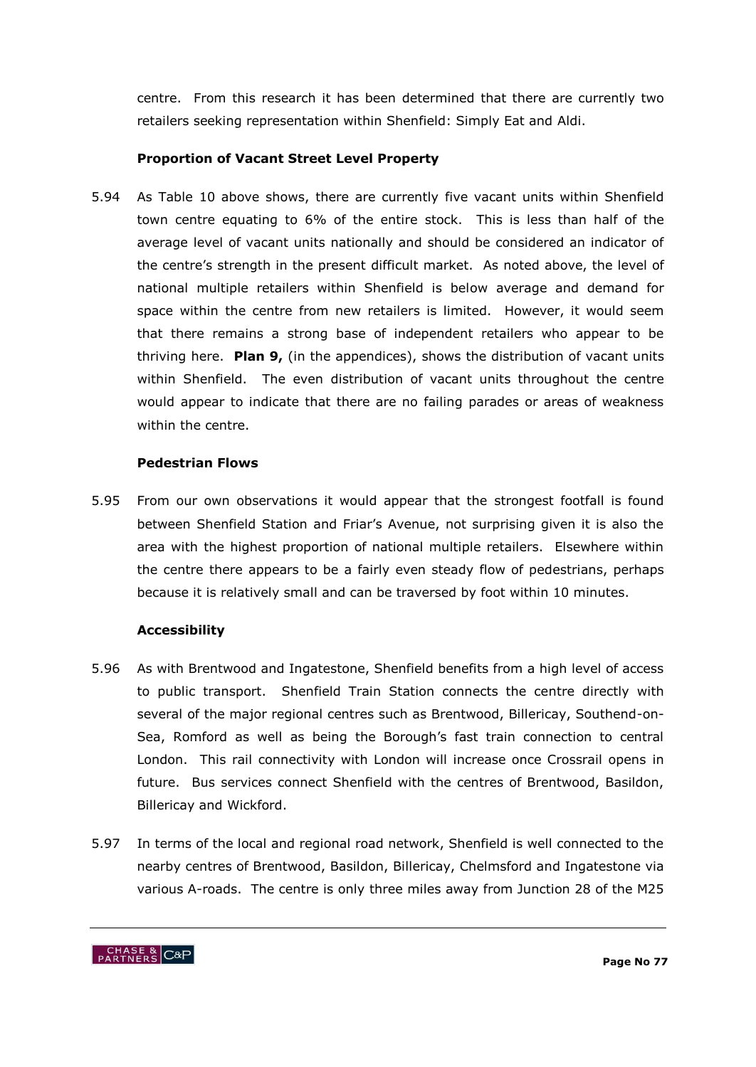centre. From this research it has been determined that there are currently two retailers seeking representation within Shenfield: Simply Eat and Aldi.

# **Proportion of Vacant Street Level Property**

5.94 As Table 10 above shows, there are currently five vacant units within Shenfield town centre equating to 6% of the entire stock. This is less than half of the average level of vacant units nationally and should be considered an indicator of the centre's strength in the present difficult market. As noted above, the level of national multiple retailers within Shenfield is below average and demand for space within the centre from new retailers is limited. However, it would seem that there remains a strong base of independent retailers who appear to be thriving here. **Plan 9,** (in the appendices), shows the distribution of vacant units within Shenfield. The even distribution of vacant units throughout the centre would appear to indicate that there are no failing parades or areas of weakness within the centre.

# **Pedestrian Flows**

5.95 From our own observations it would appear that the strongest footfall is found between Shenfield Station and Friar"s Avenue, not surprising given it is also the area with the highest proportion of national multiple retailers. Elsewhere within the centre there appears to be a fairly even steady flow of pedestrians, perhaps because it is relatively small and can be traversed by foot within 10 minutes.

# **Accessibility**

- 5.96 As with Brentwood and Ingatestone, Shenfield benefits from a high level of access to public transport. Shenfield Train Station connects the centre directly with several of the major regional centres such as Brentwood, Billericay, Southend-on-Sea, Romford as well as being the Borough's fast train connection to central London. This rail connectivity with London will increase once Crossrail opens in future. Bus services connect Shenfield with the centres of Brentwood, Basildon, Billericay and Wickford.
- 5.97 In terms of the local and regional road network, Shenfield is well connected to the nearby centres of Brentwood, Basildon, Billericay, Chelmsford and Ingatestone via various A-roads. The centre is only three miles away from Junction 28 of the M25

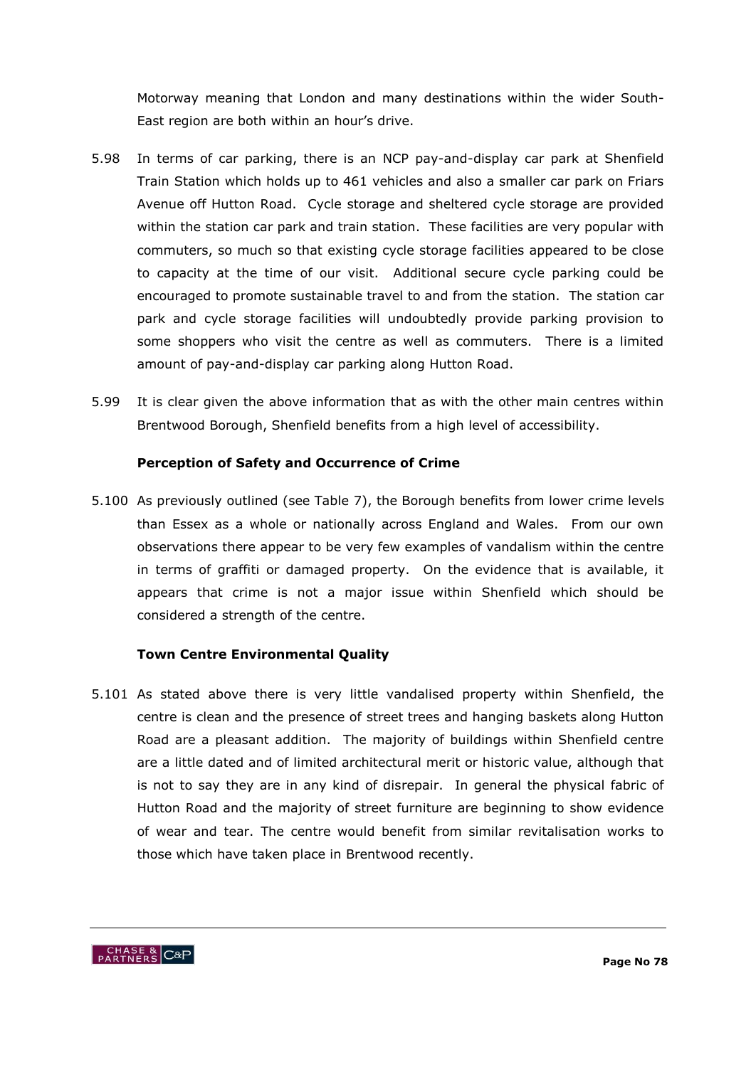Motorway meaning that London and many destinations within the wider South-East region are both within an hour's drive.

- 5.98 In terms of car parking, there is an NCP pay-and-display car park at Shenfield Train Station which holds up to 461 vehicles and also a smaller car park on Friars Avenue off Hutton Road. Cycle storage and sheltered cycle storage are provided within the station car park and train station. These facilities are very popular with commuters, so much so that existing cycle storage facilities appeared to be close to capacity at the time of our visit. Additional secure cycle parking could be encouraged to promote sustainable travel to and from the station. The station car park and cycle storage facilities will undoubtedly provide parking provision to some shoppers who visit the centre as well as commuters. There is a limited amount of pay-and-display car parking along Hutton Road.
- 5.99 It is clear given the above information that as with the other main centres within Brentwood Borough, Shenfield benefits from a high level of accessibility.

# **Perception of Safety and Occurrence of Crime**

5.100 As previously outlined (see Table 7), the Borough benefits from lower crime levels than Essex as a whole or nationally across England and Wales. From our own observations there appear to be very few examples of vandalism within the centre in terms of graffiti or damaged property. On the evidence that is available, it appears that crime is not a major issue within Shenfield which should be considered a strength of the centre.

# **Town Centre Environmental Quality**

5.101 As stated above there is very little vandalised property within Shenfield, the centre is clean and the presence of street trees and hanging baskets along Hutton Road are a pleasant addition. The majority of buildings within Shenfield centre are a little dated and of limited architectural merit or historic value, although that is not to say they are in any kind of disrepair. In general the physical fabric of Hutton Road and the majority of street furniture are beginning to show evidence of wear and tear. The centre would benefit from similar revitalisation works to those which have taken place in Brentwood recently.

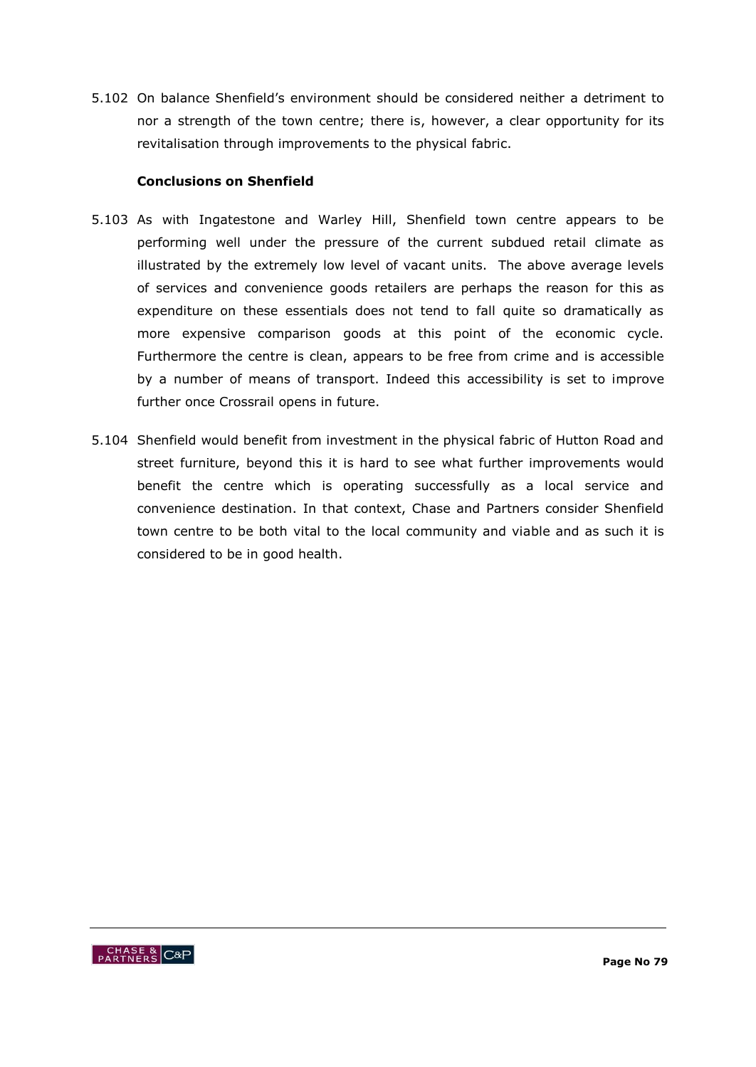5.102 On balance Shenfield"s environment should be considered neither a detriment to nor a strength of the town centre; there is, however, a clear opportunity for its revitalisation through improvements to the physical fabric.

#### **Conclusions on Shenfield**

- 5.103 As with Ingatestone and Warley Hill, Shenfield town centre appears to be performing well under the pressure of the current subdued retail climate as illustrated by the extremely low level of vacant units. The above average levels of services and convenience goods retailers are perhaps the reason for this as expenditure on these essentials does not tend to fall quite so dramatically as more expensive comparison goods at this point of the economic cycle. Furthermore the centre is clean, appears to be free from crime and is accessible by a number of means of transport. Indeed this accessibility is set to improve further once Crossrail opens in future.
- 5.104 Shenfield would benefit from investment in the physical fabric of Hutton Road and street furniture, beyond this it is hard to see what further improvements would benefit the centre which is operating successfully as a local service and convenience destination. In that context, Chase and Partners consider Shenfield town centre to be both vital to the local community and viable and as such it is considered to be in good health.

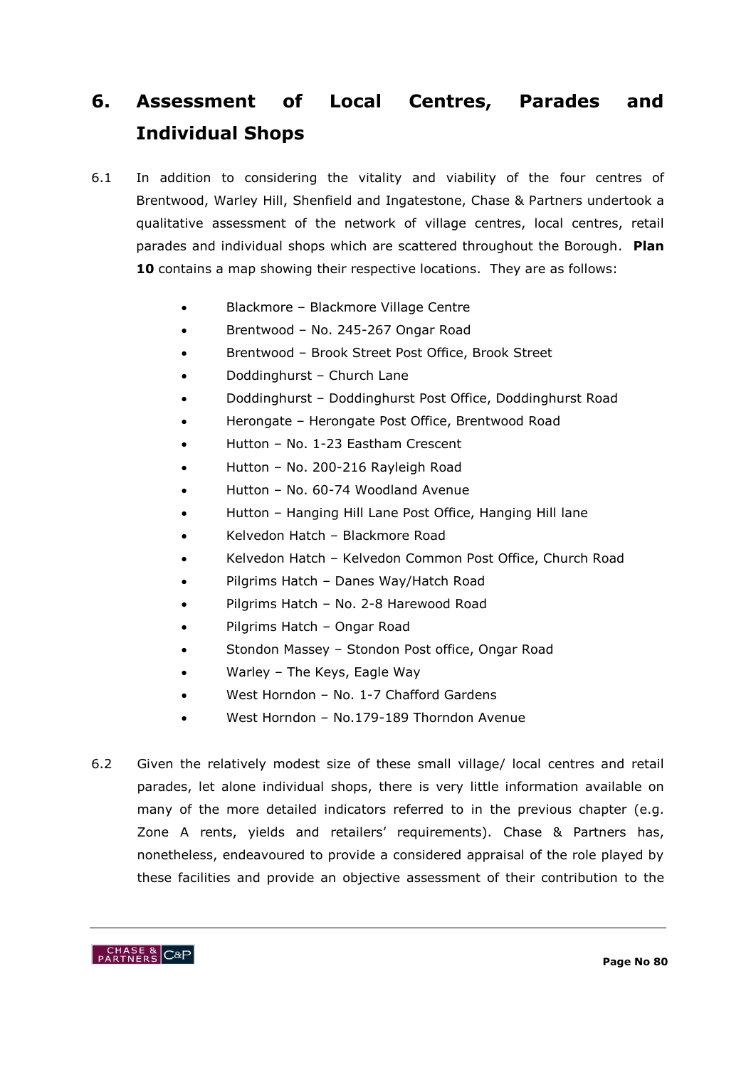# **6. Assessment of Local Centres, Parades and Individual Shops**

- 6.1 In addition to considering the vitality and viability of the four centres of Brentwood, Warley Hill, Shenfield and Ingatestone, Chase & Partners undertook a qualitative assessment of the network of village centres, local centres, retail parades and individual shops which are scattered throughout the Borough. **Plan 10** contains a map showing their respective locations. They are as follows:
	- Blackmore Blackmore Village Centre
	- Brentwood No. 245-267 Ongar Road
	- Brentwood Brook Street Post Office, Brook Street
	- Doddinghurst Church Lane
	- Doddinghurst Doddinghurst Post Office, Doddinghurst Road
	- Herongate Herongate Post Office, Brentwood Road
	- Hutton No. 1-23 Eastham Crescent
	- Hutton No. 200-216 Rayleigh Road
	- Hutton No. 60-74 Woodland Avenue
	- Hutton Hanging Hill Lane Post Office, Hanging Hill lane
	- Kelvedon Hatch Blackmore Road
	- Kelvedon Hatch Kelvedon Common Post Office, Church Road
	- Pilgrims Hatch Danes Way/Hatch Road
	- Pilgrims Hatch No. 2-8 Harewood Road
	- Pilgrims Hatch Ongar Road
	- Stondon Massey Stondon Post office, Ongar Road
	- Warley The Keys, Eagle Way
	- West Horndon No. 1-7 Chafford Gardens
	- West Horndon No.179-189 Thorndon Avenue
- 6.2 Given the relatively modest size of these small village/ local centres and retail parades, let alone individual shops, there is very little information available on many of the more detailed indicators referred to in the previous chapter (e.g. Zone A rents, yields and retailers' requirements). Chase & Partners has, nonetheless, endeavoured to provide a considered appraisal of the role played by these facilities and provide an objective assessment of their contribution to the

CHASE & C&P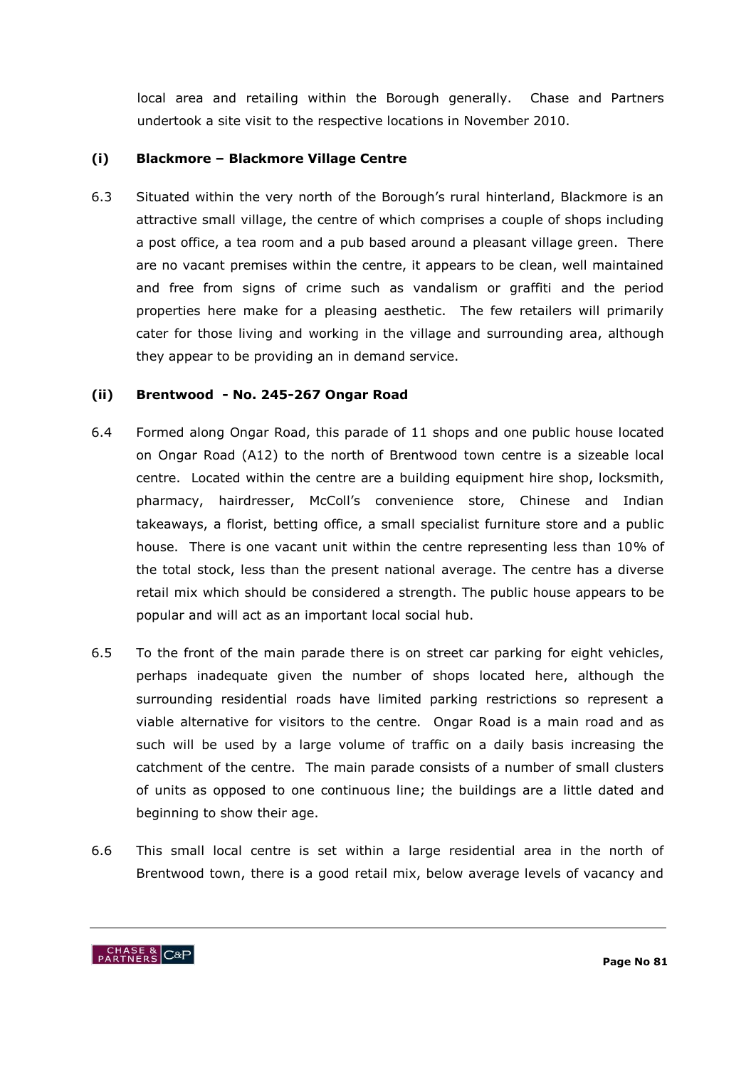local area and retailing within the Borough generally. Chase and Partners undertook a site visit to the respective locations in November 2010.

# **(i) Blackmore – Blackmore Village Centre**

6.3 Situated within the very north of the Borough"s rural hinterland, Blackmore is an attractive small village, the centre of which comprises a couple of shops including a post office, a tea room and a pub based around a pleasant village green. There are no vacant premises within the centre, it appears to be clean, well maintained and free from signs of crime such as vandalism or graffiti and the period properties here make for a pleasing aesthetic. The few retailers will primarily cater for those living and working in the village and surrounding area, although they appear to be providing an in demand service.

#### **(ii) Brentwood - No. 245-267 Ongar Road**

- 6.4 Formed along Ongar Road, this parade of 11 shops and one public house located on Ongar Road (A12) to the north of Brentwood town centre is a sizeable local centre. Located within the centre are a building equipment hire shop, locksmith, pharmacy, hairdresser, McColl"s convenience store, Chinese and Indian takeaways, a florist, betting office, a small specialist furniture store and a public house. There is one vacant unit within the centre representing less than 10% of the total stock, less than the present national average. The centre has a diverse retail mix which should be considered a strength. The public house appears to be popular and will act as an important local social hub.
- 6.5 To the front of the main parade there is on street car parking for eight vehicles, perhaps inadequate given the number of shops located here, although the surrounding residential roads have limited parking restrictions so represent a viable alternative for visitors to the centre. Ongar Road is a main road and as such will be used by a large volume of traffic on a daily basis increasing the catchment of the centre. The main parade consists of a number of small clusters of units as opposed to one continuous line; the buildings are a little dated and beginning to show their age.
- 6.6 This small local centre is set within a large residential area in the north of Brentwood town, there is a good retail mix, below average levels of vacancy and

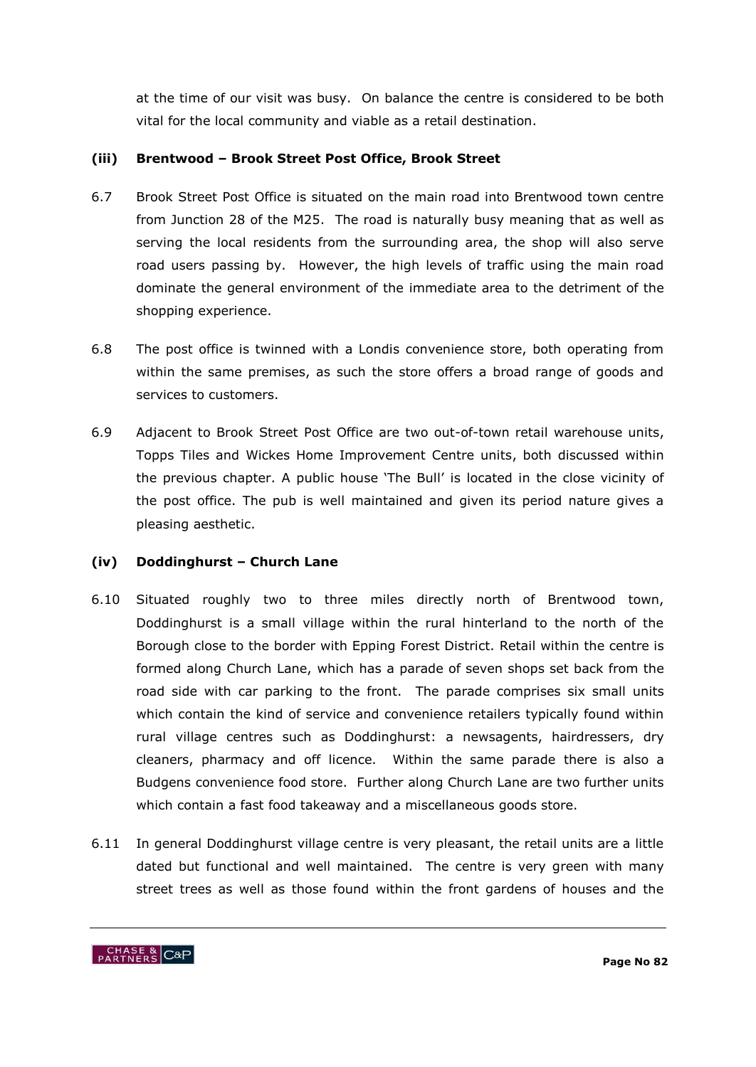at the time of our visit was busy. On balance the centre is considered to be both vital for the local community and viable as a retail destination.

# **(iii) Brentwood – Brook Street Post Office, Brook Street**

- 6.7 Brook Street Post Office is situated on the main road into Brentwood town centre from Junction 28 of the M25. The road is naturally busy meaning that as well as serving the local residents from the surrounding area, the shop will also serve road users passing by. However, the high levels of traffic using the main road dominate the general environment of the immediate area to the detriment of the shopping experience.
- 6.8 The post office is twinned with a Londis convenience store, both operating from within the same premises, as such the store offers a broad range of goods and services to customers.
- 6.9 Adjacent to Brook Street Post Office are two out-of-town retail warehouse units, Topps Tiles and Wickes Home Improvement Centre units, both discussed within the previous chapter. A public house "The Bull" is located in the close vicinity of the post office. The pub is well maintained and given its period nature gives a pleasing aesthetic.

# **(iv) Doddinghurst – Church Lane**

- 6.10 Situated roughly two to three miles directly north of Brentwood town, Doddinghurst is a small village within the rural hinterland to the north of the Borough close to the border with Epping Forest District. Retail within the centre is formed along Church Lane, which has a parade of seven shops set back from the road side with car parking to the front. The parade comprises six small units which contain the kind of service and convenience retailers typically found within rural village centres such as Doddinghurst: a newsagents, hairdressers, dry cleaners, pharmacy and off licence. Within the same parade there is also a Budgens convenience food store. Further along Church Lane are two further units which contain a fast food takeaway and a miscellaneous goods store.
- 6.11 In general Doddinghurst village centre is very pleasant, the retail units are a little dated but functional and well maintained. The centre is very green with many street trees as well as those found within the front gardens of houses and the

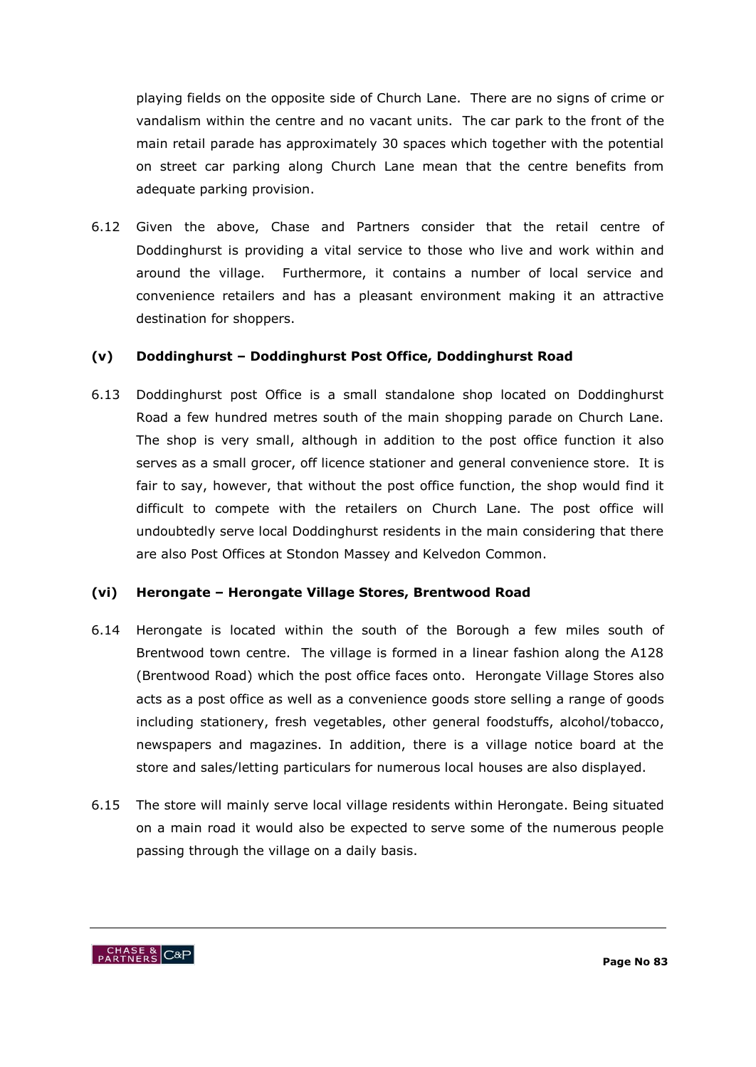playing fields on the opposite side of Church Lane. There are no signs of crime or vandalism within the centre and no vacant units. The car park to the front of the main retail parade has approximately 30 spaces which together with the potential on street car parking along Church Lane mean that the centre benefits from adequate parking provision.

6.12 Given the above, Chase and Partners consider that the retail centre of Doddinghurst is providing a vital service to those who live and work within and around the village. Furthermore, it contains a number of local service and convenience retailers and has a pleasant environment making it an attractive destination for shoppers.

# **(v) Doddinghurst – Doddinghurst Post Office, Doddinghurst Road**

6.13 Doddinghurst post Office is a small standalone shop located on Doddinghurst Road a few hundred metres south of the main shopping parade on Church Lane. The shop is very small, although in addition to the post office function it also serves as a small grocer, off licence stationer and general convenience store. It is fair to say, however, that without the post office function, the shop would find it difficult to compete with the retailers on Church Lane. The post office will undoubtedly serve local Doddinghurst residents in the main considering that there are also Post Offices at Stondon Massey and Kelvedon Common.

#### **(vi) Herongate – Herongate Village Stores, Brentwood Road**

- 6.14 Herongate is located within the south of the Borough a few miles south of Brentwood town centre. The village is formed in a linear fashion along the A128 (Brentwood Road) which the post office faces onto. Herongate Village Stores also acts as a post office as well as a convenience goods store selling a range of goods including stationery, fresh vegetables, other general foodstuffs, alcohol/tobacco, newspapers and magazines. In addition, there is a village notice board at the store and sales/letting particulars for numerous local houses are also displayed.
- 6.15 The store will mainly serve local village residents within Herongate. Being situated on a main road it would also be expected to serve some of the numerous people passing through the village on a daily basis.

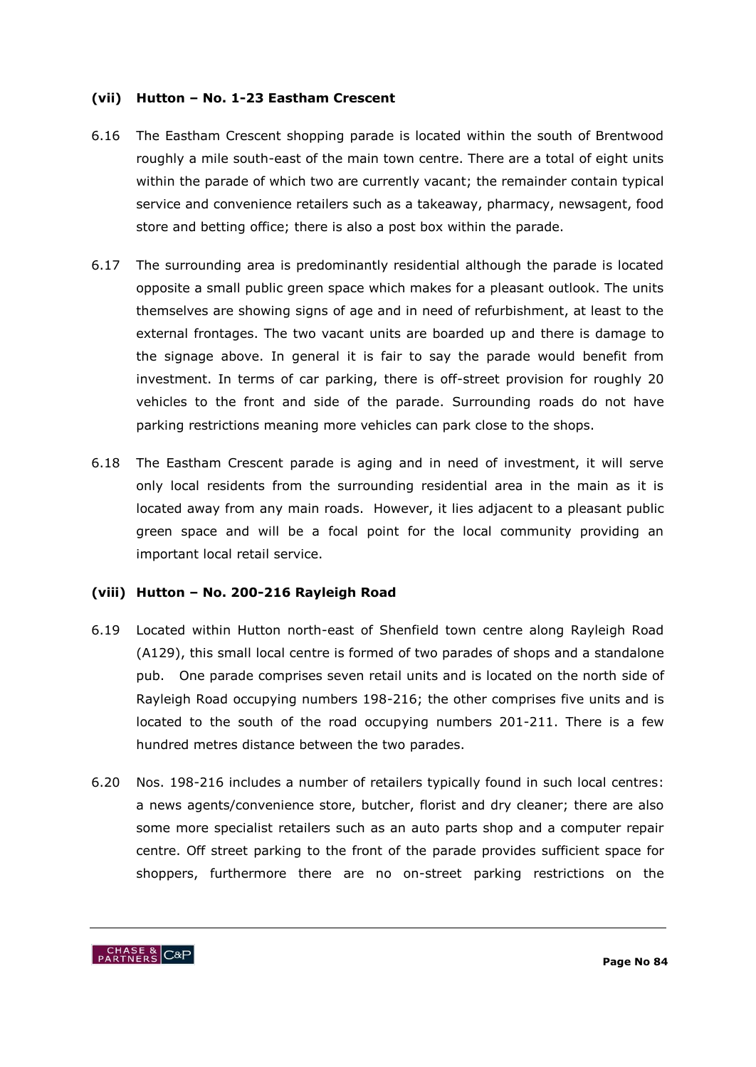#### **(vii) Hutton – No. 1-23 Eastham Crescent**

- 6.16 The Eastham Crescent shopping parade is located within the south of Brentwood roughly a mile south-east of the main town centre. There are a total of eight units within the parade of which two are currently vacant; the remainder contain typical service and convenience retailers such as a takeaway, pharmacy, newsagent, food store and betting office; there is also a post box within the parade.
- 6.17 The surrounding area is predominantly residential although the parade is located opposite a small public green space which makes for a pleasant outlook. The units themselves are showing signs of age and in need of refurbishment, at least to the external frontages. The two vacant units are boarded up and there is damage to the signage above. In general it is fair to say the parade would benefit from investment. In terms of car parking, there is off-street provision for roughly 20 vehicles to the front and side of the parade. Surrounding roads do not have parking restrictions meaning more vehicles can park close to the shops.
- 6.18 The Eastham Crescent parade is aging and in need of investment, it will serve only local residents from the surrounding residential area in the main as it is located away from any main roads. However, it lies adjacent to a pleasant public green space and will be a focal point for the local community providing an important local retail service.

# **(viii) Hutton – No. 200-216 Rayleigh Road**

- 6.19 Located within Hutton north-east of Shenfield town centre along Rayleigh Road (A129), this small local centre is formed of two parades of shops and a standalone pub. One parade comprises seven retail units and is located on the north side of Rayleigh Road occupying numbers 198-216; the other comprises five units and is located to the south of the road occupying numbers 201-211. There is a few hundred metres distance between the two parades.
- 6.20 Nos. 198-216 includes a number of retailers typically found in such local centres: a news agents/convenience store, butcher, florist and dry cleaner; there are also some more specialist retailers such as an auto parts shop and a computer repair centre. Off street parking to the front of the parade provides sufficient space for shoppers, furthermore there are no on-street parking restrictions on the

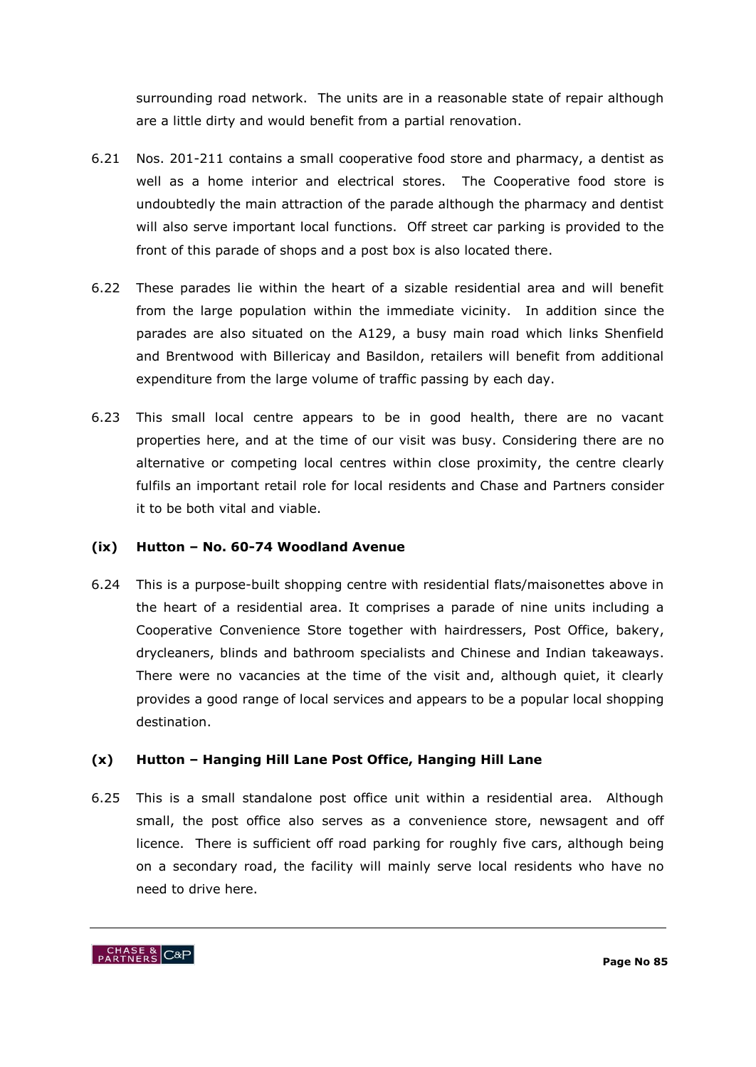surrounding road network. The units are in a reasonable state of repair although are a little dirty and would benefit from a partial renovation.

- 6.21 Nos. 201-211 contains a small cooperative food store and pharmacy, a dentist as well as a home interior and electrical stores. The Cooperative food store is undoubtedly the main attraction of the parade although the pharmacy and dentist will also serve important local functions. Off street car parking is provided to the front of this parade of shops and a post box is also located there.
- 6.22 These parades lie within the heart of a sizable residential area and will benefit from the large population within the immediate vicinity. In addition since the parades are also situated on the A129, a busy main road which links Shenfield and Brentwood with Billericay and Basildon, retailers will benefit from additional expenditure from the large volume of traffic passing by each day.
- 6.23 This small local centre appears to be in good health, there are no vacant properties here, and at the time of our visit was busy. Considering there are no alternative or competing local centres within close proximity, the centre clearly fulfils an important retail role for local residents and Chase and Partners consider it to be both vital and viable.

# **(ix) Hutton – No. 60-74 Woodland Avenue**

6.24 This is a purpose-built shopping centre with residential flats/maisonettes above in the heart of a residential area. It comprises a parade of nine units including a Cooperative Convenience Store together with hairdressers, Post Office, bakery, drycleaners, blinds and bathroom specialists and Chinese and Indian takeaways. There were no vacancies at the time of the visit and, although quiet, it clearly provides a good range of local services and appears to be a popular local shopping destination.

# **(x) Hutton – Hanging Hill Lane Post Office, Hanging Hill Lane**

6.25 This is a small standalone post office unit within a residential area. Although small, the post office also serves as a convenience store, newsagent and off licence. There is sufficient off road parking for roughly five cars, although being on a secondary road, the facility will mainly serve local residents who have no need to drive here.

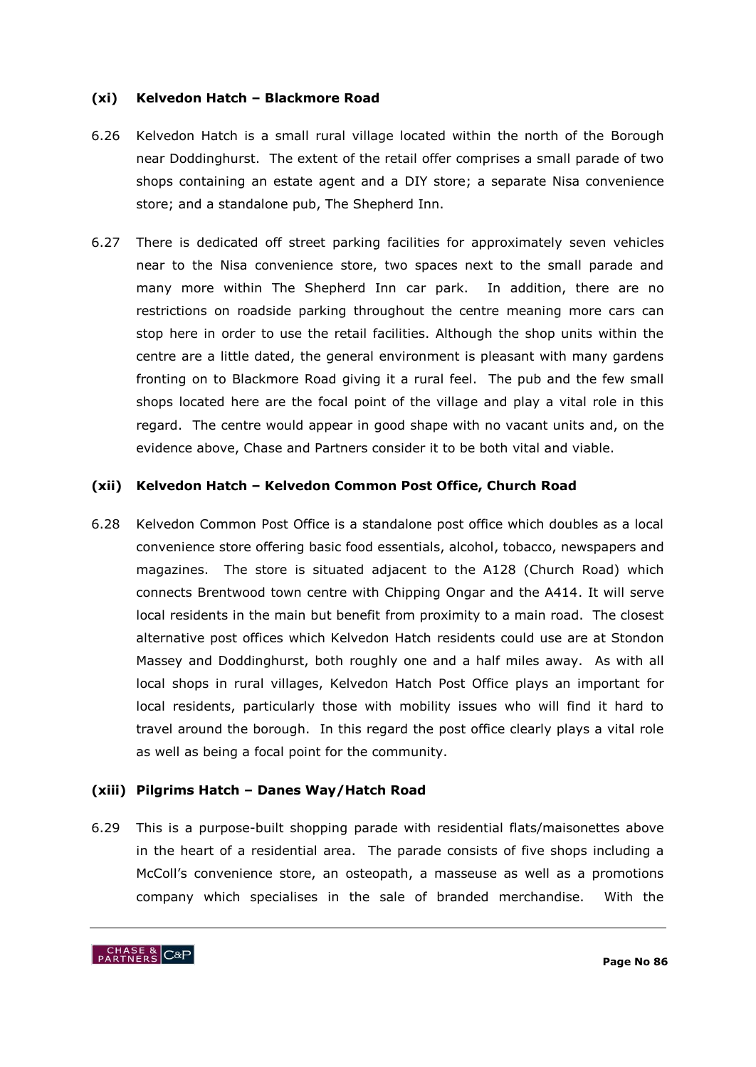#### **(xi) Kelvedon Hatch – Blackmore Road**

- 6.26 Kelvedon Hatch is a small rural village located within the north of the Borough near Doddinghurst. The extent of the retail offer comprises a small parade of two shops containing an estate agent and a DIY store; a separate Nisa convenience store; and a standalone pub, The Shepherd Inn.
- 6.27 There is dedicated off street parking facilities for approximately seven vehicles near to the Nisa convenience store, two spaces next to the small parade and many more within The Shepherd Inn car park. In addition, there are no restrictions on roadside parking throughout the centre meaning more cars can stop here in order to use the retail facilities. Although the shop units within the centre are a little dated, the general environment is pleasant with many gardens fronting on to Blackmore Road giving it a rural feel. The pub and the few small shops located here are the focal point of the village and play a vital role in this regard. The centre would appear in good shape with no vacant units and, on the evidence above, Chase and Partners consider it to be both vital and viable.

# **(xii) Kelvedon Hatch – Kelvedon Common Post Office, Church Road**

6.28 Kelvedon Common Post Office is a standalone post office which doubles as a local convenience store offering basic food essentials, alcohol, tobacco, newspapers and magazines. The store is situated adjacent to the A128 (Church Road) which connects Brentwood town centre with Chipping Ongar and the A414. It will serve local residents in the main but benefit from proximity to a main road. The closest alternative post offices which Kelvedon Hatch residents could use are at Stondon Massey and Doddinghurst, both roughly one and a half miles away. As with all local shops in rural villages, Kelvedon Hatch Post Office plays an important for local residents, particularly those with mobility issues who will find it hard to travel around the borough. In this regard the post office clearly plays a vital role as well as being a focal point for the community.

# **(xiii) Pilgrims Hatch – Danes Way/Hatch Road**

6.29 This is a purpose-built shopping parade with residential flats/maisonettes above in the heart of a residential area. The parade consists of five shops including a McColl"s convenience store, an osteopath, a masseuse as well as a promotions company which specialises in the sale of branded merchandise. With the

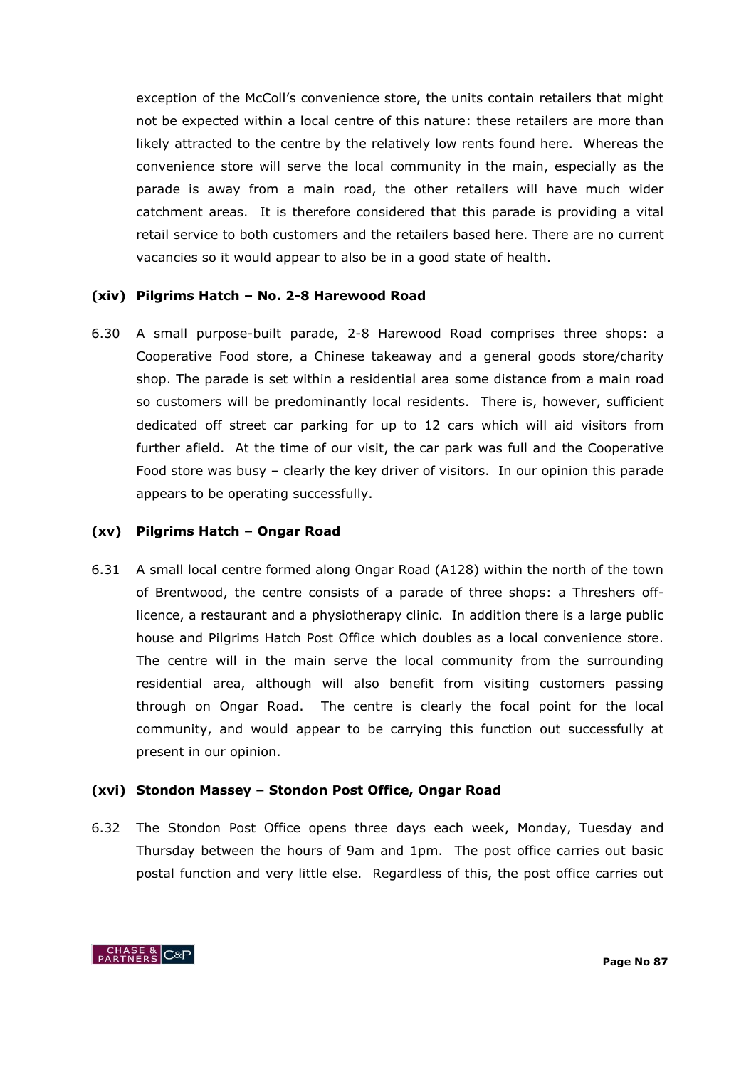exception of the McColl"s convenience store, the units contain retailers that might not be expected within a local centre of this nature: these retailers are more than likely attracted to the centre by the relatively low rents found here. Whereas the convenience store will serve the local community in the main, especially as the parade is away from a main road, the other retailers will have much wider catchment areas. It is therefore considered that this parade is providing a vital retail service to both customers and the retailers based here. There are no current vacancies so it would appear to also be in a good state of health.

#### **(xiv) Pilgrims Hatch – No. 2-8 Harewood Road**

6.30 A small purpose-built parade, 2-8 Harewood Road comprises three shops: a Cooperative Food store, a Chinese takeaway and a general goods store/charity shop. The parade is set within a residential area some distance from a main road so customers will be predominantly local residents. There is, however, sufficient dedicated off street car parking for up to 12 cars which will aid visitors from further afield. At the time of our visit, the car park was full and the Cooperative Food store was busy – clearly the key driver of visitors. In our opinion this parade appears to be operating successfully.

#### **(xv) Pilgrims Hatch – Ongar Road**

6.31 A small local centre formed along Ongar Road (A128) within the north of the town of Brentwood, the centre consists of a parade of three shops: a Threshers offlicence, a restaurant and a physiotherapy clinic. In addition there is a large public house and Pilgrims Hatch Post Office which doubles as a local convenience store. The centre will in the main serve the local community from the surrounding residential area, although will also benefit from visiting customers passing through on Ongar Road. The centre is clearly the focal point for the local community, and would appear to be carrying this function out successfully at present in our opinion.

#### **(xvi) Stondon Massey – Stondon Post Office, Ongar Road**

6.32 The Stondon Post Office opens three days each week, Monday, Tuesday and Thursday between the hours of 9am and 1pm. The post office carries out basic postal function and very little else. Regardless of this, the post office carries out

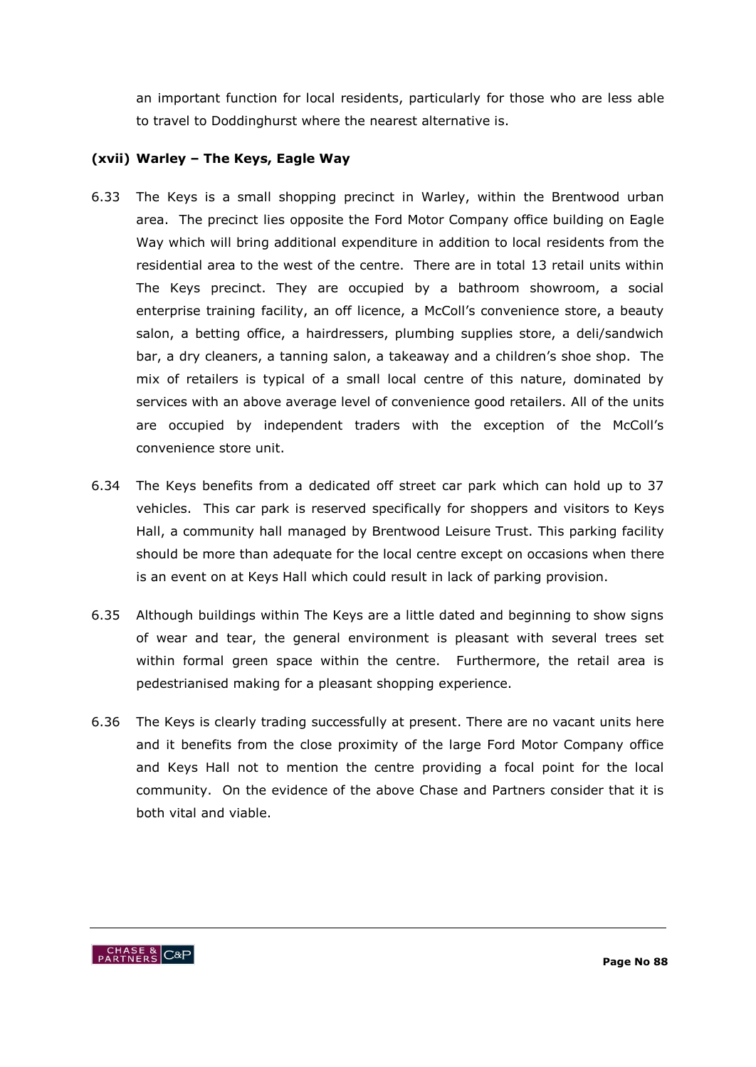an important function for local residents, particularly for those who are less able to travel to Doddinghurst where the nearest alternative is.

# **(xvii) Warley – The Keys, Eagle Way**

- 6.33 The Keys is a small shopping precinct in Warley, within the Brentwood urban area. The precinct lies opposite the Ford Motor Company office building on Eagle Way which will bring additional expenditure in addition to local residents from the residential area to the west of the centre. There are in total 13 retail units within The Keys precinct. They are occupied by a bathroom showroom, a social enterprise training facility, an off licence, a McColl's convenience store, a beauty salon, a betting office, a hairdressers, plumbing supplies store, a deli/sandwich bar, a dry cleaners, a tanning salon, a takeaway and a children's shoe shop. The mix of retailers is typical of a small local centre of this nature, dominated by services with an above average level of convenience good retailers. All of the units are occupied by independent traders with the exception of the McColl"s convenience store unit.
- 6.34 The Keys benefits from a dedicated off street car park which can hold up to 37 vehicles. This car park is reserved specifically for shoppers and visitors to Keys Hall, a community hall managed by Brentwood Leisure Trust. This parking facility should be more than adequate for the local centre except on occasions when there is an event on at Keys Hall which could result in lack of parking provision.
- 6.35 Although buildings within The Keys are a little dated and beginning to show signs of wear and tear, the general environment is pleasant with several trees set within formal green space within the centre. Furthermore, the retail area is pedestrianised making for a pleasant shopping experience.
- 6.36 The Keys is clearly trading successfully at present. There are no vacant units here and it benefits from the close proximity of the large Ford Motor Company office and Keys Hall not to mention the centre providing a focal point for the local community. On the evidence of the above Chase and Partners consider that it is both vital and viable.

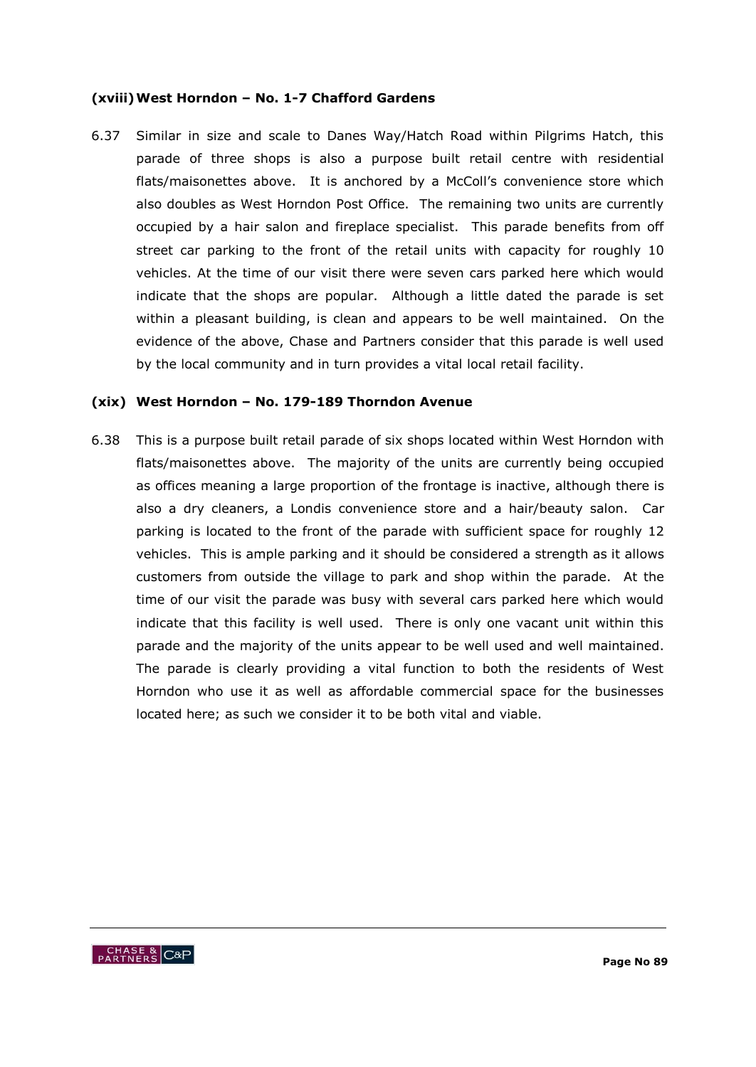#### **(xviii)West Horndon – No. 1-7 Chafford Gardens**

6.37 Similar in size and scale to Danes Way/Hatch Road within Pilgrims Hatch, this parade of three shops is also a purpose built retail centre with residential flats/maisonettes above. It is anchored by a McColl's convenience store which also doubles as West Horndon Post Office. The remaining two units are currently occupied by a hair salon and fireplace specialist. This parade benefits from off street car parking to the front of the retail units with capacity for roughly 10 vehicles. At the time of our visit there were seven cars parked here which would indicate that the shops are popular. Although a little dated the parade is set within a pleasant building, is clean and appears to be well maintained. On the evidence of the above, Chase and Partners consider that this parade is well used by the local community and in turn provides a vital local retail facility.

#### **(xix) West Horndon – No. 179-189 Thorndon Avenue**

6.38 This is a purpose built retail parade of six shops located within West Horndon with flats/maisonettes above. The majority of the units are currently being occupied as offices meaning a large proportion of the frontage is inactive, although there is also a dry cleaners, a Londis convenience store and a hair/beauty salon. Car parking is located to the front of the parade with sufficient space for roughly 12 vehicles. This is ample parking and it should be considered a strength as it allows customers from outside the village to park and shop within the parade. At the time of our visit the parade was busy with several cars parked here which would indicate that this facility is well used. There is only one vacant unit within this parade and the majority of the units appear to be well used and well maintained. The parade is clearly providing a vital function to both the residents of West Horndon who use it as well as affordable commercial space for the businesses located here; as such we consider it to be both vital and viable.

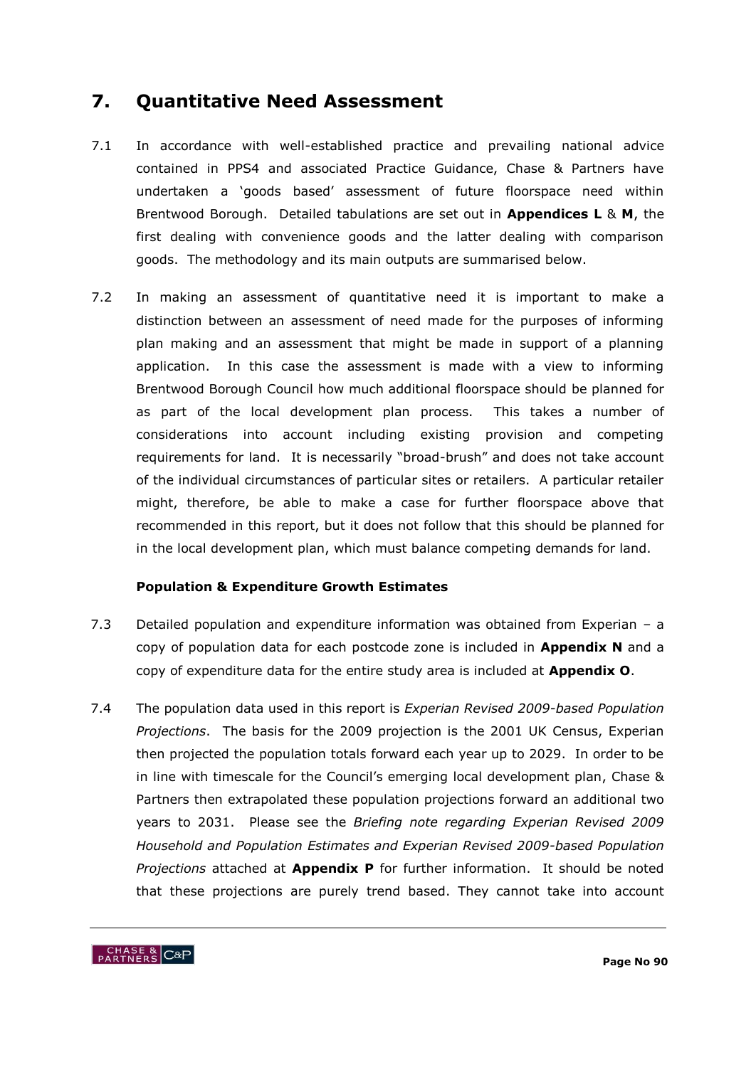# **7. Quantitative Need Assessment**

- 7.1 In accordance with well-established practice and prevailing national advice contained in PPS4 and associated Practice Guidance, Chase & Partners have undertaken a "goods based" assessment of future floorspace need within Brentwood Borough. Detailed tabulations are set out in **Appendices L** & **M**, the first dealing with convenience goods and the latter dealing with comparison goods. The methodology and its main outputs are summarised below.
- 7.2 In making an assessment of quantitative need it is important to make a distinction between an assessment of need made for the purposes of informing plan making and an assessment that might be made in support of a planning application. In this case the assessment is made with a view to informing Brentwood Borough Council how much additional floorspace should be planned for as part of the local development plan process. This takes a number of considerations into account including existing provision and competing requirements for land. It is necessarily "broad-brush" and does not take account of the individual circumstances of particular sites or retailers. A particular retailer might, therefore, be able to make a case for further floorspace above that recommended in this report, but it does not follow that this should be planned for in the local development plan, which must balance competing demands for land.

# **Population & Expenditure Growth Estimates**

- 7.3 Detailed population and expenditure information was obtained from Experian a copy of population data for each postcode zone is included in **Appendix N** and a copy of expenditure data for the entire study area is included at **Appendix O**.
- 7.4 The population data used in this report is *Experian Revised 2009-based Population Projections*. The basis for the 2009 projection is the 2001 UK Census, Experian then projected the population totals forward each year up to 2029. In order to be in line with timescale for the Council's emerging local development plan, Chase & Partners then extrapolated these population projections forward an additional two years to 2031. Please see the *Briefing note regarding Experian Revised 2009 Household and Population Estimates and Experian Revised 2009-based Population Projections* attached at **Appendix P** for further information. It should be noted that these projections are purely trend based. They cannot take into account

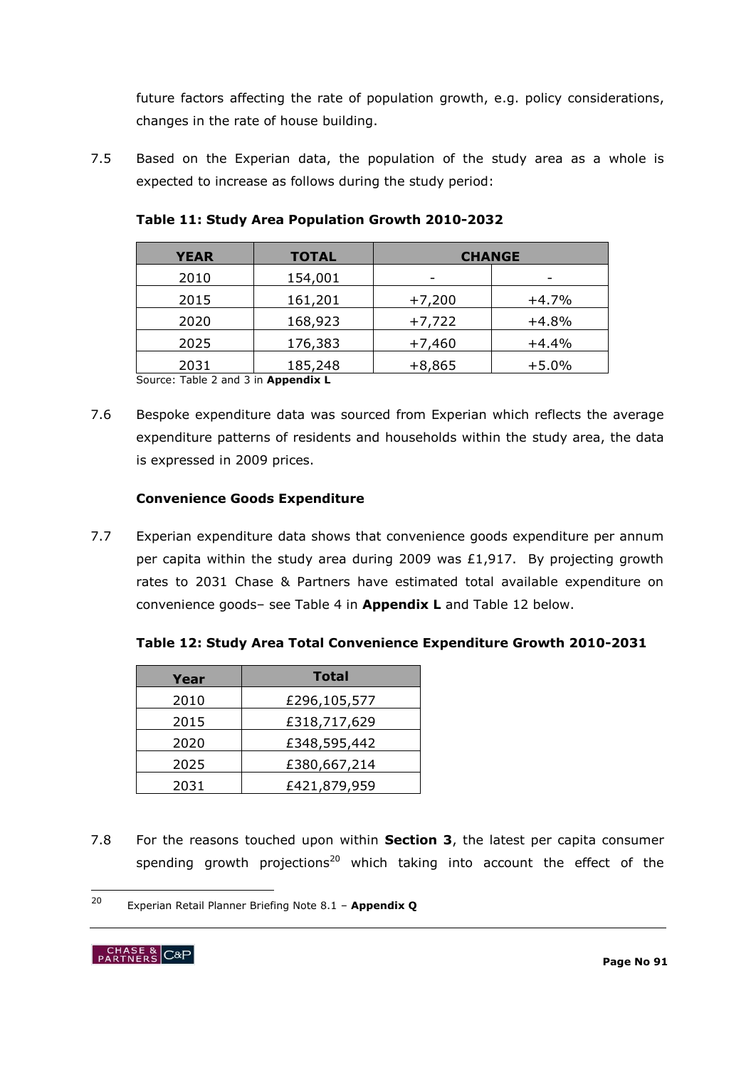future factors affecting the rate of population growth, e.g. policy considerations, changes in the rate of house building.

7.5 Based on the Experian data, the population of the study area as a whole is expected to increase as follows during the study period:

| <b>YEAR</b> | <b>TOTAL</b> | <b>CHANGE</b>            |         |
|-------------|--------------|--------------------------|---------|
| 2010        | 154,001      | $\overline{\phantom{0}}$ | -       |
| 2015        | 161,201      | $+7,200$                 | $+4.7%$ |
| 2020        | 168,923      | $+7,722$                 | $+4.8%$ |
| 2025        | 176,383      | $+7,460$                 | $+4.4%$ |
| 2031        | 185,248      | $+8,865$                 | $+5.0%$ |

**Table 11: Study Area Population Growth 2010-2032**

Source: Table 2 and 3 in **Appendix L**

7.6 Bespoke expenditure data was sourced from Experian which reflects the average expenditure patterns of residents and households within the study area, the data is expressed in 2009 prices.

# **Convenience Goods Expenditure**

7.7 Experian expenditure data shows that convenience goods expenditure per annum per capita within the study area during 2009 was £1,917. By projecting growth rates to 2031 Chase & Partners have estimated total available expenditure on convenience goods– see Table 4 in **Appendix L** and Table 12 below.

| Year | <b>Total</b> |
|------|--------------|
| 2010 | £296,105,577 |
| 2015 | £318,717,629 |
| 2020 | £348,595,442 |
| 2025 | £380,667,214 |
| 2031 | £421,879,959 |

7.8 For the reasons touched upon within **Section 3**, the latest per capita consumer spending growth projections<sup>20</sup> which taking into account the effect of the

 $20$ <sup>20</sup> Experian Retail Planner Briefing Note 8.1 – **Appendix Q**

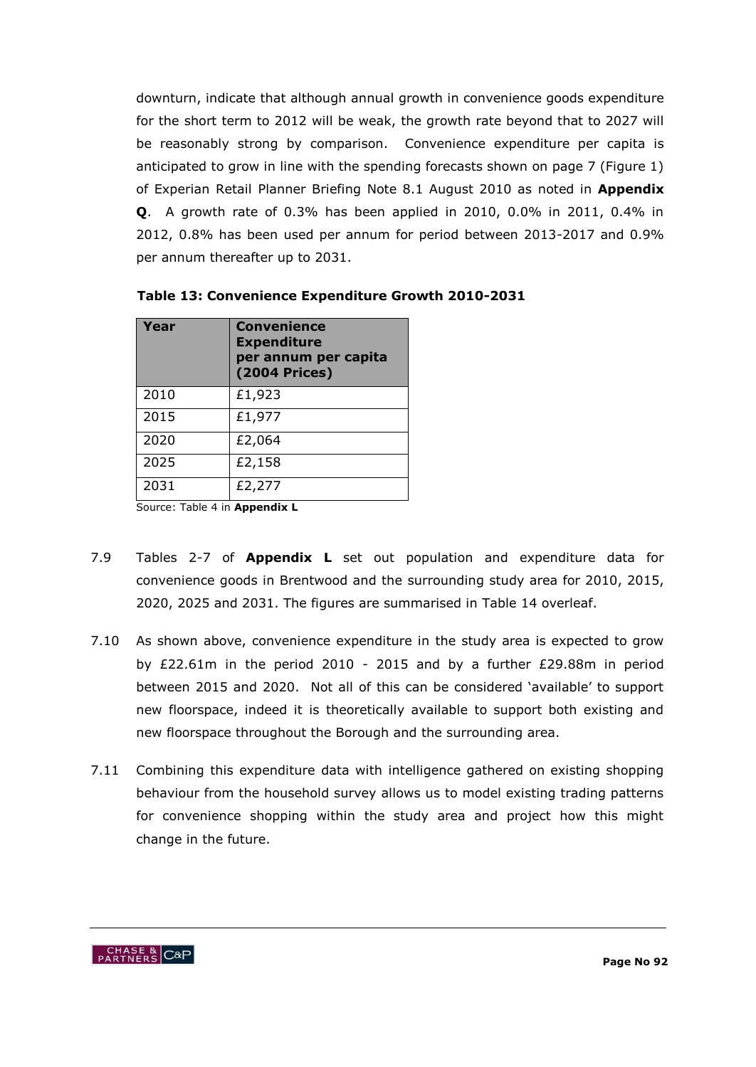downturn, indicate that although annual growth in convenience goods expenditure for the short term to 2012 will be weak, the growth rate beyond that to 2027 will be reasonably strong by comparison. Convenience expenditure per capita is anticipated to grow in line with the spending forecasts shown on page 7 (Figure 1) of Experian Retail Planner Briefing Note 8.1 August 2010 as noted in **Appendix Q**. A growth rate of 0.3% has been applied in 2010, 0.0% in 2011, 0.4% in 2012, 0.8% has been used per annum for period between 2013-2017 and 0.9% per annum thereafter up to 2031.

| Year | <b>Convenience</b><br><b>Expenditure</b><br>per annum per capita<br><b>(2004 Prices)</b> |
|------|------------------------------------------------------------------------------------------|
| 2010 | £1,923                                                                                   |
| 2015 | £1,977                                                                                   |
| 2020 | £2,064                                                                                   |
| 2025 | £2,158                                                                                   |
| 2031 | £2,277                                                                                   |

Source: Table 4 in **Appendix L**

- 7.9 Tables 2-7 of **Appendix L** set out population and expenditure data for convenience goods in Brentwood and the surrounding study area for 2010, 2015, 2020, 2025 and 2031. The figures are summarised in Table 14 overleaf.
- 7.10 As shown above, convenience expenditure in the study area is expected to grow by £22.61m in the period 2010 - 2015 and by a further £29.88m in period between 2015 and 2020. Not all of this can be considered "available" to support new floorspace, indeed it is theoretically available to support both existing and new floorspace throughout the Borough and the surrounding area.
- 7.11 Combining this expenditure data with intelligence gathered on existing shopping behaviour from the household survey allows us to model existing trading patterns for convenience shopping within the study area and project how this might change in the future.

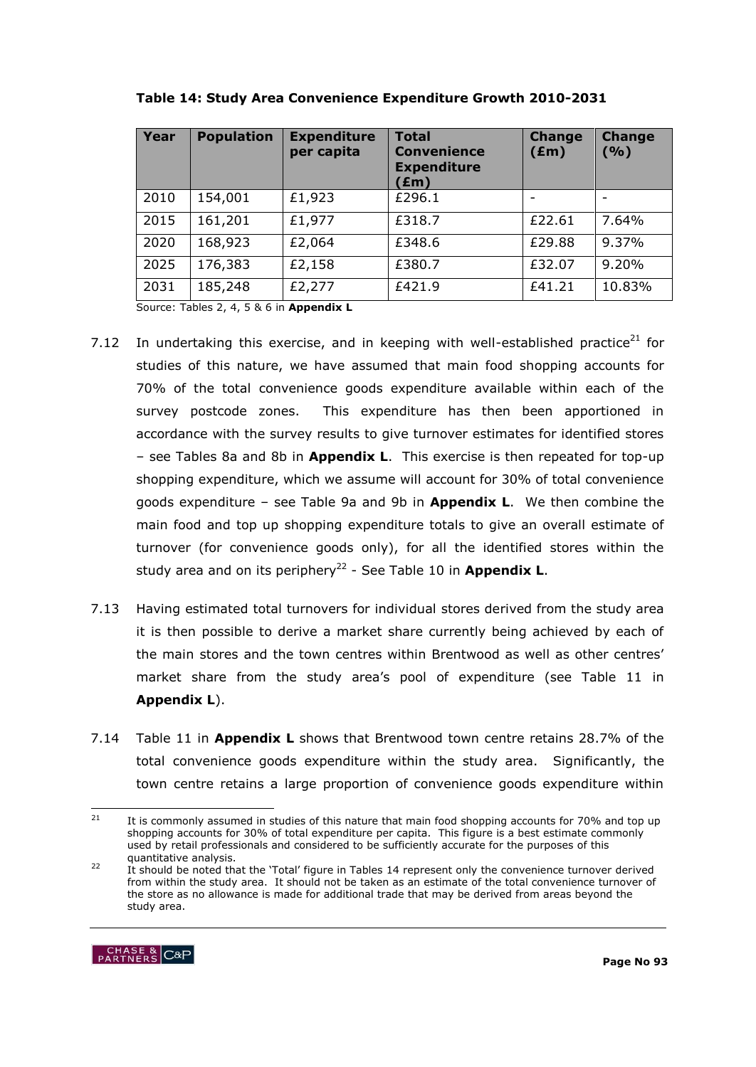| Year | <b>Population</b> | <b>Expenditure</b><br>per capita | <b>Total</b><br><b>Convenience</b><br><b>Expenditure</b><br>(£m) | <b>Change</b><br>$(\text{Em})$ | <b>Change</b><br>( %) |
|------|-------------------|----------------------------------|------------------------------------------------------------------|--------------------------------|-----------------------|
| 2010 | 154,001           | £1,923                           | £296.1                                                           |                                |                       |
| 2015 | 161,201           | £1,977                           | £318.7                                                           | £22.61                         | 7.64%                 |
| 2020 | 168,923           | £2,064                           | £348.6                                                           | £29.88                         | 9.37%                 |
| 2025 | 176,383           | £2,158                           | £380.7                                                           | £32.07                         | 9.20%                 |
| 2031 | 185,248           | £2,277                           | £421.9                                                           | £41.21                         | 10.83%                |



Source: Tables 2, 4, 5 & 6 in **Appendix L**

- 7.12 In undertaking this exercise, and in keeping with well-established practice<sup>21</sup> for studies of this nature, we have assumed that main food shopping accounts for 70% of the total convenience goods expenditure available within each of the survey postcode zones. This expenditure has then been apportioned in accordance with the survey results to give turnover estimates for identified stores – see Tables 8a and 8b in **Appendix L**. This exercise is then repeated for top-up shopping expenditure, which we assume will account for 30% of total convenience goods expenditure – see Table 9a and 9b in **Appendix L**. We then combine the main food and top up shopping expenditure totals to give an overall estimate of turnover (for convenience goods only), for all the identified stores within the study area and on its periphery<sup>22</sup> - See Table 10 in Appendix L.
- 7.13 Having estimated total turnovers for individual stores derived from the study area it is then possible to derive a market share currently being achieved by each of the main stores and the town centres within Brentwood as well as other centres" market share from the study area's pool of expenditure (see Table 11 in **Appendix L**).
- 7.14 Table 11 in **Appendix L** shows that Brentwood town centre retains 28.7% of the total convenience goods expenditure within the study area. Significantly, the town centre retains a large proportion of convenience goods expenditure within

<sup>&</sup>lt;sup>22</sup> It should be noted that the 'Total' figure in Tables 14 represent only the convenience turnover derived from within the study area. It should not be taken as an estimate of the total convenience turnover of the store as no allowance is made for additional trade that may be derived from areas beyond the study area.



<sup>21</sup> It is commonly assumed in studies of this nature that main food shopping accounts for 70% and top up shopping accounts for 30% of total expenditure per capita. This figure is a best estimate commonly used by retail professionals and considered to be sufficiently accurate for the purposes of this quantitative analysis.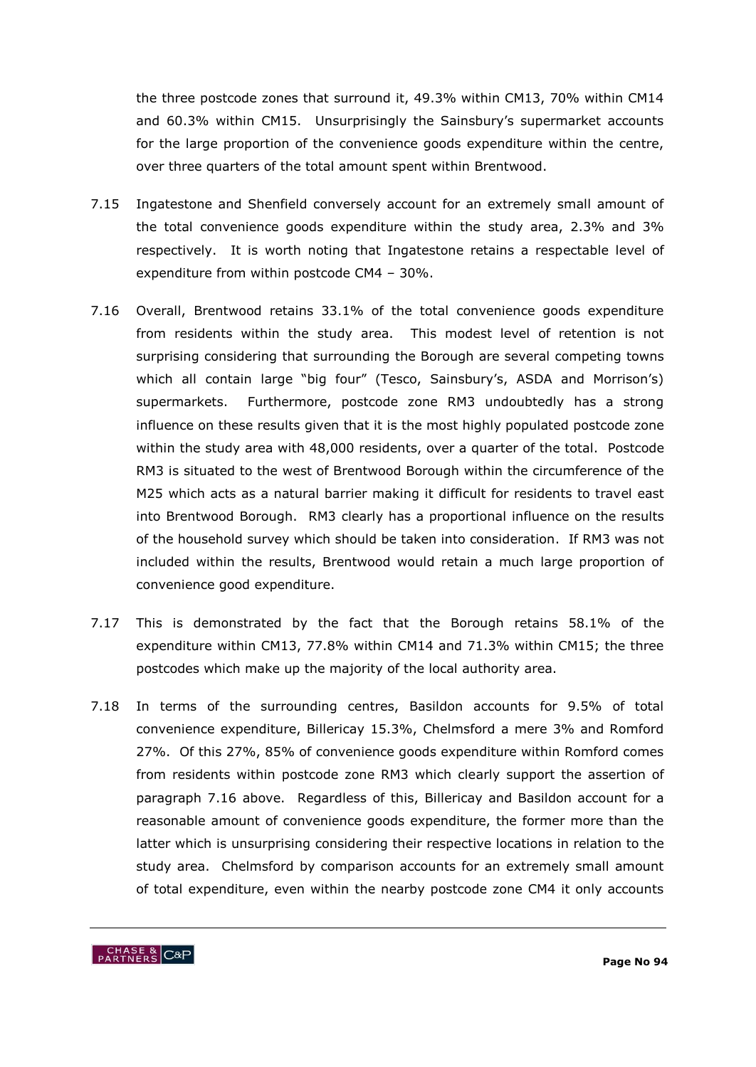the three postcode zones that surround it, 49.3% within CM13, 70% within CM14 and 60.3% within CM15. Unsurprisingly the Sainsbury"s supermarket accounts for the large proportion of the convenience goods expenditure within the centre, over three quarters of the total amount spent within Brentwood.

- 7.15 Ingatestone and Shenfield conversely account for an extremely small amount of the total convenience goods expenditure within the study area, 2.3% and 3% respectively. It is worth noting that Ingatestone retains a respectable level of expenditure from within postcode CM4 – 30%.
- 7.16 Overall, Brentwood retains 33.1% of the total convenience goods expenditure from residents within the study area. This modest level of retention is not surprising considering that surrounding the Borough are several competing towns which all contain large "big four" (Tesco, Sainsbury's, ASDA and Morrison's) supermarkets. Furthermore, postcode zone RM3 undoubtedly has a strong influence on these results given that it is the most highly populated postcode zone within the study area with 48,000 residents, over a quarter of the total. Postcode RM3 is situated to the west of Brentwood Borough within the circumference of the M25 which acts as a natural barrier making it difficult for residents to travel east into Brentwood Borough. RM3 clearly has a proportional influence on the results of the household survey which should be taken into consideration. If RM3 was not included within the results, Brentwood would retain a much large proportion of convenience good expenditure.
- 7.17 This is demonstrated by the fact that the Borough retains 58.1% of the expenditure within CM13, 77.8% within CM14 and 71.3% within CM15; the three postcodes which make up the majority of the local authority area.
- 7.18 In terms of the surrounding centres, Basildon accounts for 9.5% of total convenience expenditure, Billericay 15.3%, Chelmsford a mere 3% and Romford 27%. Of this 27%, 85% of convenience goods expenditure within Romford comes from residents within postcode zone RM3 which clearly support the assertion of paragraph 7.16 above. Regardless of this, Billericay and Basildon account for a reasonable amount of convenience goods expenditure, the former more than the latter which is unsurprising considering their respective locations in relation to the study area. Chelmsford by comparison accounts for an extremely small amount of total expenditure, even within the nearby postcode zone CM4 it only accounts

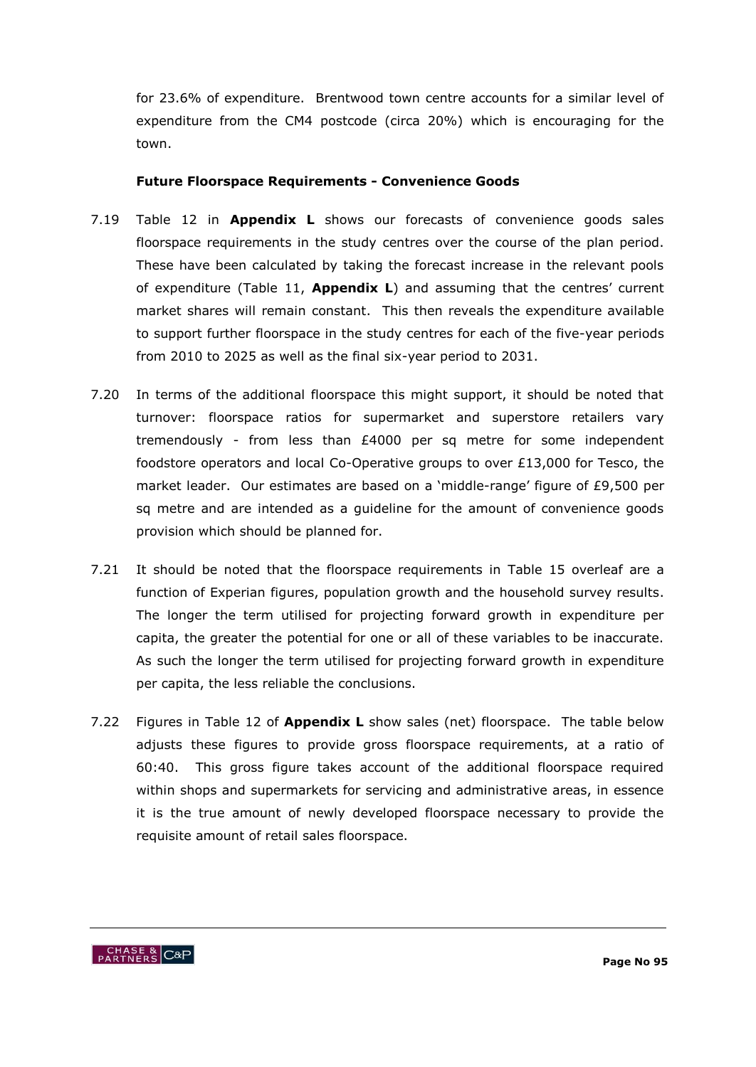for 23.6% of expenditure. Brentwood town centre accounts for a similar level of expenditure from the CM4 postcode (circa 20%) which is encouraging for the town.

#### **Future Floorspace Requirements - Convenience Goods**

- 7.19 Table 12 in **Appendix L** shows our forecasts of convenience goods sales floorspace requirements in the study centres over the course of the plan period. These have been calculated by taking the forecast increase in the relevant pools of expenditure (Table 11, **Appendix L**) and assuming that the centres" current market shares will remain constant. This then reveals the expenditure available to support further floorspace in the study centres for each of the five-year periods from 2010 to 2025 as well as the final six-year period to 2031.
- 7.20 In terms of the additional floorspace this might support, it should be noted that turnover: floorspace ratios for supermarket and superstore retailers vary tremendously - from less than £4000 per sq metre for some independent foodstore operators and local Co-Operative groups to over £13,000 for Tesco, the market leader. Our estimates are based on a 'middle-range' figure of £9,500 per sq metre and are intended as a guideline for the amount of convenience goods provision which should be planned for.
- 7.21 It should be noted that the floorspace requirements in Table 15 overleaf are a function of Experian figures, population growth and the household survey results. The longer the term utilised for projecting forward growth in expenditure per capita, the greater the potential for one or all of these variables to be inaccurate. As such the longer the term utilised for projecting forward growth in expenditure per capita, the less reliable the conclusions.
- 7.22 Figures in Table 12 of **Appendix L** show sales (net) floorspace. The table below adjusts these figures to provide gross floorspace requirements, at a ratio of 60:40. This gross figure takes account of the additional floorspace required within shops and supermarkets for servicing and administrative areas, in essence it is the true amount of newly developed floorspace necessary to provide the requisite amount of retail sales floorspace.

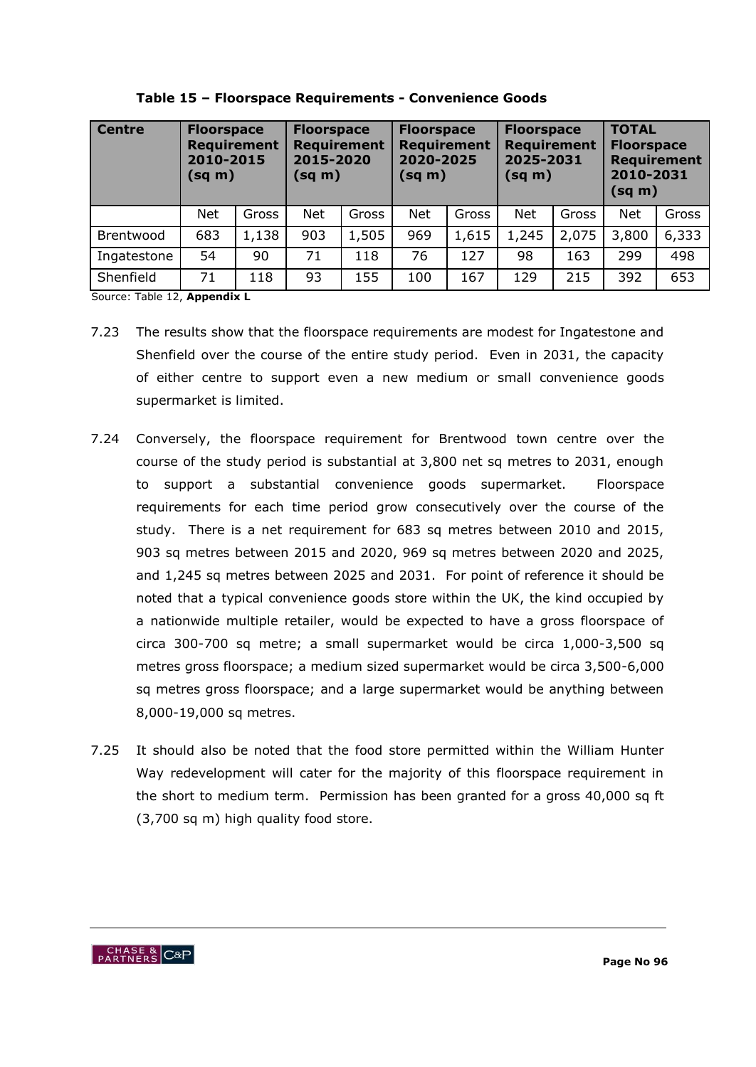| <b>Centre</b> | <b>Floorspace</b><br><b>Requirement</b><br>2010-2015<br>$(sq \, m)$ |       | <b>Floorspace</b><br><b>Requirement</b><br>2015-2020<br>(sq m) |       | <b>Floorspace</b><br><b>Requirement</b><br>2020-2025<br>(sq m) |       | <b>Floorspace</b><br><b>Requirement</b><br>2025-2031<br>$(sq \, m)$ |       | <b>TOTAL</b><br><b>Floorspace</b><br><b>Requirement</b><br>2010-2031<br>$(sq \, m)$ |       |
|---------------|---------------------------------------------------------------------|-------|----------------------------------------------------------------|-------|----------------------------------------------------------------|-------|---------------------------------------------------------------------|-------|-------------------------------------------------------------------------------------|-------|
|               | <b>Net</b>                                                          | Gross | <b>Net</b>                                                     | Gross | <b>Net</b>                                                     | Gross | <b>Net</b>                                                          | Gross | <b>Net</b>                                                                          | Gross |
| Brentwood     | 683                                                                 | 1,138 | 903                                                            | 1,505 | 969                                                            | 1,615 | 1,245                                                               | 2,075 | 3,800                                                                               | 6,333 |
| Ingatestone   | 54                                                                  | 90    | 71                                                             | 118   | 76                                                             | 127   | 98                                                                  | 163   | 299                                                                                 | 498   |
| Shenfield     | 71                                                                  | 118   | 93                                                             | 155   | 100                                                            | 167   | 129                                                                 | 215   | 392                                                                                 | 653   |

**Table 15 – Floorspace Requirements - Convenience Goods**

Source: Table 12, **Appendix L**

- 7.23 The results show that the floorspace requirements are modest for Ingatestone and Shenfield over the course of the entire study period. Even in 2031, the capacity of either centre to support even a new medium or small convenience goods supermarket is limited.
- 7.24 Conversely, the floorspace requirement for Brentwood town centre over the course of the study period is substantial at 3,800 net sq metres to 2031, enough to support a substantial convenience goods supermarket. Floorspace requirements for each time period grow consecutively over the course of the study. There is a net requirement for 683 sq metres between 2010 and 2015, 903 sq metres between 2015 and 2020, 969 sq metres between 2020 and 2025, and 1,245 sq metres between 2025 and 2031. For point of reference it should be noted that a typical convenience goods store within the UK, the kind occupied by a nationwide multiple retailer, would be expected to have a gross floorspace of circa 300-700 sq metre; a small supermarket would be circa 1,000-3,500 sq metres gross floorspace; a medium sized supermarket would be circa 3,500-6,000 sq metres gross floorspace; and a large supermarket would be anything between 8,000-19,000 sq metres.
- 7.25 It should also be noted that the food store permitted within the William Hunter Way redevelopment will cater for the majority of this floorspace requirement in the short to medium term. Permission has been granted for a gross 40,000 sq ft (3,700 sq m) high quality food store.

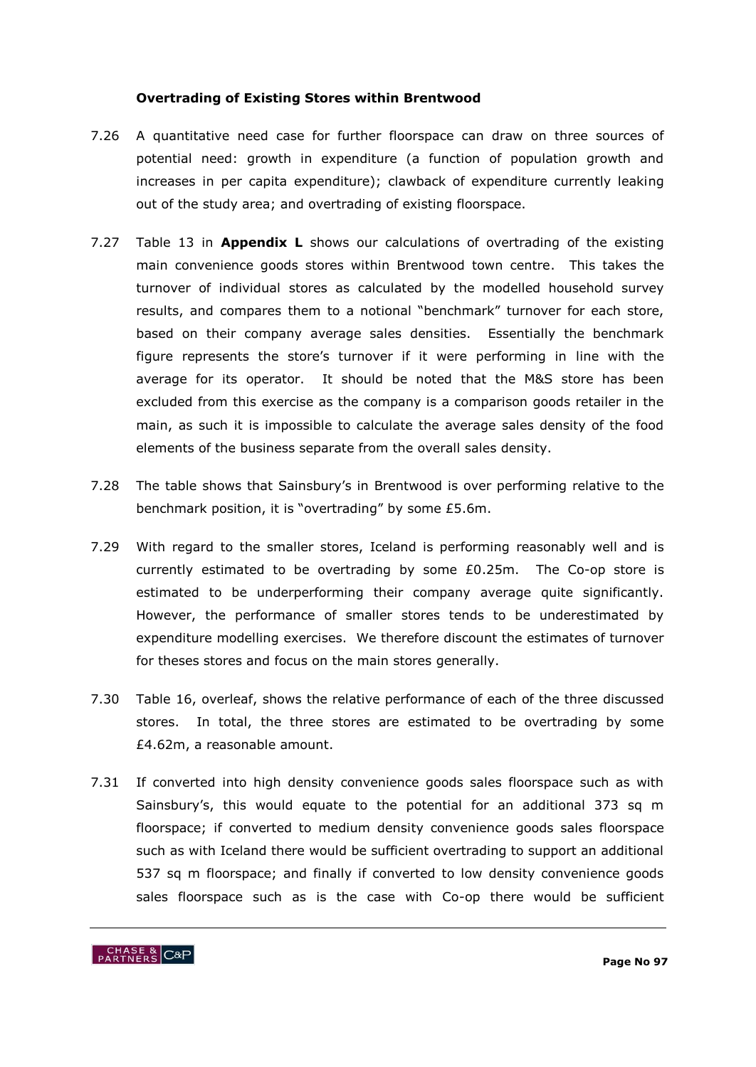#### **Overtrading of Existing Stores within Brentwood**

- 7.26 A quantitative need case for further floorspace can draw on three sources of potential need: growth in expenditure (a function of population growth and increases in per capita expenditure); clawback of expenditure currently leaking out of the study area; and overtrading of existing floorspace.
- 7.27 Table 13 in **Appendix L** shows our calculations of overtrading of the existing main convenience goods stores within Brentwood town centre. This takes the turnover of individual stores as calculated by the modelled household survey results, and compares them to a notional "benchmark" turnover for each store, based on their company average sales densities. Essentially the benchmark figure represents the store"s turnover if it were performing in line with the average for its operator. It should be noted that the M&S store has been excluded from this exercise as the company is a comparison goods retailer in the main, as such it is impossible to calculate the average sales density of the food elements of the business separate from the overall sales density.
- 7.28 The table shows that Sainsbury"s in Brentwood is over performing relative to the benchmark position, it is "overtrading" by some £5.6m.
- 7.29 With regard to the smaller stores, Iceland is performing reasonably well and is currently estimated to be overtrading by some £0.25m. The Co-op store is estimated to be underperforming their company average quite significantly. However, the performance of smaller stores tends to be underestimated by expenditure modelling exercises. We therefore discount the estimates of turnover for theses stores and focus on the main stores generally.
- 7.30 Table 16, overleaf, shows the relative performance of each of the three discussed stores. In total, the three stores are estimated to be overtrading by some £4.62m, a reasonable amount.
- 7.31 If converted into high density convenience goods sales floorspace such as with Sainsbury's, this would equate to the potential for an additional 373 sq m floorspace; if converted to medium density convenience goods sales floorspace such as with Iceland there would be sufficient overtrading to support an additional 537 sq m floorspace; and finally if converted to low density convenience goods sales floorspace such as is the case with Co-op there would be sufficient

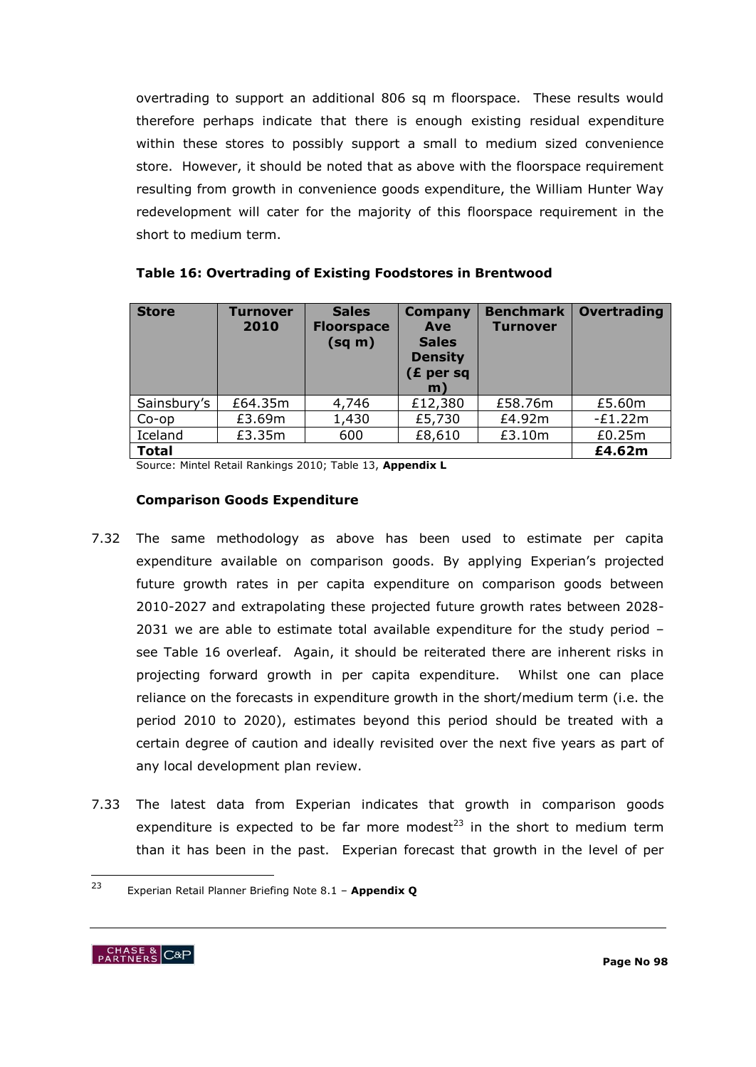overtrading to support an additional 806 sq m floorspace. These results would therefore perhaps indicate that there is enough existing residual expenditure within these stores to possibly support a small to medium sized convenience store. However, it should be noted that as above with the floorspace requirement resulting from growth in convenience goods expenditure, the William Hunter Way redevelopment will cater for the majority of this floorspace requirement in the short to medium term.

| <b>Store</b> | <b>Turnover</b><br>2010 | <b>Sales</b><br><b>Floorspace</b><br>$(sq \, m)$ | <b>Company</b><br>Ave<br><b>Sales</b><br><b>Density</b><br>$(E$ per sq<br>m) | <b>Benchmark</b><br><b>Turnover</b> | Overtrading |
|--------------|-------------------------|--------------------------------------------------|------------------------------------------------------------------------------|-------------------------------------|-------------|
| Sainsbury's  | £64.35m                 | 4,746                                            | £12,380                                                                      | £58.76m                             | £5.60m      |
| $Co$ -op     | £3.69m                  | 1,430                                            | £5,730                                                                       | £4.92m                              | $-E1.22m$   |
| Iceland      | £3.35m                  | 600                                              | £8,610                                                                       | £3.10m                              | £0.25m      |
| <b>Total</b> |                         |                                                  |                                                                              |                                     | £4.62m      |

| Table 16: Overtrading of Existing Foodstores in Brentwood |  |  |  |  |
|-----------------------------------------------------------|--|--|--|--|
|-----------------------------------------------------------|--|--|--|--|

Source: Mintel Retail Rankings 2010; Table 13, **Appendix L**

#### **Comparison Goods Expenditure**

- 7.32 The same methodology as above has been used to estimate per capita expenditure available on comparison goods. By applying Experian's projected future growth rates in per capita expenditure on comparison goods between 2010-2027 and extrapolating these projected future growth rates between 2028- 2031 we are able to estimate total available expenditure for the study period – see Table 16 overleaf. Again, it should be reiterated there are inherent risks in projecting forward growth in per capita expenditure. Whilst one can place reliance on the forecasts in expenditure growth in the short/medium term (i.e. the period 2010 to 2020), estimates beyond this period should be treated with a certain degree of caution and ideally revisited over the next five years as part of any local development plan review.
- 7.33 The latest data from Experian indicates that growth in comparison goods expenditure is expected to be far more modest<sup>23</sup> in the short to medium term than it has been in the past. Experian forecast that growth in the level of per

 $23$ <sup>23</sup> Experian Retail Planner Briefing Note 8.1 – **Appendix Q**

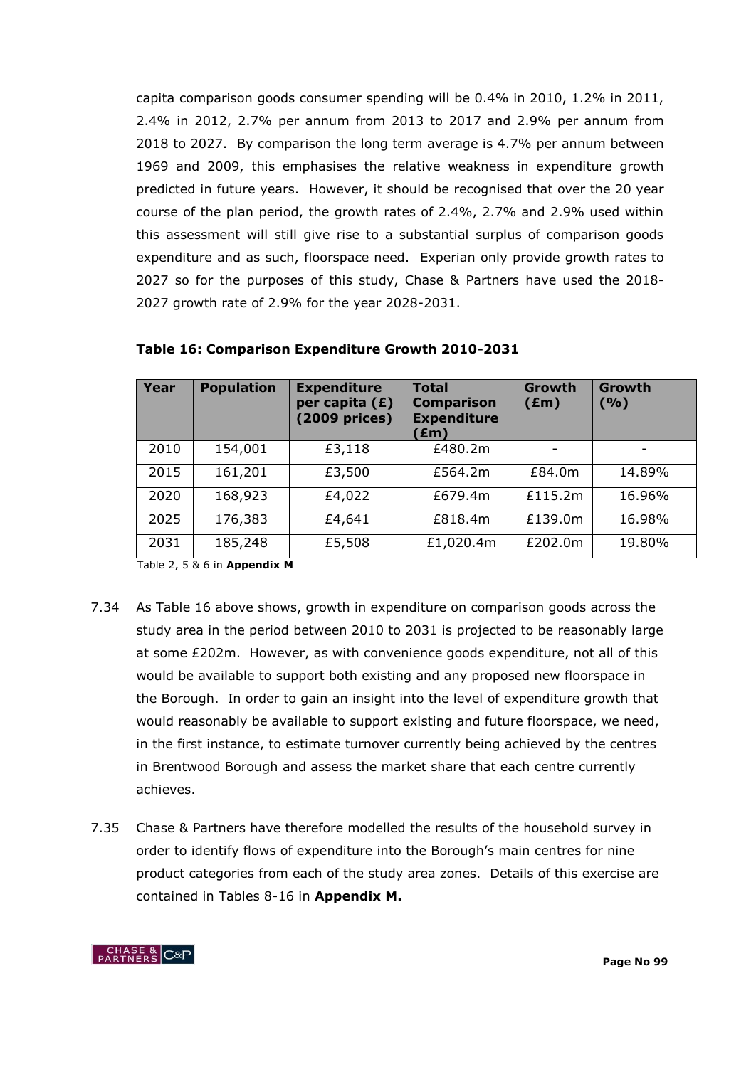capita comparison goods consumer spending will be 0.4% in 2010, 1.2% in 2011, 2.4% in 2012, 2.7% per annum from 2013 to 2017 and 2.9% per annum from 2018 to 2027. By comparison the long term average is 4.7% per annum between 1969 and 2009, this emphasises the relative weakness in expenditure growth predicted in future years. However, it should be recognised that over the 20 year course of the plan period, the growth rates of 2.4%, 2.7% and 2.9% used within this assessment will still give rise to a substantial surplus of comparison goods expenditure and as such, floorspace need. Experian only provide growth rates to 2027 so for the purposes of this study, Chase & Partners have used the 2018- 2027 growth rate of 2.9% for the year 2028-2031.

| Year | <b>Population</b> | <b>Expenditure</b><br>per capita $(E)$<br>(2009 prices) | <b>Total</b><br><b>Comparison</b><br><b>Expenditure</b><br>(£m) | Growth<br>$(\text{Em})$ | <b>Growth</b><br>( %) |
|------|-------------------|---------------------------------------------------------|-----------------------------------------------------------------|-------------------------|-----------------------|
| 2010 | 154,001           | £3,118                                                  | £480.2m                                                         |                         |                       |
| 2015 | 161,201           | £3,500                                                  | £564.2m                                                         | £84.0m                  | 14.89%                |
| 2020 | 168,923           | £4,022                                                  | £679.4m                                                         | £115.2m                 | 16.96%                |
| 2025 | 176,383           | £4,641                                                  | £818.4m                                                         | £139.0m                 | 16.98%                |
| 2031 | 185,248           | £5,508                                                  | £1,020.4m                                                       | £202.0m                 | 19.80%                |

#### **Table 16: Comparison Expenditure Growth 2010-2031**

Table 2, 5 & 6 in **Appendix M**

- 7.34 As Table 16 above shows, growth in expenditure on comparison goods across the study area in the period between 2010 to 2031 is projected to be reasonably large at some £202m. However, as with convenience goods expenditure, not all of this would be available to support both existing and any proposed new floorspace in the Borough. In order to gain an insight into the level of expenditure growth that would reasonably be available to support existing and future floorspace, we need, in the first instance, to estimate turnover currently being achieved by the centres in Brentwood Borough and assess the market share that each centre currently achieves.
- 7.35 Chase & Partners have therefore modelled the results of the household survey in order to identify flows of expenditure into the Borough's main centres for nine product categories from each of the study area zones. Details of this exercise are contained in Tables 8-16 in **Appendix M.**

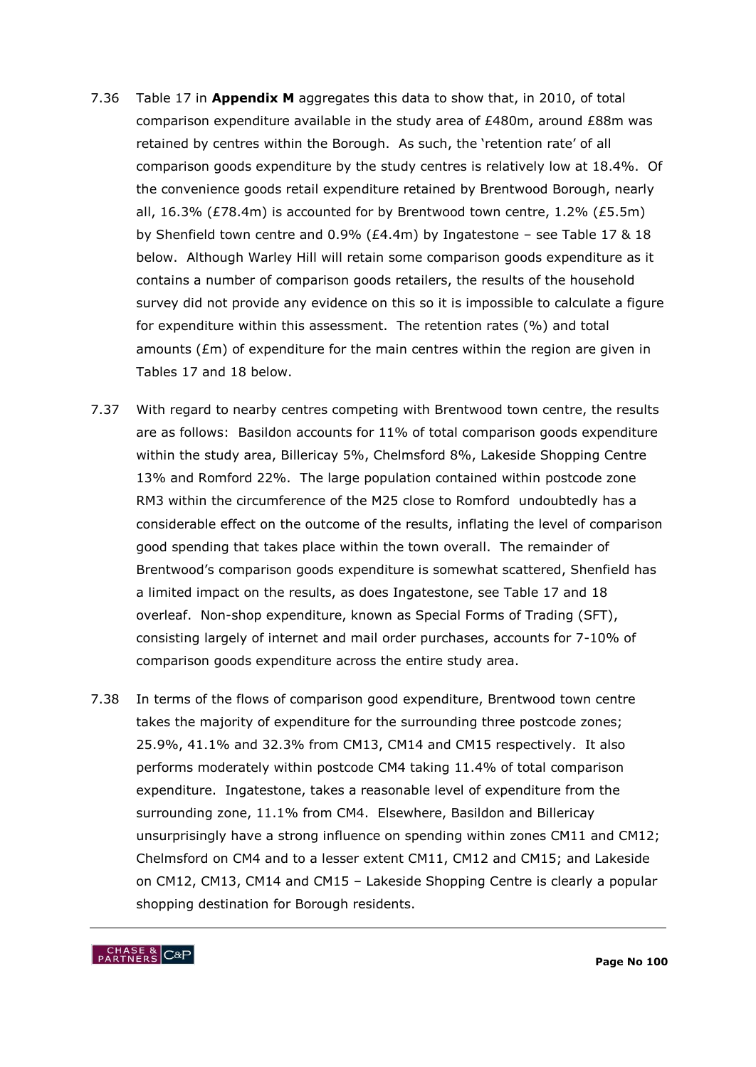- 7.36 Table 17 in **Appendix M** aggregates this data to show that, in 2010, of total comparison expenditure available in the study area of £480m, around £88m was retained by centres within the Borough. As such, the 'retention rate' of all comparison goods expenditure by the study centres is relatively low at 18.4%. Of the convenience goods retail expenditure retained by Brentwood Borough, nearly all, 16.3% (£78.4m) is accounted for by Brentwood town centre, 1.2% (£5.5m) by Shenfield town centre and 0.9% (£4.4m) by Ingatestone – see Table 17 & 18 below. Although Warley Hill will retain some comparison goods expenditure as it contains a number of comparison goods retailers, the results of the household survey did not provide any evidence on this so it is impossible to calculate a figure for expenditure within this assessment. The retention rates (%) and total amounts (£m) of expenditure for the main centres within the region are given in Tables 17 and 18 below.
- 7.37 With regard to nearby centres competing with Brentwood town centre, the results are as follows: Basildon accounts for 11% of total comparison goods expenditure within the study area, Billericay 5%, Chelmsford 8%, Lakeside Shopping Centre 13% and Romford 22%. The large population contained within postcode zone RM3 within the circumference of the M25 close to Romford undoubtedly has a considerable effect on the outcome of the results, inflating the level of comparison good spending that takes place within the town overall. The remainder of Brentwood"s comparison goods expenditure is somewhat scattered, Shenfield has a limited impact on the results, as does Ingatestone, see Table 17 and 18 overleaf. Non-shop expenditure, known as Special Forms of Trading (SFT), consisting largely of internet and mail order purchases, accounts for 7-10% of comparison goods expenditure across the entire study area.
- 7.38 In terms of the flows of comparison good expenditure, Brentwood town centre takes the majority of expenditure for the surrounding three postcode zones; 25.9%, 41.1% and 32.3% from CM13, CM14 and CM15 respectively. It also performs moderately within postcode CM4 taking 11.4% of total comparison expenditure. Ingatestone, takes a reasonable level of expenditure from the surrounding zone, 11.1% from CM4. Elsewhere, Basildon and Billericay unsurprisingly have a strong influence on spending within zones CM11 and CM12; Chelmsford on CM4 and to a lesser extent CM11, CM12 and CM15; and Lakeside on CM12, CM13, CM14 and CM15 – Lakeside Shopping Centre is clearly a popular shopping destination for Borough residents.

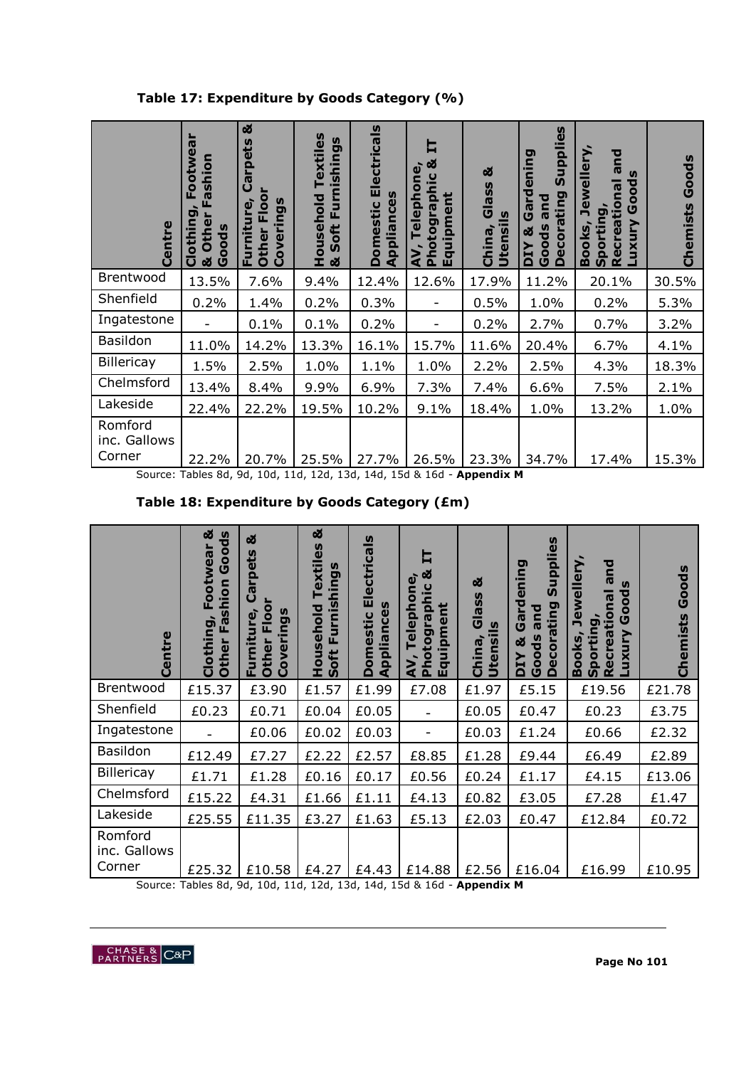**Table 17: Expenditure by Goods Category (%)**

| Centre                            | ootwear<br>Fashion<br>Ш.<br>ה<br>Clothin<br>Other<br>Goods<br>ಹ | ಹ<br>ets<br>흔<br>$\mathbf{\sigma}$<br>ပ<br>Floo<br>Coverings<br>fnit<br>Other<br>훈 | 9S<br>extile<br>nishing<br>usehold<br>ய<br>oft<br><b>SD</b><br>$\bar{e}$<br>ಹ | <b>Electricals</b><br>Appliances<br><b>Domestic</b> | ೲ<br>$\omega$<br>$\overline{a}$<br>elepho<br>ᇰ<br>Ë<br>$\overline{\mathbf{o}}$<br>E <sub>1</sub><br>$\overline{\mathbf{v}}$<br>otog<br>$\mathbf{a}$<br>Ě<br>$\sigma$<br>⋛<br>Ŵ | ಹ<br>Glass<br>Utensils<br>China, | ပ္ၿ<br>uppli<br>ening<br>ທັ<br>É<br>ecorating<br>and<br>ලී<br>Goods<br>ದ<br>н<br>$\Omega$<br>$\Omega$ | ewellery<br>뎥<br>$\mathbf{a}$<br>$\mathbf{v}$<br>öoo<br>tional<br>ပ<br>rting<br>n<br>rea<br>≧<br><b>Books</b><br>5<br><b>Spol</b><br><b>Reci</b><br>× | oods<br>ပ<br>emists<br>င် |
|-----------------------------------|-----------------------------------------------------------------|------------------------------------------------------------------------------------|-------------------------------------------------------------------------------|-----------------------------------------------------|--------------------------------------------------------------------------------------------------------------------------------------------------------------------------------|----------------------------------|-------------------------------------------------------------------------------------------------------|-------------------------------------------------------------------------------------------------------------------------------------------------------|---------------------------|
| Brentwood                         | 13.5%                                                           | 7.6%                                                                               | 9.4%                                                                          | 12.4%                                               | 12.6%                                                                                                                                                                          | 17.9%                            | 11.2%                                                                                                 | 20.1%                                                                                                                                                 | 30.5%                     |
| Shenfield                         | 0.2%                                                            | 1.4%                                                                               | 0.2%                                                                          | 0.3%                                                |                                                                                                                                                                                | 0.5%                             | 1.0%                                                                                                  | 0.2%                                                                                                                                                  | 5.3%                      |
| Ingatestone                       |                                                                 | 0.1%                                                                               | 0.1%                                                                          | 0.2%                                                | $\overline{\phantom{a}}$                                                                                                                                                       | 0.2%                             | 2.7%                                                                                                  | 0.7%                                                                                                                                                  | 3.2%                      |
| <b>Basildon</b>                   | 11.0%                                                           | 14.2%                                                                              | 13.3%                                                                         | 16.1%                                               | 15.7%                                                                                                                                                                          | 11.6%                            | 20.4%                                                                                                 | 6.7%                                                                                                                                                  | 4.1%                      |
| Billericay                        | 1.5%                                                            | 2.5%                                                                               | 1.0%                                                                          | 1.1%                                                | 1.0%                                                                                                                                                                           | 2.2%                             | 2.5%                                                                                                  | 4.3%                                                                                                                                                  | 18.3%                     |
| Chelmsford                        | 13.4%                                                           | 8.4%                                                                               | 9.9%                                                                          | 6.9%                                                | 7.3%                                                                                                                                                                           | 7.4%                             | 6.6%                                                                                                  | 7.5%                                                                                                                                                  | 2.1%                      |
| Lakeside                          | 22.4%                                                           | 22.2%                                                                              | 19.5%                                                                         | 10.2%                                               | 9.1%                                                                                                                                                                           | 18.4%                            | 1.0%                                                                                                  | 13.2%                                                                                                                                                 | 1.0%                      |
| Romford<br>inc. Gallows<br>Corner | 22.2%                                                           | 20.7%<br>Source: Tables 8d, 9d, 10d, 11d, 12d, 13d, 14d, 15d & 16d - Appendix M    | 25.5%                                                                         | 27.7%                                               | 26.5%                                                                                                                                                                          | 23.3%                            | 34.7%                                                                                                 | 17.4%                                                                                                                                                 | 15.3%                     |

|  | Table 18: Expenditure by Goods Category (£m) |  |  |
|--|----------------------------------------------|--|--|
|  |                                              |  |  |

| Centre                            | ಹ<br>Goods<br>Footwear<br>shion<br>Clothing,<br>$\overline{\mathbf{r}}$<br>Other | ಹ<br>pets<br>ී<br>O<br><b>S</b><br>Φ<br><u>č</u><br>ה<br>$\mathbf{C}$<br>5<br>iti<br>$\overline{\mathbf{v}}$<br>$\mathbf{v}$<br>Ě<br>Š<br>5<br>O<br>$\Omega$<br>ш. | ಜ<br>extiles<br><b>S</b><br>hing<br>inis<br>ousehold<br>Б<br>ш.<br>oft<br>Ŧ.<br>$\boldsymbol{\omega}$ | <b>Electricals</b><br>ppliances<br><b>Domestic</b><br>₫ | ᆸ<br>ಹ<br>$\omega$<br>phic<br>ephon<br>ent<br>Photogra<br>quipm<br>Ō<br>⋗<br>๔<br>ш | ఱ<br>Glass<br>$\overline{a}$<br>Utensi<br>China | ဖိ<br><b>Middn</b><br>ō<br>ening<br>$\boldsymbol{\omega}$<br>짇<br>orating<br>ᅙ<br>ලී<br>$\mathbf{\sigma}$<br><b>9D</b><br>ಹ<br>8<br>Ū<br>≻<br>$\omega$<br>Δ<br>U<br>$\Omega$ | g<br>wellery<br><b>IQ</b><br>epo<br>ma<br>$\bullet$<br>tio<br>U<br>Đ<br>ලි<br>λın<br>Ē<br>ooks<br>≅<br>ū<br>$\overline{a}$<br>Φ<br>$\tilde{\mathbf{r}}$<br>$\Omega$<br>∞ | Goods<br>Chemists |
|-----------------------------------|----------------------------------------------------------------------------------|--------------------------------------------------------------------------------------------------------------------------------------------------------------------|-------------------------------------------------------------------------------------------------------|---------------------------------------------------------|-------------------------------------------------------------------------------------|-------------------------------------------------|------------------------------------------------------------------------------------------------------------------------------------------------------------------------------|--------------------------------------------------------------------------------------------------------------------------------------------------------------------------|-------------------|
| Brentwood                         | £15.37                                                                           | £3.90                                                                                                                                                              | £1.57                                                                                                 | £1.99                                                   | £7.08                                                                               | £1.97                                           | £5.15                                                                                                                                                                        | £19.56                                                                                                                                                                   | £21.78            |
| Shenfield                         | £0.23                                                                            | £0.71                                                                                                                                                              | £0.04                                                                                                 | £0.05                                                   |                                                                                     | £0.05                                           | £0.47                                                                                                                                                                        | £0.23                                                                                                                                                                    | £3.75             |
| Ingatestone                       |                                                                                  | £0.06                                                                                                                                                              | £0.02                                                                                                 | £0.03                                                   | $\qquad \qquad \blacksquare$                                                        | £0.03                                           | £1.24                                                                                                                                                                        | £0.66                                                                                                                                                                    | £2.32             |
| <b>Basildon</b>                   | £12.49                                                                           | £7.27                                                                                                                                                              | £2.22                                                                                                 | £2.57                                                   | £8.85                                                                               | £1.28                                           | £9.44                                                                                                                                                                        | £6.49                                                                                                                                                                    | £2.89             |
| Billericay                        | £1.71                                                                            | £1.28                                                                                                                                                              | £0.16                                                                                                 | £0.17                                                   | £0.56                                                                               | £0.24                                           | £1.17                                                                                                                                                                        | £4.15                                                                                                                                                                    | £13.06            |
| Chelmsford                        | £15.22                                                                           | £4.31                                                                                                                                                              | £1.66                                                                                                 | £1.11                                                   | £4.13                                                                               | £0.82                                           | £3.05                                                                                                                                                                        | £7.28                                                                                                                                                                    | £1.47             |
| Lakeside                          | £25.55                                                                           | £11.35                                                                                                                                                             | £3.27                                                                                                 | £1.63                                                   | £5.13                                                                               | £2.03                                           | £0.47                                                                                                                                                                        | £12.84                                                                                                                                                                   | £0.72             |
| Romford<br>inc. Gallows<br>Corner | £25.32                                                                           | £10.58                                                                                                                                                             | £4.27                                                                                                 | £4.43                                                   | £14.88                                                                              | £2.56                                           | £16.04                                                                                                                                                                       | £16.99                                                                                                                                                                   | £10.95            |

Source: Tables 8d, 9d, 10d, 11d, 12d, 13d, 14d, 15d & 16d - **Appendix M**

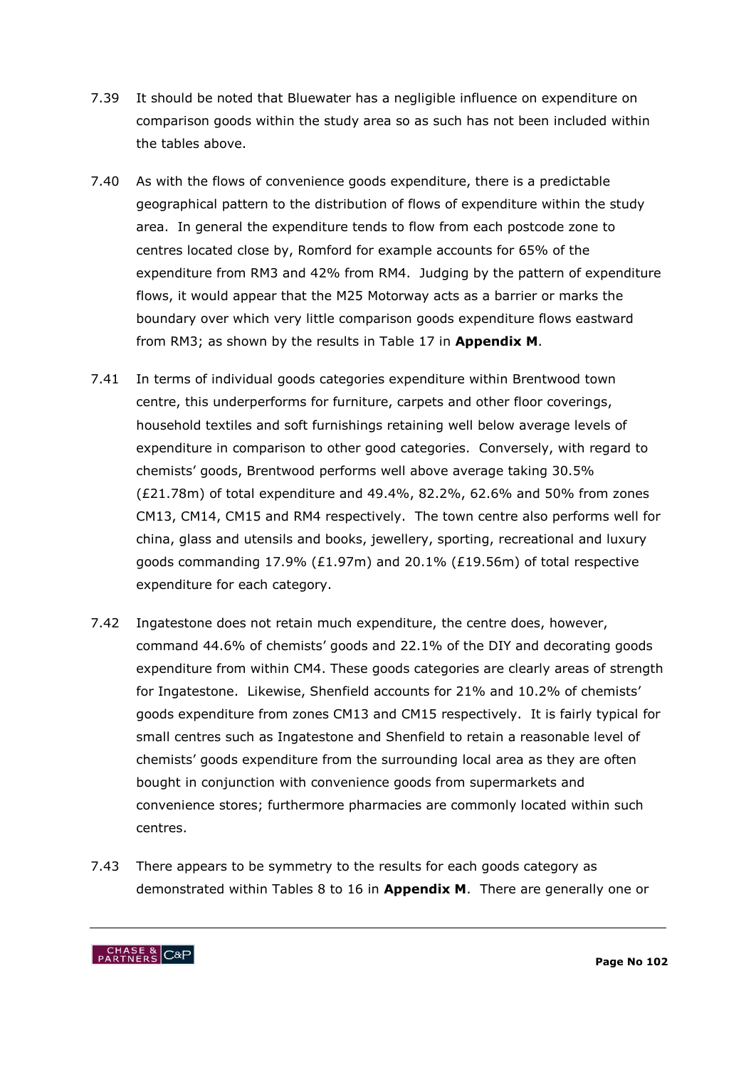- 7.39 It should be noted that Bluewater has a negligible influence on expenditure on comparison goods within the study area so as such has not been included within the tables above.
- 7.40 As with the flows of convenience goods expenditure, there is a predictable geographical pattern to the distribution of flows of expenditure within the study area. In general the expenditure tends to flow from each postcode zone to centres located close by, Romford for example accounts for 65% of the expenditure from RM3 and 42% from RM4. Judging by the pattern of expenditure flows, it would appear that the M25 Motorway acts as a barrier or marks the boundary over which very little comparison goods expenditure flows eastward from RM3; as shown by the results in Table 17 in **Appendix M**.
- 7.41 In terms of individual goods categories expenditure within Brentwood town centre, this underperforms for furniture, carpets and other floor coverings, household textiles and soft furnishings retaining well below average levels of expenditure in comparison to other good categories. Conversely, with regard to chemists" goods, Brentwood performs well above average taking 30.5% (£21.78m) of total expenditure and 49.4%, 82.2%, 62.6% and 50% from zones CM13, CM14, CM15 and RM4 respectively. The town centre also performs well for china, glass and utensils and books, jewellery, sporting, recreational and luxury goods commanding 17.9% (£1.97m) and 20.1% (£19.56m) of total respective expenditure for each category.
- 7.42 Ingatestone does not retain much expenditure, the centre does, however, command 44.6% of chemists" goods and 22.1% of the DIY and decorating goods expenditure from within CM4. These goods categories are clearly areas of strength for Ingatestone. Likewise, Shenfield accounts for 21% and 10.2% of chemists" goods expenditure from zones CM13 and CM15 respectively. It is fairly typical for small centres such as Ingatestone and Shenfield to retain a reasonable level of chemists" goods expenditure from the surrounding local area as they are often bought in conjunction with convenience goods from supermarkets and convenience stores; furthermore pharmacies are commonly located within such centres.
- 7.43 There appears to be symmetry to the results for each goods category as demonstrated within Tables 8 to 16 in **Appendix M**. There are generally one or

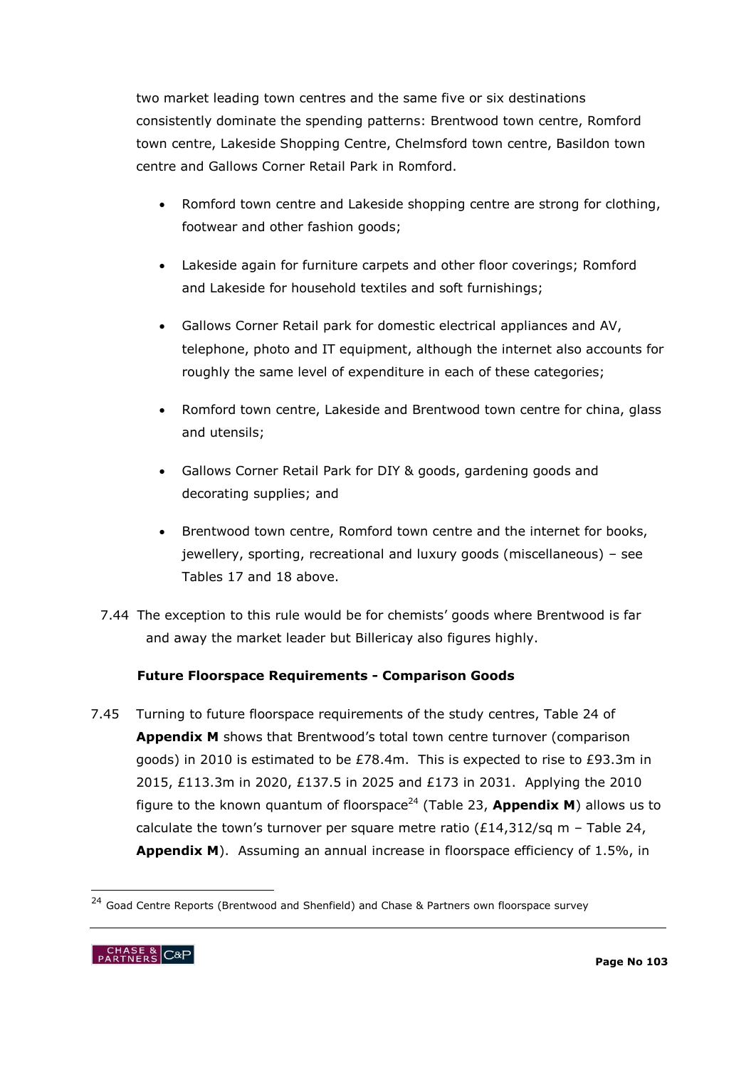two market leading town centres and the same five or six destinations consistently dominate the spending patterns: Brentwood town centre, Romford town centre, Lakeside Shopping Centre, Chelmsford town centre, Basildon town centre and Gallows Corner Retail Park in Romford.

- Romford town centre and Lakeside shopping centre are strong for clothing, footwear and other fashion goods;
- Lakeside again for furniture carpets and other floor coverings; Romford and Lakeside for household textiles and soft furnishings;
- Gallows Corner Retail park for domestic electrical appliances and AV, telephone, photo and IT equipment, although the internet also accounts for roughly the same level of expenditure in each of these categories;
- Romford town centre, Lakeside and Brentwood town centre for china, glass and utensils;
- Gallows Corner Retail Park for DIY & goods, gardening goods and decorating supplies; and
- Brentwood town centre, Romford town centre and the internet for books, jewellery, sporting, recreational and luxury goods (miscellaneous) – see Tables 17 and 18 above.
- 7.44 The exception to this rule would be for chemists' goods where Brentwood is far and away the market leader but Billericay also figures highly.

# **Future Floorspace Requirements - Comparison Goods**

7.45 Turning to future floorspace requirements of the study centres, Table 24 of **Appendix M** shows that Brentwood"s total town centre turnover (comparison goods) in 2010 is estimated to be £78.4m. This is expected to rise to £93.3m in 2015, £113.3m in 2020, £137.5 in 2025 and £173 in 2031. Applying the 2010 figure to the known quantum of floorspace<sup>24</sup> (Table 23, **Appendix M**) allows us to calculate the town's turnover per square metre ratio (£14,312/sq m - Table 24, **Appendix M**). Assuming an annual increase in floorspace efficiency of 1.5%, in

<sup>&</sup>lt;sup>24</sup> Goad Centre Reports (Brentwood and Shenfield) and Chase & Partners own floorspace survey



-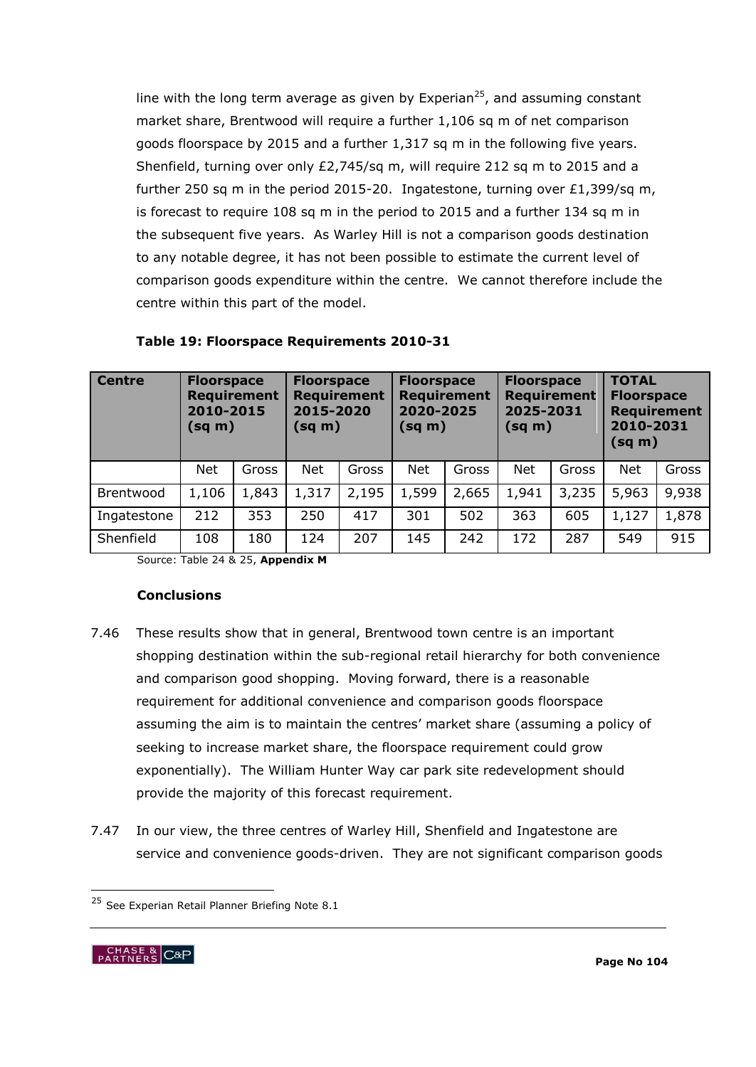line with the long term average as given by Experian<sup>25</sup>, and assuming constant market share, Brentwood will require a further 1,106 sq m of net comparison goods floorspace by 2015 and a further 1,317 sq m in the following five years. Shenfield, turning over only £2,745/sq m, will require 212 sq m to 2015 and a further 250 sq m in the period 2015-20. Ingatestone, turning over £1,399/sq m, is forecast to require 108 sq m in the period to 2015 and a further 134 sq m in the subsequent five years. As Warley Hill is not a comparison goods destination to any notable degree, it has not been possible to estimate the current level of comparison goods expenditure within the centre. We cannot therefore include the centre within this part of the model.

| <b>Centre</b> | <b>Floorspace</b><br><b>Requirement</b><br>2010-2015<br>$(sq \, m)$ |       | <b>Floorspace</b><br><b>Requirement</b><br>2015-2020<br>(sq m) |       | <b>Floorspace</b><br><b>Requirement</b><br>2020-2025<br>(sq m) |       | <b>Floorspace</b><br><b>Requirement</b><br>2025-2031<br>(sq m) |       | <b>TOTAL</b><br><b>Floorspace</b><br><b>Requirement</b><br>2010-2031<br>(sq m) |       |
|---------------|---------------------------------------------------------------------|-------|----------------------------------------------------------------|-------|----------------------------------------------------------------|-------|----------------------------------------------------------------|-------|--------------------------------------------------------------------------------|-------|
|               | <b>Net</b>                                                          | Gross | <b>Net</b>                                                     | Gross | <b>Net</b>                                                     | Gross | <b>Net</b>                                                     | Gross | <b>Net</b>                                                                     | Gross |
| Brentwood     | 1,106                                                               | 1,843 | 1,317                                                          | 2,195 | 1,599                                                          | 2,665 | 1,941                                                          | 3,235 | 5,963                                                                          | 9,938 |
| Ingatestone   | 212                                                                 | 353   | 250                                                            | 417   | 301                                                            | 502   | 363                                                            | 605   | 1,127                                                                          | 1,878 |
| Shenfield     | 108                                                                 | 180   | 124                                                            | 207   | 145                                                            | 242   | 172                                                            | 287   | 549                                                                            | 915   |

#### **Table 19: Floorspace Requirements 2010-31**

Source: Table 24 & 25, **Appendix M**

#### **Conclusions**

- 7.46 These results show that in general, Brentwood town centre is an important shopping destination within the sub-regional retail hierarchy for both convenience and comparison good shopping. Moving forward, there is a reasonable requirement for additional convenience and comparison goods floorspace assuming the aim is to maintain the centres' market share (assuming a policy of seeking to increase market share, the floorspace requirement could grow exponentially). The William Hunter Way car park site redevelopment should provide the majority of this forecast requirement.
- 7.47 In our view, the three centres of Warley Hill, Shenfield and Ingatestone are service and convenience goods-driven. They are not significant comparison goods

<sup>&</sup>lt;sup>25</sup> See Experian Retail Planner Briefing Note 8.1



-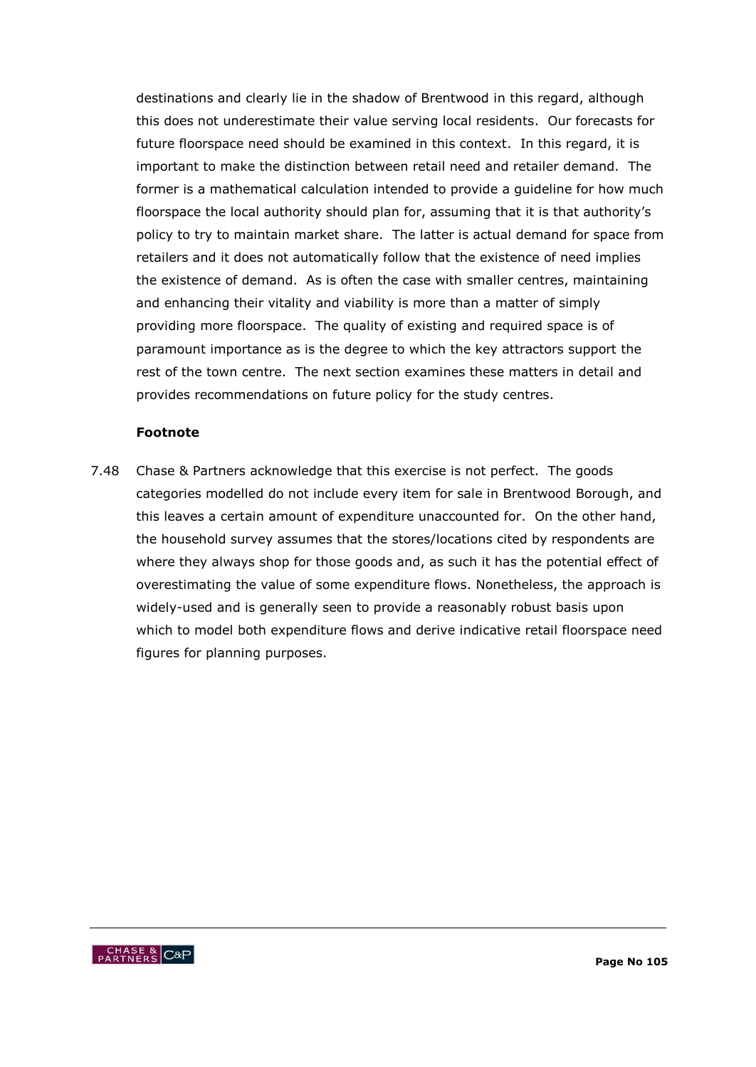destinations and clearly lie in the shadow of Brentwood in this regard, although this does not underestimate their value serving local residents. Our forecasts for future floorspace need should be examined in this context. In this regard, it is important to make the distinction between retail need and retailer demand. The former is a mathematical calculation intended to provide a guideline for how much floorspace the local authority should plan for, assuming that it is that authority's policy to try to maintain market share. The latter is actual demand for space from retailers and it does not automatically follow that the existence of need implies the existence of demand. As is often the case with smaller centres, maintaining and enhancing their vitality and viability is more than a matter of simply providing more floorspace. The quality of existing and required space is of paramount importance as is the degree to which the key attractors support the rest of the town centre. The next section examines these matters in detail and provides recommendations on future policy for the study centres.

#### **Footnote**

7.48 Chase & Partners acknowledge that this exercise is not perfect. The goods categories modelled do not include every item for sale in Brentwood Borough, and this leaves a certain amount of expenditure unaccounted for. On the other hand, the household survey assumes that the stores/locations cited by respondents are where they always shop for those goods and, as such it has the potential effect of overestimating the value of some expenditure flows. Nonetheless, the approach is widely-used and is generally seen to provide a reasonably robust basis upon which to model both expenditure flows and derive indicative retail floorspace need figures for planning purposes.

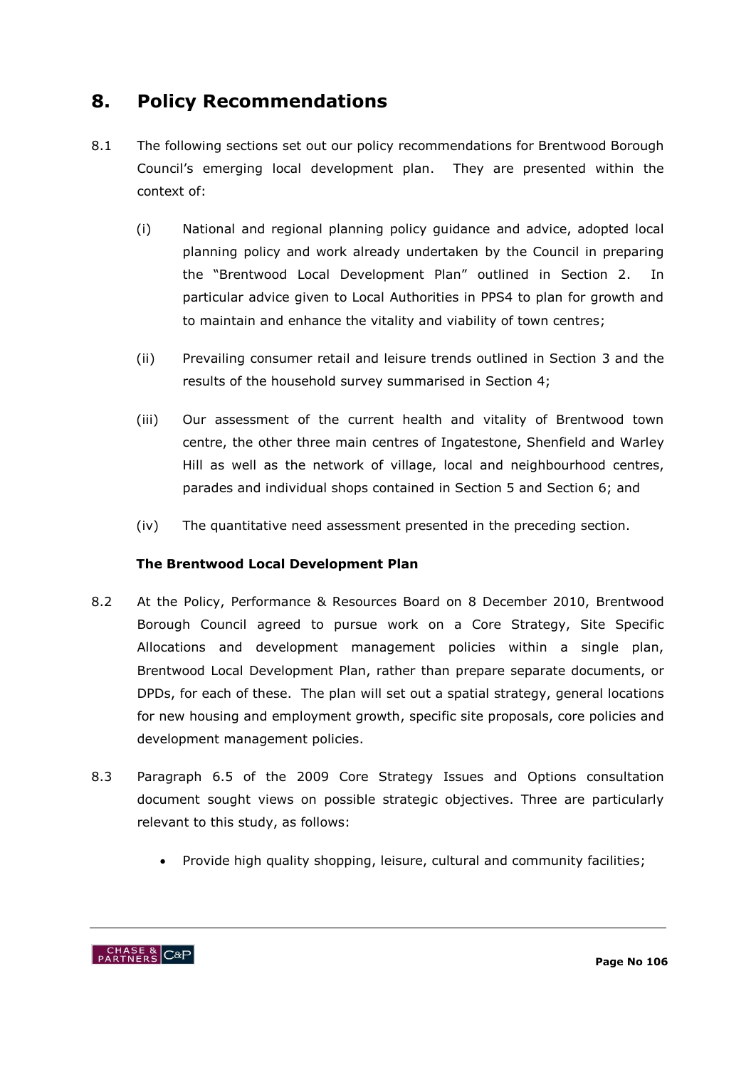# **8. Policy Recommendations**

- 8.1 The following sections set out our policy recommendations for Brentwood Borough Council"s emerging local development plan. They are presented within the context of:
	- (i) National and regional planning policy guidance and advice, adopted local planning policy and work already undertaken by the Council in preparing the "Brentwood Local Development Plan" outlined in Section 2. In particular advice given to Local Authorities in PPS4 to plan for growth and to maintain and enhance the vitality and viability of town centres;
	- (ii) Prevailing consumer retail and leisure trends outlined in Section 3 and the results of the household survey summarised in Section 4;
	- (iii) Our assessment of the current health and vitality of Brentwood town centre, the other three main centres of Ingatestone, Shenfield and Warley Hill as well as the network of village, local and neighbourhood centres, parades and individual shops contained in Section 5 and Section 6; and
	- (iv) The quantitative need assessment presented in the preceding section.

# **The Brentwood Local Development Plan**

- 8.2 At the Policy, Performance & Resources Board on 8 December 2010, Brentwood Borough Council agreed to pursue work on a Core Strategy, Site Specific Allocations and development management policies within a single plan, Brentwood Local Development Plan, rather than prepare separate documents, or DPDs, for each of these. The plan will set out a spatial strategy, general locations for new housing and employment growth, specific site proposals, core policies and development management policies.
- 8.3 Paragraph 6.5 of the 2009 Core Strategy Issues and Options consultation document sought views on possible strategic objectives. Three are particularly relevant to this study, as follows:
	- Provide high quality shopping, leisure, cultural and community facilities;

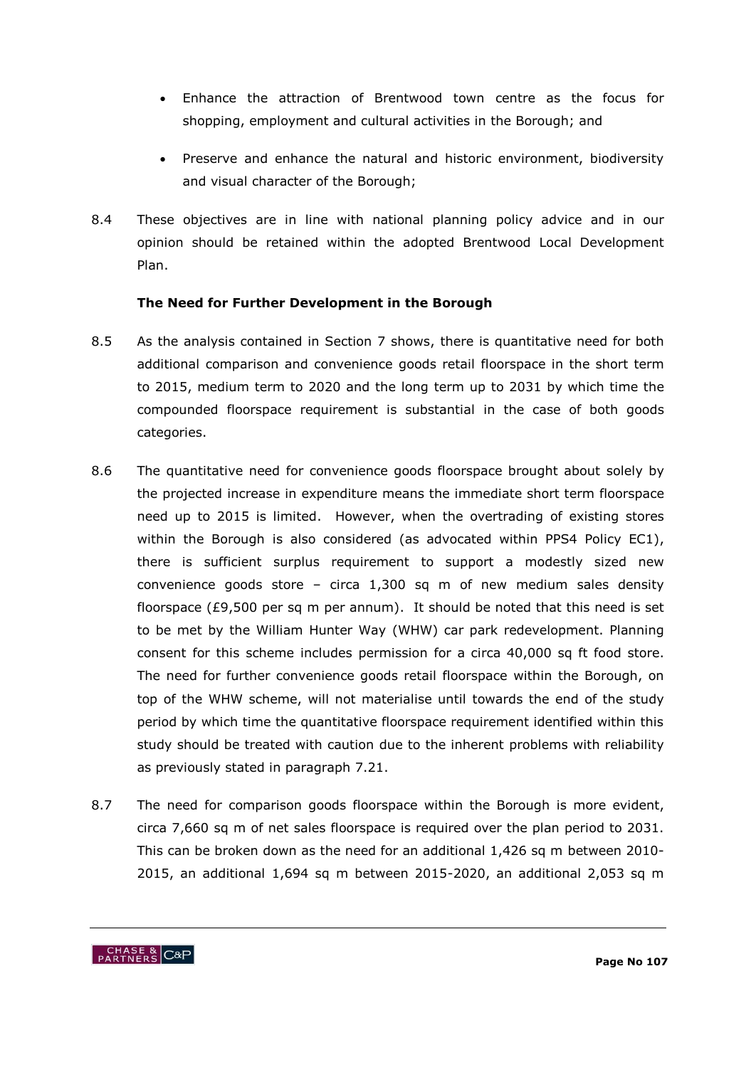- Enhance the attraction of Brentwood town centre as the focus for shopping, employment and cultural activities in the Borough; and
- Preserve and enhance the natural and historic environment, biodiversity and visual character of the Borough;
- 8.4 These objectives are in line with national planning policy advice and in our opinion should be retained within the adopted Brentwood Local Development Plan.

# **The Need for Further Development in the Borough**

- 8.5 As the analysis contained in Section 7 shows, there is quantitative need for both additional comparison and convenience goods retail floorspace in the short term to 2015, medium term to 2020 and the long term up to 2031 by which time the compounded floorspace requirement is substantial in the case of both goods categories.
- 8.6 The quantitative need for convenience goods floorspace brought about solely by the projected increase in expenditure means the immediate short term floorspace need up to 2015 is limited. However, when the overtrading of existing stores within the Borough is also considered (as advocated within PPS4 Policy EC1), there is sufficient surplus requirement to support a modestly sized new convenience goods store – circa 1,300 sq m of new medium sales density floorspace (£9,500 per sq m per annum). It should be noted that this need is set to be met by the William Hunter Way (WHW) car park redevelopment. Planning consent for this scheme includes permission for a circa 40,000 sq ft food store. The need for further convenience goods retail floorspace within the Borough, on top of the WHW scheme, will not materialise until towards the end of the study period by which time the quantitative floorspace requirement identified within this study should be treated with caution due to the inherent problems with reliability as previously stated in paragraph 7.21.
- 8.7 The need for comparison goods floorspace within the Borough is more evident, circa 7,660 sq m of net sales floorspace is required over the plan period to 2031. This can be broken down as the need for an additional 1,426 sq m between 2010- 2015, an additional 1,694 sq m between 2015-2020, an additional 2,053 sq m

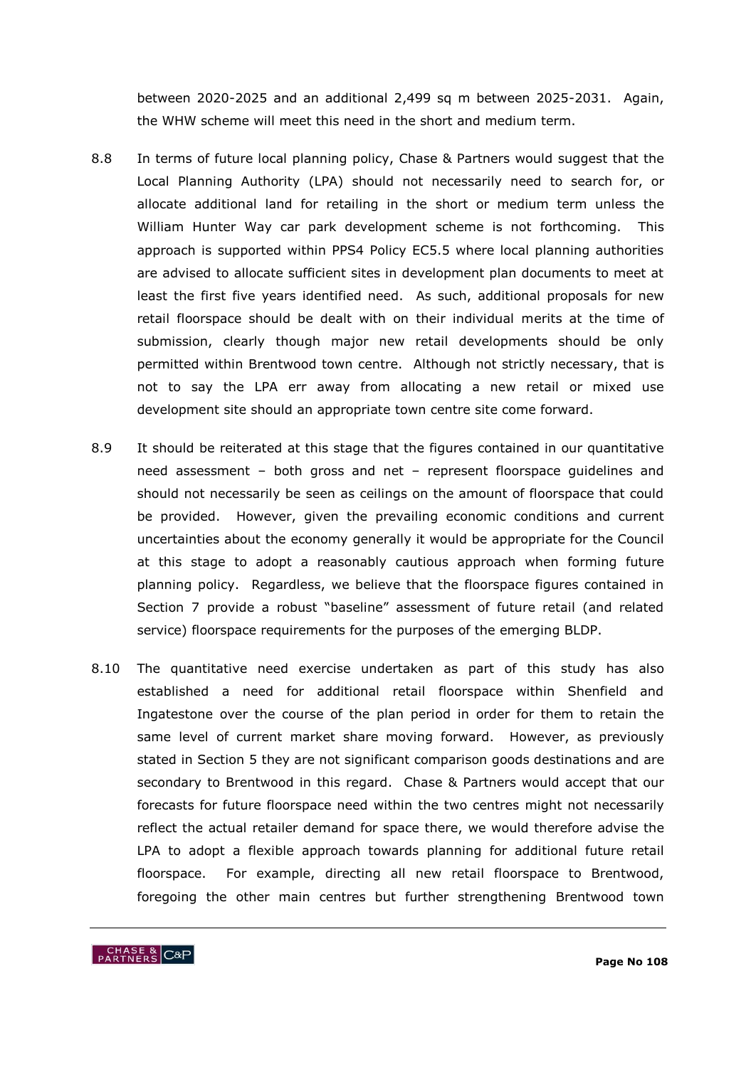between 2020-2025 and an additional 2,499 sq m between 2025-2031. Again, the WHW scheme will meet this need in the short and medium term.

- 8.8 In terms of future local planning policy, Chase & Partners would suggest that the Local Planning Authority (LPA) should not necessarily need to search for, or allocate additional land for retailing in the short or medium term unless the William Hunter Way car park development scheme is not forthcoming. This approach is supported within PPS4 Policy EC5.5 where local planning authorities are advised to allocate sufficient sites in development plan documents to meet at least the first five years identified need. As such, additional proposals for new retail floorspace should be dealt with on their individual merits at the time of submission, clearly though major new retail developments should be only permitted within Brentwood town centre. Although not strictly necessary, that is not to say the LPA err away from allocating a new retail or mixed use development site should an appropriate town centre site come forward.
- 8.9 It should be reiterated at this stage that the figures contained in our quantitative need assessment – both gross and net – represent floorspace guidelines and should not necessarily be seen as ceilings on the amount of floorspace that could be provided. However, given the prevailing economic conditions and current uncertainties about the economy generally it would be appropriate for the Council at this stage to adopt a reasonably cautious approach when forming future planning policy. Regardless, we believe that the floorspace figures contained in Section 7 provide a robust "baseline" assessment of future retail (and related service) floorspace requirements for the purposes of the emerging BLDP.
- 8.10 The quantitative need exercise undertaken as part of this study has also established a need for additional retail floorspace within Shenfield and Ingatestone over the course of the plan period in order for them to retain the same level of current market share moving forward. However, as previously stated in Section 5 they are not significant comparison goods destinations and are secondary to Brentwood in this regard. Chase & Partners would accept that our forecasts for future floorspace need within the two centres might not necessarily reflect the actual retailer demand for space there, we would therefore advise the LPA to adopt a flexible approach towards planning for additional future retail floorspace. For example, directing all new retail floorspace to Brentwood, foregoing the other main centres but further strengthening Brentwood town

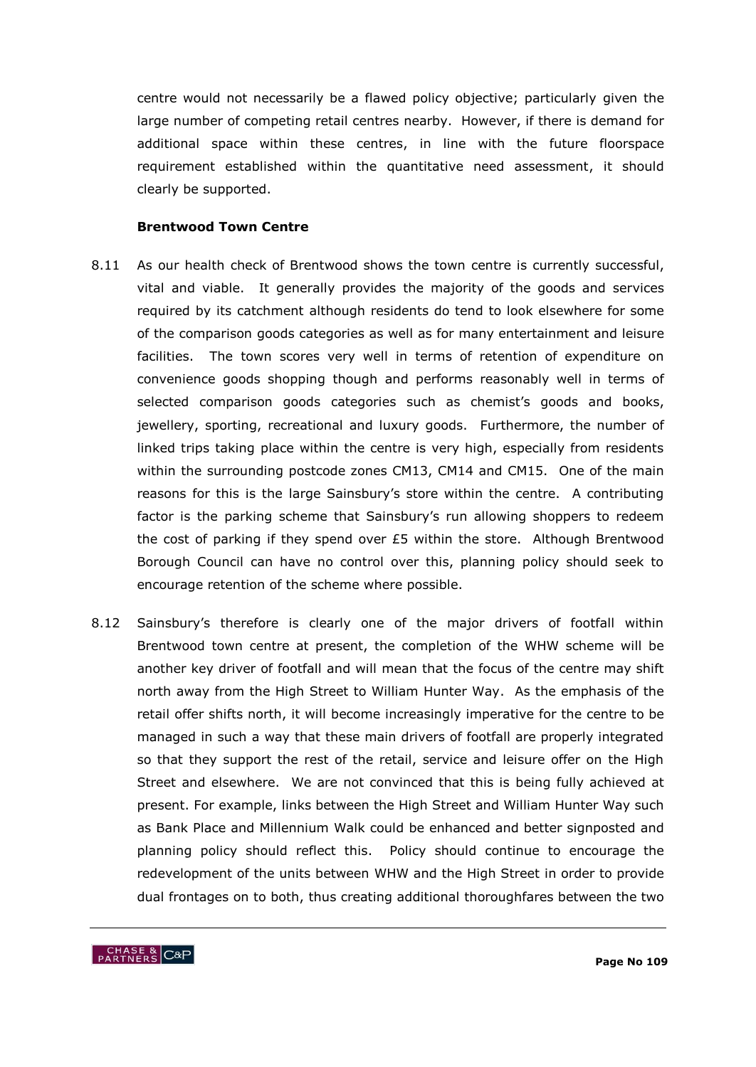centre would not necessarily be a flawed policy objective; particularly given the large number of competing retail centres nearby. However, if there is demand for additional space within these centres, in line with the future floorspace requirement established within the quantitative need assessment, it should clearly be supported.

#### **Brentwood Town Centre**

- 8.11 As our health check of Brentwood shows the town centre is currently successful, vital and viable. It generally provides the majority of the goods and services required by its catchment although residents do tend to look elsewhere for some of the comparison goods categories as well as for many entertainment and leisure facilities. The town scores very well in terms of retention of expenditure on convenience goods shopping though and performs reasonably well in terms of selected comparison goods categories such as chemist's goods and books, jewellery, sporting, recreational and luxury goods. Furthermore, the number of linked trips taking place within the centre is very high, especially from residents within the surrounding postcode zones CM13, CM14 and CM15. One of the main reasons for this is the large Sainsbury"s store within the centre. A contributing factor is the parking scheme that Sainsbury's run allowing shoppers to redeem the cost of parking if they spend over £5 within the store. Although Brentwood Borough Council can have no control over this, planning policy should seek to encourage retention of the scheme where possible.
- 8.12 Sainsbury"s therefore is clearly one of the major drivers of footfall within Brentwood town centre at present, the completion of the WHW scheme will be another key driver of footfall and will mean that the focus of the centre may shift north away from the High Street to William Hunter Way. As the emphasis of the retail offer shifts north, it will become increasingly imperative for the centre to be managed in such a way that these main drivers of footfall are properly integrated so that they support the rest of the retail, service and leisure offer on the High Street and elsewhere. We are not convinced that this is being fully achieved at present. For example, links between the High Street and William Hunter Way such as Bank Place and Millennium Walk could be enhanced and better signposted and planning policy should reflect this. Policy should continue to encourage the redevelopment of the units between WHW and the High Street in order to provide dual frontages on to both, thus creating additional thoroughfares between the two

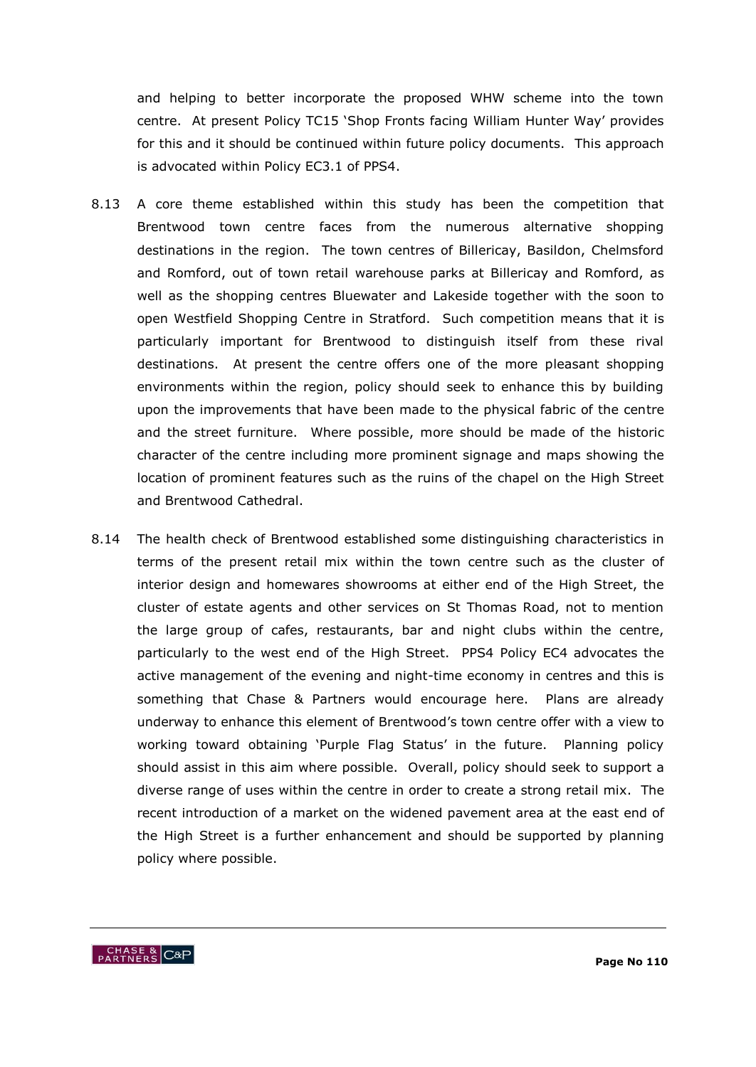and helping to better incorporate the proposed WHW scheme into the town centre. At present Policy TC15 "Shop Fronts facing William Hunter Way" provides for this and it should be continued within future policy documents. This approach is advocated within Policy EC3.1 of PPS4.

- 8.13 A core theme established within this study has been the competition that Brentwood town centre faces from the numerous alternative shopping destinations in the region. The town centres of Billericay, Basildon, Chelmsford and Romford, out of town retail warehouse parks at Billericay and Romford, as well as the shopping centres Bluewater and Lakeside together with the soon to open Westfield Shopping Centre in Stratford. Such competition means that it is particularly important for Brentwood to distinguish itself from these rival destinations. At present the centre offers one of the more pleasant shopping environments within the region, policy should seek to enhance this by building upon the improvements that have been made to the physical fabric of the centre and the street furniture. Where possible, more should be made of the historic character of the centre including more prominent signage and maps showing the location of prominent features such as the ruins of the chapel on the High Street and Brentwood Cathedral.
- 8.14 The health check of Brentwood established some distinguishing characteristics in terms of the present retail mix within the town centre such as the cluster of interior design and homewares showrooms at either end of the High Street, the cluster of estate agents and other services on St Thomas Road, not to mention the large group of cafes, restaurants, bar and night clubs within the centre, particularly to the west end of the High Street. PPS4 Policy EC4 advocates the active management of the evening and night-time economy in centres and this is something that Chase & Partners would encourage here. Plans are already underway to enhance this element of Brentwood"s town centre offer with a view to working toward obtaining 'Purple Flag Status' in the future. Planning policy should assist in this aim where possible. Overall, policy should seek to support a diverse range of uses within the centre in order to create a strong retail mix. The recent introduction of a market on the widened pavement area at the east end of the High Street is a further enhancement and should be supported by planning policy where possible.

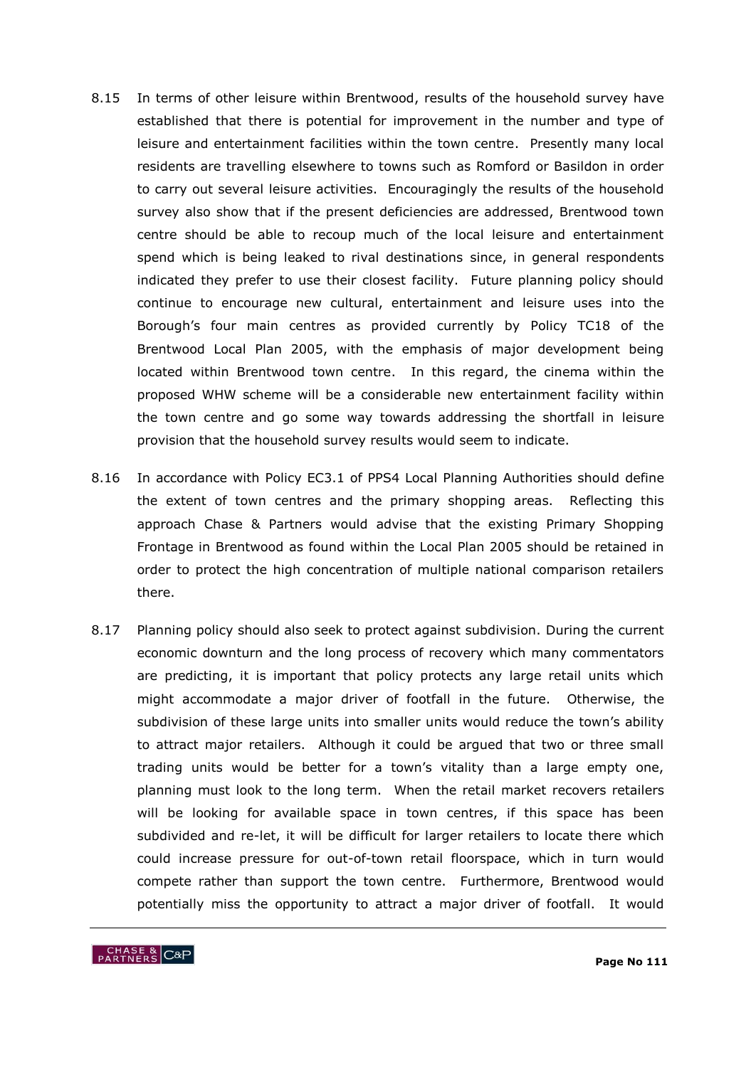- 8.15 In terms of other leisure within Brentwood, results of the household survey have established that there is potential for improvement in the number and type of leisure and entertainment facilities within the town centre. Presently many local residents are travelling elsewhere to towns such as Romford or Basildon in order to carry out several leisure activities. Encouragingly the results of the household survey also show that if the present deficiencies are addressed, Brentwood town centre should be able to recoup much of the local leisure and entertainment spend which is being leaked to rival destinations since, in general respondents indicated they prefer to use their closest facility. Future planning policy should continue to encourage new cultural, entertainment and leisure uses into the Borough's four main centres as provided currently by Policy TC18 of the Brentwood Local Plan 2005, with the emphasis of major development being located within Brentwood town centre. In this regard, the cinema within the proposed WHW scheme will be a considerable new entertainment facility within the town centre and go some way towards addressing the shortfall in leisure provision that the household survey results would seem to indicate.
- 8.16 In accordance with Policy EC3.1 of PPS4 Local Planning Authorities should define the extent of town centres and the primary shopping areas. Reflecting this approach Chase & Partners would advise that the existing Primary Shopping Frontage in Brentwood as found within the Local Plan 2005 should be retained in order to protect the high concentration of multiple national comparison retailers there.
- 8.17 Planning policy should also seek to protect against subdivision. During the current economic downturn and the long process of recovery which many commentators are predicting, it is important that policy protects any large retail units which might accommodate a major driver of footfall in the future. Otherwise, the subdivision of these large units into smaller units would reduce the town"s ability to attract major retailers. Although it could be argued that two or three small trading units would be better for a town"s vitality than a large empty one, planning must look to the long term. When the retail market recovers retailers will be looking for available space in town centres, if this space has been subdivided and re-let, it will be difficult for larger retailers to locate there which could increase pressure for out-of-town retail floorspace, which in turn would compete rather than support the town centre. Furthermore, Brentwood would potentially miss the opportunity to attract a major driver of footfall. It would

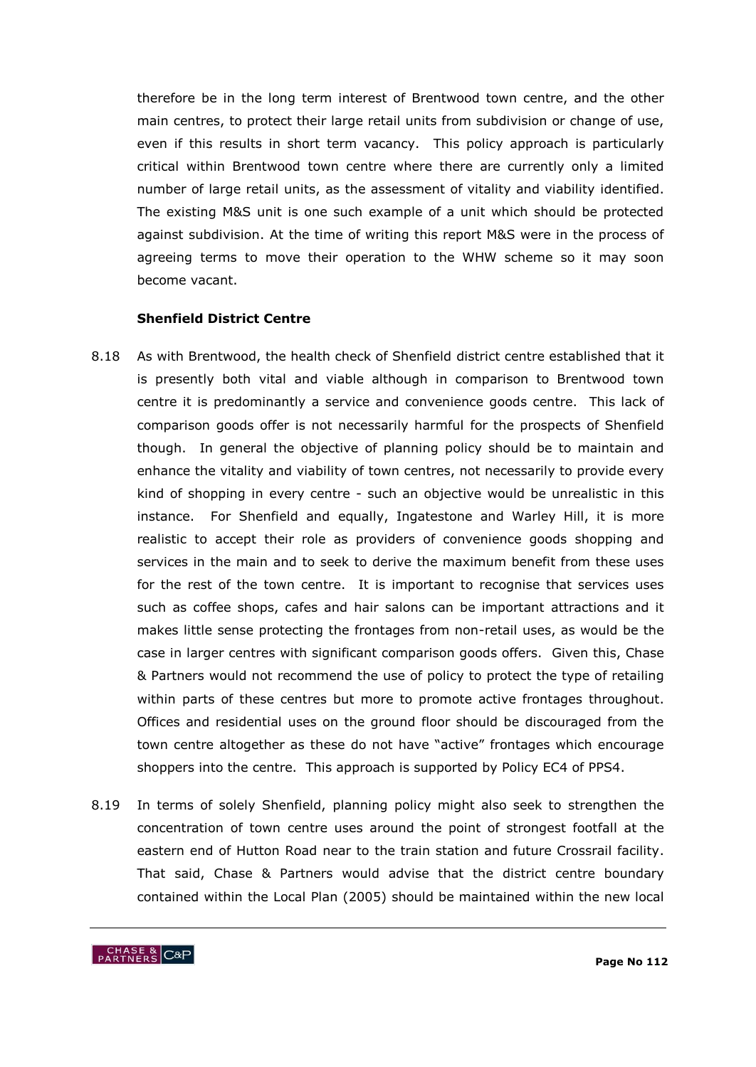therefore be in the long term interest of Brentwood town centre, and the other main centres, to protect their large retail units from subdivision or change of use, even if this results in short term vacancy. This policy approach is particularly critical within Brentwood town centre where there are currently only a limited number of large retail units, as the assessment of vitality and viability identified. The existing M&S unit is one such example of a unit which should be protected against subdivision. At the time of writing this report M&S were in the process of agreeing terms to move their operation to the WHW scheme so it may soon become vacant.

### **Shenfield District Centre**

- 8.18 As with Brentwood, the health check of Shenfield district centre established that it is presently both vital and viable although in comparison to Brentwood town centre it is predominantly a service and convenience goods centre. This lack of comparison goods offer is not necessarily harmful for the prospects of Shenfield though. In general the objective of planning policy should be to maintain and enhance the vitality and viability of town centres, not necessarily to provide every kind of shopping in every centre - such an objective would be unrealistic in this instance. For Shenfield and equally, Ingatestone and Warley Hill, it is more realistic to accept their role as providers of convenience goods shopping and services in the main and to seek to derive the maximum benefit from these uses for the rest of the town centre. It is important to recognise that services uses such as coffee shops, cafes and hair salons can be important attractions and it makes little sense protecting the frontages from non-retail uses, as would be the case in larger centres with significant comparison goods offers. Given this, Chase & Partners would not recommend the use of policy to protect the type of retailing within parts of these centres but more to promote active frontages throughout. Offices and residential uses on the ground floor should be discouraged from the town centre altogether as these do not have "active" frontages which encourage shoppers into the centre. This approach is supported by Policy EC4 of PPS4.
- 8.19 In terms of solely Shenfield, planning policy might also seek to strengthen the concentration of town centre uses around the point of strongest footfall at the eastern end of Hutton Road near to the train station and future Crossrail facility. That said, Chase & Partners would advise that the district centre boundary contained within the Local Plan (2005) should be maintained within the new local

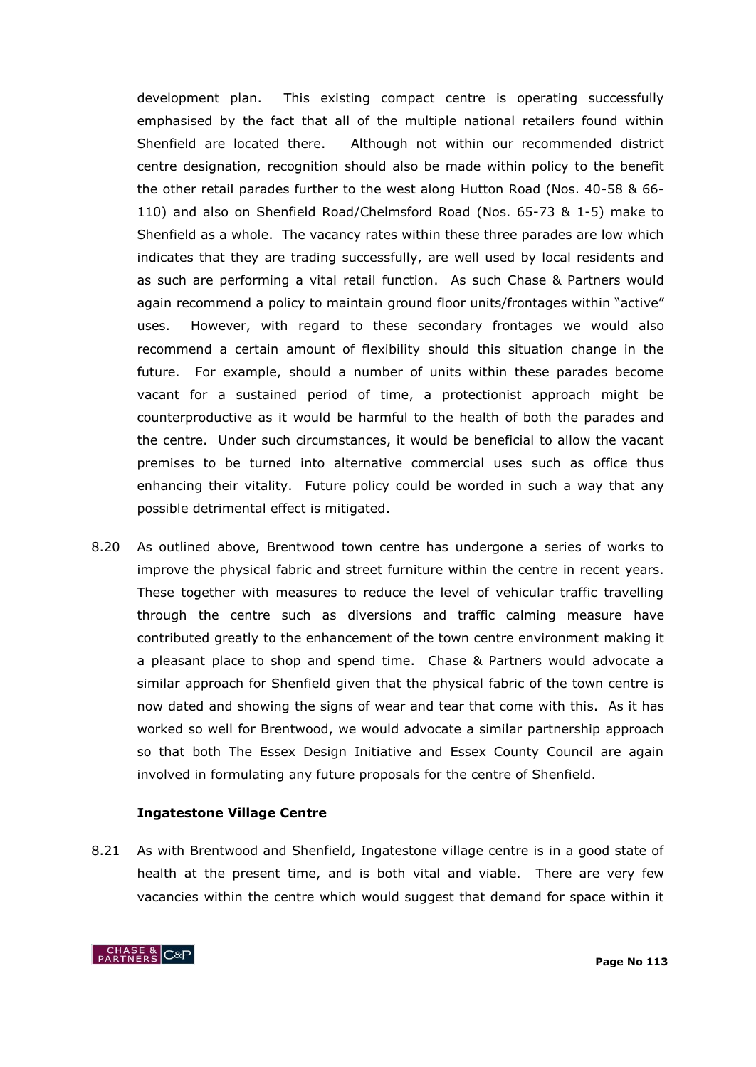development plan. This existing compact centre is operating successfully emphasised by the fact that all of the multiple national retailers found within Shenfield are located there. Although not within our recommended district centre designation, recognition should also be made within policy to the benefit the other retail parades further to the west along Hutton Road (Nos. 40-58 & 66- 110) and also on Shenfield Road/Chelmsford Road (Nos. 65-73 & 1-5) make to Shenfield as a whole. The vacancy rates within these three parades are low which indicates that they are trading successfully, are well used by local residents and as such are performing a vital retail function. As such Chase & Partners would again recommend a policy to maintain ground floor units/frontages within "active" uses. However, with regard to these secondary frontages we would also recommend a certain amount of flexibility should this situation change in the future. For example, should a number of units within these parades become vacant for a sustained period of time, a protectionist approach might be counterproductive as it would be harmful to the health of both the parades and the centre. Under such circumstances, it would be beneficial to allow the vacant premises to be turned into alternative commercial uses such as office thus enhancing their vitality. Future policy could be worded in such a way that any possible detrimental effect is mitigated.

8.20 As outlined above, Brentwood town centre has undergone a series of works to improve the physical fabric and street furniture within the centre in recent years. These together with measures to reduce the level of vehicular traffic travelling through the centre such as diversions and traffic calming measure have contributed greatly to the enhancement of the town centre environment making it a pleasant place to shop and spend time. Chase & Partners would advocate a similar approach for Shenfield given that the physical fabric of the town centre is now dated and showing the signs of wear and tear that come with this. As it has worked so well for Brentwood, we would advocate a similar partnership approach so that both The Essex Design Initiative and Essex County Council are again involved in formulating any future proposals for the centre of Shenfield.

### **Ingatestone Village Centre**

8.21 As with Brentwood and Shenfield, Ingatestone village centre is in a good state of health at the present time, and is both vital and viable. There are very few vacancies within the centre which would suggest that demand for space within it

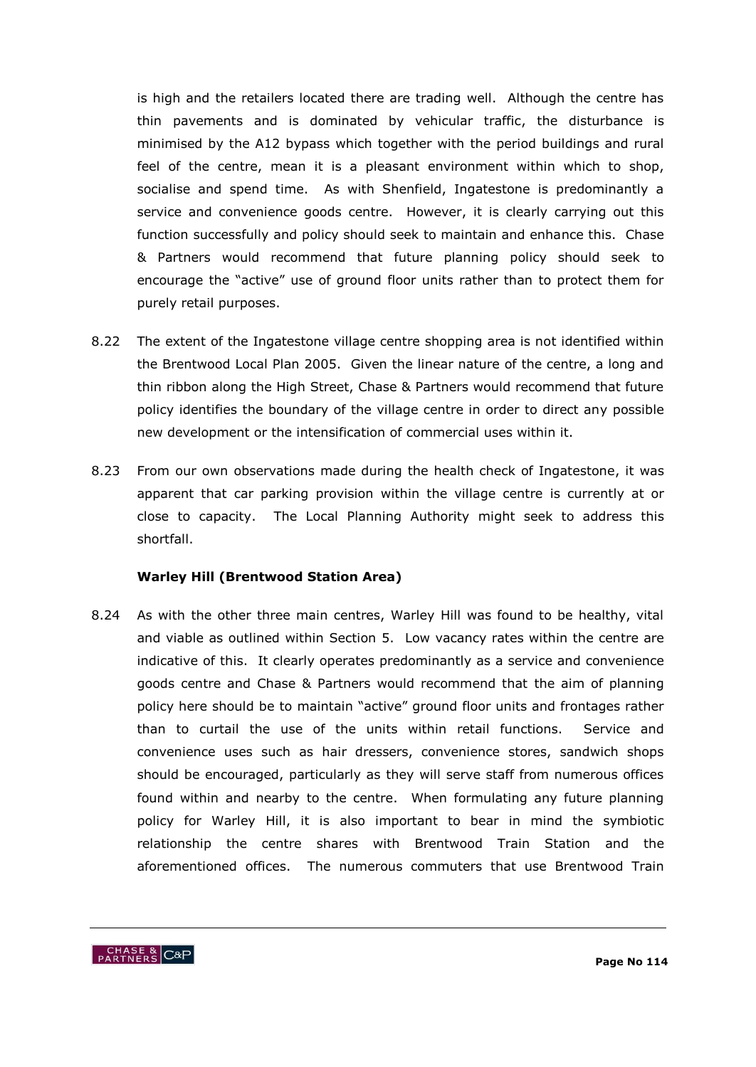is high and the retailers located there are trading well. Although the centre has thin pavements and is dominated by vehicular traffic, the disturbance is minimised by the A12 bypass which together with the period buildings and rural feel of the centre, mean it is a pleasant environment within which to shop, socialise and spend time. As with Shenfield, Ingatestone is predominantly a service and convenience goods centre. However, it is clearly carrying out this function successfully and policy should seek to maintain and enhance this. Chase & Partners would recommend that future planning policy should seek to encourage the "active" use of ground floor units rather than to protect them for purely retail purposes.

- 8.22 The extent of the Ingatestone village centre shopping area is not identified within the Brentwood Local Plan 2005. Given the linear nature of the centre, a long and thin ribbon along the High Street, Chase & Partners would recommend that future policy identifies the boundary of the village centre in order to direct any possible new development or the intensification of commercial uses within it.
- 8.23 From our own observations made during the health check of Ingatestone, it was apparent that car parking provision within the village centre is currently at or close to capacity. The Local Planning Authority might seek to address this shortfall.

### **Warley Hill (Brentwood Station Area)**

8.24 As with the other three main centres, Warley Hill was found to be healthy, vital and viable as outlined within Section 5. Low vacancy rates within the centre are indicative of this. It clearly operates predominantly as a service and convenience goods centre and Chase & Partners would recommend that the aim of planning policy here should be to maintain "active" ground floor units and frontages rather than to curtail the use of the units within retail functions. Service and convenience uses such as hair dressers, convenience stores, sandwich shops should be encouraged, particularly as they will serve staff from numerous offices found within and nearby to the centre. When formulating any future planning policy for Warley Hill, it is also important to bear in mind the symbiotic relationship the centre shares with Brentwood Train Station and the aforementioned offices. The numerous commuters that use Brentwood Train

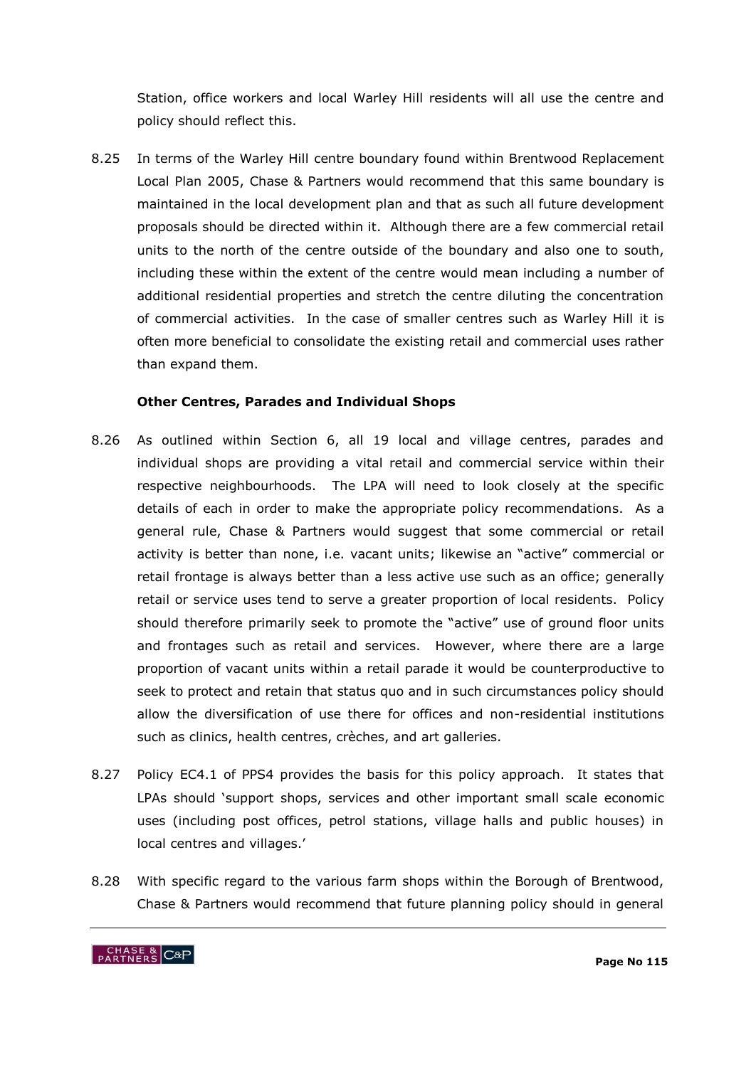Station, office workers and local Warley Hill residents will all use the centre and policy should reflect this.

8.25 In terms of the Warley Hill centre boundary found within Brentwood Replacement Local Plan 2005, Chase & Partners would recommend that this same boundary is maintained in the local development plan and that as such all future development proposals should be directed within it. Although there are a few commercial retail units to the north of the centre outside of the boundary and also one to south, including these within the extent of the centre would mean including a number of additional residential properties and stretch the centre diluting the concentration of commercial activities. In the case of smaller centres such as Warley Hill it is often more beneficial to consolidate the existing retail and commercial uses rather than expand them.

## **Other Centres, Parades and Individual Shops**

- 8.26 As outlined within Section 6, all 19 local and village centres, parades and individual shops are providing a vital retail and commercial service within their respective neighbourhoods. The LPA will need to look closely at the specific details of each in order to make the appropriate policy recommendations. As a general rule, Chase & Partners would suggest that some commercial or retail activity is better than none, i.e. vacant units; likewise an "active" commercial or retail frontage is always better than a less active use such as an office; generally retail or service uses tend to serve a greater proportion of local residents. Policy should therefore primarily seek to promote the "active" use of ground floor units and frontages such as retail and services. However, where there are a large proportion of vacant units within a retail parade it would be counterproductive to seek to protect and retain that status quo and in such circumstances policy should allow the diversification of use there for offices and non-residential institutions such as clinics, health centres, crèches, and art galleries.
- 8.27 Policy EC4.1 of PPS4 provides the basis for this policy approach. It states that LPAs should "support shops, services and other important small scale economic uses (including post offices, petrol stations, village halls and public houses) in local centres and villages.'
- 8.28 With specific regard to the various farm shops within the Borough of Brentwood, Chase & Partners would recommend that future planning policy should in general

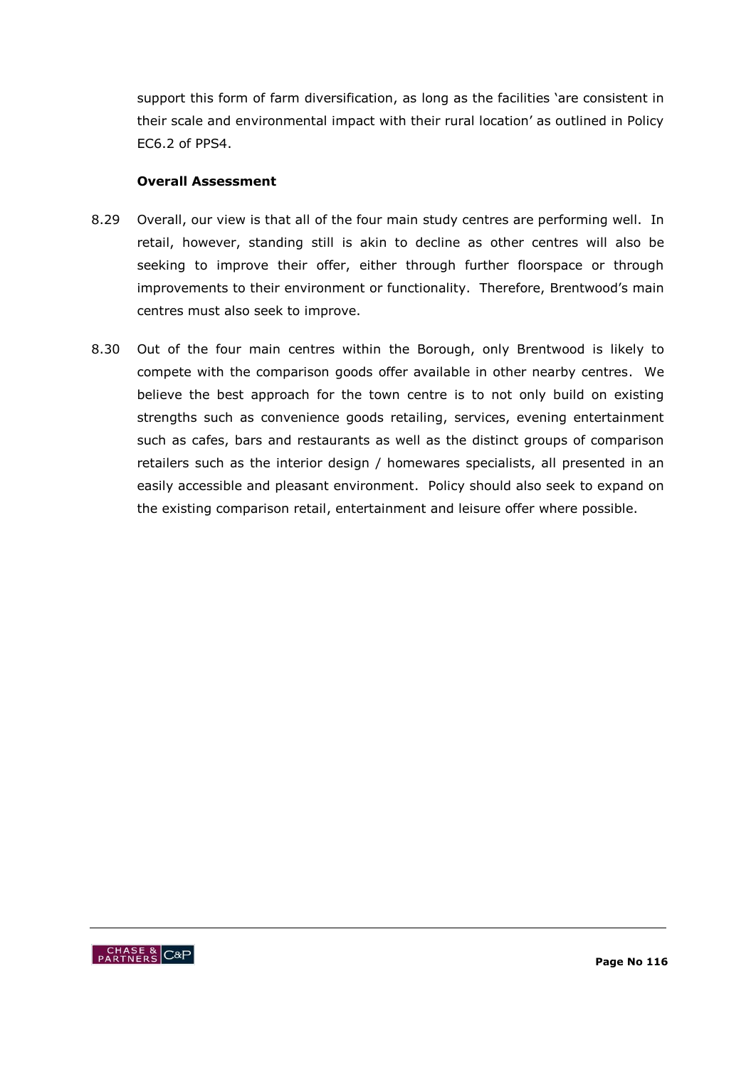support this form of farm diversification, as long as the facilities 'are consistent in their scale and environmental impact with their rural location" as outlined in Policy EC6.2 of PPS4.

## **Overall Assessment**

- 8.29 Overall, our view is that all of the four main study centres are performing well. In retail, however, standing still is akin to decline as other centres will also be seeking to improve their offer, either through further floorspace or through improvements to their environment or functionality. Therefore, Brentwood's main centres must also seek to improve.
- 8.30 Out of the four main centres within the Borough, only Brentwood is likely to compete with the comparison goods offer available in other nearby centres. We believe the best approach for the town centre is to not only build on existing strengths such as convenience goods retailing, services, evening entertainment such as cafes, bars and restaurants as well as the distinct groups of comparison retailers such as the interior design / homewares specialists, all presented in an easily accessible and pleasant environment. Policy should also seek to expand on the existing comparison retail, entertainment and leisure offer where possible.

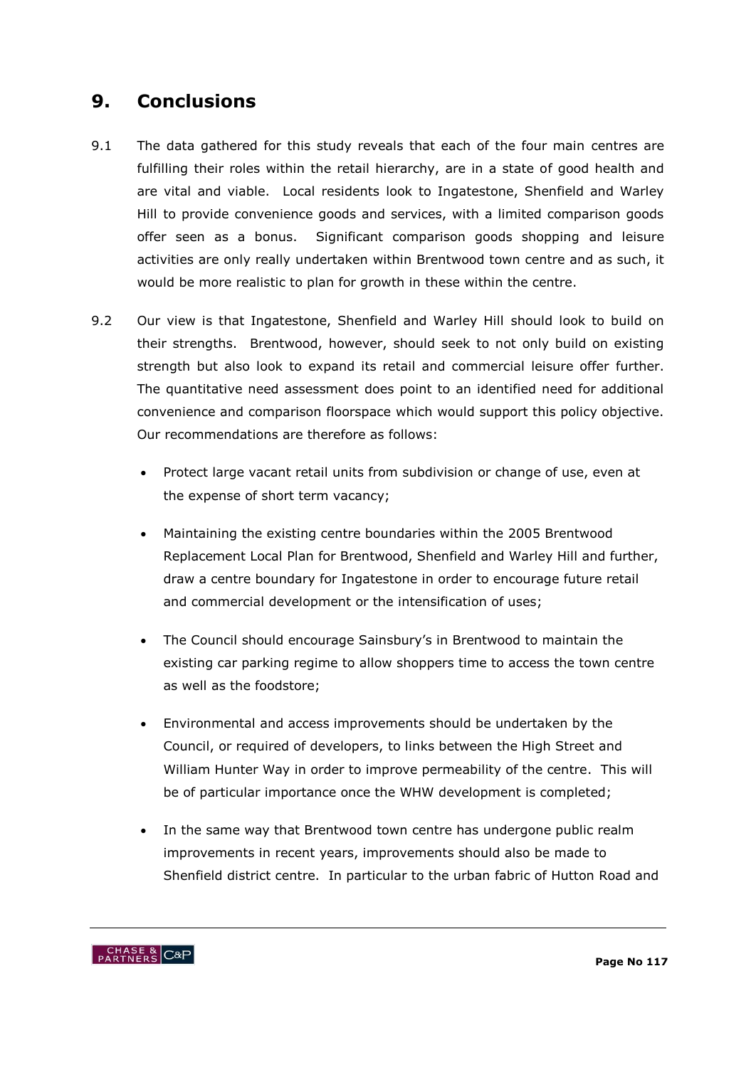# **9. Conclusions**

- 9.1 The data gathered for this study reveals that each of the four main centres are fulfilling their roles within the retail hierarchy, are in a state of good health and are vital and viable. Local residents look to Ingatestone, Shenfield and Warley Hill to provide convenience goods and services, with a limited comparison goods offer seen as a bonus. Significant comparison goods shopping and leisure activities are only really undertaken within Brentwood town centre and as such, it would be more realistic to plan for growth in these within the centre.
- 9.2 Our view is that Ingatestone, Shenfield and Warley Hill should look to build on their strengths. Brentwood, however, should seek to not only build on existing strength but also look to expand its retail and commercial leisure offer further. The quantitative need assessment does point to an identified need for additional convenience and comparison floorspace which would support this policy objective. Our recommendations are therefore as follows:
	- Protect large vacant retail units from subdivision or change of use, even at the expense of short term vacancy;
	- Maintaining the existing centre boundaries within the 2005 Brentwood Replacement Local Plan for Brentwood, Shenfield and Warley Hill and further, draw a centre boundary for Ingatestone in order to encourage future retail and commercial development or the intensification of uses;
	- The Council should encourage Sainsbury's in Brentwood to maintain the existing car parking regime to allow shoppers time to access the town centre as well as the foodstore;
	- Environmental and access improvements should be undertaken by the Council, or required of developers, to links between the High Street and William Hunter Way in order to improve permeability of the centre. This will be of particular importance once the WHW development is completed;
	- In the same way that Brentwood town centre has undergone public realm improvements in recent years, improvements should also be made to Shenfield district centre. In particular to the urban fabric of Hutton Road and